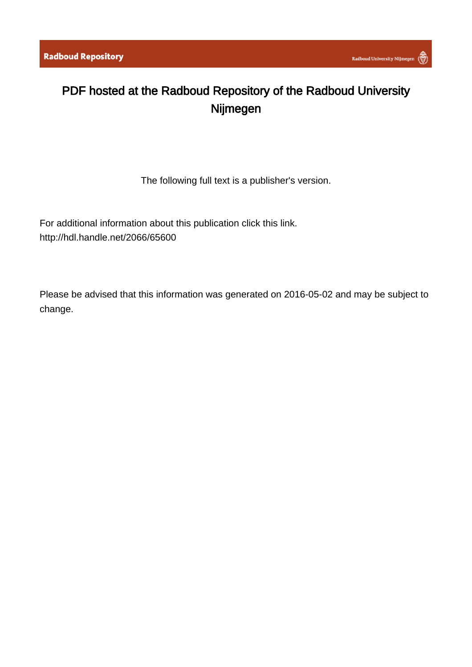### PDF hosted at the Radboud Repository of the Radboud University Nijmegen

The following full text is a publisher's version.

For additional information about this publication click this link. <http://hdl.handle.net/2066/65600>

Please be advised that this information was generated on 2016-05-02 and may be subject to change.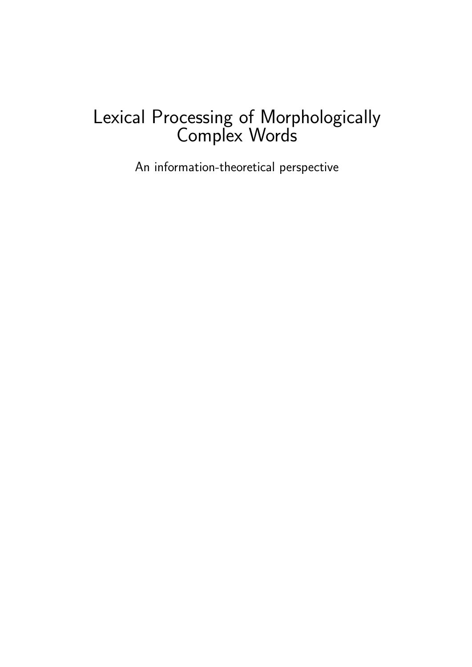## Lexical Processing of Morphologically Complex Words

An information-theoretical perspective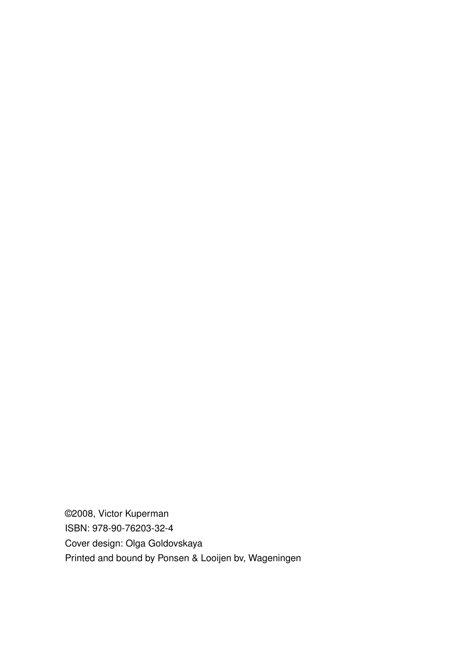©2008, Victor Kuperman ISBN: 978-90-76203-32-4 Cover design: Olga Goldovskaya Printed and bound by Ponsen & Looijen bv, Wageningen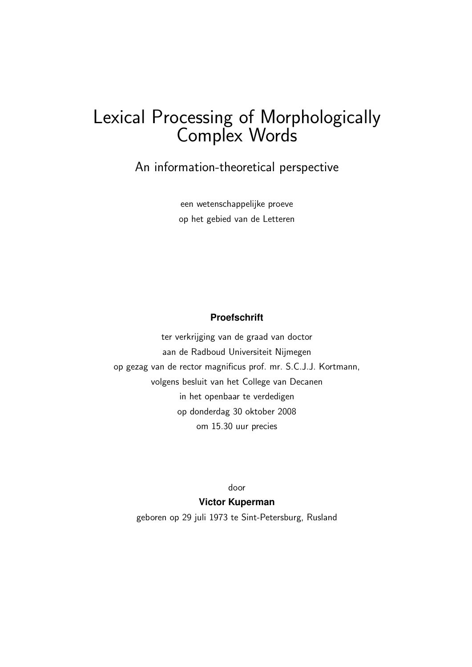## Lexical Processing of Morphologically Complex Words

An information-theoretical perspective

een wetenschappelijke proeve op het gebied van de Letteren

#### **Proefschrift**

ter verkrijging van de graad van doctor aan de Radboud Universiteit Nijmegen op gezag van de rector magnificus prof. mr. S.C.J.J. Kortmann, volgens besluit van het College van Decanen in het openbaar te verdedigen op donderdag 30 oktober 2008 om 15.30 uur precies

door

#### **Victor Kuperman**

geboren op 29 juli 1973 te Sint-Petersburg, Rusland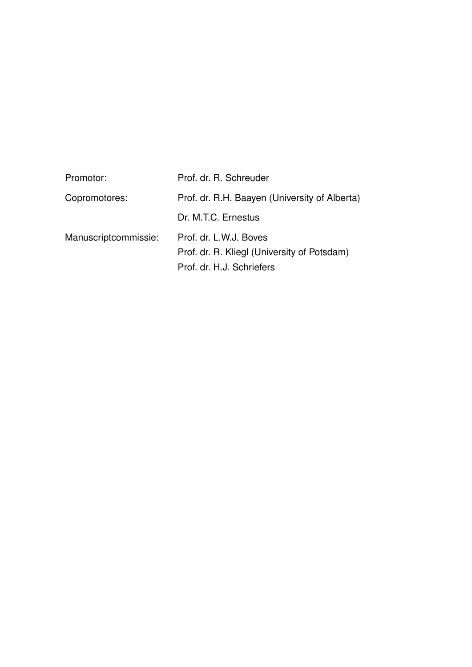| Promotor:            | Prof. dr. R. Schreuder                        |
|----------------------|-----------------------------------------------|
| Copromotores:        | Prof. dr. R.H. Baayen (University of Alberta) |
|                      | Dr. M.T.C. Ernestus                           |
| Manuscriptcommissie: | Prof. dr. L.W.J. Boves                        |
|                      | Prof. dr. R. Kliegl (University of Potsdam)   |
|                      | Prof. dr. H.J. Schriefers                     |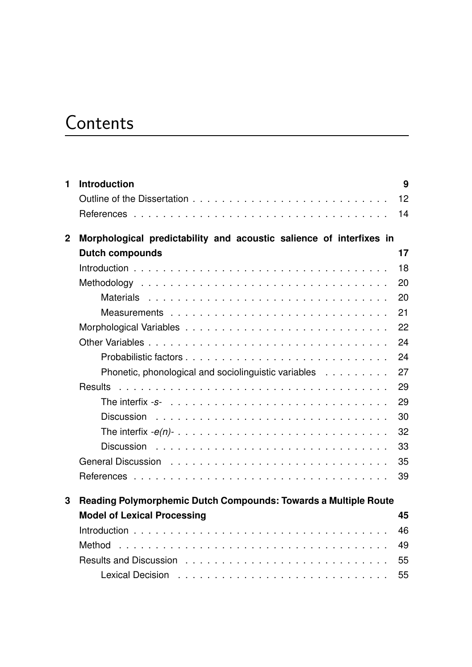# **Contents**

| 1            | <b>Introduction</b>                                                 | 9  |
|--------------|---------------------------------------------------------------------|----|
|              |                                                                     | 12 |
|              |                                                                     | 14 |
| $\mathbf{2}$ | Morphological predictability and acoustic salience of interfixes in |    |
|              | <b>Dutch compounds</b>                                              | 17 |
|              |                                                                     | 18 |
|              |                                                                     | 20 |
|              |                                                                     | 20 |
|              |                                                                     | 21 |
|              |                                                                     | 22 |
|              |                                                                     | 24 |
|              |                                                                     | 24 |
|              | Phonetic, phonological and sociolinguistic variables                | 27 |
|              |                                                                     | 29 |
|              |                                                                     | 29 |
|              | <b>Discussion</b>                                                   | 30 |
|              |                                                                     | 32 |
|              |                                                                     | 33 |
|              |                                                                     | 35 |
|              |                                                                     | 39 |
| 3            | Reading Polymorphemic Dutch Compounds: Towards a Multiple Route     |    |
|              | <b>Model of Lexical Processing</b>                                  | 45 |
|              |                                                                     | 46 |
|              |                                                                     | 49 |
|              |                                                                     | 55 |
|              |                                                                     | 55 |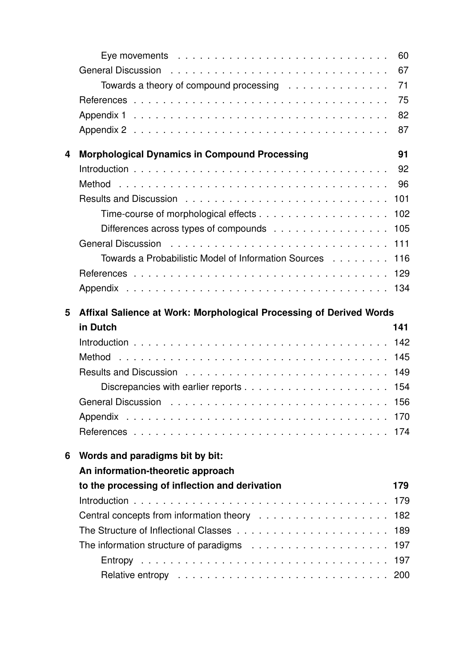|   | Eye movements $\ldots \ldots \ldots \ldots \ldots \ldots \ldots \ldots \ldots \ldots$ | 60  |  |
|---|---------------------------------------------------------------------------------------|-----|--|
|   |                                                                                       | 67  |  |
|   | Towards a theory of compound processing                                               | 71  |  |
|   |                                                                                       | 75  |  |
|   |                                                                                       | 82  |  |
|   |                                                                                       | 87  |  |
| 4 | <b>Morphological Dynamics in Compound Processing</b>                                  | 91  |  |
|   |                                                                                       | 92  |  |
|   |                                                                                       | 96  |  |
|   |                                                                                       | 101 |  |
|   |                                                                                       | 102 |  |
|   | Differences across types of compounds 105                                             |     |  |
|   |                                                                                       |     |  |
|   | Towards a Probabilistic Model of Information Sources 116                              |     |  |
|   |                                                                                       |     |  |
|   |                                                                                       |     |  |
| 5 | Affixal Salience at Work: Morphological Processing of Derived Words                   |     |  |
|   | in Dutch                                                                              | 141 |  |
|   |                                                                                       |     |  |
|   |                                                                                       |     |  |
|   |                                                                                       |     |  |
|   |                                                                                       |     |  |
|   |                                                                                       | 156 |  |
|   |                                                                                       |     |  |
|   |                                                                                       |     |  |
|   |                                                                                       |     |  |
| 6 | Words and paradigms bit by bit:                                                       |     |  |
|   | An information-theoretic approach                                                     |     |  |
|   | to the processing of inflection and derivation                                        | 179 |  |
|   |                                                                                       |     |  |
|   |                                                                                       |     |  |
|   |                                                                                       |     |  |
|   |                                                                                       |     |  |
|   |                                                                                       |     |  |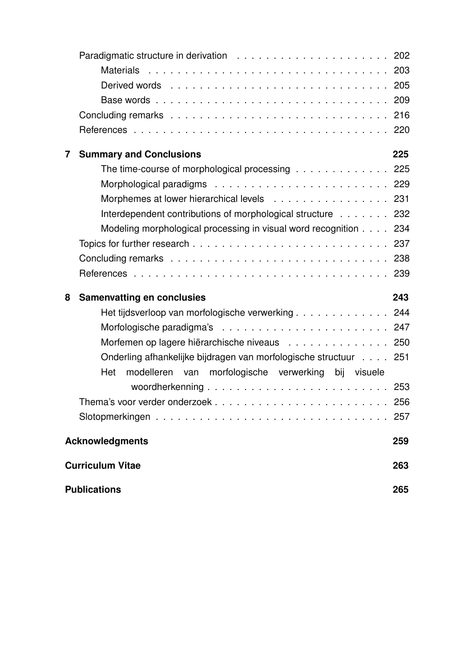|   | <b>Materials</b>                                                 |     |
|---|------------------------------------------------------------------|-----|
|   |                                                                  |     |
|   |                                                                  |     |
|   |                                                                  |     |
|   |                                                                  |     |
| 7 | <b>Summary and Conclusions</b>                                   | 225 |
|   | The time-course of morphological processing 225                  |     |
|   |                                                                  |     |
|   | Morphemes at lower hierarchical levels 231                       |     |
|   | Interdependent contributions of morphological structure 232      |     |
|   | Modeling morphological processing in visual word recognition 234 |     |
|   |                                                                  |     |
|   |                                                                  |     |
|   |                                                                  |     |
| 8 | <b>Samenvatting en conclusies</b>                                | 243 |
|   | Het tijdsverloop van morfologische verwerking 244                |     |
|   |                                                                  |     |
|   | Morfemen op lagere hiërarchische niveaus 250                     |     |
|   | Onderling afhankelijke bijdragen van morfologische structuur 251 |     |
|   | Het<br>modelleren van morfologische verwerking<br>bij<br>visuele |     |
|   |                                                                  |     |
|   |                                                                  | 256 |
|   |                                                                  |     |
|   | <b>Acknowledgments</b>                                           | 259 |
|   | <b>Curriculum Vitae</b>                                          |     |
|   | <b>Publications</b>                                              | 265 |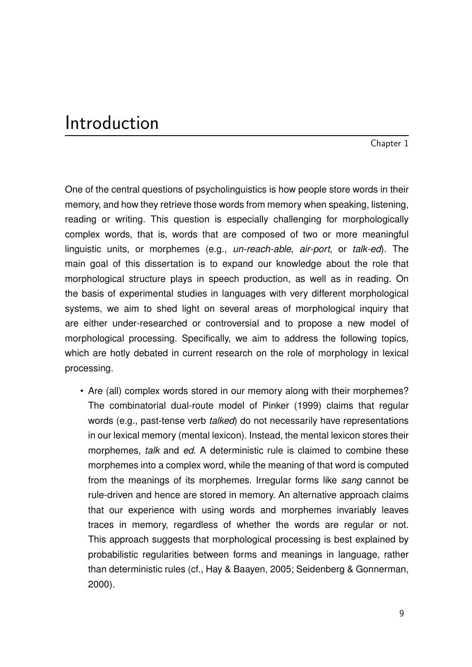## Introduction

#### Chapter 1

One of the central questions of psycholinguistics is how people store words in their memory, and how they retrieve those words from memory when speaking, listening, reading or writing. This question is especially challenging for morphologically complex words, that is, words that are composed of two or more meaningful linguistic units, or morphemes (e.g., *un-reach-able*, *air-port*, or *talk-ed*). The main goal of this dissertation is to expand our knowledge about the role that morphological structure plays in speech production, as well as in reading. On the basis of experimental studies in languages with very different morphological systems, we aim to shed light on several areas of morphological inquiry that are either under-researched or controversial and to propose a new model of morphological processing. Specifically, we aim to address the following topics, which are hotly debated in current research on the role of morphology in lexical processing.

• Are (all) complex words stored in our memory along with their morphemes? The combinatorial dual-route model of Pinker (1999) claims that regular words (e.g., past-tense verb *talked*) do not necessarily have representations in our lexical memory (mental lexicon). Instead, the mental lexicon stores their morphemes, *talk* and *ed*. A deterministic rule is claimed to combine these morphemes into a complex word, while the meaning of that word is computed from the meanings of its morphemes. Irregular forms like *sang* cannot be rule-driven and hence are stored in memory. An alternative approach claims that our experience with using words and morphemes invariably leaves traces in memory, regardless of whether the words are regular or not. This approach suggests that morphological processing is best explained by probabilistic regularities between forms and meanings in language, rather than deterministic rules (cf., Hay & Baayen, 2005; Seidenberg & Gonnerman, 2000).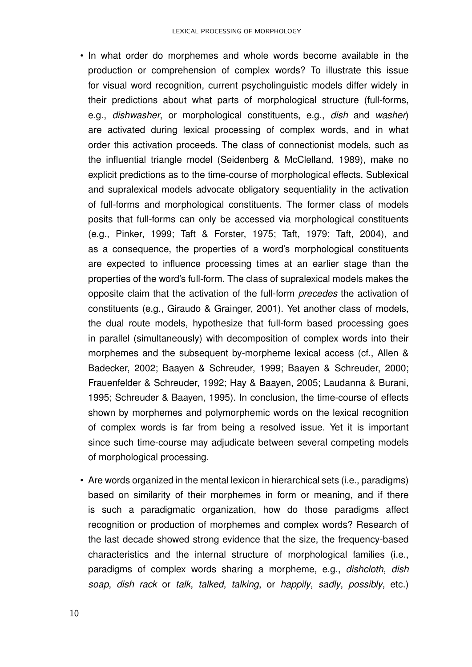- In what order do morphemes and whole words become available in the production or comprehension of complex words? To illustrate this issue for visual word recognition, current psycholinguistic models differ widely in their predictions about what parts of morphological structure (full-forms, e.g., *dishwasher*, or morphological constituents, e.g., *dish* and *washer*) are activated during lexical processing of complex words, and in what order this activation proceeds. The class of connectionist models, such as the influential triangle model (Seidenberg & McClelland, 1989), make no explicit predictions as to the time-course of morphological effects. Sublexical and supralexical models advocate obligatory sequentiality in the activation of full-forms and morphological constituents. The former class of models posits that full-forms can only be accessed via morphological constituents (e.g., Pinker, 1999; Taft & Forster, 1975; Taft, 1979; Taft, 2004), and as a consequence, the properties of a word's morphological constituents are expected to influence processing times at an earlier stage than the properties of the word's full-form. The class of supralexical models makes the opposite claim that the activation of the full-form *precedes* the activation of constituents (e.g., Giraudo & Grainger, 2001). Yet another class of models, the dual route models, hypothesize that full-form based processing goes in parallel (simultaneously) with decomposition of complex words into their morphemes and the subsequent by-morpheme lexical access (cf., Allen & Badecker, 2002; Baayen & Schreuder, 1999; Baayen & Schreuder, 2000; Frauenfelder & Schreuder, 1992; Hay & Baayen, 2005; Laudanna & Burani, 1995; Schreuder & Baayen, 1995). In conclusion, the time-course of effects shown by morphemes and polymorphemic words on the lexical recognition of complex words is far from being a resolved issue. Yet it is important since such time-course may adjudicate between several competing models of morphological processing.
- Are words organized in the mental lexicon in hierarchical sets (i.e., paradigms) based on similarity of their morphemes in form or meaning, and if there is such a paradigmatic organization, how do those paradigms affect recognition or production of morphemes and complex words? Research of the last decade showed strong evidence that the size, the frequency-based characteristics and the internal structure of morphological families (i.e., paradigms of complex words sharing a morpheme, e.g., *dishcloth*, *dish soap*, *dish rack* or *talk*, *talked*, *talking*, or *happily*, *sadly*, *possibly*, etc.)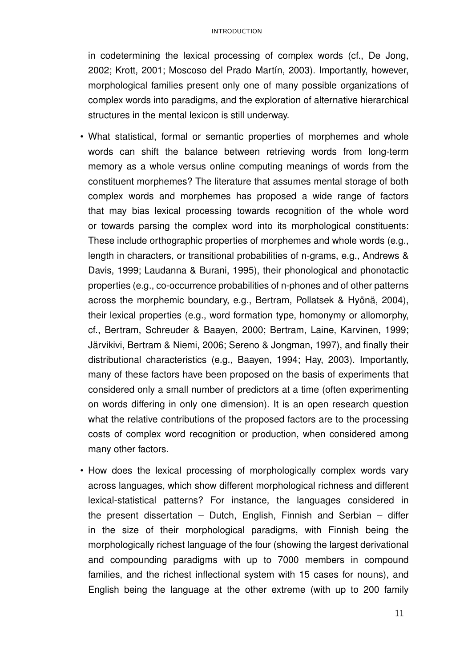in codetermining the lexical processing of complex words (cf., De Jong, 2002; Krott, 2001; Moscoso del Prado Martín, 2003). Importantly, however, morphological families present only one of many possible organizations of complex words into paradigms, and the exploration of alternative hierarchical structures in the mental lexicon is still underway.

- What statistical, formal or semantic properties of morphemes and whole words can shift the balance between retrieving words from long-term memory as a whole versus online computing meanings of words from the constituent morphemes? The literature that assumes mental storage of both complex words and morphemes has proposed a wide range of factors that may bias lexical processing towards recognition of the whole word or towards parsing the complex word into its morphological constituents: These include orthographic properties of morphemes and whole words (e.g., length in characters, or transitional probabilities of n-grams, e.g., Andrews & Davis, 1999; Laudanna & Burani, 1995), their phonological and phonotactic properties (e.g., co-occurrence probabilities of n-phones and of other patterns across the morphemic boundary, e.g., Bertram, Pollatsek & Hyönä, 2004), their lexical properties (e.g., word formation type, homonymy or allomorphy, cf., Bertram, Schreuder & Baayen, 2000; Bertram, Laine, Karvinen, 1999; Järvikivi, Bertram & Niemi, 2006; Sereno & Jongman, 1997), and finally their distributional characteristics (e.g., Baayen, 1994; Hay, 2003). Importantly, many of these factors have been proposed on the basis of experiments that considered only a small number of predictors at a time (often experimenting on words differing in only one dimension). It is an open research question what the relative contributions of the proposed factors are to the processing costs of complex word recognition or production, when considered among many other factors.
- How does the lexical processing of morphologically complex words vary across languages, which show different morphological richness and different lexical-statistical patterns? For instance, the languages considered in the present dissertation – Dutch, English, Finnish and Serbian – differ in the size of their morphological paradigms, with Finnish being the morphologically richest language of the four (showing the largest derivational and compounding paradigms with up to 7000 members in compound families, and the richest inflectional system with 15 cases for nouns), and English being the language at the other extreme (with up to 200 family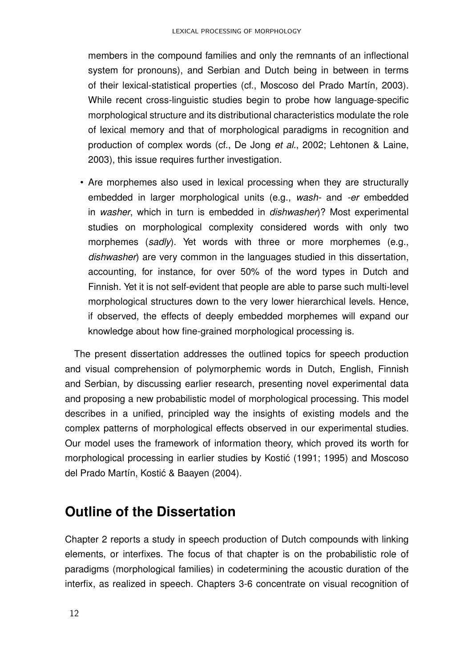members in the compound families and only the remnants of an inflectional system for pronouns), and Serbian and Dutch being in between in terms of their lexical-statistical properties (cf., Moscoso del Prado Martín, 2003). While recent cross-linguistic studies begin to probe how language-specific morphological structure and its distributional characteristics modulate the role of lexical memory and that of morphological paradigms in recognition and production of complex words (cf., De Jong *et al.*, 2002; Lehtonen & Laine, 2003), this issue requires further investigation.

• Are morphemes also used in lexical processing when they are structurally embedded in larger morphological units (e.g., *wash-* and *-er* embedded in *washer*, which in turn is embedded in *dishwasher*)? Most experimental studies on morphological complexity considered words with only two morphemes (*sadly*). Yet words with three or more morphemes (e.g., *dishwasher*) are very common in the languages studied in this dissertation, accounting, for instance, for over 50% of the word types in Dutch and Finnish. Yet it is not self-evident that people are able to parse such multi-level morphological structures down to the very lower hierarchical levels. Hence, if observed, the effects of deeply embedded morphemes will expand our knowledge about how fine-grained morphological processing is.

The present dissertation addresses the outlined topics for speech production and visual comprehension of polymorphemic words in Dutch, English, Finnish and Serbian, by discussing earlier research, presenting novel experimental data and proposing a new probabilistic model of morphological processing. This model describes in a unified, principled way the insights of existing models and the complex patterns of morphological effects observed in our experimental studies. Our model uses the framework of information theory, which proved its worth for morphological processing in earlier studies by Kostić (1991; 1995) and Moscoso del Prado Martín, Kostić & Baayen (2004).

### **Outline of the Dissertation**

Chapter 2 reports a study in speech production of Dutch compounds with linking elements, or interfixes. The focus of that chapter is on the probabilistic role of paradigms (morphological families) in codetermining the acoustic duration of the interfix, as realized in speech. Chapters 3-6 concentrate on visual recognition of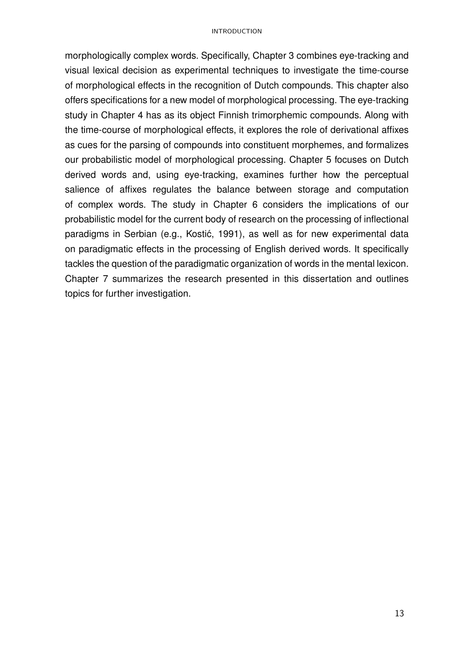morphologically complex words. Specifically, Chapter 3 combines eye-tracking and visual lexical decision as experimental techniques to investigate the time-course of morphological effects in the recognition of Dutch compounds. This chapter also offers specifications for a new model of morphological processing. The eye-tracking study in Chapter 4 has as its object Finnish trimorphemic compounds. Along with the time-course of morphological effects, it explores the role of derivational affixes as cues for the parsing of compounds into constituent morphemes, and formalizes our probabilistic model of morphological processing. Chapter 5 focuses on Dutch derived words and, using eye-tracking, examines further how the perceptual salience of affixes regulates the balance between storage and computation of complex words. The study in Chapter 6 considers the implications of our probabilistic model for the current body of research on the processing of inflectional paradigms in Serbian (e.g., Kostić, 1991), as well as for new experimental data on paradigmatic effects in the processing of English derived words. It specifically tackles the question of the paradigmatic organization of words in the mental lexicon. Chapter 7 summarizes the research presented in this dissertation and outlines topics for further investigation.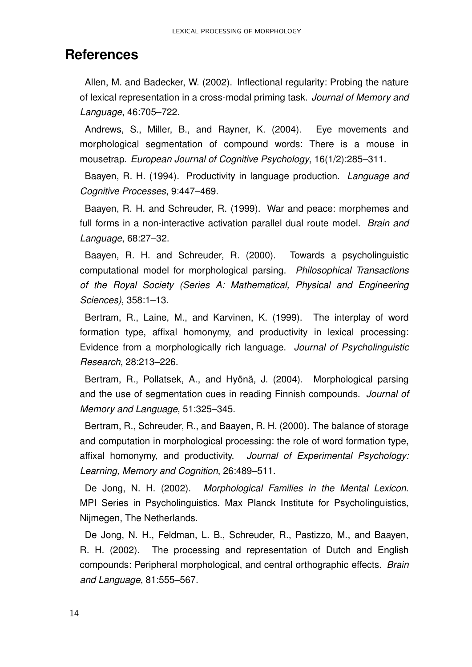### **References**

Allen, M. and Badecker, W. (2002). Inflectional regularity: Probing the nature of lexical representation in a cross-modal priming task. *Journal of Memory and Language*, 46:705–722.

Andrews, S., Miller, B., and Rayner, K. (2004). Eye movements and morphological segmentation of compound words: There is a mouse in mousetrap. *European Journal of Cognitive Psychology*, 16(1/2):285–311.

Baayen, R. H. (1994). Productivity in language production. *Language and Cognitive Processes*, 9:447–469.

Baayen, R. H. and Schreuder, R. (1999). War and peace: morphemes and full forms in a non-interactive activation parallel dual route model. *Brain and Language*, 68:27–32.

Baayen, R. H. and Schreuder, R. (2000). Towards a psycholinguistic computational model for morphological parsing. *Philosophical Transactions of the Royal Society (Series A: Mathematical, Physical and Engineering Sciences)*, 358:1–13.

Bertram, R., Laine, M., and Karvinen, K. (1999). The interplay of word formation type, affixal homonymy, and productivity in lexical processing: Evidence from a morphologically rich language. *Journal of Psycholinguistic Research*, 28:213–226.

Bertram, R., Pollatsek, A., and Hyönä, J. (2004). Morphological parsing and the use of segmentation cues in reading Finnish compounds. *Journal of Memory and Language*, 51:325–345.

Bertram, R., Schreuder, R., and Baayen, R. H. (2000). The balance of storage and computation in morphological processing: the role of word formation type, affixal homonymy, and productivity. *Journal of Experimental Psychology: Learning, Memory and Cognition*, 26:489–511.

De Jong, N. H. (2002). *Morphological Families in the Mental Lexicon*. MPI Series in Psycholinguistics. Max Planck Institute for Psycholinguistics, Nijmegen, The Netherlands.

De Jong, N. H., Feldman, L. B., Schreuder, R., Pastizzo, M., and Baayen, R. H. (2002). The processing and representation of Dutch and English compounds: Peripheral morphological, and central orthographic effects. *Brain and Language*, 81:555–567.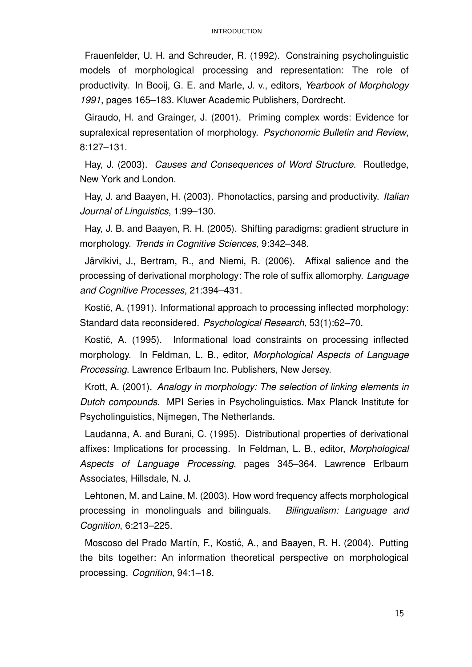Frauenfelder, U. H. and Schreuder, R. (1992). Constraining psycholinguistic models of morphological processing and representation: The role of productivity. In Booij, G. E. and Marle, J. v., editors, *Yearbook of Morphology 1991*, pages 165–183. Kluwer Academic Publishers, Dordrecht.

Giraudo, H. and Grainger, J. (2001). Priming complex words: Evidence for supralexical representation of morphology. *Psychonomic Bulletin and Review*, 8:127–131.

Hay, J. (2003). *Causes and Consequences of Word Structure*. Routledge, New York and London.

Hay, J. and Baayen, H. (2003). Phonotactics, parsing and productivity. *Italian Journal of Linguistics*, 1:99–130.

Hay, J. B. and Baayen, R. H. (2005). Shifting paradigms: gradient structure in morphology. *Trends in Cognitive Sciences*, 9:342–348.

Järvikivi, J., Bertram, R., and Niemi, R. (2006). Affixal salience and the processing of derivational morphology: The role of suffix allomorphy. *Language and Cognitive Processes*, 21:394–431.

Kostić, A. (1991). Informational approach to processing inflected morphology: Standard data reconsidered. *Psychological Research*, 53(1):62–70.

Kostić, A. (1995). Informational load constraints on processing inflected morphology. In Feldman, L. B., editor, *Morphological Aspects of Language Processing*. Lawrence Erlbaum Inc. Publishers, New Jersey.

Krott, A. (2001). *Analogy in morphology: The selection of linking elements in Dutch compounds*. MPI Series in Psycholinguistics. Max Planck Institute for Psycholinguistics, Nijmegen, The Netherlands.

Laudanna, A. and Burani, C. (1995). Distributional properties of derivational affixes: Implications for processing. In Feldman, L. B., editor, *Morphological Aspects of Language Processing*, pages 345–364. Lawrence Erlbaum Associates, Hillsdale, N. J.

Lehtonen, M. and Laine, M. (2003). How word frequency affects morphological processing in monolinguals and bilinguals. *Bilingualism: Language and Cognition*, 6:213–225.

Moscoso del Prado Martín, F., Kostić, A., and Baayen, R. H. (2004). Putting the bits together: An information theoretical perspective on morphological processing. *Cognition*, 94:1–18.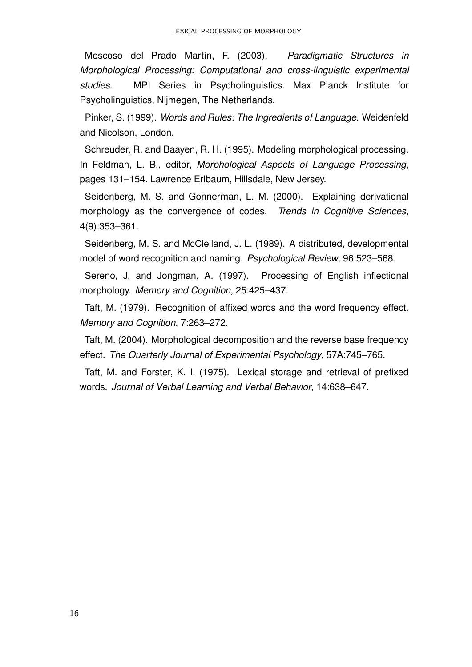Moscoso del Prado Martín, F. (2003). *Paradigmatic Structures in Morphological Processing: Computational and cross-linguistic experimental studies*. MPI Series in Psycholinguistics. Max Planck Institute for Psycholinguistics, Nijmegen, The Netherlands.

Pinker, S. (1999). *Words and Rules: The Ingredients of Language*. Weidenfeld and Nicolson, London.

Schreuder, R. and Baayen, R. H. (1995). Modeling morphological processing. In Feldman, L. B., editor, *Morphological Aspects of Language Processing*, pages 131–154. Lawrence Erlbaum, Hillsdale, New Jersey.

Seidenberg, M. S. and Gonnerman, L. M. (2000). Explaining derivational morphology as the convergence of codes. *Trends in Cognitive Sciences*, 4(9):353–361.

Seidenberg, M. S. and McClelland, J. L. (1989). A distributed, developmental model of word recognition and naming. *Psychological Review*, 96:523–568.

Sereno, J. and Jongman, A. (1997). Processing of English inflectional morphology. *Memory and Cognition*, 25:425–437.

Taft, M. (1979). Recognition of affixed words and the word frequency effect. *Memory and Cognition*, 7:263–272.

Taft, M. (2004). Morphological decomposition and the reverse base frequency effect. *The Quarterly Journal of Experimental Psychology*, 57A:745–765.

Taft, M. and Forster, K. I. (1975). Lexical storage and retrieval of prefixed words. *Journal of Verbal Learning and Verbal Behavior*, 14:638–647.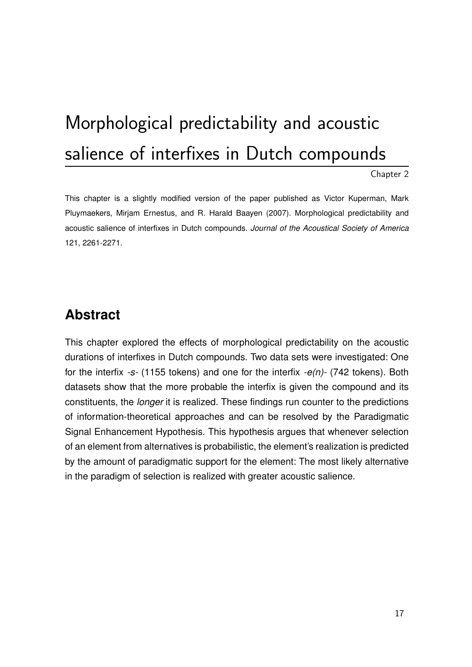# Morphological predictability and acoustic salience of interfixes in Dutch compounds

Chapter 2

This chapter is a slightly modified version of the paper published as Victor Kuperman, Mark Pluymaekers, Mirjam Ernestus, and R. Harald Baayen (2007). Morphological predictability and acoustic salience of interfixes in Dutch compounds. *Journal of the Acoustical Society of America* 121, 2261-2271.

### **Abstract**

This chapter explored the effects of morphological predictability on the acoustic durations of interfixes in Dutch compounds. Two data sets were investigated: One for the interfix *-s-* (1155 tokens) and one for the interfix *-e(n)-* (742 tokens). Both datasets show that the more probable the interfix is given the compound and its constituents, the *longer* it is realized. These findings run counter to the predictions of information-theoretical approaches and can be resolved by the Paradigmatic Signal Enhancement Hypothesis. This hypothesis argues that whenever selection of an element from alternatives is probabilistic, the element's realization is predicted by the amount of paradigmatic support for the element: The most likely alternative in the paradigm of selection is realized with greater acoustic salience.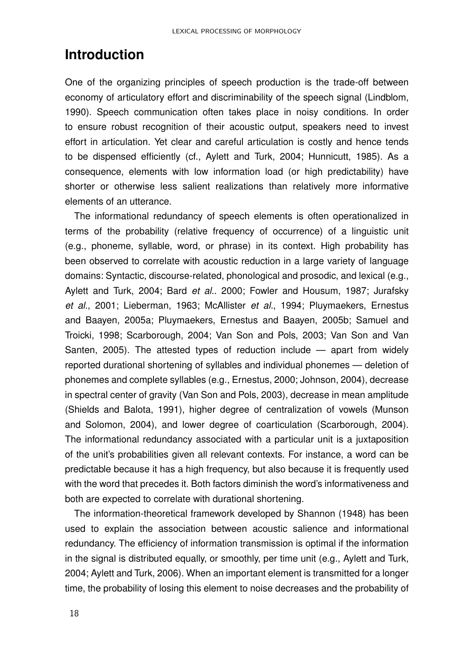### **Introduction**

One of the organizing principles of speech production is the trade-off between economy of articulatory effort and discriminability of the speech signal (Lindblom, 1990). Speech communication often takes place in noisy conditions. In order to ensure robust recognition of their acoustic output, speakers need to invest effort in articulation. Yet clear and careful articulation is costly and hence tends to be dispensed efficiently (cf., Aylett and Turk, 2004; Hunnicutt, 1985). As a consequence, elements with low information load (or high predictability) have shorter or otherwise less salient realizations than relatively more informative elements of an utterance.

The informational redundancy of speech elements is often operationalized in terms of the probability (relative frequency of occurrence) of a linguistic unit (e.g., phoneme, syllable, word, or phrase) in its context. High probability has been observed to correlate with acoustic reduction in a large variety of language domains: Syntactic, discourse-related, phonological and prosodic, and lexical (e.g., Aylett and Turk, 2004; Bard *et al.*. 2000; Fowler and Housum, 1987; Jurafsky *et al.*, 2001; Lieberman, 1963; McAllister *et al.*, 1994; Pluymaekers, Ernestus and Baayen, 2005a; Pluymaekers, Ernestus and Baayen, 2005b; Samuel and Troicki, 1998; Scarborough, 2004; Van Son and Pols, 2003; Van Son and Van Santen, 2005). The attested types of reduction include — apart from widely reported durational shortening of syllables and individual phonemes — deletion of phonemes and complete syllables (e.g., Ernestus, 2000; Johnson, 2004), decrease in spectral center of gravity (Van Son and Pols, 2003), decrease in mean amplitude (Shields and Balota, 1991), higher degree of centralization of vowels (Munson and Solomon, 2004), and lower degree of coarticulation (Scarborough, 2004). The informational redundancy associated with a particular unit is a juxtaposition of the unit's probabilities given all relevant contexts. For instance, a word can be predictable because it has a high frequency, but also because it is frequently used with the word that precedes it. Both factors diminish the word's informativeness and both are expected to correlate with durational shortening.

The information-theoretical framework developed by Shannon (1948) has been used to explain the association between acoustic salience and informational redundancy. The efficiency of information transmission is optimal if the information in the signal is distributed equally, or smoothly, per time unit (e.g., Aylett and Turk, 2004; Aylett and Turk, 2006). When an important element is transmitted for a longer time, the probability of losing this element to noise decreases and the probability of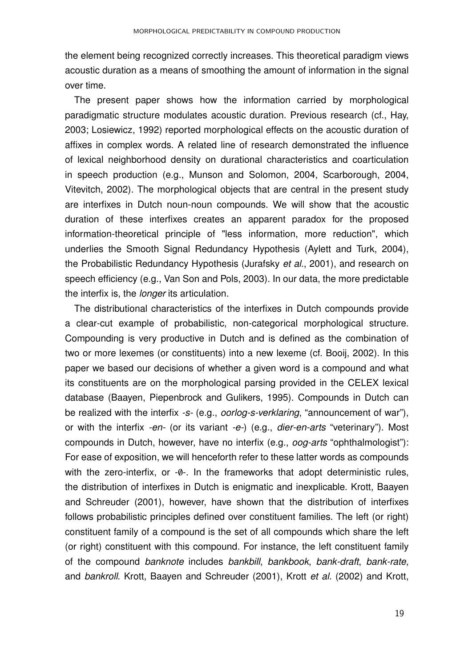the element being recognized correctly increases. This theoretical paradigm views acoustic duration as a means of smoothing the amount of information in the signal over time.

The present paper shows how the information carried by morphological paradigmatic structure modulates acoustic duration. Previous research (cf., Hay, 2003; Losiewicz, 1992) reported morphological effects on the acoustic duration of affixes in complex words. A related line of research demonstrated the influence of lexical neighborhood density on durational characteristics and coarticulation in speech production (e.g., Munson and Solomon, 2004, Scarborough, 2004, Vitevitch, 2002). The morphological objects that are central in the present study are interfixes in Dutch noun-noun compounds. We will show that the acoustic duration of these interfixes creates an apparent paradox for the proposed information-theoretical principle of "less information, more reduction", which underlies the Smooth Signal Redundancy Hypothesis (Aylett and Turk, 2004), the Probabilistic Redundancy Hypothesis (Jurafsky *et al.*, 2001), and research on speech efficiency (e.g., Van Son and Pols, 2003). In our data, the more predictable the interfix is, the *longer* its articulation.

The distributional characteristics of the interfixes in Dutch compounds provide a clear-cut example of probabilistic, non-categorical morphological structure. Compounding is very productive in Dutch and is defined as the combination of two or more lexemes (or constituents) into a new lexeme (cf. Booij, 2002). In this paper we based our decisions of whether a given word is a compound and what its constituents are on the morphological parsing provided in the CELEX lexical database (Baayen, Piepenbrock and Gulikers, 1995). Compounds in Dutch can be realized with the interfix *-s-* (e.g., *oorlog-s-verklaring*, "announcement of war"), or with the interfix *-en-* (or its variant *-e-*) (e.g., *dier-en-arts* "veterinary"). Most compounds in Dutch, however, have no interfix (e.g., *oog-arts* "ophthalmologist"): For ease of exposition, we will henceforth refer to these latter words as compounds with the zero-interfix, or  $-\theta$ -. In the frameworks that adopt deterministic rules, the distribution of interfixes in Dutch is enigmatic and inexplicable. Krott, Baayen and Schreuder (2001), however, have shown that the distribution of interfixes follows probabilistic principles defined over constituent families. The left (or right) constituent family of a compound is the set of all compounds which share the left (or right) constituent with this compound. For instance, the left constituent family of the compound *banknote* includes *bankbill*, *bankbook*, *bank-draft*, *bank-rate*, and *bankroll*. Krott, Baayen and Schreuder (2001), Krott *et al.* (2002) and Krott,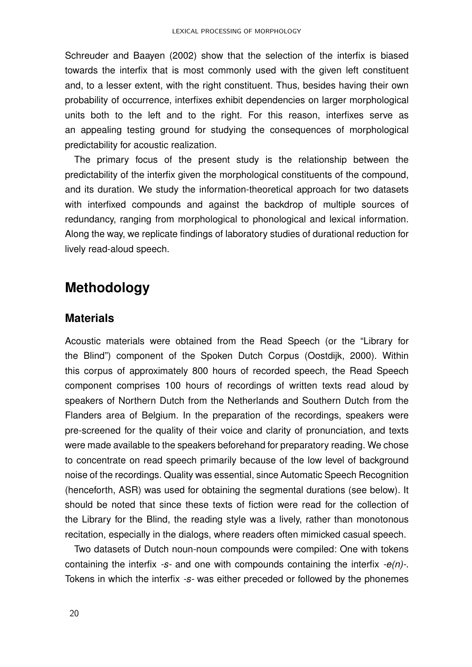Schreuder and Baayen (2002) show that the selection of the interfix is biased towards the interfix that is most commonly used with the given left constituent and, to a lesser extent, with the right constituent. Thus, besides having their own probability of occurrence, interfixes exhibit dependencies on larger morphological units both to the left and to the right. For this reason, interfixes serve as an appealing testing ground for studying the consequences of morphological predictability for acoustic realization.

The primary focus of the present study is the relationship between the predictability of the interfix given the morphological constituents of the compound, and its duration. We study the information-theoretical approach for two datasets with interfixed compounds and against the backdrop of multiple sources of redundancy, ranging from morphological to phonological and lexical information. Along the way, we replicate findings of laboratory studies of durational reduction for lively read-aloud speech.

### **Methodology**

#### **Materials**

Acoustic materials were obtained from the Read Speech (or the "Library for the Blind") component of the Spoken Dutch Corpus (Oostdijk, 2000). Within this corpus of approximately 800 hours of recorded speech, the Read Speech component comprises 100 hours of recordings of written texts read aloud by speakers of Northern Dutch from the Netherlands and Southern Dutch from the Flanders area of Belgium. In the preparation of the recordings, speakers were pre-screened for the quality of their voice and clarity of pronunciation, and texts were made available to the speakers beforehand for preparatory reading. We chose to concentrate on read speech primarily because of the low level of background noise of the recordings. Quality was essential, since Automatic Speech Recognition (henceforth, ASR) was used for obtaining the segmental durations (see below). It should be noted that since these texts of fiction were read for the collection of the Library for the Blind, the reading style was a lively, rather than monotonous recitation, especially in the dialogs, where readers often mimicked casual speech.

Two datasets of Dutch noun-noun compounds were compiled: One with tokens containing the interfix *-s-* and one with compounds containing the interfix *-e(n)-*. Tokens in which the interfix *-s-* was either preceded or followed by the phonemes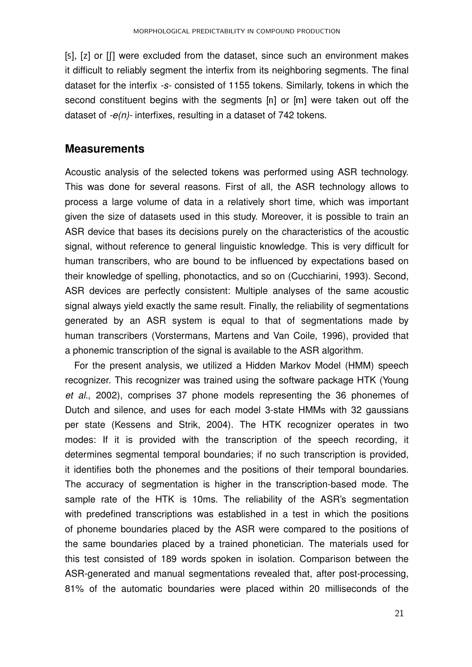$[s]$ ,  $[z]$  or  $[[]$  were excluded from the dataset, since such an environment makes it difficult to reliably segment the interfix from its neighboring segments. The final dataset for the interfix *-s-* consisted of 1155 tokens. Similarly, tokens in which the second constituent begins with the segments [n] or [m] were taken out off the dataset of *-e(n)-* interfixes, resulting in a dataset of 742 tokens.

#### **Measurements**

Acoustic analysis of the selected tokens was performed using ASR technology. This was done for several reasons. First of all, the ASR technology allows to process a large volume of data in a relatively short time, which was important given the size of datasets used in this study. Moreover, it is possible to train an ASR device that bases its decisions purely on the characteristics of the acoustic signal, without reference to general linguistic knowledge. This is very difficult for human transcribers, who are bound to be influenced by expectations based on their knowledge of spelling, phonotactics, and so on (Cucchiarini, 1993). Second, ASR devices are perfectly consistent: Multiple analyses of the same acoustic signal always yield exactly the same result. Finally, the reliability of segmentations generated by an ASR system is equal to that of segmentations made by human transcribers (Vorstermans, Martens and Van Coile, 1996), provided that a phonemic transcription of the signal is available to the ASR algorithm.

For the present analysis, we utilized a Hidden Markov Model (HMM) speech recognizer. This recognizer was trained using the software package HTK (Young *et al.*, 2002), comprises 37 phone models representing the 36 phonemes of Dutch and silence, and uses for each model 3-state HMMs with 32 gaussians per state (Kessens and Strik, 2004). The HTK recognizer operates in two modes: If it is provided with the transcription of the speech recording, it determines segmental temporal boundaries; if no such transcription is provided, it identifies both the phonemes and the positions of their temporal boundaries. The accuracy of segmentation is higher in the transcription-based mode. The sample rate of the HTK is 10ms. The reliability of the ASR's segmentation with predefined transcriptions was established in a test in which the positions of phoneme boundaries placed by the ASR were compared to the positions of the same boundaries placed by a trained phonetician. The materials used for this test consisted of 189 words spoken in isolation. Comparison between the ASR-generated and manual segmentations revealed that, after post-processing, 81% of the automatic boundaries were placed within 20 milliseconds of the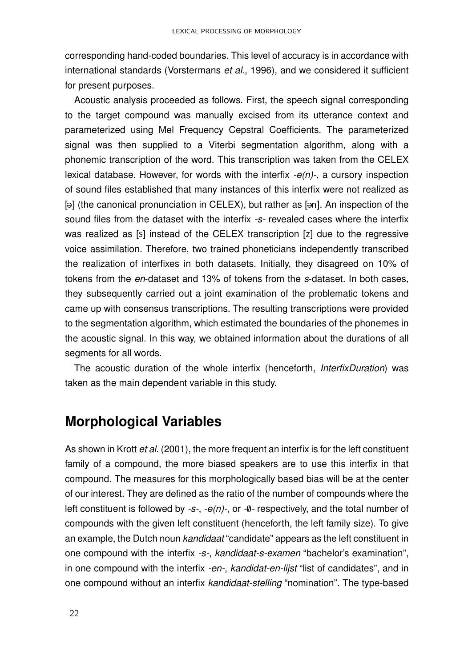corresponding hand-coded boundaries. This level of accuracy is in accordance with international standards (Vorstermans *et al.*, 1996), and we considered it sufficient for present purposes.

Acoustic analysis proceeded as follows. First, the speech signal corresponding to the target compound was manually excised from its utterance context and parameterized using Mel Frequency Cepstral Coefficients. The parameterized signal was then supplied to a Viterbi segmentation algorithm, along with a phonemic transcription of the word. This transcription was taken from the CELEX lexical database. However, for words with the interfix *-e(n)-*, a cursory inspection of sound files established that many instances of this interfix were not realized as [a] (the canonical pronunciation in CELEX), but rather as [an]. An inspection of the sound files from the dataset with the interfix *-s-* revealed cases where the interfix was realized as [s] instead of the CELEX transcription [z] due to the regressive voice assimilation. Therefore, two trained phoneticians independently transcribed the realization of interfixes in both datasets. Initially, they disagreed on 10% of tokens from the *en*-dataset and 13% of tokens from the *s*-dataset. In both cases, they subsequently carried out a joint examination of the problematic tokens and came up with consensus transcriptions. The resulting transcriptions were provided to the segmentation algorithm, which estimated the boundaries of the phonemes in the acoustic signal. In this way, we obtained information about the durations of all segments for all words.

The acoustic duration of the whole interfix (henceforth, *InterfixDuration*) was taken as the main dependent variable in this study.

### **Morphological Variables**

As shown in Krott *et al.* (2001), the more frequent an interfix is for the left constituent family of a compound, the more biased speakers are to use this interfix in that compound. The measures for this morphologically based bias will be at the center of our interest. They are defined as the ratio of the number of compounds where the left constituent is followed by *-s-*, *-e(n)-*, or *-*/0*-* respectively, and the total number of compounds with the given left constituent (henceforth, the left family size). To give an example, the Dutch noun *kandidaat* "candidate" appears as the left constituent in one compound with the interfix *-s-*, *kandidaat-s-examen* "bachelor's examination", in one compound with the interfix *-en-*, *kandidat-en-lijst* "list of candidates", and in one compound without an interfix *kandidaat-stelling* "nomination". The type-based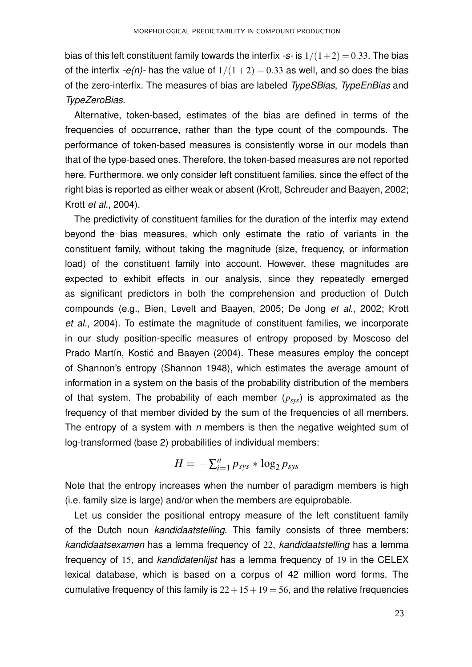bias of this left constituent family towards the interfix  $-s$ - is  $1/(1+2) = 0.33$ . The bias of the interfix *-e(n)*- has the value of  $1/(1+2) = 0.33$  as well, and so does the bias of the zero-interfix. The measures of bias are labeled *TypeSBias*, *TypeEnBias* and *TypeZeroBias*.

Alternative, token-based, estimates of the bias are defined in terms of the frequencies of occurrence, rather than the type count of the compounds. The performance of token-based measures is consistently worse in our models than that of the type-based ones. Therefore, the token-based measures are not reported here. Furthermore, we only consider left constituent families, since the effect of the right bias is reported as either weak or absent (Krott, Schreuder and Baayen, 2002; Krott *et al.*, 2004).

The predictivity of constituent families for the duration of the interfix may extend beyond the bias measures, which only estimate the ratio of variants in the constituent family, without taking the magnitude (size, frequency, or information load) of the constituent family into account. However, these magnitudes are expected to exhibit effects in our analysis, since they repeatedly emerged as significant predictors in both the comprehension and production of Dutch compounds (e.g., Bien, Levelt and Baayen, 2005; De Jong *et al.*, 2002; Krott *et al.*, 2004). To estimate the magnitude of constituent families, we incorporate in our study position-specific measures of entropy proposed by Moscoso del Prado Martín, Kostić and Baayen (2004). These measures employ the concept of Shannon's entropy (Shannon 1948), which estimates the average amount of information in a system on the basis of the probability distribution of the members of that system. The probability of each member (*psys*) is approximated as the frequency of that member divided by the sum of the frequencies of all members. The entropy of a system with *n* members is then the negative weighted sum of log-transformed (base 2) probabilities of individual members:

$$
H=-\sum_{i=1}^n p_{sys} * \log_2 p_{sys}
$$

Note that the entropy increases when the number of paradigm members is high (i.e. family size is large) and/or when the members are equiprobable.

Let us consider the positional entropy measure of the left constituent family of the Dutch noun *kandidaatstelling*. This family consists of three members: *kandidaatsexamen* has a lemma frequency of 22, *kandidaatstelling* has a lemma frequency of 15, and *kandidatenlijst* has a lemma frequency of 19 in the CELEX lexical database, which is based on a corpus of 42 million word forms. The cumulative frequency of this family is  $22+15+19=56$ , and the relative frequencies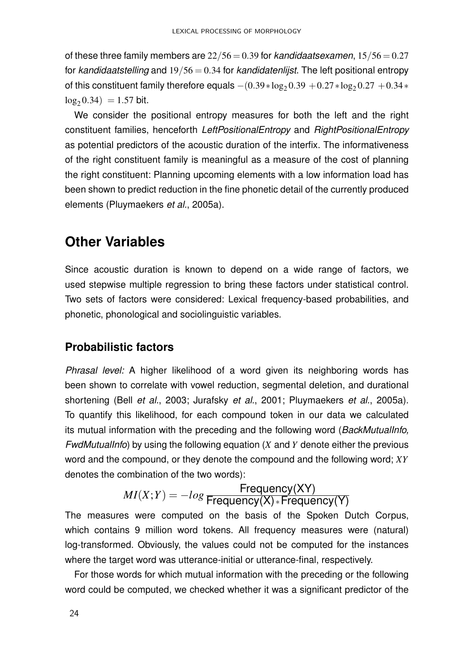of these three family members are 22/56 = 0.39 for *kandidaatsexamen*, 15/56 = 0.27 for *kandidaatstelling* and 19/56 = 0.34 for *kandidatenlijst*. The left positional entropy of this constituent family therefore equals  $-(0.39*\log_2 0.39~+0.27*\log_2 0.27~+0.34*$  $log_2(0.34) = 1.57$  bit.

We consider the positional entropy measures for both the left and the right constituent families, henceforth *LeftPositionalEntropy* and *RightPositionalEntropy* as potential predictors of the acoustic duration of the interfix. The informativeness of the right constituent family is meaningful as a measure of the cost of planning the right constituent: Planning upcoming elements with a low information load has been shown to predict reduction in the fine phonetic detail of the currently produced elements (Pluymaekers *et al.*, 2005a).

### **Other Variables**

Since acoustic duration is known to depend on a wide range of factors, we used stepwise multiple regression to bring these factors under statistical control. Two sets of factors were considered: Lexical frequency-based probabilities, and phonetic, phonological and sociolinguistic variables.

#### **Probabilistic factors**

*Phrasal level:* A higher likelihood of a word given its neighboring words has been shown to correlate with vowel reduction, segmental deletion, and durational shortening (Bell *et al.*, 2003; Jurafsky *et al.*, 2001; Pluymaekers *et al.*, 2005a). To quantify this likelihood, for each compound token in our data we calculated its mutual information with the preceding and the following word (*BackMutualInfo, FwdMutualInfo*) by using the following equation (*X* and *Y* denote either the previous word and the compound, or they denote the compound and the following word; *XY* denotes the combination of the two words):

$$
MI(X;Y) = -log \frac{Frequency(XY)}{Frequency(X) * Frequency(Y)}
$$

The measures were computed on the basis of the Spoken Dutch Corpus, which contains 9 million word tokens. All frequency measures were (natural) log-transformed. Obviously, the values could not be computed for the instances where the target word was utterance-initial or utterance-final, respectively.

For those words for which mutual information with the preceding or the following word could be computed, we checked whether it was a significant predictor of the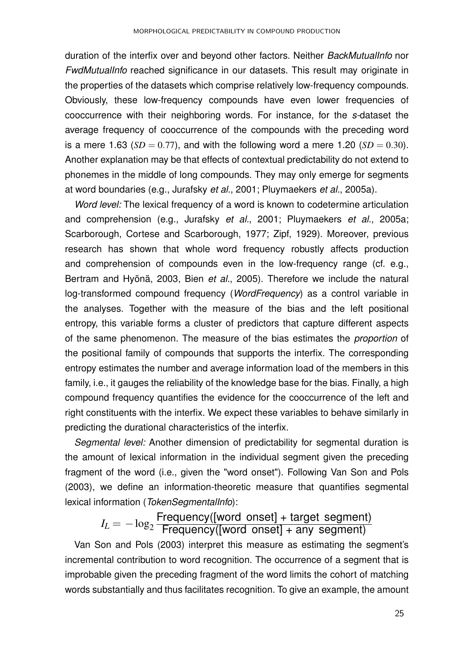duration of the interfix over and beyond other factors. Neither *BackMutualInfo* nor *FwdMutualInfo* reached significance in our datasets. This result may originate in the properties of the datasets which comprise relatively low-frequency compounds. Obviously, these low-frequency compounds have even lower frequencies of cooccurrence with their neighboring words. For instance, for the *s-*dataset the average frequency of cooccurrence of the compounds with the preceding word is a mere 1.63 ( $SD = 0.77$ ), and with the following word a mere 1.20 ( $SD = 0.30$ ). Another explanation may be that effects of contextual predictability do not extend to phonemes in the middle of long compounds. They may only emerge for segments at word boundaries (e.g., Jurafsky *et al.*, 2001; Pluymaekers *et al.*, 2005a).

*Word level:* The lexical frequency of a word is known to codetermine articulation and comprehension (e.g., Jurafsky *et al.*, 2001; Pluymaekers *et al.*, 2005a; Scarborough, Cortese and Scarborough, 1977; Zipf, 1929). Moreover, previous research has shown that whole word frequency robustly affects production and comprehension of compounds even in the low-frequency range (cf. e.g., Bertram and Hyönä, 2003, Bien *et al.*, 2005). Therefore we include the natural log-transformed compound frequency (*WordFrequency*) as a control variable in the analyses. Together with the measure of the bias and the left positional entropy, this variable forms a cluster of predictors that capture different aspects of the same phenomenon. The measure of the bias estimates the *proportion* of the positional family of compounds that supports the interfix. The corresponding entropy estimates the number and average information load of the members in this family, i.e., it gauges the reliability of the knowledge base for the bias. Finally, a high compound frequency quantifies the evidence for the cooccurrence of the left and right constituents with the interfix. We expect these variables to behave similarly in predicting the durational characteristics of the interfix.

*Segmental level:* Another dimension of predictability for segmental duration is the amount of lexical information in the individual segment given the preceding fragment of the word (i.e., given the "word onset"). Following Van Son and Pols (2003), we define an information-theoretic measure that quantifies segmental lexical information (*TokenSegmentalInfo*):

#### $I_L = -\log_2 \frac{Frequency([word onset] + target segment)}{Frequency([word onset] + any segment)}$ Frequency([word onset] + any segment)

Van Son and Pols (2003) interpret this measure as estimating the segment's incremental contribution to word recognition. The occurrence of a segment that is improbable given the preceding fragment of the word limits the cohort of matching words substantially and thus facilitates recognition. To give an example, the amount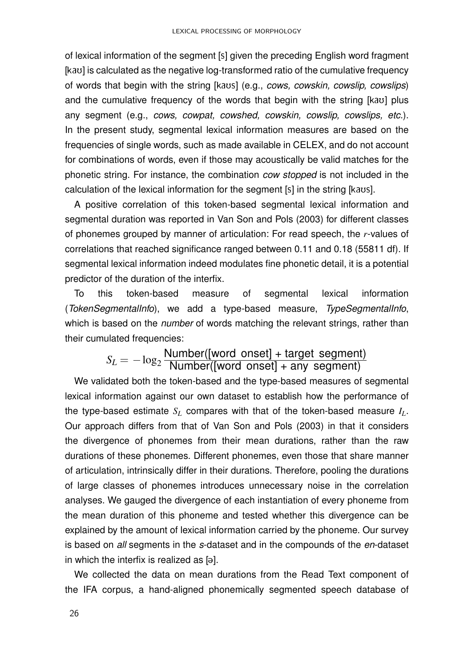of lexical information of the segment [s] given the preceding English word fragment [kav] is calculated as the negative log-transformed ratio of the cumulative frequency of words that begin with the string [kaus] (e.g., *cows, cowskin, cowslip, cowslips*) and the cumulative frequency of the words that begin with the string [kav] plus any segment (e.g., *cows, cowpat, cowshed, cowskin, cowslip, cowslips, etc.*). In the present study, segmental lexical information measures are based on the frequencies of single words, such as made available in CELEX, and do not account for combinations of words, even if those may acoustically be valid matches for the phonetic string. For instance, the combination *cow stopped* is not included in the calculation of the lexical information for the segment  $[s]$  in the string  $[k$ aus].

A positive correlation of this token-based segmental lexical information and segmental duration was reported in Van Son and Pols (2003) for different classes of phonemes grouped by manner of articulation: For read speech, the *r*-values of correlations that reached significance ranged between 0.11 and 0.18 (55811 df). If segmental lexical information indeed modulates fine phonetic detail, it is a potential predictor of the duration of the interfix.

To this token-based measure of segmental lexical information (*TokenSegmentalInfo*), we add a type-based measure, *TypeSegmentalInfo*, which is based on the *number* of words matching the relevant strings, rather than their cumulated frequencies:

#### $S_L = -\log_2 \frac{\text{Number([word onset]} + \text{target segment})}{\text{Number([word onset]} + \text{any segment)}}$ Number([word onset] + any segment)

We validated both the token-based and the type-based measures of segmental lexical information against our own dataset to establish how the performance of the type-based estimate  $S_L$  compares with that of the token-based measure  $I_L$ . Our approach differs from that of Van Son and Pols (2003) in that it considers the divergence of phonemes from their mean durations, rather than the raw durations of these phonemes. Different phonemes, even those that share manner of articulation, intrinsically differ in their durations. Therefore, pooling the durations of large classes of phonemes introduces unnecessary noise in the correlation analyses. We gauged the divergence of each instantiation of every phoneme from the mean duration of this phoneme and tested whether this divergence can be explained by the amount of lexical information carried by the phoneme. Our survey is based on *all* segments in the *s*-dataset and in the compounds of the *en*-dataset in which the interfix is realized as [a].

We collected the data on mean durations from the Read Text component of the IFA corpus, a hand-aligned phonemically segmented speech database of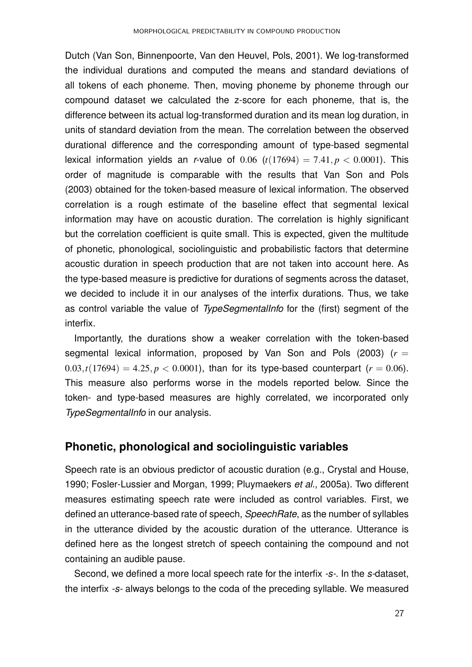Dutch (Van Son, Binnenpoorte, Van den Heuvel, Pols, 2001). We log-transformed the individual durations and computed the means and standard deviations of all tokens of each phoneme. Then, moving phoneme by phoneme through our compound dataset we calculated the z-score for each phoneme, that is, the difference between its actual log-transformed duration and its mean log duration, in units of standard deviation from the mean. The correlation between the observed durational difference and the corresponding amount of type-based segmental lexical information yields an *r*-value of  $0.06$   $(t(17694) = 7.41, p < 0.0001)$ . This order of magnitude is comparable with the results that Van Son and Pols (2003) obtained for the token-based measure of lexical information. The observed correlation is a rough estimate of the baseline effect that segmental lexical information may have on acoustic duration. The correlation is highly significant but the correlation coefficient is quite small. This is expected, given the multitude of phonetic, phonological, sociolinguistic and probabilistic factors that determine acoustic duration in speech production that are not taken into account here. As the type-based measure is predictive for durations of segments across the dataset, we decided to include it in our analyses of the interfix durations. Thus, we take as control variable the value of *TypeSegmentalInfo* for the (first) segment of the interfix.

Importantly, the durations show a weaker correlation with the token-based segmental lexical information, proposed by Van Son and Pols  $(2003)$  ( $r =$  $(0.03, t(17694) = 4.25, p < 0.0001)$ , than for its type-based counterpart ( $r = 0.06$ ). This measure also performs worse in the models reported below. Since the token- and type-based measures are highly correlated, we incorporated only *TypeSegmentalInfo* in our analysis.

#### **Phonetic, phonological and sociolinguistic variables**

Speech rate is an obvious predictor of acoustic duration (e.g., Crystal and House, 1990; Fosler-Lussier and Morgan, 1999; Pluymaekers *et al.*, 2005a). Two different measures estimating speech rate were included as control variables. First, we defined an utterance-based rate of speech, *SpeechRate*, as the number of syllables in the utterance divided by the acoustic duration of the utterance. Utterance is defined here as the longest stretch of speech containing the compound and not containing an audible pause.

Second, we defined a more local speech rate for the interfix *-s-*. In the *s-*dataset, the interfix *-s-* always belongs to the coda of the preceding syllable. We measured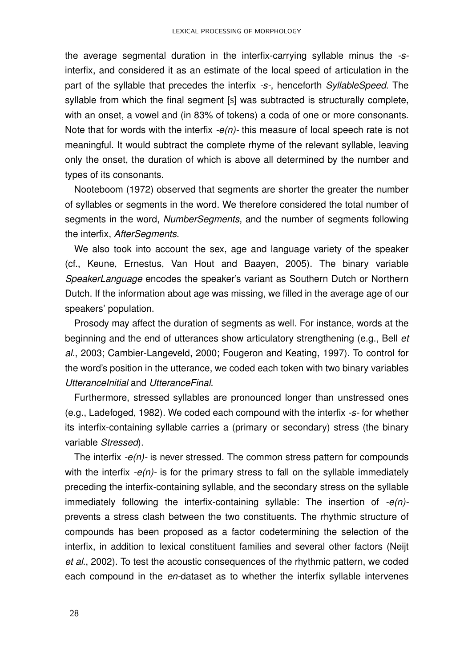the average segmental duration in the interfix-carrying syllable minus the *-s*interfix, and considered it as an estimate of the local speed of articulation in the part of the syllable that precedes the interfix *-s-*, henceforth *SyllableSpeed*. The syllable from which the final segment [s] was subtracted is structurally complete, with an onset, a vowel and (in 83% of tokens) a coda of one or more consonants. Note that for words with the interfix *-e(n)-* this measure of local speech rate is not meaningful. It would subtract the complete rhyme of the relevant syllable, leaving only the onset, the duration of which is above all determined by the number and types of its consonants.

Nooteboom (1972) observed that segments are shorter the greater the number of syllables or segments in the word. We therefore considered the total number of segments in the word, *NumberSegments*, and the number of segments following the interfix, *AfterSegments*.

We also took into account the sex, age and language variety of the speaker (cf., Keune, Ernestus, Van Hout and Baayen, 2005). The binary variable *SpeakerLanguage* encodes the speaker's variant as Southern Dutch or Northern Dutch. If the information about age was missing, we filled in the average age of our speakers' population.

Prosody may affect the duration of segments as well. For instance, words at the beginning and the end of utterances show articulatory strengthening (e.g., Bell *et al.*, 2003; Cambier-Langeveld, 2000; Fougeron and Keating, 1997). To control for the word's position in the utterance, we coded each token with two binary variables *UtteranceInitial* and *UtteranceFinal*.

Furthermore, stressed syllables are pronounced longer than unstressed ones (e.g., Ladefoged, 1982). We coded each compound with the interfix *-s-* for whether its interfix-containing syllable carries a (primary or secondary) stress (the binary variable *Stressed*).

The interfix *-e(n)-* is never stressed. The common stress pattern for compounds with the interfix *-e(n)*- is for the primary stress to fall on the syllable immediately preceding the interfix-containing syllable, and the secondary stress on the syllable immediately following the interfix-containing syllable: The insertion of *-e(n)* prevents a stress clash between the two constituents. The rhythmic structure of compounds has been proposed as a factor codetermining the selection of the interfix, in addition to lexical constituent families and several other factors (Neijt *et al.*, 2002). To test the acoustic consequences of the rhythmic pattern, we coded each compound in the *en-*dataset as to whether the interfix syllable intervenes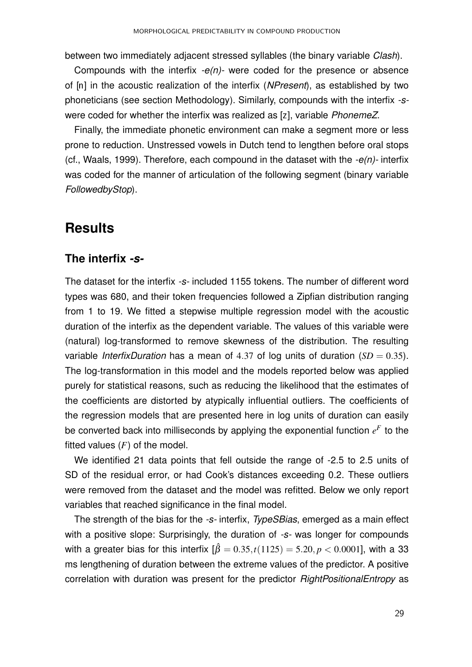between two immediately adjacent stressed syllables (the binary variable *Clash*).

Compounds with the interfix *-e(n)-* were coded for the presence or absence of [n] in the acoustic realization of the interfix (*NPresent*), as established by two phoneticians (see section Methodology). Similarly, compounds with the interfix *-s*were coded for whether the interfix was realized as [z], variable *PhonemeZ*.

Finally, the immediate phonetic environment can make a segment more or less prone to reduction. Unstressed vowels in Dutch tend to lengthen before oral stops (cf., Waals, 1999). Therefore, each compound in the dataset with the *-e(n)-* interfix was coded for the manner of articulation of the following segment (binary variable *FollowedbyStop*).

### **Results**

#### **The interfix** *-s-*

The dataset for the interfix *-s-* included 1155 tokens. The number of different word types was 680, and their token frequencies followed a Zipfian distribution ranging from 1 to 19. We fitted a stepwise multiple regression model with the acoustic duration of the interfix as the dependent variable. The values of this variable were (natural) log-transformed to remove skewness of the distribution. The resulting variable *InterfixDuration* has a mean of 4.37 of log units of duration ( $SD = 0.35$ ). The log-transformation in this model and the models reported below was applied purely for statistical reasons, such as reducing the likelihood that the estimates of the coefficients are distorted by atypically influential outliers. The coefficients of the regression models that are presented here in log units of duration can easily be converted back into milliseconds by applying the exponential function  $e^F$  to the fitted values  $(F)$  of the model.

We identified 21 data points that fell outside the range of -2.5 to 2.5 units of SD of the residual error, or had Cook's distances exceeding 0.2. These outliers were removed from the dataset and the model was refitted. Below we only report variables that reached significance in the final model.

The strength of the bias for the *-s-* interfix, *TypeSBias*, emerged as a main effect with a positive slope: Surprisingly, the duration of *-s-* was longer for compounds with a greater bias for this interfix  $\left[\hat{\beta} = 0.35, t(1125) = 5.20, p < 0.0001\right]$ , with a 33 ms lengthening of duration between the extreme values of the predictor. A positive correlation with duration was present for the predictor *RightPositionalEntropy* as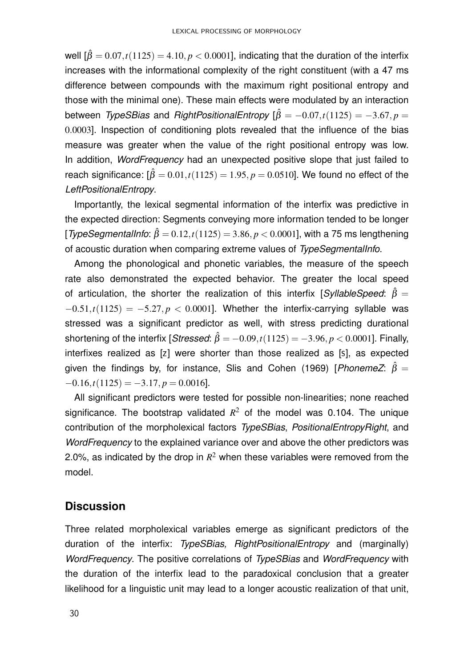well  $\left[\hat{\beta} = 0.07, t(1125) = 4.10, p < 0.0001\right]$ , indicating that the duration of the interfix increases with the informational complexity of the right constituent (with a 47 ms difference between compounds with the maximum right positional entropy and those with the minimal one). These main effects were modulated by an interaction between *TypeSBias* and *RightPositionalEntropy* [ $\hat{\beta} = -0.07, t(1125) = -3.67, p =$ 0.0003]. Inspection of conditioning plots revealed that the influence of the bias measure was greater when the value of the right positional entropy was low. In addition, *WordFrequency* had an unexpected positive slope that just failed to reach significance:  $[\hat{\beta} = 0.01, t(1125) = 1.95, p = 0.0510]$ . We found no effect of the *LeftPositionalEntropy*.

Importantly, the lexical segmental information of the interfix was predictive in the expected direction: Segments conveying more information tended to be longer [*TypeSegmentalInfo*:  $\hat{\beta}=0.12, t(1125)=3.86, p< 0.0001$ ], with a 75 ms lengthening of acoustic duration when comparing extreme values of *TypeSegmentalInfo*.

Among the phonological and phonetic variables, the measure of the speech rate also demonstrated the expected behavior. The greater the local speed of articulation, the shorter the realization of this interfix [*SyllableSpeed*:  $\hat{\beta} =$  $-0.51$ , $t(1125) = -5.27$ ,  $p < 0.0001$ . Whether the interfix-carrying syllable was stressed was a significant predictor as well, with stress predicting durational shortening of the interfix [*Stressed*:  $\hat{\beta} = -0.09, t(1125) = -3.96, p < 0.0001$ ]. Finally, interfixes realized as [z] were shorter than those realized as [s], as expected given the findings by, for instance, Slis and Cohen (1969) [PhonemeZ:  $\hat{\beta} =$  $-0.16$ ,  $t(1125) = -3.17$ ,  $p = 0.0016$ .

All significant predictors were tested for possible non-linearities; none reached significance. The bootstrap validated  $R^2$  of the model was 0.104. The unique contribution of the morpholexical factors *TypeSBias*, *PositionalEntropyRight*, and *WordFrequency* to the explained variance over and above the other predictors was 2.0%, as indicated by the drop in  $R^2$  when these variables were removed from the model.

#### **Discussion**

Three related morpholexical variables emerge as significant predictors of the duration of the interfix: *TypeSBias, RightPositionalEntropy* and (marginally) *WordFrequency*. The positive correlations of *TypeSBias* and *WordFrequency* with the duration of the interfix lead to the paradoxical conclusion that a greater likelihood for a linguistic unit may lead to a longer acoustic realization of that unit,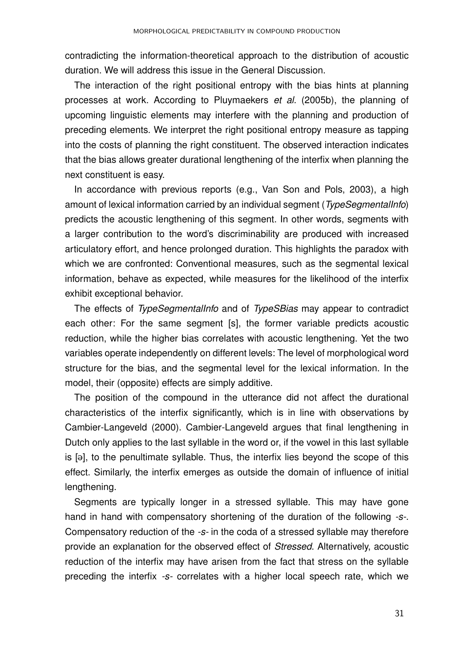contradicting the information-theoretical approach to the distribution of acoustic duration. We will address this issue in the General Discussion.

The interaction of the right positional entropy with the bias hints at planning processes at work. According to Pluymaekers *et al.* (2005b), the planning of upcoming linguistic elements may interfere with the planning and production of preceding elements. We interpret the right positional entropy measure as tapping into the costs of planning the right constituent. The observed interaction indicates that the bias allows greater durational lengthening of the interfix when planning the next constituent is easy.

In accordance with previous reports (e.g., Van Son and Pols, 2003), a high amount of lexical information carried by an individual segment (*TypeSegmentalInfo*) predicts the acoustic lengthening of this segment. In other words, segments with a larger contribution to the word's discriminability are produced with increased articulatory effort, and hence prolonged duration. This highlights the paradox with which we are confronted: Conventional measures, such as the segmental lexical information, behave as expected, while measures for the likelihood of the interfix exhibit exceptional behavior.

The effects of *TypeSegmentalInfo* and of *TypeSBias* may appear to contradict each other: For the same segment [s], the former variable predicts acoustic reduction, while the higher bias correlates with acoustic lengthening. Yet the two variables operate independently on different levels: The level of morphological word structure for the bias, and the segmental level for the lexical information. In the model, their (opposite) effects are simply additive.

The position of the compound in the utterance did not affect the durational characteristics of the interfix significantly, which is in line with observations by Cambier-Langeveld (2000). Cambier-Langeveld argues that final lengthening in Dutch only applies to the last syllable in the word or, if the vowel in this last syllable is [@], to the penultimate syllable. Thus, the interfix lies beyond the scope of this effect. Similarly, the interfix emerges as outside the domain of influence of initial lengthening.

Segments are typically longer in a stressed syllable. This may have gone hand in hand with compensatory shortening of the duration of the following *-s-*. Compensatory reduction of the *-s-* in the coda of a stressed syllable may therefore provide an explanation for the observed effect of *Stressed*. Alternatively, acoustic reduction of the interfix may have arisen from the fact that stress on the syllable preceding the interfix *-s-* correlates with a higher local speech rate, which we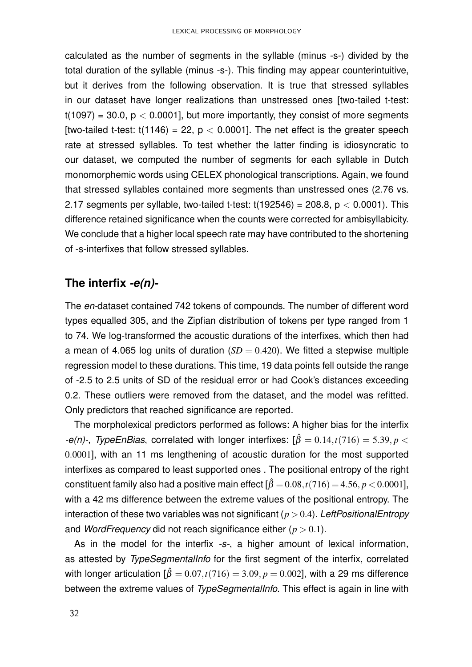calculated as the number of segments in the syllable (minus -s-) divided by the total duration of the syllable (minus -s-). This finding may appear counterintuitive, but it derives from the following observation. It is true that stressed syllables in our dataset have longer realizations than unstressed ones [two-tailed t-test:  $t(1097) = 30.0$ ,  $p < 0.0001$ , but more importantly, they consist of more segments [two-tailed t-test:  $t(1146) = 22$ ,  $p < 0.0001$ ]. The net effect is the greater speech rate at stressed syllables. To test whether the latter finding is idiosyncratic to our dataset, we computed the number of segments for each syllable in Dutch monomorphemic words using CELEX phonological transcriptions. Again, we found that stressed syllables contained more segments than unstressed ones (2.76 vs. 2.17 segments per syllable, two-tailed t-test:  $t(192546) = 208.8$ ,  $p < 0.0001$ ). This difference retained significance when the counts were corrected for ambisyllabicity. We conclude that a higher local speech rate may have contributed to the shortening of -s-interfixes that follow stressed syllables.

#### **The interfix** *-e(n)-*

The *en-*dataset contained 742 tokens of compounds. The number of different word types equalled 305, and the Zipfian distribution of tokens per type ranged from 1 to 74. We log-transformed the acoustic durations of the interfixes, which then had a mean of 4.065 log units of duration  $(SD = 0.420)$ . We fitted a stepwise multiple regression model to these durations. This time, 19 data points fell outside the range of -2.5 to 2.5 units of SD of the residual error or had Cook's distances exceeding 0.2. These outliers were removed from the dataset, and the model was refitted. Only predictors that reached significance are reported.

The morpholexical predictors performed as follows: A higher bias for the interfix *-e(n)-, TypeEnBias, correlated with longer interfixes:*  $[\hat{\beta} = 0.14, t(716) = 5.39, p <$ 0.0001], with an 11 ms lengthening of acoustic duration for the most supported interfixes as compared to least supported ones . The positional entropy of the right constituent family also had a positive main effect  $[\hat{\beta} = 0.08, t(716) = 4.56, p < 0.0001]$ , with a 42 ms difference between the extreme values of the positional entropy. The interaction of these two variables was not significant (*p* > 0.4). *LeftPositionalEntropy* and *WordFrequency* did not reach significance either  $(p > 0.1)$ .

As in the model for the interfix *-s-*, a higher amount of lexical information, as attested by *TypeSegmentalInfo* for the first segment of the interfix, correlated with longer articulation  $[\hat{\beta} = 0.07, t(716) = 3.09, p = 0.002]$ , with a 29 ms difference between the extreme values of *TypeSegmentalInfo*. This effect is again in line with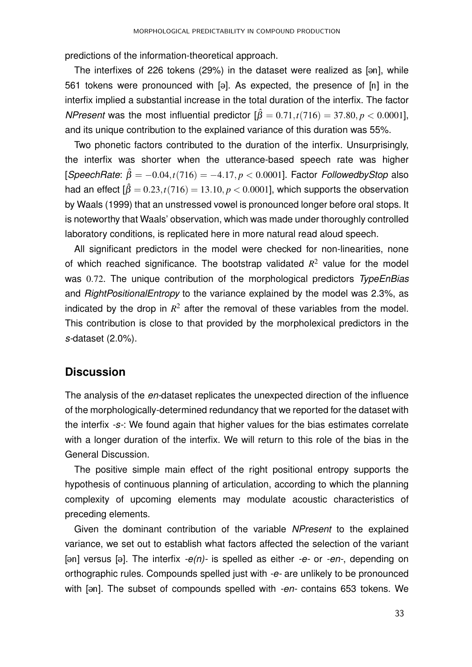predictions of the information-theoretical approach.

The interfixes of 226 tokens (29%) in the dataset were realized as [an], while 561 tokens were pronounced with  $\lceil \theta \rceil$ . As expected, the presence of  $\lceil n \rceil$  in the interfix implied a substantial increase in the total duration of the interfix. The factor *NPresent* was the most influential predictor  $[\hat{\beta} = 0.71, t(716) = 37.80, p < 0.0001]$ , and its unique contribution to the explained variance of this duration was 55%.

Two phonetic factors contributed to the duration of the interfix. Unsurprisingly, the interfix was shorter when the utterance-based speech rate was higher  $[SpechRate: \ \hat{\beta} = -0.04, t(716) = -4.17, p < 0.0001]$ . Factor *FollowedbyStop* also had an effect  $\left[\hat{\beta} = 0.23, t(716) = 13.10, p < 0.0001\right]$ , which supports the observation by Waals (1999) that an unstressed vowel is pronounced longer before oral stops. It is noteworthy that Waals' observation, which was made under thoroughly controlled laboratory conditions, is replicated here in more natural read aloud speech.

All significant predictors in the model were checked for non-linearities, none of which reached significance. The bootstrap validated *R* <sup>2</sup> value for the model was 0.72. The unique contribution of the morphological predictors *TypeEnBias* and *RightPositionalEntropy* to the variance explained by the model was 2.3%, as indicated by the drop in  $R^2$  after the removal of these variables from the model. This contribution is close to that provided by the morpholexical predictors in the *s-*dataset (2.0%).

#### **Discussion**

The analysis of the *en-*dataset replicates the unexpected direction of the influence of the morphologically-determined redundancy that we reported for the dataset with the interfix *-s-*: We found again that higher values for the bias estimates correlate with a longer duration of the interfix. We will return to this role of the bias in the General Discussion.

The positive simple main effect of the right positional entropy supports the hypothesis of continuous planning of articulation, according to which the planning complexity of upcoming elements may modulate acoustic characteristics of preceding elements.

Given the dominant contribution of the variable *NPresent* to the explained variance, we set out to establish what factors affected the selection of the variant [@n] versus [@]. The interfix *-e(n)-* is spelled as either *-e-* or *-en-*, depending on orthographic rules. Compounds spelled just with *-e-* are unlikely to be pronounced with [an]. The subset of compounds spelled with *-en-* contains 653 tokens. We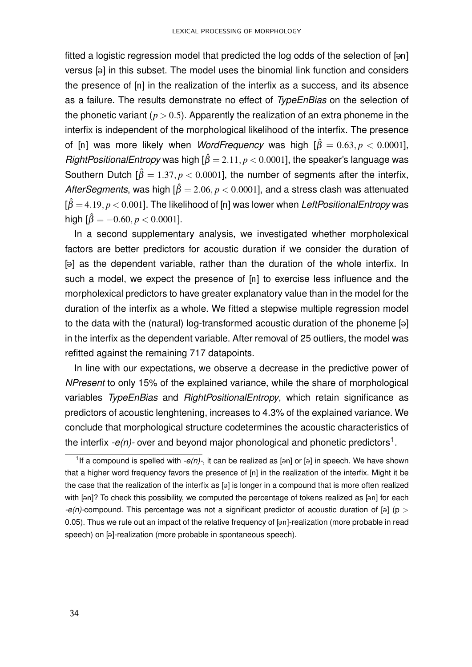fitted a logistic regression model that predicted the log odds of the selection of [an] versus [a] in this subset. The model uses the binomial link function and considers the presence of [n] in the realization of the interfix as a success, and its absence as a failure. The results demonstrate no effect of *TypeEnBias* on the selection of the phonetic variant ( $p > 0.5$ ). Apparently the realization of an extra phoneme in the interfix is independent of the morphological likelihood of the interfix. The presence of [n] was more likely when *WordFrequency* was high  $\hat{\beta} = 0.63, p < 0.0001$ ], *RightPositionalEntropy* was high  $\hat{\beta} = 2.11$ ,  $p < 0.0001$ , the speaker's language was Southern Dutch  $\left[\hat{\beta} = 1.37, p < 0.0001\right]$ , the number of segments after the interfix, *AfterSegments*, was high  $\hat{\beta} = 2.06, p < 0.0001$ , and a stress clash was attenuated  $[\hat{\beta}=$  4.19,  $p <$  0.001]. The likelihood of [n] was lower when *LeftPositionalEntropy* was high  $[\hat{\beta} = -0.60, p < 0.0001]$ .

In a second supplementary analysis, we investigated whether morpholexical factors are better predictors for acoustic duration if we consider the duration of [a] as the dependent variable, rather than the duration of the whole interfix. In such a model, we expect the presence of [n] to exercise less influence and the morpholexical predictors to have greater explanatory value than in the model for the duration of the interfix as a whole. We fitted a stepwise multiple regression model to the data with the (natural) log-transformed acoustic duration of the phoneme [a] in the interfix as the dependent variable. After removal of 25 outliers, the model was refitted against the remaining 717 datapoints.

In line with our expectations, we observe a decrease in the predictive power of *NPresent* to only 15% of the explained variance, while the share of morphological variables *TypeEnBias* and *RightPositionalEntropy*, which retain significance as predictors of acoustic lenghtening, increases to 4.3% of the explained variance. We conclude that morphological structure codetermines the acoustic characteristics of the interfix *-e(n)*- over and beyond major phonological and phonetic predictors<sup>1</sup>.

<sup>&</sup>lt;sup>1</sup> If a compound is spelled with  $-e(n)$ -, it can be realized as [an] or [a] in speech. We have shown that a higher word frequency favors the presence of [n] in the realization of the interfix. Might it be the case that the realization of the interfix as  $[\partial]$  is longer in a compound that is more often realized with [an]? To check this possibility, we computed the percentage of tokens realized as [an] for each *-e(n)*-compound. This percentage was not a significant predictor of acoustic duration of [a] ( $p >$ 0.05). Thus we rule out an impact of the relative frequency of [an]-realization (more probable in read speech) on [a]-realization (more probable in spontaneous speech).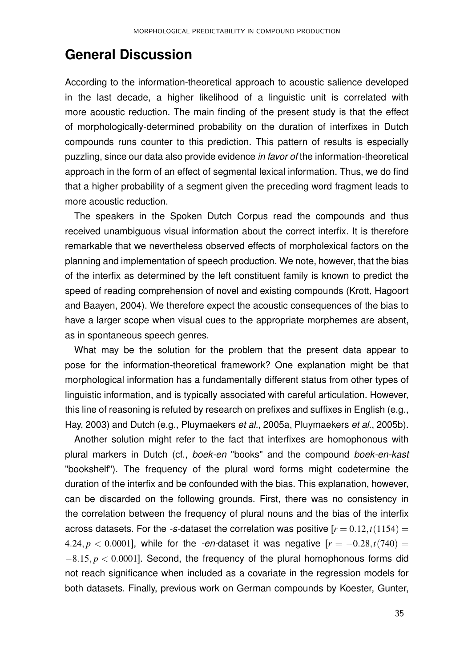### **General Discussion**

According to the information-theoretical approach to acoustic salience developed in the last decade, a higher likelihood of a linguistic unit is correlated with more acoustic reduction. The main finding of the present study is that the effect of morphologically-determined probability on the duration of interfixes in Dutch compounds runs counter to this prediction. This pattern of results is especially puzzling, since our data also provide evidence *in favor of* the information-theoretical approach in the form of an effect of segmental lexical information. Thus, we do find that a higher probability of a segment given the preceding word fragment leads to more acoustic reduction.

The speakers in the Spoken Dutch Corpus read the compounds and thus received unambiguous visual information about the correct interfix. It is therefore remarkable that we nevertheless observed effects of morpholexical factors on the planning and implementation of speech production. We note, however, that the bias of the interfix as determined by the left constituent family is known to predict the speed of reading comprehension of novel and existing compounds (Krott, Hagoort and Baayen, 2004). We therefore expect the acoustic consequences of the bias to have a larger scope when visual cues to the appropriate morphemes are absent, as in spontaneous speech genres.

What may be the solution for the problem that the present data appear to pose for the information-theoretical framework? One explanation might be that morphological information has a fundamentally different status from other types of linguistic information, and is typically associated with careful articulation. However, this line of reasoning is refuted by research on prefixes and suffixes in English (e.g., Hay, 2003) and Dutch (e.g., Pluymaekers *et al.*, 2005a, Pluymaekers *et al.*, 2005b).

Another solution might refer to the fact that interfixes are homophonous with plural markers in Dutch (cf., *boek-en* "books" and the compound *boek-en-kast* "bookshelf"). The frequency of the plural word forms might codetermine the duration of the interfix and be confounded with the bias. This explanation, however, can be discarded on the following grounds. First, there was no consistency in the correlation between the frequency of plural nouns and the bias of the interfix across datasets. For the *-s*-dataset the correlation was positive  $[r = 0.12, t(1154) =$ 4.24,  $p < 0.0001$ , while for the *-en-*dataset it was negative  $[r = -0.28, t(740) =$ −8.15, *p* < 0.0001]. Second, the frequency of the plural homophonous forms did not reach significance when included as a covariate in the regression models for both datasets. Finally, previous work on German compounds by Koester, Gunter,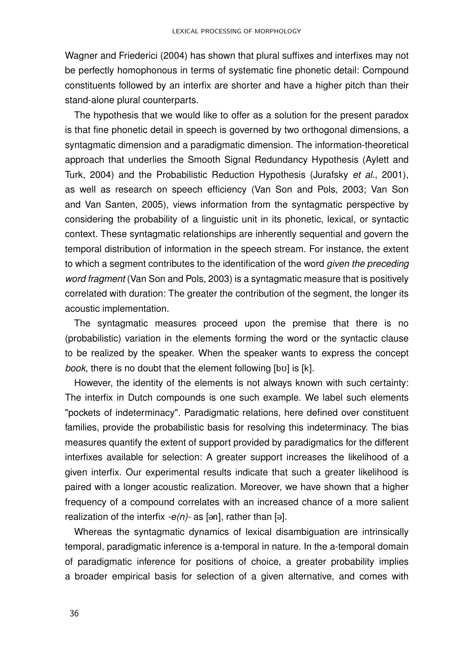Wagner and Friederici (2004) has shown that plural suffixes and interfixes may not be perfectly homophonous in terms of systematic fine phonetic detail: Compound constituents followed by an interfix are shorter and have a higher pitch than their stand-alone plural counterparts.

The hypothesis that we would like to offer as a solution for the present paradox is that fine phonetic detail in speech is governed by two orthogonal dimensions, a syntagmatic dimension and a paradigmatic dimension. The information-theoretical approach that underlies the Smooth Signal Redundancy Hypothesis (Aylett and Turk, 2004) and the Probabilistic Reduction Hypothesis (Jurafsky *et al.*, 2001), as well as research on speech efficiency (Van Son and Pols, 2003; Van Son and Van Santen, 2005), views information from the syntagmatic perspective by considering the probability of a linguistic unit in its phonetic, lexical, or syntactic context. These syntagmatic relationships are inherently sequential and govern the temporal distribution of information in the speech stream. For instance, the extent to which a segment contributes to the identification of the word *given the preceding word fragment* (Van Son and Pols, 2003) is a syntagmatic measure that is positively correlated with duration: The greater the contribution of the segment, the longer its acoustic implementation.

The syntagmatic measures proceed upon the premise that there is no (probabilistic) variation in the elements forming the word or the syntactic clause to be realized by the speaker. When the speaker wants to express the concept *book*, there is no doubt that the element following [bu] is [k].

However, the identity of the elements is not always known with such certainty: The interfix in Dutch compounds is one such example. We label such elements "pockets of indeterminacy". Paradigmatic relations, here defined over constituent families, provide the probabilistic basis for resolving this indeterminacy. The bias measures quantify the extent of support provided by paradigmatics for the different interfixes available for selection: A greater support increases the likelihood of a given interfix. Our experimental results indicate that such a greater likelihood is paired with a longer acoustic realization. Moreover, we have shown that a higher frequency of a compound correlates with an increased chance of a more salient realization of the interfix  $-e(n)$ - as [ $\theta$ n], rather than [ $\theta$ ].

Whereas the syntagmatic dynamics of lexical disambiguation are intrinsically temporal, paradigmatic inference is a-temporal in nature. In the a-temporal domain of paradigmatic inference for positions of choice, a greater probability implies a broader empirical basis for selection of a given alternative, and comes with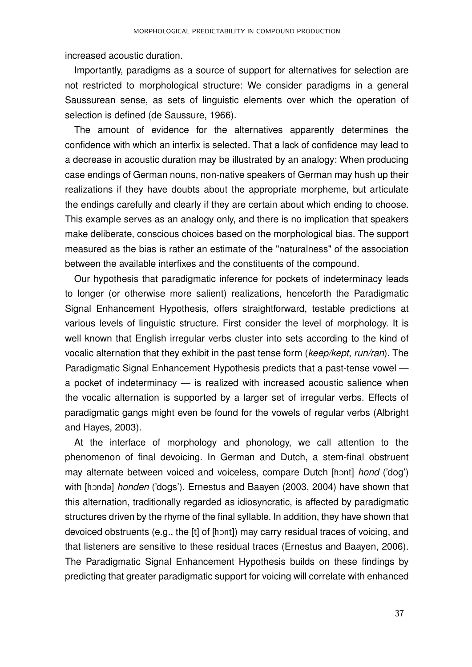increased acoustic duration.

Importantly, paradigms as a source of support for alternatives for selection are not restricted to morphological structure: We consider paradigms in a general Saussurean sense, as sets of linguistic elements over which the operation of selection is defined (de Saussure, 1966).

The amount of evidence for the alternatives apparently determines the confidence with which an interfix is selected. That a lack of confidence may lead to a decrease in acoustic duration may be illustrated by an analogy: When producing case endings of German nouns, non-native speakers of German may hush up their realizations if they have doubts about the appropriate morpheme, but articulate the endings carefully and clearly if they are certain about which ending to choose. This example serves as an analogy only, and there is no implication that speakers make deliberate, conscious choices based on the morphological bias. The support measured as the bias is rather an estimate of the "naturalness" of the association between the available interfixes and the constituents of the compound.

Our hypothesis that paradigmatic inference for pockets of indeterminacy leads to longer (or otherwise more salient) realizations, henceforth the Paradigmatic Signal Enhancement Hypothesis, offers straightforward, testable predictions at various levels of linguistic structure. First consider the level of morphology. It is well known that English irregular verbs cluster into sets according to the kind of vocalic alternation that they exhibit in the past tense form (*keep/kept*, *run/ran*). The Paradigmatic Signal Enhancement Hypothesis predicts that a past-tense vowel a pocket of indeterminacy — is realized with increased acoustic salience when the vocalic alternation is supported by a larger set of irregular verbs. Effects of paradigmatic gangs might even be found for the vowels of regular verbs (Albright and Hayes, 2003).

At the interface of morphology and phonology, we call attention to the phenomenon of final devoicing. In German and Dutch, a stem-final obstruent may alternate between voiced and voiceless, compare Dutch [hont] *hond* ('dog') with [honda] *honden* ('dogs'). Ernestus and Baayen (2003, 2004) have shown that this alternation, traditionally regarded as idiosyncratic, is affected by paradigmatic structures driven by the rhyme of the final syllable. In addition, they have shown that devoiced obstruents (e.g., the [t] of [hont]) may carry residual traces of voicing, and that listeners are sensitive to these residual traces (Ernestus and Baayen, 2006). The Paradigmatic Signal Enhancement Hypothesis builds on these findings by predicting that greater paradigmatic support for voicing will correlate with enhanced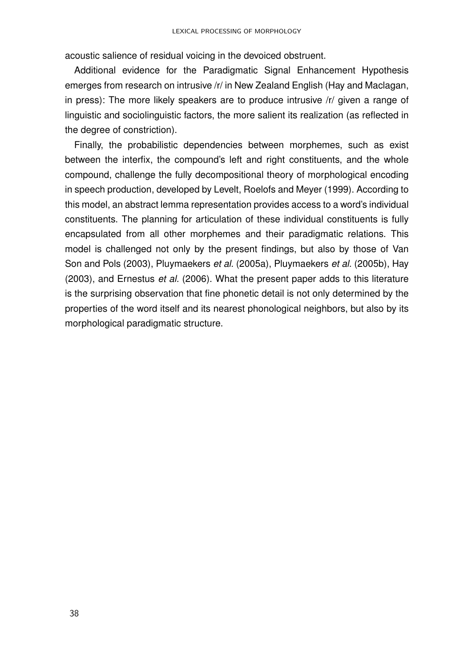acoustic salience of residual voicing in the devoiced obstruent.

Additional evidence for the Paradigmatic Signal Enhancement Hypothesis emerges from research on intrusive /r/ in New Zealand English (Hay and Maclagan, in press): The more likely speakers are to produce intrusive /r/ given a range of linguistic and sociolinguistic factors, the more salient its realization (as reflected in the degree of constriction).

Finally, the probabilistic dependencies between morphemes, such as exist between the interfix, the compound's left and right constituents, and the whole compound, challenge the fully decompositional theory of morphological encoding in speech production, developed by Levelt, Roelofs and Meyer (1999). According to this model, an abstract lemma representation provides access to a word's individual constituents. The planning for articulation of these individual constituents is fully encapsulated from all other morphemes and their paradigmatic relations. This model is challenged not only by the present findings, but also by those of Van Son and Pols (2003), Pluymaekers *et al.* (2005a), Pluymaekers *et al.* (2005b), Hay (2003), and Ernestus *et al.* (2006). What the present paper adds to this literature is the surprising observation that fine phonetic detail is not only determined by the properties of the word itself and its nearest phonological neighbors, but also by its morphological paradigmatic structure.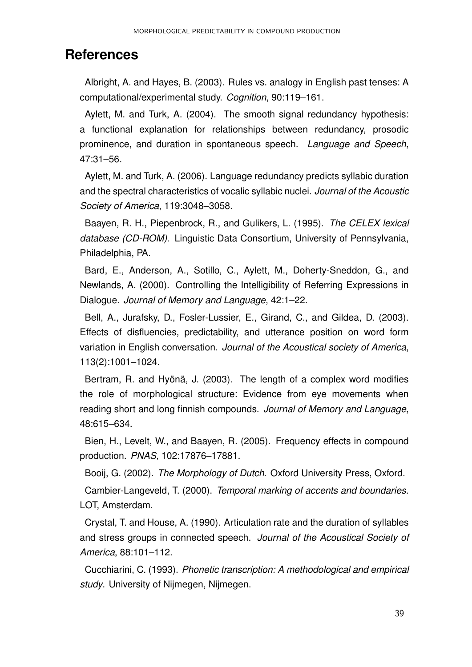## **References**

Albright, A. and Hayes, B. (2003). Rules vs. analogy in English past tenses: A computational/experimental study. *Cognition*, 90:119–161.

Aylett, M. and Turk, A. (2004). The smooth signal redundancy hypothesis: a functional explanation for relationships between redundancy, prosodic prominence, and duration in spontaneous speech. *Language and Speech*, 47:31–56.

Aylett, M. and Turk, A. (2006). Language redundancy predicts syllabic duration and the spectral characteristics of vocalic syllabic nuclei. *Journal of the Acoustic Society of America*, 119:3048–3058.

Baayen, R. H., Piepenbrock, R., and Gulikers, L. (1995). *The CELEX lexical database (CD-ROM)*. Linguistic Data Consortium, University of Pennsylvania, Philadelphia, PA.

Bard, E., Anderson, A., Sotillo, C., Aylett, M., Doherty-Sneddon, G., and Newlands, A. (2000). Controlling the Intelligibility of Referring Expressions in Dialogue. *Journal of Memory and Language*, 42:1–22.

Bell, A., Jurafsky, D., Fosler-Lussier, E., Girand, C., and Gildea, D. (2003). Effects of disfluencies, predictability, and utterance position on word form variation in English conversation. *Journal of the Acoustical society of America*, 113(2):1001–1024.

Bertram, R. and Hyönä, J. (2003). The length of a complex word modifies the role of morphological structure: Evidence from eye movements when reading short and long finnish compounds. *Journal of Memory and Language*, 48:615–634.

Bien, H., Levelt, W., and Baayen, R. (2005). Frequency effects in compound production. *PNAS*, 102:17876–17881.

Booij, G. (2002). *The Morphology of Dutch*. Oxford University Press, Oxford.

Cambier-Langeveld, T. (2000). *Temporal marking of accents and boundaries*. LOT, Amsterdam.

Crystal, T. and House, A. (1990). Articulation rate and the duration of syllables and stress groups in connected speech. *Journal of the Acoustical Society of America*, 88:101–112.

Cucchiarini, C. (1993). *Phonetic transcription: A methodological and empirical study*. University of Nijmegen, Nijmegen.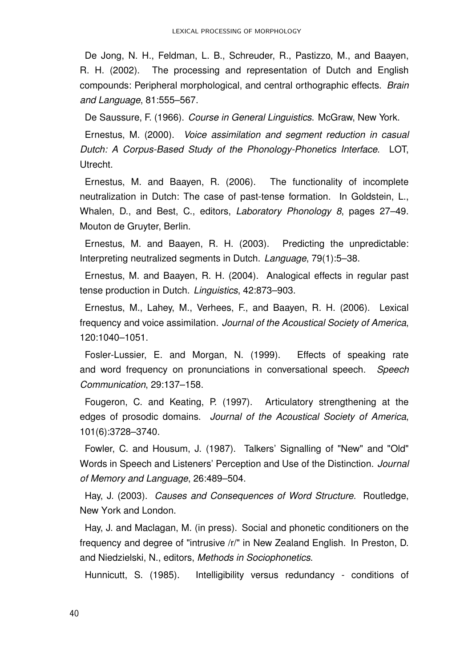De Jong, N. H., Feldman, L. B., Schreuder, R., Pastizzo, M., and Baayen, R. H. (2002). The processing and representation of Dutch and English compounds: Peripheral morphological, and central orthographic effects. *Brain and Language*, 81:555–567.

De Saussure, F. (1966). *Course in General Linguistics*. McGraw, New York.

Ernestus, M. (2000). *Voice assimilation and segment reduction in casual Dutch: A Corpus-Based Study of the Phonology-Phonetics Interface*. LOT, Utrecht.

Ernestus, M. and Baayen, R. (2006). The functionality of incomplete neutralization in Dutch: The case of past-tense formation. In Goldstein, L., Whalen, D., and Best, C., editors, *Laboratory Phonology 8*, pages 27–49. Mouton de Gruyter, Berlin.

Ernestus, M. and Baayen, R. H. (2003). Predicting the unpredictable: Interpreting neutralized segments in Dutch. *Language*, 79(1):5–38.

Ernestus, M. and Baayen, R. H. (2004). Analogical effects in regular past tense production in Dutch. *Linguistics*, 42:873–903.

Ernestus, M., Lahey, M., Verhees, F., and Baayen, R. H. (2006). Lexical frequency and voice assimilation. *Journal of the Acoustical Society of America*, 120:1040–1051.

Fosler-Lussier, E. and Morgan, N. (1999). Effects of speaking rate and word frequency on pronunciations in conversational speech. *Speech Communication*, 29:137–158.

Fougeron, C. and Keating, P. (1997). Articulatory strengthening at the edges of prosodic domains. *Journal of the Acoustical Society of America*, 101(6):3728–3740.

Fowler, C. and Housum, J. (1987). Talkers' Signalling of "New" and "Old" Words in Speech and Listeners' Perception and Use of the Distinction. *Journal of Memory and Language*, 26:489–504.

Hay, J. (2003). *Causes and Consequences of Word Structure*. Routledge, New York and London.

Hay, J. and Maclagan, M. (in press). Social and phonetic conditioners on the frequency and degree of "intrusive /r/" in New Zealand English. In Preston, D. and Niedzielski, N., editors, *Methods in Sociophonetics*.

Hunnicutt, S. (1985). Intelligibility versus redundancy - conditions of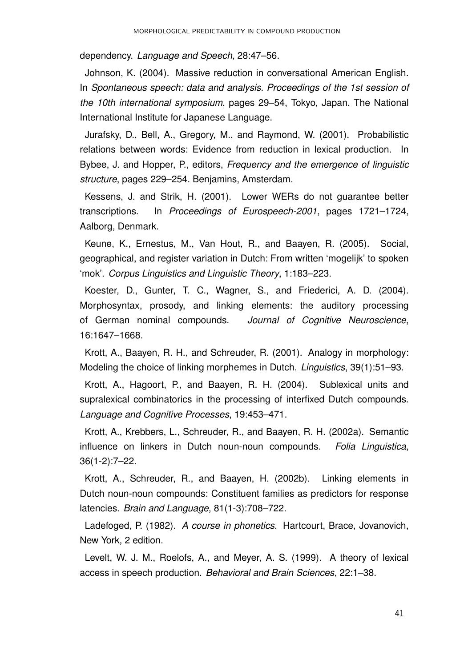dependency. *Language and Speech*, 28:47–56.

Johnson, K. (2004). Massive reduction in conversational American English. In *Spontaneous speech: data and analysis. Proceedings of the 1st session of the 10th international symposium*, pages 29–54, Tokyo, Japan. The National International Institute for Japanese Language.

Jurafsky, D., Bell, A., Gregory, M., and Raymond, W. (2001). Probabilistic relations between words: Evidence from reduction in lexical production. In Bybee, J. and Hopper, P., editors, *Frequency and the emergence of linguistic structure*, pages 229–254. Benjamins, Amsterdam.

Kessens, J. and Strik, H. (2001). Lower WERs do not guarantee better transcriptions. In *Proceedings of Eurospeech-2001*, pages 1721–1724, Aalborg, Denmark.

Keune, K., Ernestus, M., Van Hout, R., and Baayen, R. (2005). Social, geographical, and register variation in Dutch: From written 'mogelijk' to spoken 'mok'. *Corpus Linguistics and Linguistic Theory*, 1:183–223.

Koester, D., Gunter, T. C., Wagner, S., and Friederici, A. D. (2004). Morphosyntax, prosody, and linking elements: the auditory processing of German nominal compounds. *Journal of Cognitive Neuroscience*, 16:1647–1668.

Krott, A., Baayen, R. H., and Schreuder, R. (2001). Analogy in morphology: Modeling the choice of linking morphemes in Dutch. *Linguistics*, 39(1):51–93.

Krott, A., Hagoort, P., and Baayen, R. H. (2004). Sublexical units and supralexical combinatorics in the processing of interfixed Dutch compounds. *Language and Cognitive Processes*, 19:453–471.

Krott, A., Krebbers, L., Schreuder, R., and Baayen, R. H. (2002a). Semantic influence on linkers in Dutch noun-noun compounds. *Folia Linguistica*, 36(1-2):7–22.

Krott, A., Schreuder, R., and Baayen, H. (2002b). Linking elements in Dutch noun-noun compounds: Constituent families as predictors for response latencies. *Brain and Language*, 81(1-3):708–722.

Ladefoged, P. (1982). *A course in phonetics*. Hartcourt, Brace, Jovanovich, New York, 2 edition.

Levelt, W. J. M., Roelofs, A., and Meyer, A. S. (1999). A theory of lexical access in speech production. *Behavioral and Brain Sciences*, 22:1–38.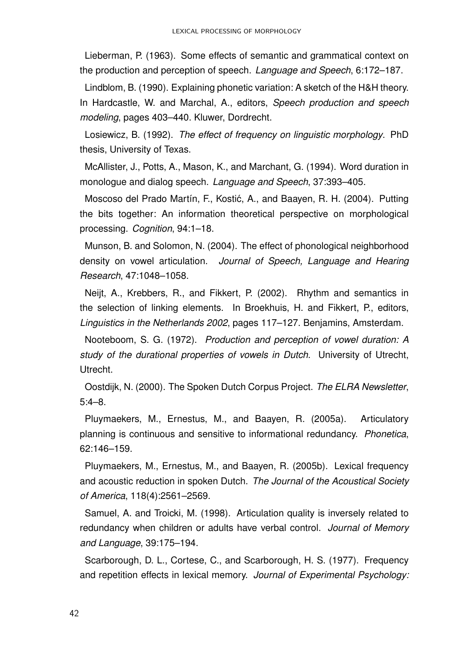Lieberman, P. (1963). Some effects of semantic and grammatical context on the production and perception of speech. *Language and Speech*, 6:172–187.

Lindblom, B. (1990). Explaining phonetic variation: A sketch of the H&H theory. In Hardcastle, W. and Marchal, A., editors, *Speech production and speech modeling*, pages 403–440. Kluwer, Dordrecht.

Losiewicz, B. (1992). *The effect of frequency on linguistic morphology*. PhD thesis, University of Texas.

McAllister, J., Potts, A., Mason, K., and Marchant, G. (1994). Word duration in monologue and dialog speech. *Language and Speech*, 37:393–405.

Moscoso del Prado Martín, F., Kostić, A., and Baayen, R. H. (2004). Putting the bits together: An information theoretical perspective on morphological processing. *Cognition*, 94:1–18.

Munson, B. and Solomon, N. (2004). The effect of phonological neighborhood density on vowel articulation. *Journal of Speech, Language and Hearing Research*, 47:1048–1058.

Neijt, A., Krebbers, R., and Fikkert, P. (2002). Rhythm and semantics in the selection of linking elements. In Broekhuis, H. and Fikkert, P., editors, *Linguistics in the Netherlands 2002*, pages 117–127. Benjamins, Amsterdam.

Nooteboom, S. G. (1972). *Production and perception of vowel duration: A study of the durational properties of vowels in Dutch*. University of Utrecht, Utrecht.

Oostdijk, N. (2000). The Spoken Dutch Corpus Project. *The ELRA Newsletter*, 5:4–8.

Pluymaekers, M., Ernestus, M., and Baayen, R. (2005a). Articulatory planning is continuous and sensitive to informational redundancy. *Phonetica*, 62:146–159.

Pluymaekers, M., Ernestus, M., and Baayen, R. (2005b). Lexical frequency and acoustic reduction in spoken Dutch. *The Journal of the Acoustical Society of America*, 118(4):2561–2569.

Samuel, A. and Troicki, M. (1998). Articulation quality is inversely related to redundancy when children or adults have verbal control. *Journal of Memory and Language*, 39:175–194.

Scarborough, D. L., Cortese, C., and Scarborough, H. S. (1977). Frequency and repetition effects in lexical memory. *Journal of Experimental Psychology:*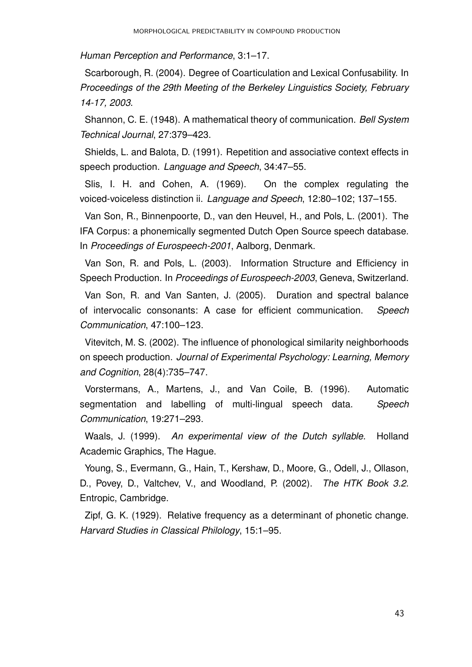*Human Perception and Performance*, 3:1–17.

Scarborough, R. (2004). Degree of Coarticulation and Lexical Confusability. In *Proceedings of the 29th Meeting of the Berkeley Linguistics Society, February 14-17, 2003*.

Shannon, C. E. (1948). A mathematical theory of communication. *Bell System Technical Journal*, 27:379–423.

Shields, L. and Balota, D. (1991). Repetition and associative context effects in speech production. *Language and Speech*, 34:47–55.

Slis, I. H. and Cohen, A. (1969). On the complex regulating the voiced-voiceless distinction ii. *Language and Speech*, 12:80–102; 137–155.

Van Son, R., Binnenpoorte, D., van den Heuvel, H., and Pols, L. (2001). The IFA Corpus: a phonemically segmented Dutch Open Source speech database. In *Proceedings of Eurospeech-2001*, Aalborg, Denmark.

Van Son, R. and Pols, L. (2003). Information Structure and Efficiency in Speech Production. In *Proceedings of Eurospeech-2003*, Geneva, Switzerland.

Van Son, R. and Van Santen, J. (2005). Duration and spectral balance of intervocalic consonants: A case for efficient communication. *Speech Communication*, 47:100–123.

Vitevitch, M. S. (2002). The influence of phonological similarity neighborhoods on speech production. *Journal of Experimental Psychology: Learning, Memory and Cognition*, 28(4):735–747.

Vorstermans, A., Martens, J., and Van Coile, B. (1996). Automatic segmentation and labelling of multi-lingual speech data. *Speech Communication*, 19:271–293.

Waals, J. (1999). *An experimental view of the Dutch syllable*. Holland Academic Graphics, The Hague.

Young, S., Evermann, G., Hain, T., Kershaw, D., Moore, G., Odell, J., Ollason, D., Povey, D., Valtchev, V., and Woodland, P. (2002). *The HTK Book 3.2*. Entropic, Cambridge.

Zipf, G. K. (1929). Relative frequency as a determinant of phonetic change. *Harvard Studies in Classical Philology*, 15:1–95.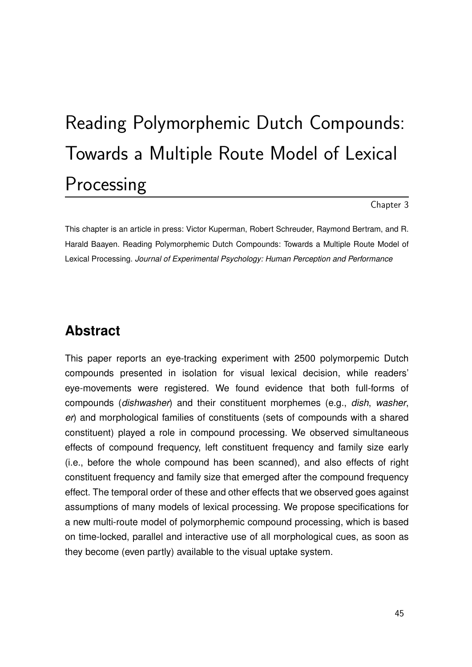# Reading Polymorphemic Dutch Compounds: Towards a Multiple Route Model of Lexical Processing

Chapter 3

This chapter is an article in press: Victor Kuperman, Robert Schreuder, Raymond Bertram, and R. Harald Baayen. Reading Polymorphemic Dutch Compounds: Towards a Multiple Route Model of Lexical Processing. *Journal of Experimental Psychology: Human Perception and Performance*

## **Abstract**

This paper reports an eye-tracking experiment with 2500 polymorpemic Dutch compounds presented in isolation for visual lexical decision, while readers' eye-movements were registered. We found evidence that both full-forms of compounds (*dishwasher*) and their constituent morphemes (e.g., *dish*, *washer*, *er*) and morphological families of constituents (sets of compounds with a shared constituent) played a role in compound processing. We observed simultaneous effects of compound frequency, left constituent frequency and family size early (i.e., before the whole compound has been scanned), and also effects of right constituent frequency and family size that emerged after the compound frequency effect. The temporal order of these and other effects that we observed goes against assumptions of many models of lexical processing. We propose specifications for a new multi-route model of polymorphemic compound processing, which is based on time-locked, parallel and interactive use of all morphological cues, as soon as they become (even partly) available to the visual uptake system.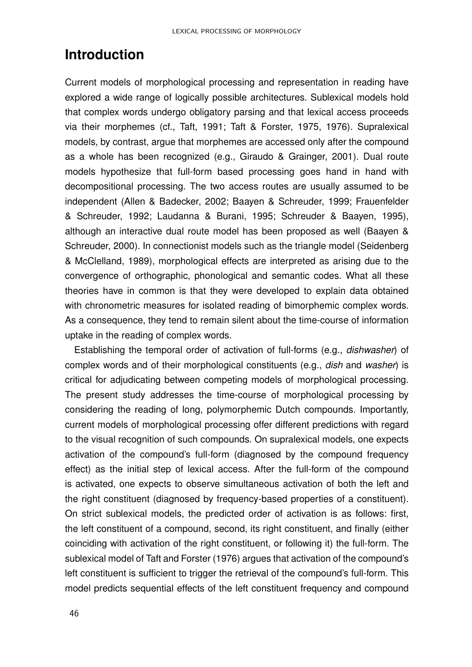## **Introduction**

Current models of morphological processing and representation in reading have explored a wide range of logically possible architectures. Sublexical models hold that complex words undergo obligatory parsing and that lexical access proceeds via their morphemes (cf., Taft, 1991; Taft & Forster, 1975, 1976). Supralexical models, by contrast, argue that morphemes are accessed only after the compound as a whole has been recognized (e.g., Giraudo & Grainger, 2001). Dual route models hypothesize that full-form based processing goes hand in hand with decompositional processing. The two access routes are usually assumed to be independent (Allen & Badecker, 2002; Baayen & Schreuder, 1999; Frauenfelder & Schreuder, 1992; Laudanna & Burani, 1995; Schreuder & Baayen, 1995), although an interactive dual route model has been proposed as well (Baayen & Schreuder, 2000). In connectionist models such as the triangle model (Seidenberg & McClelland, 1989), morphological effects are interpreted as arising due to the convergence of orthographic, phonological and semantic codes. What all these theories have in common is that they were developed to explain data obtained with chronometric measures for isolated reading of bimorphemic complex words. As a consequence, they tend to remain silent about the time-course of information uptake in the reading of complex words.

Establishing the temporal order of activation of full-forms (e.g., *dishwasher*) of complex words and of their morphological constituents (e.g., *dish* and *washer*) is critical for adjudicating between competing models of morphological processing. The present study addresses the time-course of morphological processing by considering the reading of long, polymorphemic Dutch compounds. Importantly, current models of morphological processing offer different predictions with regard to the visual recognition of such compounds. On supralexical models, one expects activation of the compound's full-form (diagnosed by the compound frequency effect) as the initial step of lexical access. After the full-form of the compound is activated, one expects to observe simultaneous activation of both the left and the right constituent (diagnosed by frequency-based properties of a constituent). On strict sublexical models, the predicted order of activation is as follows: first, the left constituent of a compound, second, its right constituent, and finally (either coinciding with activation of the right constituent, or following it) the full-form. The sublexical model of Taft and Forster (1976) argues that activation of the compound's left constituent is sufficient to trigger the retrieval of the compound's full-form. This model predicts sequential effects of the left constituent frequency and compound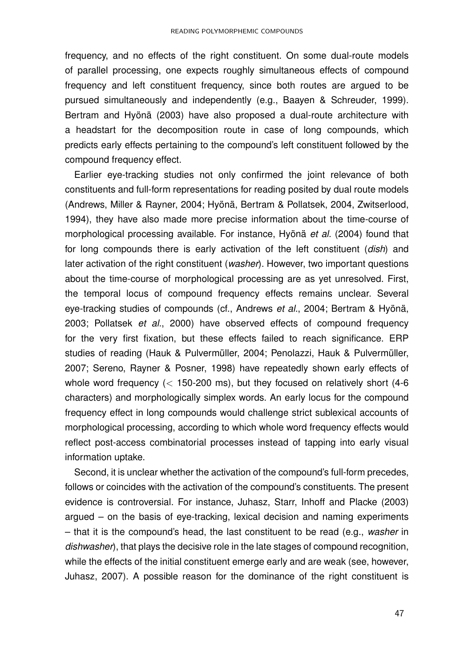frequency, and no effects of the right constituent. On some dual-route models of parallel processing, one expects roughly simultaneous effects of compound frequency and left constituent frequency, since both routes are argued to be pursued simultaneously and independently (e.g., Baayen & Schreuder, 1999). Bertram and Hyönä (2003) have also proposed a dual-route architecture with a headstart for the decomposition route in case of long compounds, which predicts early effects pertaining to the compound's left constituent followed by the compound frequency effect.

Earlier eye-tracking studies not only confirmed the joint relevance of both constituents and full-form representations for reading posited by dual route models (Andrews, Miller & Rayner, 2004; Hyönä, Bertram & Pollatsek, 2004, Zwitserlood, 1994), they have also made more precise information about the time-course of morphological processing available. For instance, Hyönä *et al.* (2004) found that for long compounds there is early activation of the left constituent (*dish*) and later activation of the right constituent (*washer*). However, two important questions about the time-course of morphological processing are as yet unresolved. First, the temporal locus of compound frequency effects remains unclear. Several eye-tracking studies of compounds (cf., Andrews *et al.*, 2004; Bertram & Hyönä, 2003; Pollatsek *et al.*, 2000) have observed effects of compound frequency for the very first fixation, but these effects failed to reach significance. ERP studies of reading (Hauk & Pulvermüller, 2004; Penolazzi, Hauk & Pulvermüller, 2007; Sereno, Rayner & Posner, 1998) have repeatedly shown early effects of whole word frequency  $( $150-200 \text{ ms}$ ), but they focused on relatively short (4-6)$ characters) and morphologically simplex words. An early locus for the compound frequency effect in long compounds would challenge strict sublexical accounts of morphological processing, according to which whole word frequency effects would reflect post-access combinatorial processes instead of tapping into early visual information uptake.

Second, it is unclear whether the activation of the compound's full-form precedes, follows or coincides with the activation of the compound's constituents. The present evidence is controversial. For instance, Juhasz, Starr, Inhoff and Placke (2003) argued – on the basis of eye-tracking, lexical decision and naming experiments – that it is the compound's head, the last constituent to be read (e.g., *washer* in *dishwasher*), that plays the decisive role in the late stages of compound recognition, while the effects of the initial constituent emerge early and are weak (see, however, Juhasz, 2007). A possible reason for the dominance of the right constituent is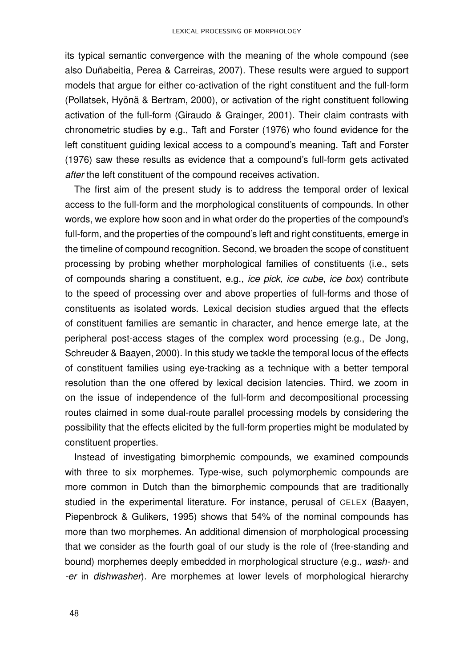its typical semantic convergence with the meaning of the whole compound (see also Duñabeitia, Perea & Carreiras, 2007). These results were argued to support models that argue for either co-activation of the right constituent and the full-form (Pollatsek, Hyönä & Bertram, 2000), or activation of the right constituent following activation of the full-form (Giraudo & Grainger, 2001). Their claim contrasts with chronometric studies by e.g., Taft and Forster (1976) who found evidence for the left constituent guiding lexical access to a compound's meaning. Taft and Forster (1976) saw these results as evidence that a compound's full-form gets activated *after* the left constituent of the compound receives activation.

The first aim of the present study is to address the temporal order of lexical access to the full-form and the morphological constituents of compounds. In other words, we explore how soon and in what order do the properties of the compound's full-form, and the properties of the compound's left and right constituents, emerge in the timeline of compound recognition. Second, we broaden the scope of constituent processing by probing whether morphological families of constituents (i.e., sets of compounds sharing a constituent, e.g., *ice pick*, *ice cube*, *ice box*) contribute to the speed of processing over and above properties of full-forms and those of constituents as isolated words. Lexical decision studies argued that the effects of constituent families are semantic in character, and hence emerge late, at the peripheral post-access stages of the complex word processing (e.g., De Jong, Schreuder & Baayen, 2000). In this study we tackle the temporal locus of the effects of constituent families using eye-tracking as a technique with a better temporal resolution than the one offered by lexical decision latencies. Third, we zoom in on the issue of independence of the full-form and decompositional processing routes claimed in some dual-route parallel processing models by considering the possibility that the effects elicited by the full-form properties might be modulated by constituent properties.

Instead of investigating bimorphemic compounds, we examined compounds with three to six morphemes. Type-wise, such polymorphemic compounds are more common in Dutch than the bimorphemic compounds that are traditionally studied in the experimental literature. For instance, perusal of CELEX (Baayen, Piepenbrock & Gulikers, 1995) shows that 54% of the nominal compounds has more than two morphemes. An additional dimension of morphological processing that we consider as the fourth goal of our study is the role of (free-standing and bound) morphemes deeply embedded in morphological structure (e.g., *wash-* and *-er* in *dishwasher*). Are morphemes at lower levels of morphological hierarchy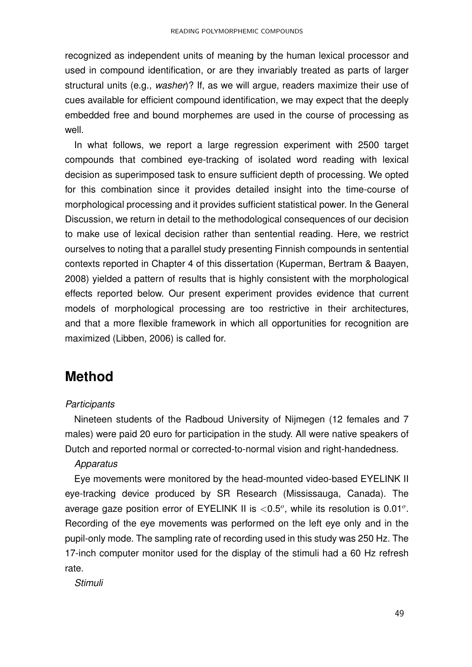recognized as independent units of meaning by the human lexical processor and used in compound identification, or are they invariably treated as parts of larger structural units (e.g., *washer*)? If, as we will argue, readers maximize their use of cues available for efficient compound identification, we may expect that the deeply embedded free and bound morphemes are used in the course of processing as well.

In what follows, we report a large regression experiment with 2500 target compounds that combined eye-tracking of isolated word reading with lexical decision as superimposed task to ensure sufficient depth of processing. We opted for this combination since it provides detailed insight into the time-course of morphological processing and it provides sufficient statistical power. In the General Discussion, we return in detail to the methodological consequences of our decision to make use of lexical decision rather than sentential reading. Here, we restrict ourselves to noting that a parallel study presenting Finnish compounds in sentential contexts reported in Chapter 4 of this dissertation (Kuperman, Bertram & Baayen, 2008) yielded a pattern of results that is highly consistent with the morphological effects reported below. Our present experiment provides evidence that current models of morphological processing are too restrictive in their architectures, and that a more flexible framework in which all opportunities for recognition are maximized (Libben, 2006) is called for.

## **Method**

#### *Participants*

Nineteen students of the Radboud University of Nijmegen (12 females and 7 males) were paid 20 euro for participation in the study. All were native speakers of Dutch and reported normal or corrected-to-normal vision and right-handedness.

#### *Apparatus*

Eye movements were monitored by the head-mounted video-based EYELINK II eye-tracking device produced by SR Research (Mississauga, Canada). The average gaze position error of EYELINK II is  $<$  0.5 $^o$ , while its resolution is 0.01 $^o$ . Recording of the eye movements was performed on the left eye only and in the pupil-only mode. The sampling rate of recording used in this study was 250 Hz. The 17-inch computer monitor used for the display of the stimuli had a 60 Hz refresh rate.

*Stimuli*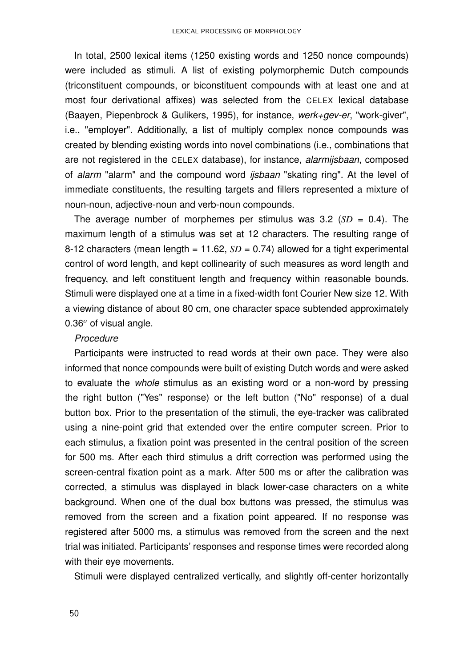In total, 2500 lexical items (1250 existing words and 1250 nonce compounds) were included as stimuli. A list of existing polymorphemic Dutch compounds (triconstituent compounds, or biconstituent compounds with at least one and at most four derivational affixes) was selected from the CELEX lexical database (Baayen, Piepenbrock & Gulikers, 1995), for instance, *werk+gev-er*, "work-giver", i.e., "employer". Additionally, a list of multiply complex nonce compounds was created by blending existing words into novel combinations (i.e., combinations that are not registered in the CELEX database), for instance, *alarmijsbaan*, composed of *alarm* "alarm" and the compound word *ijsbaan* "skating ring". At the level of immediate constituents, the resulting targets and fillers represented a mixture of noun-noun, adjective-noun and verb-noun compounds.

The average number of morphemes per stimulus was  $3.2$  (*SD* = 0.4). The maximum length of a stimulus was set at 12 characters. The resulting range of 8-12 characters (mean length = 11.62,  $SD = 0.74$ ) allowed for a tight experimental control of word length, and kept collinearity of such measures as word length and frequency, and left constituent length and frequency within reasonable bounds. Stimuli were displayed one at a time in a fixed-width font Courier New size 12. With a viewing distance of about 80 cm, one character space subtended approximately 0.36*<sup>o</sup>* of visual angle.

#### *Procedure*

Participants were instructed to read words at their own pace. They were also informed that nonce compounds were built of existing Dutch words and were asked to evaluate the *whole* stimulus as an existing word or a non-word by pressing the right button ("Yes" response) or the left button ("No" response) of a dual button box. Prior to the presentation of the stimuli, the eye-tracker was calibrated using a nine-point grid that extended over the entire computer screen. Prior to each stimulus, a fixation point was presented in the central position of the screen for 500 ms. After each third stimulus a drift correction was performed using the screen-central fixation point as a mark. After 500 ms or after the calibration was corrected, a stimulus was displayed in black lower-case characters on a white background. When one of the dual box buttons was pressed, the stimulus was removed from the screen and a fixation point appeared. If no response was registered after 5000 ms, a stimulus was removed from the screen and the next trial was initiated. Participants' responses and response times were recorded along with their eye movements.

Stimuli were displayed centralized vertically, and slightly off-center horizontally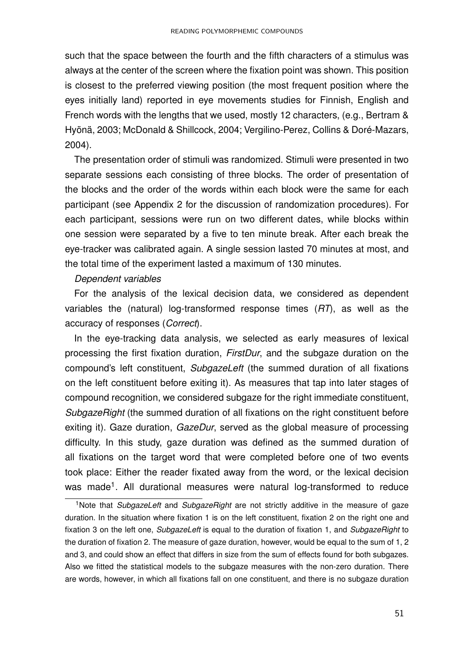such that the space between the fourth and the fifth characters of a stimulus was always at the center of the screen where the fixation point was shown. This position is closest to the preferred viewing position (the most frequent position where the eyes initially land) reported in eye movements studies for Finnish, English and French words with the lengths that we used, mostly 12 characters, (e.g., Bertram & Hyönä, 2003; McDonald & Shillcock, 2004; Vergilino-Perez, Collins & Doré-Mazars, 2004).

The presentation order of stimuli was randomized. Stimuli were presented in two separate sessions each consisting of three blocks. The order of presentation of the blocks and the order of the words within each block were the same for each participant (see Appendix 2 for the discussion of randomization procedures). For each participant, sessions were run on two different dates, while blocks within one session were separated by a five to ten minute break. After each break the eye-tracker was calibrated again. A single session lasted 70 minutes at most, and the total time of the experiment lasted a maximum of 130 minutes.

#### *Dependent variables*

For the analysis of the lexical decision data, we considered as dependent variables the (natural) log-transformed response times (*RT*), as well as the accuracy of responses (*Correct*).

In the eye-tracking data analysis, we selected as early measures of lexical processing the first fixation duration, *FirstDur*, and the subgaze duration on the compound's left constituent, *SubgazeLeft* (the summed duration of all fixations on the left constituent before exiting it). As measures that tap into later stages of compound recognition, we considered subgaze for the right immediate constituent, *SubgazeRight* (the summed duration of all fixations on the right constituent before exiting it). Gaze duration, *GazeDur*, served as the global measure of processing difficulty. In this study, gaze duration was defined as the summed duration of all fixations on the target word that were completed before one of two events took place: Either the reader fixated away from the word, or the lexical decision was made<sup>1</sup>. All durational measures were natural log-transformed to reduce

<sup>1</sup>Note that *SubgazeLeft* and *SubgazeRight* are not strictly additive in the measure of gaze duration. In the situation where fixation 1 is on the left constituent, fixation 2 on the right one and fixation 3 on the left one, *SubgazeLeft* is equal to the duration of fixation 1, and *SubgazeRight* to the duration of fixation 2. The measure of gaze duration, however, would be equal to the sum of 1, 2 and 3, and could show an effect that differs in size from the sum of effects found for both subgazes. Also we fitted the statistical models to the subgaze measures with the non-zero duration. There are words, however, in which all fixations fall on one constituent, and there is no subgaze duration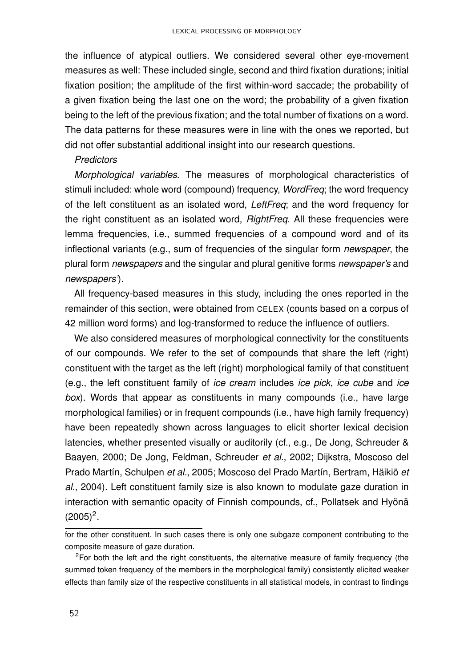the influence of atypical outliers. We considered several other eye-movement measures as well: These included single, second and third fixation durations; initial fixation position; the amplitude of the first within-word saccade; the probability of a given fixation being the last one on the word; the probability of a given fixation being to the left of the previous fixation; and the total number of fixations on a word. The data patterns for these measures were in line with the ones we reported, but did not offer substantial additional insight into our research questions.

#### *Predictors*

*Morphological variables.* The measures of morphological characteristics of stimuli included: whole word (compound) frequency, *WordFreq*; the word frequency of the left constituent as an isolated word, *LeftFreq*; and the word frequency for the right constituent as an isolated word, *RightFreq*. All these frequencies were lemma frequencies, i.e., summed frequencies of a compound word and of its inflectional variants (e.g., sum of frequencies of the singular form *newspaper*, the plural form *newspapers* and the singular and plural genitive forms *newspaper's* and *newspapers'*).

All frequency-based measures in this study, including the ones reported in the remainder of this section, were obtained from CELEX (counts based on a corpus of 42 million word forms) and log-transformed to reduce the influence of outliers.

We also considered measures of morphological connectivity for the constituents of our compounds. We refer to the set of compounds that share the left (right) constituent with the target as the left (right) morphological family of that constituent (e.g., the left constituent family of *ice cream* includes *ice pick*, *ice cube* and *ice box*). Words that appear as constituents in many compounds (i.e., have large morphological families) or in frequent compounds (i.e., have high family frequency) have been repeatedly shown across languages to elicit shorter lexical decision latencies, whether presented visually or auditorily (cf., e.g., De Jong, Schreuder & Baayen, 2000; De Jong, Feldman, Schreuder *et al.*, 2002; Dijkstra, Moscoso del Prado Martín, Schulpen *et al.*, 2005; Moscoso del Prado Martín, Bertram, Häikiö *et al.*, 2004). Left constituent family size is also known to modulate gaze duration in interaction with semantic opacity of Finnish compounds, cf., Pollatsek and Hyönä  $(2005)^2$ .

for the other constituent. In such cases there is only one subgaze component contributing to the composite measure of gaze duration.

<sup>&</sup>lt;sup>2</sup>For both the left and the right constituents, the alternative measure of family frequency (the summed token frequency of the members in the morphological family) consistently elicited weaker effects than family size of the respective constituents in all statistical models, in contrast to findings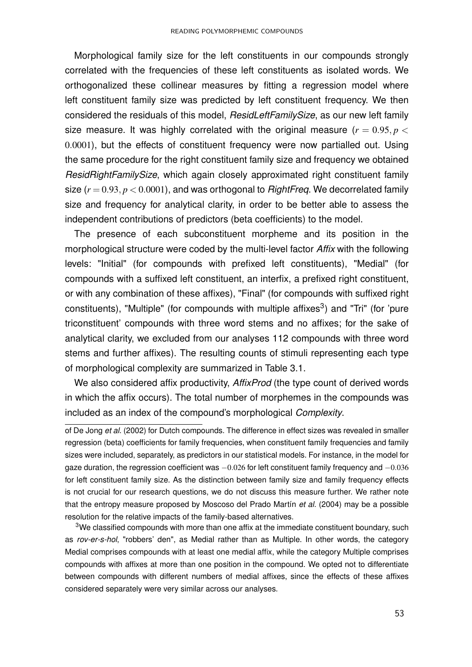Morphological family size for the left constituents in our compounds strongly correlated with the frequencies of these left constituents as isolated words. We orthogonalized these collinear measures by fitting a regression model where left constituent family size was predicted by left constituent frequency. We then considered the residuals of this model, *ResidLeftFamilySize*, as our new left family size measure. It was highly correlated with the original measure  $(r = 0.95, p <$ 0.0001), but the effects of constituent frequency were now partialled out. Using the same procedure for the right constituent family size and frequency we obtained *ResidRightFamilySize*, which again closely approximated right constituent family size  $(r = 0.93, p < 0.0001)$ , and was orthogonal to *RightFreg*. We decorrelated family size and frequency for analytical clarity, in order to be better able to assess the independent contributions of predictors (beta coefficients) to the model.

The presence of each subconstituent morpheme and its position in the morphological structure were coded by the multi-level factor *Affix* with the following levels: "Initial" (for compounds with prefixed left constituents), "Medial" (for compounds with a suffixed left constituent, an interfix, a prefixed right constituent, or with any combination of these affixes), "Final" (for compounds with suffixed right constituents), "Multiple" (for compounds with multiple affixes<sup>3</sup>) and "Tri" (for 'pure triconstituent' compounds with three word stems and no affixes; for the sake of analytical clarity, we excluded from our analyses 112 compounds with three word stems and further affixes). The resulting counts of stimuli representing each type of morphological complexity are summarized in Table 3.1.

We also considered affix productivity, *AffixProd* (the type count of derived words in which the affix occurs). The total number of morphemes in the compounds was included as an index of the compound's morphological *Complexity*.

of De Jong *et al.* (2002) for Dutch compounds. The difference in effect sizes was revealed in smaller regression (beta) coefficients for family frequencies, when constituent family frequencies and family sizes were included, separately, as predictors in our statistical models. For instance, in the model for gaze duration, the regression coefficient was −0.026 for left constituent family frequency and −0.036 for left constituent family size. As the distinction between family size and family frequency effects is not crucial for our research questions, we do not discuss this measure further. We rather note that the entropy measure proposed by Moscoso del Prado Martín *et al.* (2004) may be a possible resolution for the relative impacts of the family-based alternatives.

<sup>&</sup>lt;sup>3</sup>We classified compounds with more than one affix at the immediate constituent boundary, such as *rov-er-s-hol*, "robbers' den", as Medial rather than as Multiple. In other words, the category Medial comprises compounds with at least one medial affix, while the category Multiple comprises compounds with affixes at more than one position in the compound. We opted not to differentiate between compounds with different numbers of medial affixes, since the effects of these affixes considered separately were very similar across our analyses.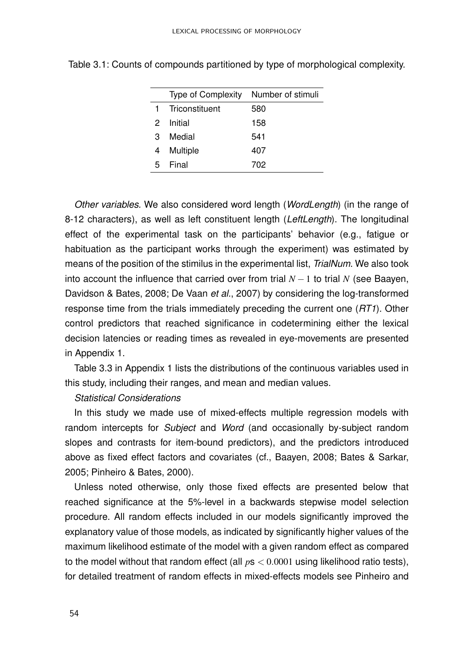|   | <b>Type of Complexity</b> | Number of stimuli |
|---|---------------------------|-------------------|
|   | Triconstituent            | 580               |
| 2 | Initial                   | 158               |
| З | Medial                    | 541               |
|   | Multiple                  | 407               |
| 5 | Final                     | 702               |
|   |                           |                   |

Table 3.1: Counts of compounds partitioned by type of morphological complexity.

*Other variables.* We also considered word length (*WordLength*) (in the range of 8-12 characters), as well as left constituent length (*LeftLength*). The longitudinal effect of the experimental task on the participants' behavior (e.g., fatigue or habituation as the participant works through the experiment) was estimated by means of the position of the stimilus in the experimental list, *TrialNum*. We also took into account the influence that carried over from trial  $N-1$  to trial  $N$  (see Baayen, Davidson & Bates, 2008; De Vaan *et al.*, 2007) by considering the log-transformed response time from the trials immediately preceding the current one (*RT1*). Other control predictors that reached significance in codetermining either the lexical decision latencies or reading times as revealed in eye-movements are presented in Appendix 1.

Table 3.3 in Appendix 1 lists the distributions of the continuous variables used in this study, including their ranges, and mean and median values.

#### *Statistical Considerations*

In this study we made use of mixed-effects multiple regression models with random intercepts for *Subject* and *Word* (and occasionally by-subject random slopes and contrasts for item-bound predictors), and the predictors introduced above as fixed effect factors and covariates (cf., Baayen, 2008; Bates & Sarkar, 2005; Pinheiro & Bates, 2000).

Unless noted otherwise, only those fixed effects are presented below that reached significance at the 5%-level in a backwards stepwise model selection procedure. All random effects included in our models significantly improved the explanatory value of those models, as indicated by significantly higher values of the maximum likelihood estimate of the model with a given random effect as compared to the model without that random effect (all *p*s < 0.0001 using likelihood ratio tests), for detailed treatment of random effects in mixed-effects models see Pinheiro and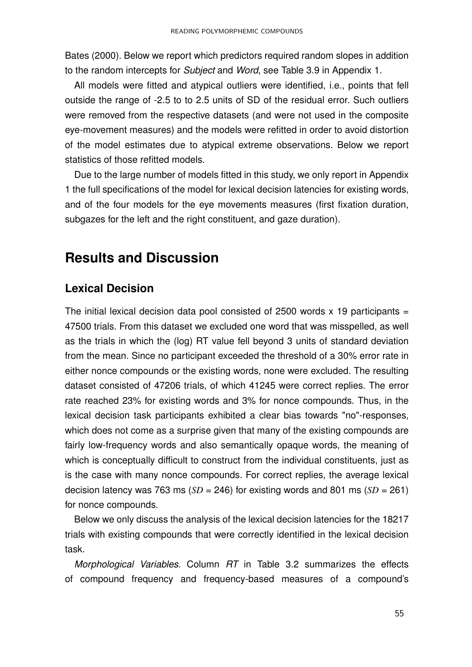Bates (2000). Below we report which predictors required random slopes in addition to the random intercepts for *Subject* and *Word*, see Table 3.9 in Appendix 1.

All models were fitted and atypical outliers were identified, i.e., points that fell outside the range of -2.5 to to 2.5 units of SD of the residual error. Such outliers were removed from the respective datasets (and were not used in the composite eye-movement measures) and the models were refitted in order to avoid distortion of the model estimates due to atypical extreme observations. Below we report statistics of those refitted models.

Due to the large number of models fitted in this study, we only report in Appendix 1 the full specifications of the model for lexical decision latencies for existing words, and of the four models for the eye movements measures (first fixation duration, subgazes for the left and the right constituent, and gaze duration).

# **Results and Discussion**

## **Lexical Decision**

The initial lexical decision data pool consisted of 2500 words  $x$  19 participants = 47500 trials. From this dataset we excluded one word that was misspelled, as well as the trials in which the (log) RT value fell beyond 3 units of standard deviation from the mean. Since no participant exceeded the threshold of a 30% error rate in either nonce compounds or the existing words, none were excluded. The resulting dataset consisted of 47206 trials, of which 41245 were correct replies. The error rate reached 23% for existing words and 3% for nonce compounds. Thus, in the lexical decision task participants exhibited a clear bias towards "no"-responses, which does not come as a surprise given that many of the existing compounds are fairly low-frequency words and also semantically opaque words, the meaning of which is conceptually difficult to construct from the individual constituents, just as is the case with many nonce compounds. For correct replies, the average lexical decision latency was 763 ms  $(SD = 246)$  for existing words and 801 ms  $(SD = 261)$ for nonce compounds.

Below we only discuss the analysis of the lexical decision latencies for the 18217 trials with existing compounds that were correctly identified in the lexical decision task.

*Morphological Variables.* Column *RT* in Table 3.2 summarizes the effects of compound frequency and frequency-based measures of a compound's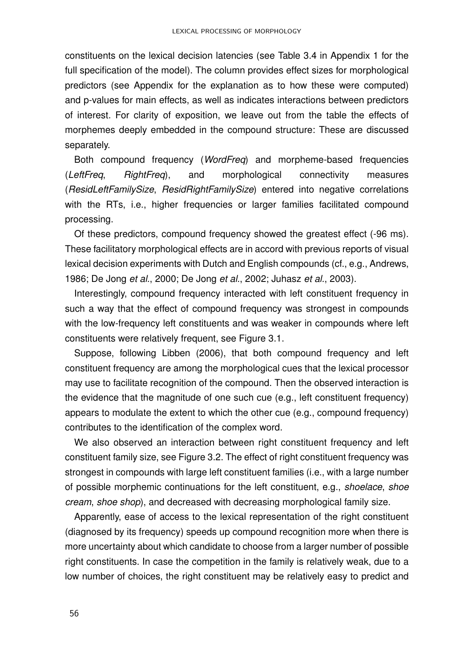constituents on the lexical decision latencies (see Table 3.4 in Appendix 1 for the full specification of the model). The column provides effect sizes for morphological predictors (see Appendix for the explanation as to how these were computed) and p-values for main effects, as well as indicates interactions between predictors of interest. For clarity of exposition, we leave out from the table the effects of morphemes deeply embedded in the compound structure: These are discussed separately.

Both compound frequency (*WordFreq*) and morpheme-based frequencies (*LeftFreq*, *RightFreq*), and morphological connectivity measures (*ResidLeftFamilySize*, *ResidRightFamilySize*) entered into negative correlations with the RTs, i.e., higher frequencies or larger families facilitated compound processing.

Of these predictors, compound frequency showed the greatest effect (-96 ms). These facilitatory morphological effects are in accord with previous reports of visual lexical decision experiments with Dutch and English compounds (cf., e.g., Andrews, 1986; De Jong *et al.*, 2000; De Jong *et al.*, 2002; Juhasz *et al.*, 2003).

Interestingly, compound frequency interacted with left constituent frequency in such a way that the effect of compound frequency was strongest in compounds with the low-frequency left constituents and was weaker in compounds where left constituents were relatively frequent, see Figure 3.1.

Suppose, following Libben (2006), that both compound frequency and left constituent frequency are among the morphological cues that the lexical processor may use to facilitate recognition of the compound. Then the observed interaction is the evidence that the magnitude of one such cue (e.g., left constituent frequency) appears to modulate the extent to which the other cue (e.g., compound frequency) contributes to the identification of the complex word.

We also observed an interaction between right constituent frequency and left constituent family size, see Figure 3.2. The effect of right constituent frequency was strongest in compounds with large left constituent families (i.e., with a large number of possible morphemic continuations for the left constituent, e.g., *shoelace*, *shoe cream*, *shoe shop*), and decreased with decreasing morphological family size.

Apparently, ease of access to the lexical representation of the right constituent (diagnosed by its frequency) speeds up compound recognition more when there is more uncertainty about which candidate to choose from a larger number of possible right constituents. In case the competition in the family is relatively weak, due to a low number of choices, the right constituent may be relatively easy to predict and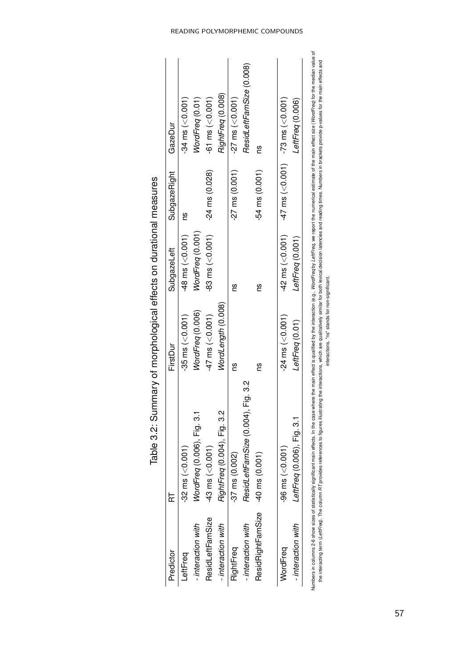| Predictor          | $\frac{1}{2}$                      | FirstDur              | SubgazeLeft          | SubgazeRight       | GazeDur                                     |
|--------------------|------------------------------------|-----------------------|----------------------|--------------------|---------------------------------------------|
| LeftFreq           | $-32$ ms $(<\!0.001)$              | $-35$ ms ( $<$ 0.001) | $-48$ ms $(< 0.001)$ | ≌                  | $-34 \text{ ms } (<0.001)$                  |
| - interaction with | WordFreq (0.006), Fig. 3.1         | WordFreq (0.006)      | WordFreq (0.001)     |                    | WordFreq (0.01)                             |
| ResidLeftFamSize   | $-43$ ms $(< 0.001)$               | $-47$ ms $(< 0.001)$  | $-83$ ms $(< 0.001)$ | $-24$ ms $(0.028)$ | $-61 \text{ ms } (<\!0.001)$                |
| - interaction with | RightFreq (0.004), Fig. 3.2        | WordLength (0.008)    |                      |                    | RightFreq (0.008)                           |
| RightFreq          | $-37$ ms $(0.002)$                 | ≌                     | ©<br>⊡               | $-27$ ms $(0.001)$ | $-27$ ms ( $<$ 0.001)                       |
| - interaction with | ResidLettFamSize (0.004), Fig. 3.2 |                       |                      |                    | ResidLeftFamSize (0.008)                    |
| ResidRightFamSize  | $-40$ ms $(0.001)$                 | <u>81</u>             | ςu                   | $-54$ ms $(0.001)$ | ≌                                           |
|                    |                                    |                       |                      |                    |                                             |
| WordFreq           | $-96$ ms $(<\!0.001)$              | $-24$ ms $(< 0.001)$  | $-42$ ms $(< 0.001)$ |                    | $-47$ ms ( $<$ 0.001) $-73$ ms ( $<$ 0.001) |
| - interaction with | LeftFreq $(0.006)$ , Fig. 3.1      | LeftFreq $(0.01)$     | LeftFreq(0.001)      |                    | LeftFreq (0.006)                            |

| ahle 3.2: Summary of morphological effects on durational measure |
|------------------------------------------------------------------|
|                                                                  |
|                                                                  |
|                                                                  |
|                                                                  |
|                                                                  |
|                                                                  |
|                                                                  |
|                                                                  |
|                                                                  |
|                                                                  |
|                                                                  |
|                                                                  |
|                                                                  |
|                                                                  |
|                                                                  |
|                                                                  |
|                                                                  |
|                                                                  |
|                                                                  |
|                                                                  |

Numbers in columns 2-6 show significant main effects. In the case where the main effect is qualified by the interaction (e.g., WordFreq by LeftFreq, we report the numerical estimate of the main effect size (WordFreq) for t mbers in columns 2-6 show sizes of statistically significant main effects. Inter the main effect is qualified by the interaction (e.g., WordFreq yo Leff-Feq, we report the numical estimate of the main effect size (WordFreq the interactive column AT provides references to figures illustrating the interactions, which are qualitatively similar for both lexical decision latencies and reading times. Numbers in brokets provides prations effects an interactions. "ns" stands for non-significant. Numbers in columns 2-6 show

#### READING POLYMORPHEMIC COMPOUNDS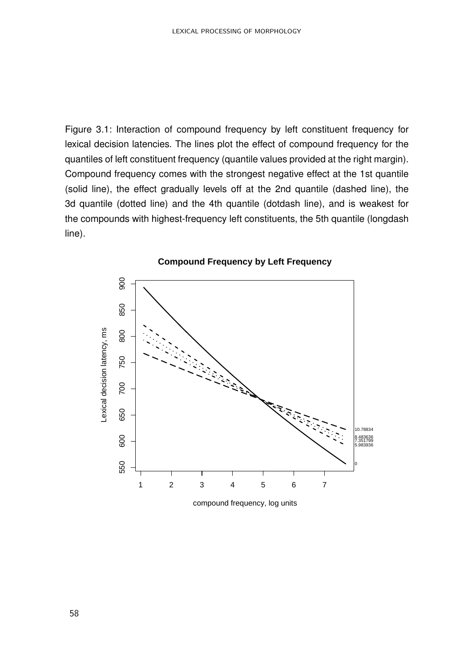Figure 3.1: Interaction of compound frequency by left constituent frequency for lexical decision latencies. The lines plot the effect of compound frequency for the quantiles of left constituent frequency (quantile values provided at the right margin). Compound frequency comes with the strongest negative effect at the 1st quantile (solid line), the effect gradually levels off at the 2nd quantile (dashed line), the 3d quantile (dotted line) and the 4th quantile (dotdash line), and is weakest for the compounds with highest-frequency left constituents, the 5th quantile (longdash line).



#### **Compound Frequency by Left Frequency**

compound frequency, log units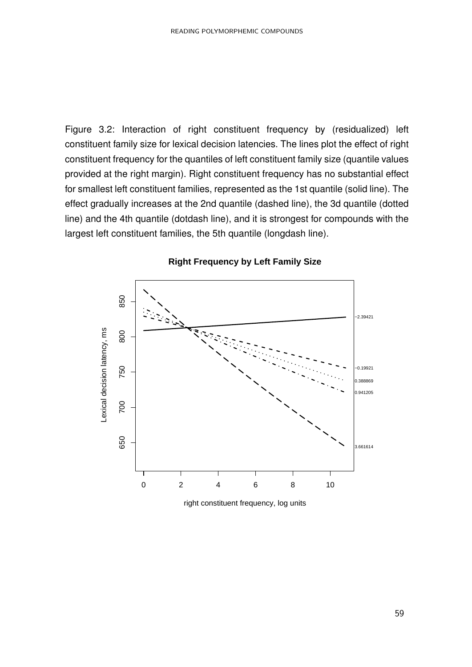Figure 3.2: Interaction of right constituent frequency by (residualized) left constituent family size for lexical decision latencies. The lines plot the effect of right constituent frequency for the quantiles of left constituent family size (quantile values provided at the right margin). Right constituent frequency has no substantial effect for smallest left constituent families, represented as the 1st quantile (solid line). The effect gradually increases at the 2nd quantile (dashed line), the 3d quantile (dotted line) and the 4th quantile (dotdash line), and it is strongest for compounds with the largest left constituent families, the 5th quantile (longdash line).



**Right Frequency by Left Family Size**

right constituent frequency, log units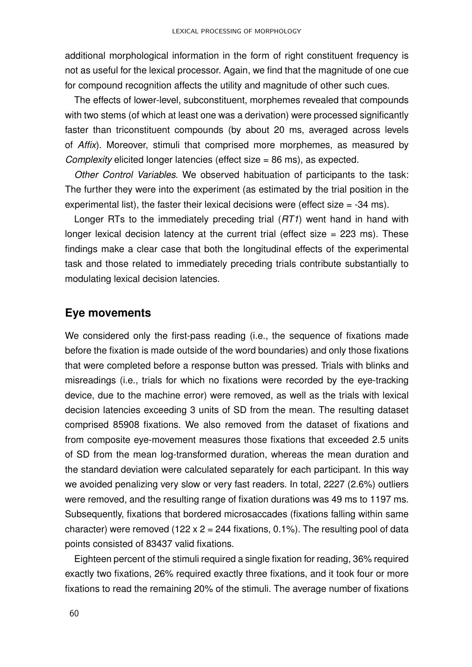additional morphological information in the form of right constituent frequency is not as useful for the lexical processor. Again, we find that the magnitude of one cue for compound recognition affects the utility and magnitude of other such cues.

The effects of lower-level, subconstituent, morphemes revealed that compounds with two stems (of which at least one was a derivation) were processed significantly faster than triconstituent compounds (by about 20 ms, averaged across levels of *Affix*). Moreover, stimuli that comprised more morphemes, as measured by *Complexity* elicited longer latencies (effect size = 86 ms), as expected.

*Other Control Variables.* We observed habituation of participants to the task: The further they were into the experiment (as estimated by the trial position in the experimental list), the faster their lexical decisions were (effect size  $=$  -34 ms).

Longer RTs to the immediately preceding trial (*RT1*) went hand in hand with longer lexical decision latency at the current trial (effect size  $= 223$  ms). These findings make a clear case that both the longitudinal effects of the experimental task and those related to immediately preceding trials contribute substantially to modulating lexical decision latencies.

#### **Eye movements**

We considered only the first-pass reading (i.e., the sequence of fixations made before the fixation is made outside of the word boundaries) and only those fixations that were completed before a response button was pressed. Trials with blinks and misreadings (i.e., trials for which no fixations were recorded by the eye-tracking device, due to the machine error) were removed, as well as the trials with lexical decision latencies exceeding 3 units of SD from the mean. The resulting dataset comprised 85908 fixations. We also removed from the dataset of fixations and from composite eye-movement measures those fixations that exceeded 2.5 units of SD from the mean log-transformed duration, whereas the mean duration and the standard deviation were calculated separately for each participant. In this way we avoided penalizing very slow or very fast readers. In total, 2227 (2.6%) outliers were removed, and the resulting range of fixation durations was 49 ms to 1197 ms. Subsequently, fixations that bordered microsaccades (fixations falling within same character) were removed (122 x  $2 = 244$  fixations, 0.1%). The resulting pool of data points consisted of 83437 valid fixations.

Eighteen percent of the stimuli required a single fixation for reading, 36% required exactly two fixations, 26% required exactly three fixations, and it took four or more fixations to read the remaining 20% of the stimuli. The average number of fixations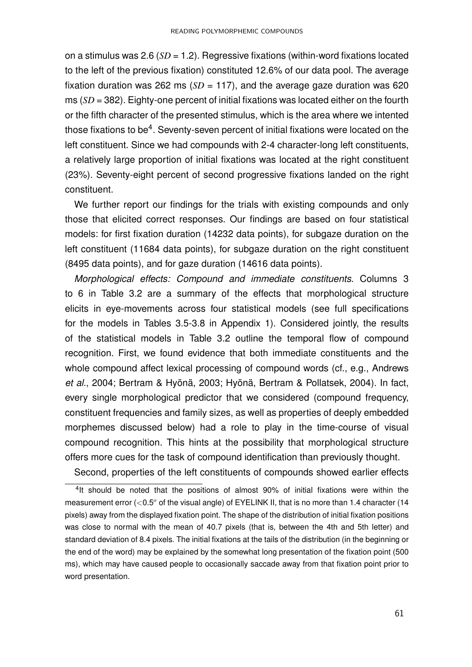on a stimulus was 2.6 (*SD* = 1.2). Regressive fixations (within-word fixations located to the left of the previous fixation) constituted 12.6% of our data pool. The average fixation duration was 262 ms  $(SD = 117)$ , and the average gaze duration was 620 ms (*SD* = 382). Eighty-one percent of initial fixations was located either on the fourth or the fifth character of the presented stimulus, which is the area where we intented those fixations to be<sup>4</sup>. Seventy-seven percent of initial fixations were located on the left constituent. Since we had compounds with 2-4 character-long left constituents, a relatively large proportion of initial fixations was located at the right constituent (23%). Seventy-eight percent of second progressive fixations landed on the right constituent.

We further report our findings for the trials with existing compounds and only those that elicited correct responses. Our findings are based on four statistical models: for first fixation duration (14232 data points), for subgaze duration on the left constituent (11684 data points), for subgaze duration on the right constituent (8495 data points), and for gaze duration (14616 data points).

*Morphological effects: Compound and immediate constituents.* Columns 3 to 6 in Table 3.2 are a summary of the effects that morphological structure elicits in eye-movements across four statistical models (see full specifications for the models in Tables 3.5-3.8 in Appendix 1). Considered jointly, the results of the statistical models in Table 3.2 outline the temporal flow of compound recognition. First, we found evidence that both immediate constituents and the whole compound affect lexical processing of compound words (cf., e.g., Andrews *et al.*, 2004; Bertram & Hyönä, 2003; Hyönä, Bertram & Pollatsek, 2004). In fact, every single morphological predictor that we considered (compound frequency, constituent frequencies and family sizes, as well as properties of deeply embedded morphemes discussed below) had a role to play in the time-course of visual compound recognition. This hints at the possibility that morphological structure offers more cues for the task of compound identification than previously thought.

Second, properties of the left constituents of compounds showed earlier effects

<sup>&</sup>lt;sup>4</sup>It should be noted that the positions of almost 90% of initial fixations were within the measurement error (<0.5<sup>o</sup> of the visual angle) of EYELINK II, that is no more than 1.4 character (14 pixels) away from the displayed fixation point. The shape of the distribution of initial fixation positions was close to normal with the mean of 40.7 pixels (that is, between the 4th and 5th letter) and standard deviation of 8.4 pixels. The initial fixations at the tails of the distribution (in the beginning or the end of the word) may be explained by the somewhat long presentation of the fixation point (500 ms), which may have caused people to occasionally saccade away from that fixation point prior to word presentation.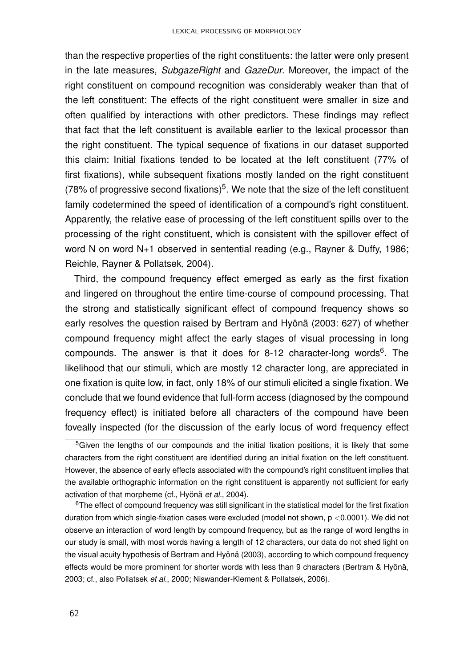than the respective properties of the right constituents: the latter were only present in the late measures, *SubgazeRight* and *GazeDur*. Moreover, the impact of the right constituent on compound recognition was considerably weaker than that of the left constituent: The effects of the right constituent were smaller in size and often qualified by interactions with other predictors. These findings may reflect that fact that the left constituent is available earlier to the lexical processor than the right constituent. The typical sequence of fixations in our dataset supported this claim: Initial fixations tended to be located at the left constituent (77% of first fixations), while subsequent fixations mostly landed on the right constituent (78% of progressive second fixations)<sup>5</sup>. We note that the size of the left constituent family codetermined the speed of identification of a compound's right constituent. Apparently, the relative ease of processing of the left constituent spills over to the processing of the right constituent, which is consistent with the spillover effect of word N on word N+1 observed in sentential reading (e.g., Rayner & Duffy, 1986; Reichle, Rayner & Pollatsek, 2004).

Third, the compound frequency effect emerged as early as the first fixation and lingered on throughout the entire time-course of compound processing. That the strong and statistically significant effect of compound frequency shows so early resolves the question raised by Bertram and Hyönä (2003: 627) of whether compound frequency might affect the early stages of visual processing in long compounds. The answer is that it does for 8-12 character-long words<sup>6</sup>. The likelihood that our stimuli, which are mostly 12 character long, are appreciated in one fixation is quite low, in fact, only 18% of our stimuli elicited a single fixation. We conclude that we found evidence that full-form access (diagnosed by the compound frequency effect) is initiated before all characters of the compound have been foveally inspected (for the discussion of the early locus of word frequency effect

<sup>&</sup>lt;sup>5</sup>Given the lengths of our compounds and the initial fixation positions, it is likely that some characters from the right constituent are identified during an initial fixation on the left constituent. However, the absence of early effects associated with the compound's right constituent implies that the available orthographic information on the right constituent is apparently not sufficient for early activation of that morpheme (cf., Hyönä *et al.*, 2004).

<sup>&</sup>lt;sup>6</sup>The effect of compound frequency was still significant in the statistical model for the first fixation duration from which single-fixation cases were excluded (model not shown, p <0.0001). We did not observe an interaction of word length by compound frequency, but as the range of word lengths in our study is small, with most words having a length of 12 characters, our data do not shed light on the visual acuity hypothesis of Bertram and Hyönä (2003), according to which compound frequency effects would be more prominent for shorter words with less than 9 characters (Bertram & Hyönä, 2003; cf., also Pollatsek *et al.*, 2000; Niswander-Klement & Pollatsek, 2006).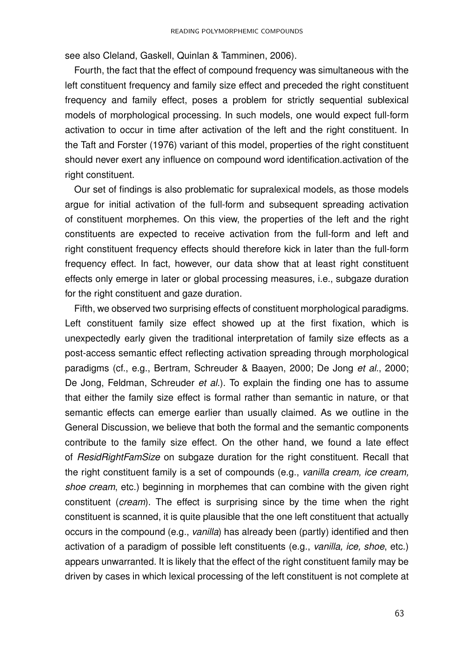see also Cleland, Gaskell, Quinlan & Tamminen, 2006).

Fourth, the fact that the effect of compound frequency was simultaneous with the left constituent frequency and family size effect and preceded the right constituent frequency and family effect, poses a problem for strictly sequential sublexical models of morphological processing. In such models, one would expect full-form activation to occur in time after activation of the left and the right constituent. In the Taft and Forster (1976) variant of this model, properties of the right constituent should never exert any influence on compound word identification.activation of the right constituent.

Our set of findings is also problematic for supralexical models, as those models argue for initial activation of the full-form and subsequent spreading activation of constituent morphemes. On this view, the properties of the left and the right constituents are expected to receive activation from the full-form and left and right constituent frequency effects should therefore kick in later than the full-form frequency effect. In fact, however, our data show that at least right constituent effects only emerge in later or global processing measures, i.e., subgaze duration for the right constituent and gaze duration.

Fifth, we observed two surprising effects of constituent morphological paradigms. Left constituent family size effect showed up at the first fixation, which is unexpectedly early given the traditional interpretation of family size effects as a post-access semantic effect reflecting activation spreading through morphological paradigms (cf., e.g., Bertram, Schreuder & Baayen, 2000; De Jong *et al.*, 2000; De Jong, Feldman, Schreuder *et al.*). To explain the finding one has to assume that either the family size effect is formal rather than semantic in nature, or that semantic effects can emerge earlier than usually claimed. As we outline in the General Discussion, we believe that both the formal and the semantic components contribute to the family size effect. On the other hand, we found a late effect of *ResidRightFamSize* on subgaze duration for the right constituent. Recall that the right constituent family is a set of compounds (e.g., *vanilla cream, ice cream, shoe cream*, etc.) beginning in morphemes that can combine with the given right constituent (*cream*). The effect is surprising since by the time when the right constituent is scanned, it is quite plausible that the one left constituent that actually occurs in the compound (e.g., *vanilla*) has already been (partly) identified and then activation of a paradigm of possible left constituents (e.g., *vanilla, ice, shoe*, etc.) appears unwarranted. It is likely that the effect of the right constituent family may be driven by cases in which lexical processing of the left constituent is not complete at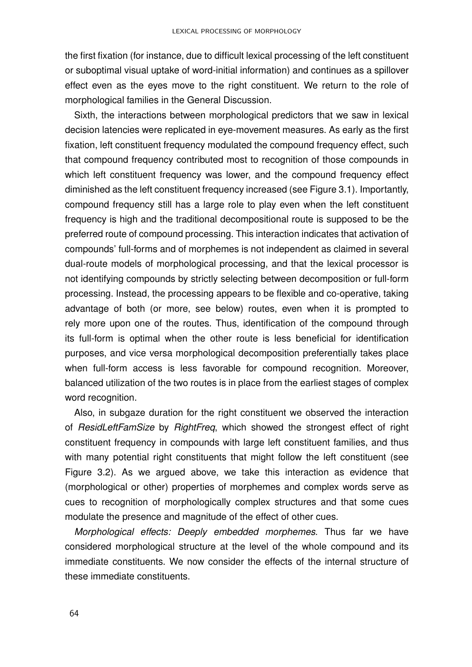the first fixation (for instance, due to difficult lexical processing of the left constituent or suboptimal visual uptake of word-initial information) and continues as a spillover effect even as the eyes move to the right constituent. We return to the role of morphological families in the General Discussion.

Sixth, the interactions between morphological predictors that we saw in lexical decision latencies were replicated in eye-movement measures. As early as the first fixation, left constituent frequency modulated the compound frequency effect, such that compound frequency contributed most to recognition of those compounds in which left constituent frequency was lower, and the compound frequency effect diminished as the left constituent frequency increased (see Figure 3.1). Importantly, compound frequency still has a large role to play even when the left constituent frequency is high and the traditional decompositional route is supposed to be the preferred route of compound processing. This interaction indicates that activation of compounds' full-forms and of morphemes is not independent as claimed in several dual-route models of morphological processing, and that the lexical processor is not identifying compounds by strictly selecting between decomposition or full-form processing. Instead, the processing appears to be flexible and co-operative, taking advantage of both (or more, see below) routes, even when it is prompted to rely more upon one of the routes. Thus, identification of the compound through its full-form is optimal when the other route is less beneficial for identification purposes, and vice versa morphological decomposition preferentially takes place when full-form access is less favorable for compound recognition. Moreover, balanced utilization of the two routes is in place from the earliest stages of complex word recognition.

Also, in subgaze duration for the right constituent we observed the interaction of *ResidLeftFamSize* by *RightFreq*, which showed the strongest effect of right constituent frequency in compounds with large left constituent families, and thus with many potential right constituents that might follow the left constituent (see Figure 3.2). As we argued above, we take this interaction as evidence that (morphological or other) properties of morphemes and complex words serve as cues to recognition of morphologically complex structures and that some cues modulate the presence and magnitude of the effect of other cues.

*Morphological effects: Deeply embedded morphemes.* Thus far we have considered morphological structure at the level of the whole compound and its immediate constituents. We now consider the effects of the internal structure of these immediate constituents.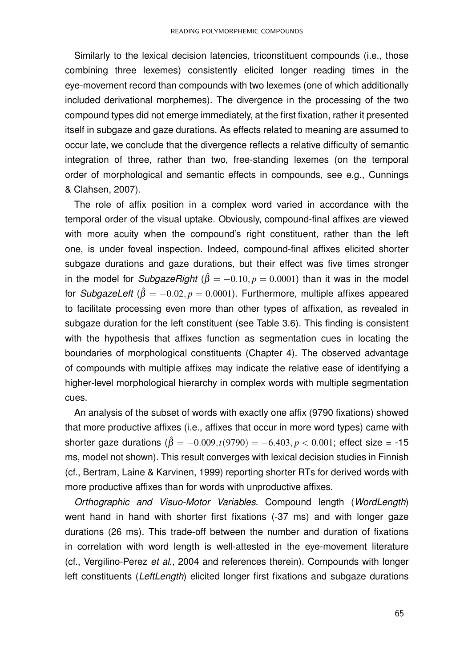Similarly to the lexical decision latencies, triconstituent compounds (i.e., those combining three lexemes) consistently elicited longer reading times in the eye-movement record than compounds with two lexemes (one of which additionally included derivational morphemes). The divergence in the processing of the two compound types did not emerge immediately, at the first fixation, rather it presented itself in subgaze and gaze durations. As effects related to meaning are assumed to occur late, we conclude that the divergence reflects a relative difficulty of semantic integration of three, rather than two, free-standing lexemes (on the temporal order of morphological and semantic effects in compounds, see e.g., Cunnings & Clahsen, 2007).

The role of affix position in a complex word varied in accordance with the temporal order of the visual uptake. Obviously, compound-final affixes are viewed with more acuity when the compound's right constituent, rather than the left one, is under foveal inspection. Indeed, compound-final affixes elicited shorter subgaze durations and gaze durations, but their effect was five times stronger in the model for  $\pmb{SubgazeRight}$  ( $\hat{\beta}=-0.10, p=0.0001)$  than it was in the model for *SubgazeLeft* ( $\hat{\beta} = -0.02, p = 0.0001$ ). Furthermore, multiple affixes appeared to facilitate processing even more than other types of affixation, as revealed in subgaze duration for the left constituent (see Table 3.6). This finding is consistent with the hypothesis that affixes function as segmentation cues in locating the boundaries of morphological constituents (Chapter 4). The observed advantage of compounds with multiple affixes may indicate the relative ease of identifying a higher-level morphological hierarchy in complex words with multiple segmentation cues.

An analysis of the subset of words with exactly one affix (9790 fixations) showed that more productive affixes (i.e., affixes that occur in more word types) came with shorter gaze durations  $(\hat{\beta} = -0.009, t(9790) = -6.403, p < 0.001$ ; effect size = -15 ms, model not shown). This result converges with lexical decision studies in Finnish (cf., Bertram, Laine & Karvinen, 1999) reporting shorter RTs for derived words with more productive affixes than for words with unproductive affixes.

*Orthographic and Visuo-Motor Variables.* Compound length (*WordLength*) went hand in hand with shorter first fixations (-37 ms) and with longer gaze durations (26 ms). This trade-off between the number and duration of fixations in correlation with word length is well-attested in the eye-movement literature (cf., Vergilino-Perez *et al.*, 2004 and references therein). Compounds with longer left constituents (*LeftLength*) elicited longer first fixations and subgaze durations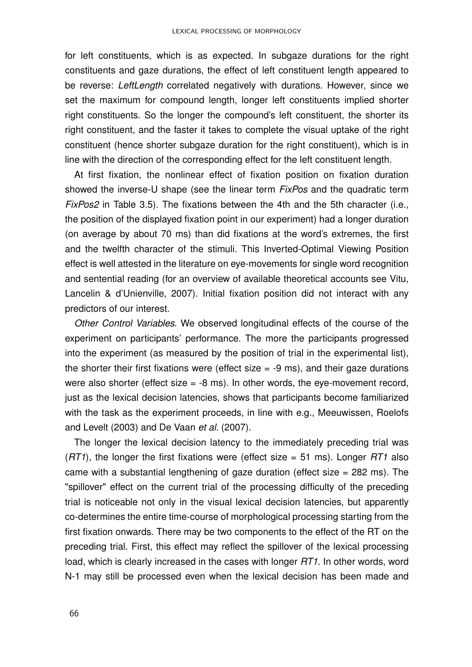for left constituents, which is as expected. In subgaze durations for the right constituents and gaze durations, the effect of left constituent length appeared to be reverse: *LeftLength* correlated negatively with durations. However, since we set the maximum for compound length, longer left constituents implied shorter right constituents. So the longer the compound's left constituent, the shorter its right constituent, and the faster it takes to complete the visual uptake of the right constituent (hence shorter subgaze duration for the right constituent), which is in line with the direction of the corresponding effect for the left constituent length.

At first fixation, the nonlinear effect of fixation position on fixation duration showed the inverse-U shape (see the linear term *FixPos* and the quadratic term *FixPos2* in Table 3.5). The fixations between the 4th and the 5th character (i.e., the position of the displayed fixation point in our experiment) had a longer duration (on average by about 70 ms) than did fixations at the word's extremes, the first and the twelfth character of the stimuli. This Inverted-Optimal Viewing Position effect is well attested in the literature on eye-movements for single word recognition and sentential reading (for an overview of available theoretical accounts see Vitu, Lancelin & d'Unienville, 2007). Initial fixation position did not interact with any predictors of our interest.

*Other Control Variables.* We observed longitudinal effects of the course of the experiment on participants' performance. The more the participants progressed into the experiment (as measured by the position of trial in the experimental list), the shorter their first fixations were (effect size  $= -9$  ms), and their gaze durations were also shorter (effect size  $= -8$  ms). In other words, the eye-movement record, just as the lexical decision latencies, shows that participants become familiarized with the task as the experiment proceeds, in line with e.g., Meeuwissen, Roelofs and Levelt (2003) and De Vaan *et al.* (2007).

The longer the lexical decision latency to the immediately preceding trial was (*RT1*), the longer the first fixations were (effect size = 51 ms). Longer *RT1* also came with a substantial lengthening of gaze duration (effect size  $= 282$  ms). The "spillover" effect on the current trial of the processing difficulty of the preceding trial is noticeable not only in the visual lexical decision latencies, but apparently co-determines the entire time-course of morphological processing starting from the first fixation onwards. There may be two components to the effect of the RT on the preceding trial. First, this effect may reflect the spillover of the lexical processing load, which is clearly increased in the cases with longer *RT1*. In other words, word N-1 may still be processed even when the lexical decision has been made and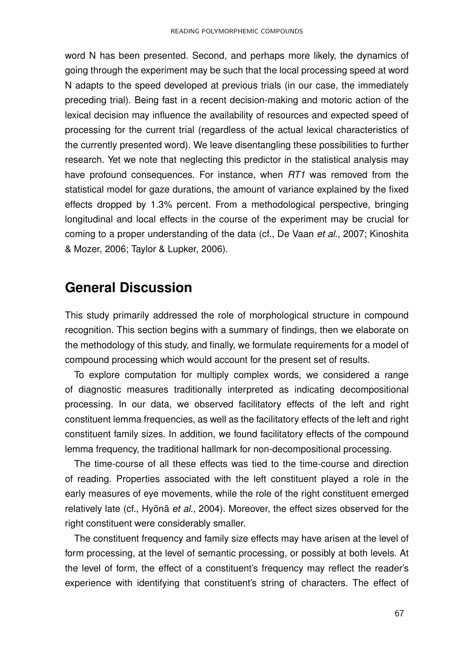word N has been presented. Second, and perhaps more likely, the dynamics of going through the experiment may be such that the local processing speed at word N adapts to the speed developed at previous trials (in our case, the immediately preceding trial). Being fast in a recent decision-making and motoric action of the lexical decision may influence the availability of resources and expected speed of processing for the current trial (regardless of the actual lexical characteristics of the currently presented word). We leave disentangling these possibilities to further research. Yet we note that neglecting this predictor in the statistical analysis may have profound consequences. For instance, when *RT1* was removed from the statistical model for gaze durations, the amount of variance explained by the fixed effects dropped by 1.3% percent. From a methodological perspective, bringing longitudinal and local effects in the course of the experiment may be crucial for coming to a proper understanding of the data (cf., De Vaan *et al.*, 2007; Kinoshita & Mozer, 2006; Taylor & Lupker, 2006).

## **General Discussion**

This study primarily addressed the role of morphological structure in compound recognition. This section begins with a summary of findings, then we elaborate on the methodology of this study, and finally, we formulate requirements for a model of compound processing which would account for the present set of results.

To explore computation for multiply complex words, we considered a range of diagnostic measures traditionally interpreted as indicating decompositional processing. In our data, we observed facilitatory effects of the left and right constituent lemma frequencies, as well as the facilitatory effects of the left and right constituent family sizes. In addition, we found facilitatory effects of the compound lemma frequency, the traditional hallmark for non-decompositional processing.

The time-course of all these effects was tied to the time-course and direction of reading. Properties associated with the left constituent played a role in the early measures of eye movements, while the role of the right constituent emerged relatively late (cf., Hyönä *et al.*, 2004). Moreover, the effect sizes observed for the right constituent were considerably smaller.

The constituent frequency and family size effects may have arisen at the level of form processing, at the level of semantic processing, or possibly at both levels. At the level of form, the effect of a constituent's frequency may reflect the reader's experience with identifying that constituent's string of characters. The effect of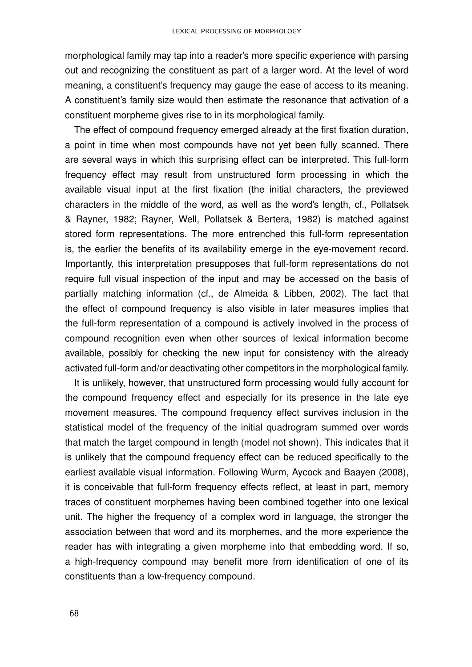morphological family may tap into a reader's more specific experience with parsing out and recognizing the constituent as part of a larger word. At the level of word meaning, a constituent's frequency may gauge the ease of access to its meaning. A constituent's family size would then estimate the resonance that activation of a constituent morpheme gives rise to in its morphological family.

The effect of compound frequency emerged already at the first fixation duration, a point in time when most compounds have not yet been fully scanned. There are several ways in which this surprising effect can be interpreted. This full-form frequency effect may result from unstructured form processing in which the available visual input at the first fixation (the initial characters, the previewed characters in the middle of the word, as well as the word's length, cf., Pollatsek & Rayner, 1982; Rayner, Well, Pollatsek & Bertera, 1982) is matched against stored form representations. The more entrenched this full-form representation is, the earlier the benefits of its availability emerge in the eye-movement record. Importantly, this interpretation presupposes that full-form representations do not require full visual inspection of the input and may be accessed on the basis of partially matching information (cf., de Almeida & Libben, 2002). The fact that the effect of compound frequency is also visible in later measures implies that the full-form representation of a compound is actively involved in the process of compound recognition even when other sources of lexical information become available, possibly for checking the new input for consistency with the already activated full-form and/or deactivating other competitors in the morphological family.

It is unlikely, however, that unstructured form processing would fully account for the compound frequency effect and especially for its presence in the late eye movement measures. The compound frequency effect survives inclusion in the statistical model of the frequency of the initial quadrogram summed over words that match the target compound in length (model not shown). This indicates that it is unlikely that the compound frequency effect can be reduced specifically to the earliest available visual information. Following Wurm, Aycock and Baayen (2008), it is conceivable that full-form frequency effects reflect, at least in part, memory traces of constituent morphemes having been combined together into one lexical unit. The higher the frequency of a complex word in language, the stronger the association between that word and its morphemes, and the more experience the reader has with integrating a given morpheme into that embedding word. If so, a high-frequency compound may benefit more from identification of one of its constituents than a low-frequency compound.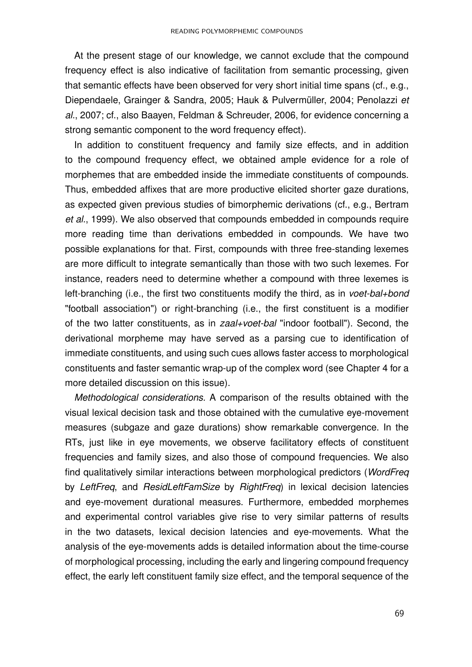At the present stage of our knowledge, we cannot exclude that the compound frequency effect is also indicative of facilitation from semantic processing, given that semantic effects have been observed for very short initial time spans (cf., e.g., Diependaele, Grainger & Sandra, 2005; Hauk & Pulvermüller, 2004; Penolazzi *et al.*, 2007; cf., also Baayen, Feldman & Schreuder, 2006, for evidence concerning a strong semantic component to the word frequency effect).

In addition to constituent frequency and family size effects, and in addition to the compound frequency effect, we obtained ample evidence for a role of morphemes that are embedded inside the immediate constituents of compounds. Thus, embedded affixes that are more productive elicited shorter gaze durations, as expected given previous studies of bimorphemic derivations (cf., e.g., Bertram *et al.*, 1999). We also observed that compounds embedded in compounds require more reading time than derivations embedded in compounds. We have two possible explanations for that. First, compounds with three free-standing lexemes are more difficult to integrate semantically than those with two such lexemes. For instance, readers need to determine whether a compound with three lexemes is left-branching (i.e., the first two constituents modify the third, as in *voet-bal+bond* "football association") or right-branching (i.e., the first constituent is a modifier of the two latter constituents, as in *zaal+voet-bal* "indoor football"). Second, the derivational morpheme may have served as a parsing cue to identification of immediate constituents, and using such cues allows faster access to morphological constituents and faster semantic wrap-up of the complex word (see Chapter 4 for a more detailed discussion on this issue).

*Methodological considerations.* A comparison of the results obtained with the visual lexical decision task and those obtained with the cumulative eye-movement measures (subgaze and gaze durations) show remarkable convergence. In the RTs, just like in eye movements, we observe facilitatory effects of constituent frequencies and family sizes, and also those of compound frequencies. We also find qualitatively similar interactions between morphological predictors (*WordFreq* by *LeftFreq*, and *ResidLeftFamSize* by *RightFreq*) in lexical decision latencies and eye-movement durational measures. Furthermore, embedded morphemes and experimental control variables give rise to very similar patterns of results in the two datasets, lexical decision latencies and eye-movements. What the analysis of the eye-movements adds is detailed information about the time-course of morphological processing, including the early and lingering compound frequency effect, the early left constituent family size effect, and the temporal sequence of the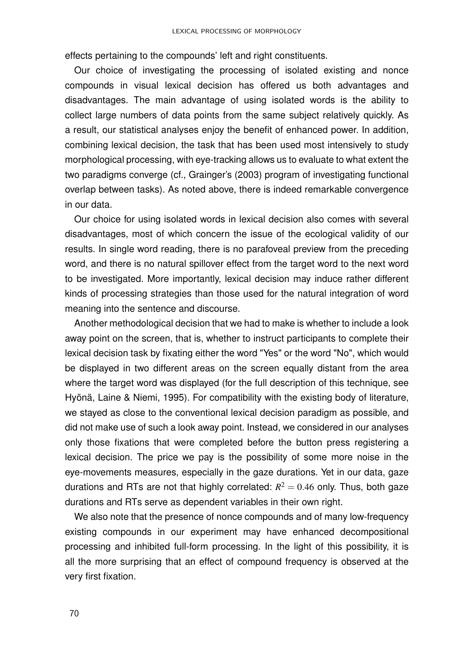effects pertaining to the compounds' left and right constituents.

Our choice of investigating the processing of isolated existing and nonce compounds in visual lexical decision has offered us both advantages and disadvantages. The main advantage of using isolated words is the ability to collect large numbers of data points from the same subject relatively quickly. As a result, our statistical analyses enjoy the benefit of enhanced power. In addition, combining lexical decision, the task that has been used most intensively to study morphological processing, with eye-tracking allows us to evaluate to what extent the two paradigms converge (cf., Grainger's (2003) program of investigating functional overlap between tasks). As noted above, there is indeed remarkable convergence in our data.

Our choice for using isolated words in lexical decision also comes with several disadvantages, most of which concern the issue of the ecological validity of our results. In single word reading, there is no parafoveal preview from the preceding word, and there is no natural spillover effect from the target word to the next word to be investigated. More importantly, lexical decision may induce rather different kinds of processing strategies than those used for the natural integration of word meaning into the sentence and discourse.

Another methodological decision that we had to make is whether to include a look away point on the screen, that is, whether to instruct participants to complete their lexical decision task by fixating either the word "Yes" or the word "No", which would be displayed in two different areas on the screen equally distant from the area where the target word was displayed (for the full description of this technique, see Hyönä, Laine & Niemi, 1995). For compatibility with the existing body of literature, we stayed as close to the conventional lexical decision paradigm as possible, and did not make use of such a look away point. Instead, we considered in our analyses only those fixations that were completed before the button press registering a lexical decision. The price we pay is the possibility of some more noise in the eye-movements measures, especially in the gaze durations. Yet in our data, gaze durations and RTs are not that highly correlated:  $R^2 = 0.46$  only. Thus, both gaze durations and RTs serve as dependent variables in their own right.

We also note that the presence of nonce compounds and of many low-frequency existing compounds in our experiment may have enhanced decompositional processing and inhibited full-form processing. In the light of this possibility, it is all the more surprising that an effect of compound frequency is observed at the very first fixation.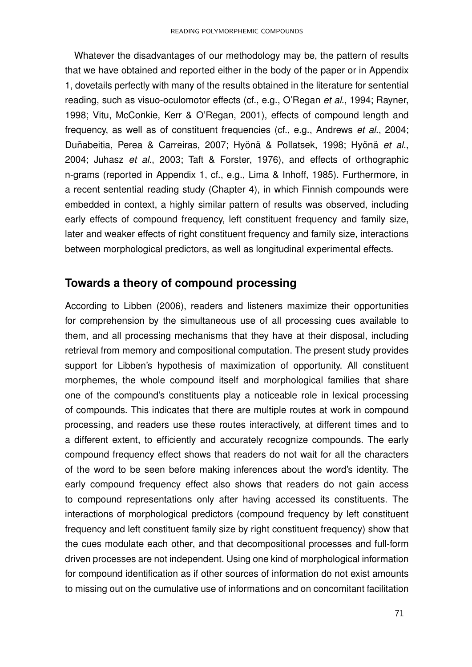Whatever the disadvantages of our methodology may be, the pattern of results that we have obtained and reported either in the body of the paper or in Appendix 1, dovetails perfectly with many of the results obtained in the literature for sentential reading, such as visuo-oculomotor effects (cf., e.g., O'Regan *et al.*, 1994; Rayner, 1998; Vitu, McConkie, Kerr & O'Regan, 2001), effects of compound length and frequency, as well as of constituent frequencies (cf., e.g., Andrews *et al.*, 2004; Duñabeitia, Perea & Carreiras, 2007; Hyönä & Pollatsek, 1998; Hyönä *et al.*, 2004; Juhasz *et al.*, 2003; Taft & Forster, 1976), and effects of orthographic n-grams (reported in Appendix 1, cf., e.g., Lima & Inhoff, 1985). Furthermore, in a recent sentential reading study (Chapter 4), in which Finnish compounds were embedded in context, a highly similar pattern of results was observed, including early effects of compound frequency, left constituent frequency and family size, later and weaker effects of right constituent frequency and family size, interactions between morphological predictors, as well as longitudinal experimental effects.

### **Towards a theory of compound processing**

According to Libben (2006), readers and listeners maximize their opportunities for comprehension by the simultaneous use of all processing cues available to them, and all processing mechanisms that they have at their disposal, including retrieval from memory and compositional computation. The present study provides support for Libben's hypothesis of maximization of opportunity. All constituent morphemes, the whole compound itself and morphological families that share one of the compound's constituents play a noticeable role in lexical processing of compounds. This indicates that there are multiple routes at work in compound processing, and readers use these routes interactively, at different times and to a different extent, to efficiently and accurately recognize compounds. The early compound frequency effect shows that readers do not wait for all the characters of the word to be seen before making inferences about the word's identity. The early compound frequency effect also shows that readers do not gain access to compound representations only after having accessed its constituents. The interactions of morphological predictors (compound frequency by left constituent frequency and left constituent family size by right constituent frequency) show that the cues modulate each other, and that decompositional processes and full-form driven processes are not independent. Using one kind of morphological information for compound identification as if other sources of information do not exist amounts to missing out on the cumulative use of informations and on concomitant facilitation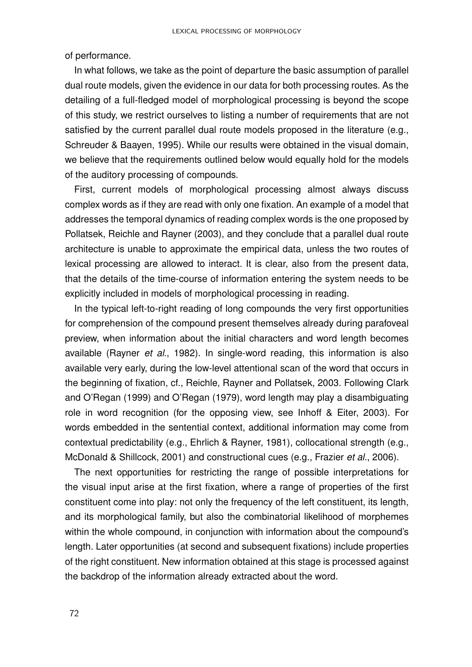of performance.

In what follows, we take as the point of departure the basic assumption of parallel dual route models, given the evidence in our data for both processing routes. As the detailing of a full-fledged model of morphological processing is beyond the scope of this study, we restrict ourselves to listing a number of requirements that are not satisfied by the current parallel dual route models proposed in the literature (e.g., Schreuder & Baayen, 1995). While our results were obtained in the visual domain, we believe that the requirements outlined below would equally hold for the models of the auditory processing of compounds.

First, current models of morphological processing almost always discuss complex words as if they are read with only one fixation. An example of a model that addresses the temporal dynamics of reading complex words is the one proposed by Pollatsek, Reichle and Rayner (2003), and they conclude that a parallel dual route architecture is unable to approximate the empirical data, unless the two routes of lexical processing are allowed to interact. It is clear, also from the present data, that the details of the time-course of information entering the system needs to be explicitly included in models of morphological processing in reading.

In the typical left-to-right reading of long compounds the very first opportunities for comprehension of the compound present themselves already during parafoveal preview, when information about the initial characters and word length becomes available (Rayner *et al.*, 1982). In single-word reading, this information is also available very early, during the low-level attentional scan of the word that occurs in the beginning of fixation, cf., Reichle, Rayner and Pollatsek, 2003. Following Clark and O'Regan (1999) and O'Regan (1979), word length may play a disambiguating role in word recognition (for the opposing view, see Inhoff & Eiter, 2003). For words embedded in the sentential context, additional information may come from contextual predictability (e.g., Ehrlich & Rayner, 1981), collocational strength (e.g., McDonald & Shillcock, 2001) and constructional cues (e.g., Frazier *et al.*, 2006).

The next opportunities for restricting the range of possible interpretations for the visual input arise at the first fixation, where a range of properties of the first constituent come into play: not only the frequency of the left constituent, its length, and its morphological family, but also the combinatorial likelihood of morphemes within the whole compound, in conjunction with information about the compound's length. Later opportunities (at second and subsequent fixations) include properties of the right constituent. New information obtained at this stage is processed against the backdrop of the information already extracted about the word.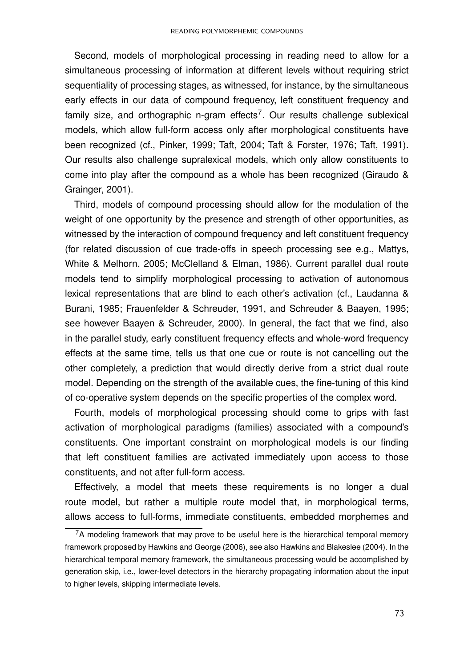Second, models of morphological processing in reading need to allow for a simultaneous processing of information at different levels without requiring strict sequentiality of processing stages, as witnessed, for instance, by the simultaneous early effects in our data of compound frequency, left constituent frequency and family size, and orthographic n-gram effects<sup>7</sup>. Our results challenge sublexical models, which allow full-form access only after morphological constituents have been recognized (cf., Pinker, 1999; Taft, 2004; Taft & Forster, 1976; Taft, 1991). Our results also challenge supralexical models, which only allow constituents to come into play after the compound as a whole has been recognized (Giraudo & Grainger, 2001).

Third, models of compound processing should allow for the modulation of the weight of one opportunity by the presence and strength of other opportunities, as witnessed by the interaction of compound frequency and left constituent frequency (for related discussion of cue trade-offs in speech processing see e.g., Mattys, White & Melhorn, 2005; McClelland & Elman, 1986). Current parallel dual route models tend to simplify morphological processing to activation of autonomous lexical representations that are blind to each other's activation (cf., Laudanna & Burani, 1985; Frauenfelder & Schreuder, 1991, and Schreuder & Baayen, 1995; see however Baayen & Schreuder, 2000). In general, the fact that we find, also in the parallel study, early constituent frequency effects and whole-word frequency effects at the same time, tells us that one cue or route is not cancelling out the other completely, a prediction that would directly derive from a strict dual route model. Depending on the strength of the available cues, the fine-tuning of this kind of co-operative system depends on the specific properties of the complex word.

Fourth, models of morphological processing should come to grips with fast activation of morphological paradigms (families) associated with a compound's constituents. One important constraint on morphological models is our finding that left constituent families are activated immediately upon access to those constituents, and not after full-form access.

Effectively, a model that meets these requirements is no longer a dual route model, but rather a multiple route model that, in morphological terms, allows access to full-forms, immediate constituents, embedded morphemes and

 $7A$  modeling framework that may prove to be useful here is the hierarchical temporal memory framework proposed by Hawkins and George (2006), see also Hawkins and Blakeslee (2004). In the hierarchical temporal memory framework, the simultaneous processing would be accomplished by generation skip, i.e., lower-level detectors in the hierarchy propagating information about the input to higher levels, skipping intermediate levels.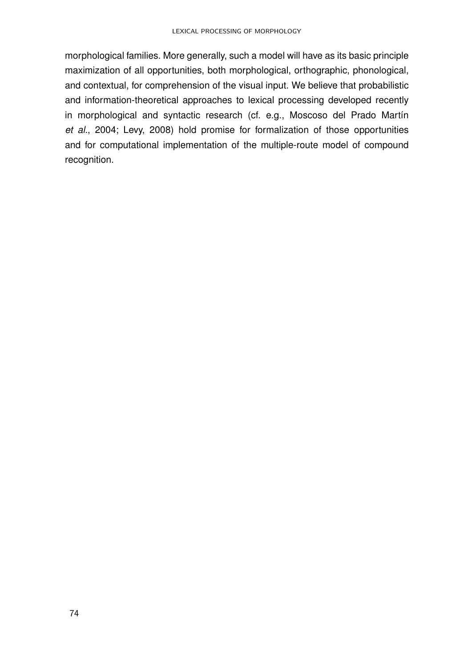morphological families. More generally, such a model will have as its basic principle maximization of all opportunities, both morphological, orthographic, phonological, and contextual, for comprehension of the visual input. We believe that probabilistic and information-theoretical approaches to lexical processing developed recently in morphological and syntactic research (cf. e.g., Moscoso del Prado Martín *et al.*, 2004; Levy, 2008) hold promise for formalization of those opportunities and for computational implementation of the multiple-route model of compound recognition.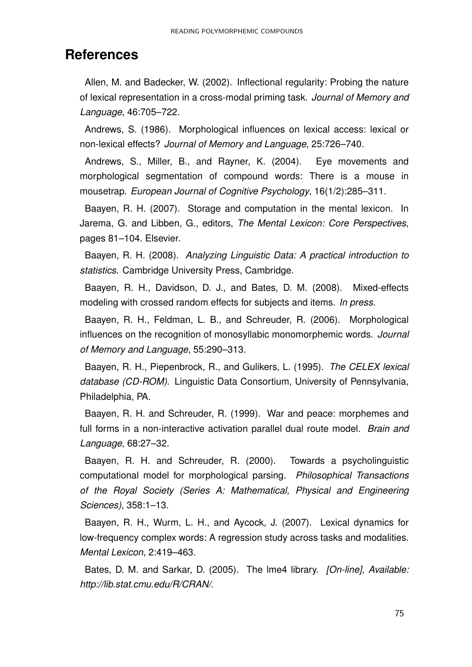# **References**

Allen, M. and Badecker, W. (2002). Inflectional regularity: Probing the nature of lexical representation in a cross-modal priming task. *Journal of Memory and Language*, 46:705–722.

Andrews, S. (1986). Morphological influences on lexical access: lexical or non-lexical effects? *Journal of Memory and Language*, 25:726–740.

Andrews, S., Miller, B., and Rayner, K. (2004). Eye movements and morphological segmentation of compound words: There is a mouse in mousetrap. *European Journal of Cognitive Psychology*, 16(1/2):285–311.

Baayen, R. H. (2007). Storage and computation in the mental lexicon. In Jarema, G. and Libben, G., editors, *The Mental Lexicon: Core Perspectives*, pages 81–104. Elsevier.

Baayen, R. H. (2008). *Analyzing Linguistic Data: A practical introduction to statistics*. Cambridge University Press, Cambridge.

Baayen, R. H., Davidson, D. J., and Bates, D. M. (2008). Mixed-effects modeling with crossed random effects for subjects and items. *In press*.

Baayen, R. H., Feldman, L. B., and Schreuder, R. (2006). Morphological influences on the recognition of monosyllabic monomorphemic words. *Journal of Memory and Language*, 55:290–313.

Baayen, R. H., Piepenbrock, R., and Gulikers, L. (1995). *The CELEX lexical database (CD-ROM)*. Linguistic Data Consortium, University of Pennsylvania, Philadelphia, PA.

Baayen, R. H. and Schreuder, R. (1999). War and peace: morphemes and full forms in a non-interactive activation parallel dual route model. *Brain and Language*, 68:27–32.

Baayen, R. H. and Schreuder, R. (2000). Towards a psycholinguistic computational model for morphological parsing. *Philosophical Transactions of the Royal Society (Series A: Mathematical, Physical and Engineering Sciences)*, 358:1–13.

Baayen, R. H., Wurm, L. H., and Aycock, J. (2007). Lexical dynamics for low-frequency complex words: A regression study across tasks and modalities. *Mental Lexicon*, 2:419–463.

Bates, D. M. and Sarkar, D. (2005). The lme4 library. *[On-line], Available: http://lib.stat.cmu.edu/R/CRAN/*.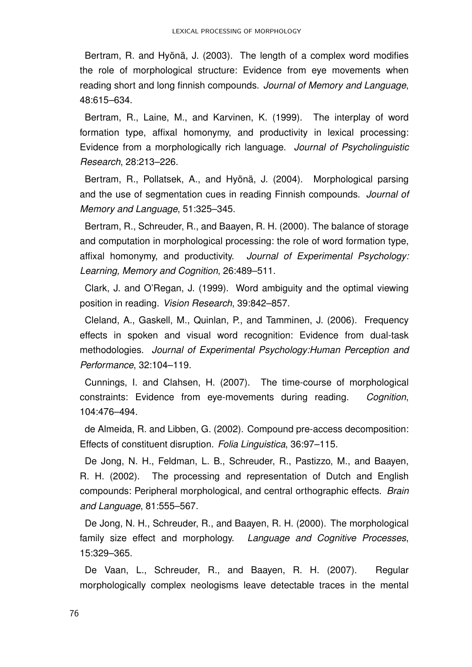Bertram, R. and Hyönä, J. (2003). The length of a complex word modifies the role of morphological structure: Evidence from eye movements when reading short and long finnish compounds. *Journal of Memory and Language*, 48:615–634.

Bertram, R., Laine, M., and Karvinen, K. (1999). The interplay of word formation type, affixal homonymy, and productivity in lexical processing: Evidence from a morphologically rich language. *Journal of Psycholinguistic Research*, 28:213–226.

Bertram, R., Pollatsek, A., and Hyönä, J. (2004). Morphological parsing and the use of segmentation cues in reading Finnish compounds. *Journal of Memory and Language*, 51:325–345.

Bertram, R., Schreuder, R., and Baayen, R. H. (2000). The balance of storage and computation in morphological processing: the role of word formation type, affixal homonymy, and productivity. *Journal of Experimental Psychology: Learning, Memory and Cognition*, 26:489–511.

Clark, J. and O'Regan, J. (1999). Word ambiguity and the optimal viewing position in reading. *Vision Research*, 39:842–857.

Cleland, A., Gaskell, M., Quinlan, P., and Tamminen, J. (2006). Frequency effects in spoken and visual word recognition: Evidence from dual-task methodologies. *Journal of Experimental Psychology:Human Perception and Performance*, 32:104–119.

Cunnings, I. and Clahsen, H. (2007). The time-course of morphological constraints: Evidence from eye-movements during reading. *Cognition*, 104:476–494.

de Almeida, R. and Libben, G. (2002). Compound pre-access decomposition: Effects of constituent disruption. *Folia Linguistica*, 36:97–115.

De Jong, N. H., Feldman, L. B., Schreuder, R., Pastizzo, M., and Baayen, R. H. (2002). The processing and representation of Dutch and English compounds: Peripheral morphological, and central orthographic effects. *Brain and Language*, 81:555–567.

De Jong, N. H., Schreuder, R., and Baayen, R. H. (2000). The morphological family size effect and morphology. *Language and Cognitive Processes*, 15:329–365.

De Vaan, L., Schreuder, R., and Baayen, R. H. (2007). Regular morphologically complex neologisms leave detectable traces in the mental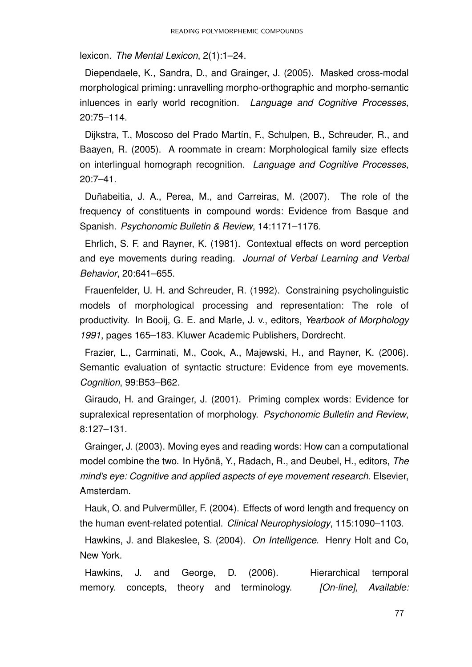lexicon. *The Mental Lexicon*, 2(1):1–24.

Diependaele, K., Sandra, D., and Grainger, J. (2005). Masked cross-modal morphological priming: unravelling morpho-orthographic and morpho-semantic inluences in early world recognition. *Language and Cognitive Processes*, 20:75–114.

Dijkstra, T., Moscoso del Prado Martín, F., Schulpen, B., Schreuder, R., and Baayen, R. (2005). A roommate in cream: Morphological family size effects on interlingual homograph recognition. *Language and Cognitive Processes*, 20:7–41.

Duñabeitia, J. A., Perea, M., and Carreiras, M. (2007). The role of the frequency of constituents in compound words: Evidence from Basque and Spanish. *Psychonomic Bulletin & Review*, 14:1171–1176.

Ehrlich, S. F. and Rayner, K. (1981). Contextual effects on word perception and eye movements during reading. *Journal of Verbal Learning and Verbal Behavior*, 20:641–655.

Frauenfelder, U. H. and Schreuder, R. (1992). Constraining psycholinguistic models of morphological processing and representation: The role of productivity. In Booij, G. E. and Marle, J. v., editors, *Yearbook of Morphology 1991*, pages 165–183. Kluwer Academic Publishers, Dordrecht.

Frazier, L., Carminati, M., Cook, A., Majewski, H., and Rayner, K. (2006). Semantic evaluation of syntactic structure: Evidence from eye movements. *Cognition*, 99:B53–B62.

Giraudo, H. and Grainger, J. (2001). Priming complex words: Evidence for supralexical representation of morphology. *Psychonomic Bulletin and Review*, 8:127–131.

Grainger, J. (2003). Moving eyes and reading words: How can a computational model combine the two. In Hyönä, Y., Radach, R., and Deubel, H., editors, *The mind's eye: Cognitive and applied aspects of eye movement research*. Elsevier, Amsterdam.

Hauk, O. and Pulvermüller, F. (2004). Effects of word length and frequency on the human event-related potential. *Clinical Neurophysiology*, 115:1090–1103.

Hawkins, J. and Blakeslee, S. (2004). *On Intelligence*. Henry Holt and Co, New York.

Hawkins, J. and George, D. (2006). Hierarchical temporal memory. concepts, theory and terminology. *[On-line], Available:*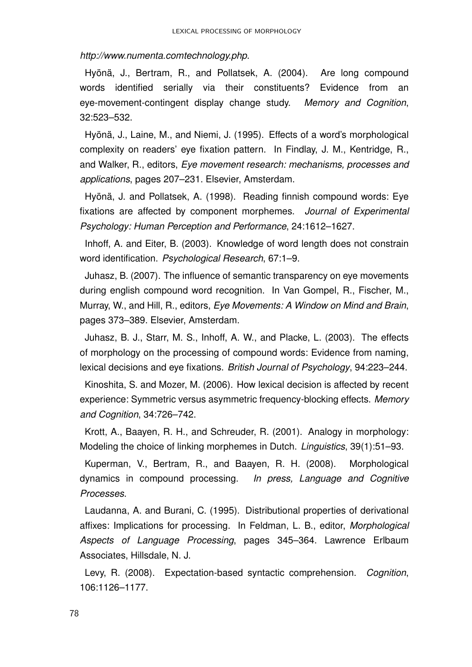#### *http://www.numenta.comtechnology.php*.

Hyönä, J., Bertram, R., and Pollatsek, A. (2004). Are long compound words identified serially via their constituents? Evidence from an eye-movement-contingent display change study. *Memory and Cognition*, 32:523–532.

Hyönä, J., Laine, M., and Niemi, J. (1995). Effects of a word's morphological complexity on readers' eye fixation pattern. In Findlay, J. M., Kentridge, R., and Walker, R., editors, *Eye movement research: mechanisms, processes and applications*, pages 207–231. Elsevier, Amsterdam.

Hyönä, J. and Pollatsek, A. (1998). Reading finnish compound words: Eye fixations are affected by component morphemes. *Journal of Experimental Psychology: Human Perception and Performance*, 24:1612–1627.

Inhoff, A. and Eiter, B. (2003). Knowledge of word length does not constrain word identification. *Psychological Research*, 67:1–9.

Juhasz, B. (2007). The influence of semantic transparency on eye movements during english compound word recognition. In Van Gompel, R., Fischer, M., Murray, W., and Hill, R., editors, *Eye Movements: A Window on Mind and Brain*, pages 373–389. Elsevier, Amsterdam.

Juhasz, B. J., Starr, M. S., Inhoff, A. W., and Placke, L. (2003). The effects of morphology on the processing of compound words: Evidence from naming, lexical decisions and eye fixations. *British Journal of Psychology*, 94:223–244.

Kinoshita, S. and Mozer, M. (2006). How lexical decision is affected by recent experience: Symmetric versus asymmetric frequency-blocking effects. *Memory and Cognition*, 34:726–742.

Krott, A., Baayen, R. H., and Schreuder, R. (2001). Analogy in morphology: Modeling the choice of linking morphemes in Dutch. *Linguistics*, 39(1):51–93.

Kuperman, V., Bertram, R., and Baayen, R. H. (2008). Morphological dynamics in compound processing. *In press, Language and Cognitive Processes*.

Laudanna, A. and Burani, C. (1995). Distributional properties of derivational affixes: Implications for processing. In Feldman, L. B., editor, *Morphological Aspects of Language Processing*, pages 345–364. Lawrence Erlbaum Associates, Hillsdale, N. J.

Levy, R. (2008). Expectation-based syntactic comprehension. *Cognition*, 106:1126–1177.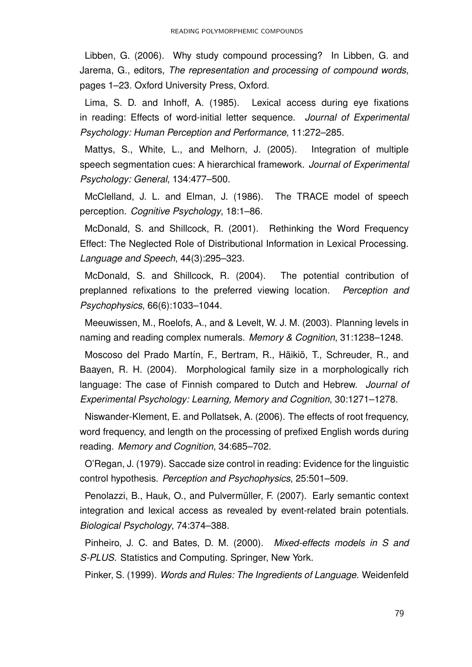Libben, G. (2006). Why study compound processing? In Libben, G. and Jarema, G., editors, *The representation and processing of compound words*, pages 1–23. Oxford University Press, Oxford.

Lima, S. D. and Inhoff, A. (1985). Lexical access during eye fixations in reading: Effects of word-initial letter sequence. *Journal of Experimental Psychology: Human Perception and Performance*, 11:272–285.

Mattys, S., White, L., and Melhorn, J. (2005). Integration of multiple speech segmentation cues: A hierarchical framework. *Journal of Experimental Psychology: General*, 134:477–500.

McClelland, J. L. and Elman, J. (1986). The TRACE model of speech perception. *Cognitive Psychology*, 18:1–86.

McDonald, S. and Shillcock, R. (2001). Rethinking the Word Frequency Effect: The Neglected Role of Distributional Information in Lexical Processing. *Language and Speech*, 44(3):295–323.

McDonald, S. and Shillcock, R. (2004). The potential contribution of preplanned refixations to the preferred viewing location. *Perception and Psychophysics*, 66(6):1033–1044.

Meeuwissen, M., Roelofs, A., and & Levelt, W. J. M. (2003). Planning levels in naming and reading complex numerals. *Memory & Cognition*, 31:1238–1248.

Moscoso del Prado Martín, F., Bertram, R., Häikiö, T., Schreuder, R., and Baayen, R. H. (2004). Morphological family size in a morphologically rich language: The case of Finnish compared to Dutch and Hebrew. *Journal of Experimental Psychology: Learning, Memory and Cognition*, 30:1271–1278.

Niswander-Klement, E. and Pollatsek, A. (2006). The effects of root frequency, word frequency, and length on the processing of prefixed English words during reading. *Memory and Cognition*, 34:685–702.

O'Regan, J. (1979). Saccade size control in reading: Evidence for the linguistic control hypothesis. *Perception and Psychophysics*, 25:501–509.

Penolazzi, B., Hauk, O., and Pulvermüller, F. (2007). Early semantic context integration and lexical access as revealed by event-related brain potentials. *Biological Psychology*, 74:374–388.

Pinheiro, J. C. and Bates, D. M. (2000). *Mixed-effects models in S and S-PLUS*. Statistics and Computing. Springer, New York.

Pinker, S. (1999). *Words and Rules: The Ingredients of Language*. Weidenfeld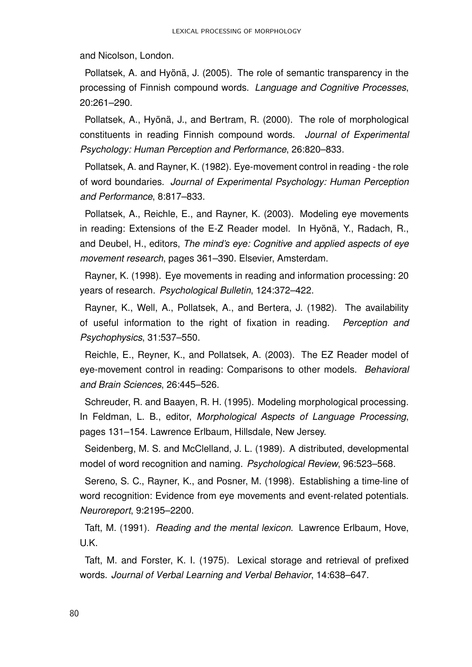and Nicolson, London.

Pollatsek, A. and Hyönä, J. (2005). The role of semantic transparency in the processing of Finnish compound words. *Language and Cognitive Processes*, 20:261–290.

Pollatsek, A., Hyönä, J., and Bertram, R. (2000). The role of morphological constituents in reading Finnish compound words. *Journal of Experimental Psychology: Human Perception and Performance*, 26:820–833.

Pollatsek, A. and Rayner, K. (1982). Eye-movement control in reading - the role of word boundaries. *Journal of Experimental Psychology: Human Perception and Performance*, 8:817–833.

Pollatsek, A., Reichle, E., and Rayner, K. (2003). Modeling eye movements in reading: Extensions of the E-Z Reader model. In Hyönä, Y., Radach, R., and Deubel, H., editors, *The mind's eye: Cognitive and applied aspects of eye movement research*, pages 361–390. Elsevier, Amsterdam.

Rayner, K. (1998). Eye movements in reading and information processing: 20 years of research. *Psychological Bulletin*, 124:372–422.

Rayner, K., Well, A., Pollatsek, A., and Bertera, J. (1982). The availability of useful information to the right of fixation in reading. *Perception and Psychophysics*, 31:537–550.

Reichle, E., Reyner, K., and Pollatsek, A. (2003). The EZ Reader model of eye-movement control in reading: Comparisons to other models. *Behavioral and Brain Sciences*, 26:445–526.

Schreuder, R. and Baayen, R. H. (1995). Modeling morphological processing. In Feldman, L. B., editor, *Morphological Aspects of Language Processing*, pages 131–154. Lawrence Erlbaum, Hillsdale, New Jersey.

Seidenberg, M. S. and McClelland, J. L. (1989). A distributed, developmental model of word recognition and naming. *Psychological Review*, 96:523–568.

Sereno, S. C., Rayner, K., and Posner, M. (1998). Establishing a time-line of word recognition: Evidence from eye movements and event-related potentials. *Neuroreport*, 9:2195–2200.

Taft, M. (1991). *Reading and the mental lexicon*. Lawrence Erlbaum, Hove, U.K.

Taft, M. and Forster, K. I. (1975). Lexical storage and retrieval of prefixed words. *Journal of Verbal Learning and Verbal Behavior*, 14:638–647.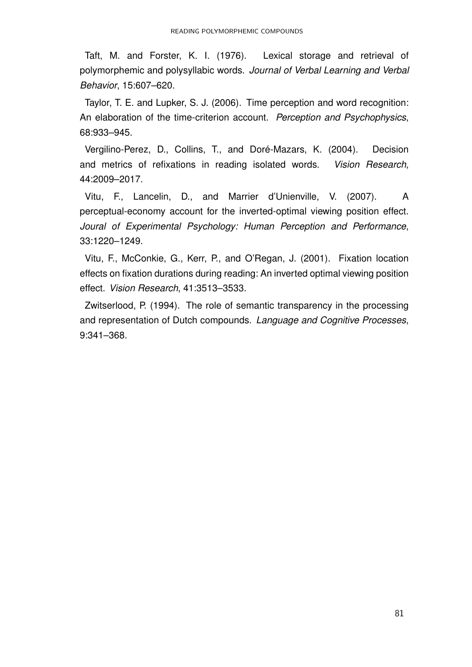Taft, M. and Forster, K. I. (1976). Lexical storage and retrieval of polymorphemic and polysyllabic words. *Journal of Verbal Learning and Verbal Behavior*, 15:607–620.

Taylor, T. E. and Lupker, S. J. (2006). Time perception and word recognition: An elaboration of the time-criterion account. *Perception and Psychophysics*, 68:933–945.

Vergilino-Perez, D., Collins, T., and Doré-Mazars, K. (2004). Decision and metrics of refixations in reading isolated words. *Vision Research*, 44:2009–2017.

Vitu, F., Lancelin, D., and Marrier d'Unienville, V. (2007). A perceptual-economy account for the inverted-optimal viewing position effect. *Joural of Experimental Psychology: Human Perception and Performance*, 33:1220–1249.

Vitu, F., McConkie, G., Kerr, P., and O'Regan, J. (2001). Fixation location effects on fixation durations during reading: An inverted optimal viewing position effect. *Vision Research*, 41:3513–3533.

Zwitserlood, P. (1994). The role of semantic transparency in the processing and representation of Dutch compounds. *Language and Cognitive Processes*, 9:341–368.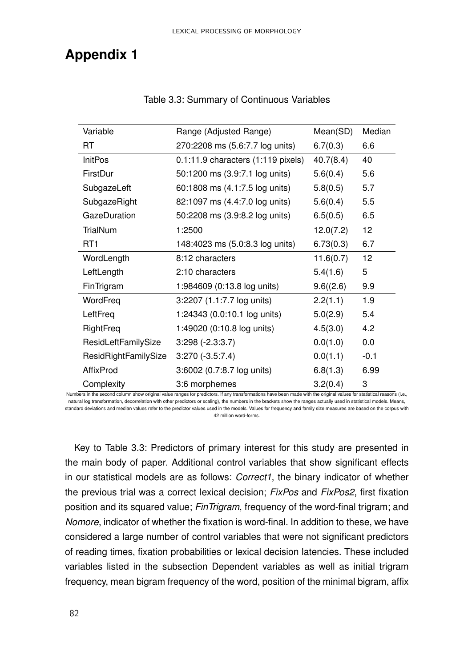# **Appendix 1**

| Variable                    | Range (Adjusted Range)                 | Mean(SD)  | Median |
|-----------------------------|----------------------------------------|-----------|--------|
| <b>RT</b>                   | 270:2208 ms (5.6:7.7 log units)        | 6.7(0.3)  | 6.6    |
| <b>InitPos</b>              | $0.1:11.9$ characters $(1:119$ pixels) | 40.7(8.4) | 40     |
| FirstDur                    | 50:1200 ms (3.9:7.1 log units)         | 5.6(0.4)  | 5.6    |
| SubgazeLeft                 | 60:1808 ms (4.1:7.5 log units)         | 5.8(0.5)  | 5.7    |
| SubgazeRight                | 82:1097 ms (4.4:7.0 log units)         | 5.6(0.4)  | 5.5    |
| GazeDuration                | 50:2208 ms (3.9:8.2 log units)         | 6.5(0.5)  | 6.5    |
| TrialNum                    | 1:2500                                 | 12.0(7.2) | 12     |
| RT <sub>1</sub>             | 148:4023 ms (5.0:8.3 log units)        | 6.73(0.3) | 6.7    |
| WordLength                  | 8:12 characters                        | 11.6(0.7) | 12     |
| LeftLength                  | 2:10 characters                        | 5.4(1.6)  | 5      |
| FinTrigram                  | 1:984609 (0:13.8 log units)            | 9.6((2.6) | 9.9    |
| WordFreq                    | 3:2207 (1.1:7.7 log units)             | 2.2(1.1)  | 1.9    |
| LeftFreq                    | 1:24343 (0.0:10.1 log units)           | 5.0(2.9)  | 5.4    |
| RightFreq                   | 1:49020 (0:10.8 log units)             | 4.5(3.0)  | 4.2    |
| ResidLeftFamilySize         | $3:298 (-2.3:3.7)$                     | 0.0(1.0)  | 0.0    |
| <b>ResidRightFamilySize</b> | $3:270 (-3.5:7.4)$                     | 0.0(1.1)  | $-0.1$ |
| AffixProd                   | 3:6002 (0.7:8.7 log units)             | 6.8(1.3)  | 6.99   |
| Complexity                  | 3:6 morphemes                          | 3.2(0.4)  | 3      |

Table 3.3: Summary of Continuous Variables

Numbers in the second column show original value ranges for predictors. If any transformations have been made with the original values for statistical reasons (i.e., natural log transformation, decorrelation with other predictors or scaling), the numbers in the brackets show the ranges actually used in statistical models. Means, standard deviations and median values refer to the predictor values used in the models. Values for frequency and family size measures are based on the corpus with 42 million word-forms.

Key to Table 3.3: Predictors of primary interest for this study are presented in the main body of paper. Additional control variables that show significant effects in our statistical models are as follows: *Correct1*, the binary indicator of whether the previous trial was a correct lexical decision; *FixPos* and *FixPos2*, first fixation position and its squared value; *FinTrigram*, frequency of the word-final trigram; and *Nomore*, indicator of whether the fixation is word-final. In addition to these, we have considered a large number of control variables that were not significant predictors of reading times, fixation probabilities or lexical decision latencies. These included variables listed in the subsection Dependent variables as well as initial trigram frequency, mean bigram frequency of the word, position of the minimal bigram, affix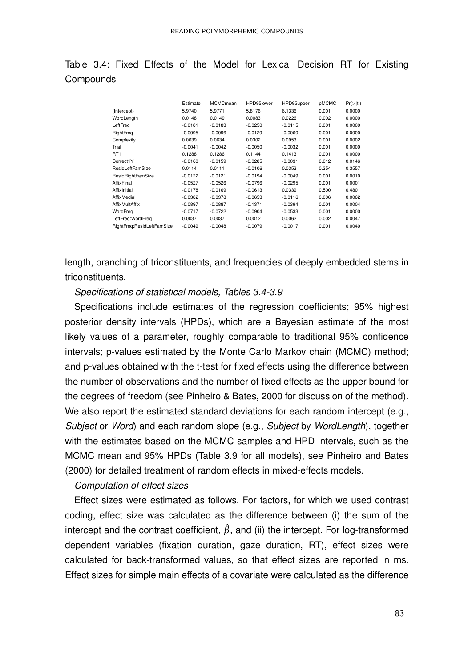|           |  |  |  |  | Table 3.4: Fixed Effects of the Model for Lexical Decision RT for Existing |  |  |
|-----------|--|--|--|--|----------------------------------------------------------------------------|--|--|
| Compounds |  |  |  |  |                                                                            |  |  |

|                            |           | <b>MCMCmean</b> |            |            |       |          |
|----------------------------|-----------|-----------------|------------|------------|-------|----------|
|                            | Estimate  |                 | HPD95lower | HPD95upper | pMCMC | Pr(> t ) |
| (Intercept)                | 5.9740    | 5.9771          | 5.8176     | 6.1336     | 0.001 | 0.0000   |
| WordLength                 | 0.0148    | 0.0149          | 0.0083     | 0.0226     | 0.002 | 0.0000   |
| LeftFreg                   | $-0.0181$ | $-0.0183$       | $-0.0250$  | $-0.0115$  | 0.001 | 0.0000   |
| RightFreg                  | $-0.0095$ | $-0.0096$       | $-0.0129$  | $-0.0060$  | 0.001 | 0.0000   |
| Complexity                 | 0.0639    | 0.0634          | 0.0302     | 0.0953     | 0.001 | 0.0002   |
| Trial                      | $-0.0041$ | $-0.0042$       | $-0.0050$  | $-0.0032$  | 0.001 | 0.0000   |
| RT <sub>1</sub>            | 0.1288    | 0.1286          | 0.1144     | 0.1413     | 0.001 | 0.0000   |
| Correct1Y                  | $-0.0160$ | $-0.0159$       | $-0.0285$  | $-0.0031$  | 0.012 | 0.0146   |
| ResidLeftFamSize           | 0.0114    | 0.0111          | $-0.0106$  | 0.0353     | 0.354 | 0.3557   |
| <b>ResidRightFamSize</b>   | $-0.0122$ | $-0.0121$       | $-0.0194$  | $-0.0049$  | 0.001 | 0.0010   |
| AffixFinal                 | $-0.0527$ | $-0.0526$       | $-0.0796$  | $-0.0295$  | 0.001 | 0.0001   |
| AffixInitial               | $-0.0178$ | $-0.0169$       | $-0.0613$  | 0.0339     | 0.500 | 0.4801   |
| AffixMedial                | $-0.0382$ | $-0.0378$       | $-0.0653$  | $-0.0116$  | 0.006 | 0.0062   |
| AffixMultAffix             | $-0.0897$ | $-0.0887$       | $-0.1371$  | $-0.0394$  | 0.001 | 0.0004   |
| WordFreg                   | $-0.0717$ | $-0.0722$       | $-0.0904$  | $-0.0533$  | 0.001 | 0.0000   |
| LeftFreg:WordFreg          | 0.0037    | 0.0037          | 0.0012     | 0.0062     | 0.002 | 0.0047   |
| RightFreg:ResidLeftFamSize | $-0.0049$ | $-0.0048$       | $-0.0079$  | $-0.0017$  | 0.001 | 0.0040   |

length, branching of triconstituents, and frequencies of deeply embedded stems in triconstituents.

#### *Specifications of statistical models, Tables 3.4-3.9*

Specifications include estimates of the regression coefficients; 95% highest posterior density intervals (HPDs), which are a Bayesian estimate of the most likely values of a parameter, roughly comparable to traditional 95% confidence intervals; p-values estimated by the Monte Carlo Markov chain (MCMC) method; and p-values obtained with the t-test for fixed effects using the difference between the number of observations and the number of fixed effects as the upper bound for the degrees of freedom (see Pinheiro & Bates, 2000 for discussion of the method). We also report the estimated standard deviations for each random intercept (e.g., *Subject* or *Word*) and each random slope (e.g., *Subject* by *WordLength*), together with the estimates based on the MCMC samples and HPD intervals, such as the MCMC mean and 95% HPDs (Table 3.9 for all models), see Pinheiro and Bates (2000) for detailed treatment of random effects in mixed-effects models.

#### *Computation of effect sizes*

Effect sizes were estimated as follows. For factors, for which we used contrast coding, effect size was calculated as the difference between (i) the sum of the intercept and the contrast coefficient,  $\hat{\beta}$ , and (ii) the intercept. For log-transformed dependent variables (fixation duration, gaze duration, RT), effect sizes were calculated for back-transformed values, so that effect sizes are reported in ms. Effect sizes for simple main effects of a covariate were calculated as the difference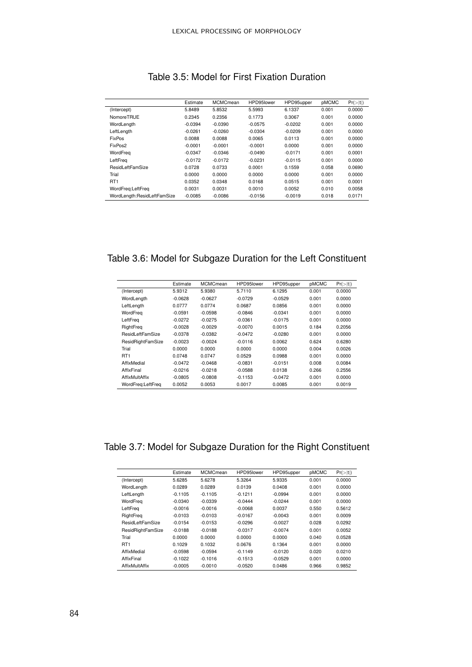|                             | Estimate  | MCMCmean  | HPD95lower | HPD95upper | pMCMC | Pr(> t ) |
|-----------------------------|-----------|-----------|------------|------------|-------|----------|
| (Intercept)                 | 5.8489    | 5.8532    | 5.5993     | 6.1337     | 0.001 | 0.0000   |
| NomoreTRUE                  | 0.2345    | 0.2356    | 0.1773     | 0.3067     | 0.001 | 0.0000   |
| WordLength                  | $-0.0394$ | $-0.0390$ | $-0.0575$  | $-0.0202$  | 0.001 | 0.0000   |
| LeftLength                  | $-0.0261$ | $-0.0260$ | $-0.0304$  | $-0.0209$  | 0.001 | 0.0000   |
| <b>FixPos</b>               | 0.0088    | 0.0088    | 0.0065     | 0.0113     | 0.001 | 0.0000   |
| FixPos2                     | $-0.0001$ | $-0.0001$ | $-0.0001$  | 0.0000     | 0.001 | 0.0000   |
| WordFreg                    | $-0.0347$ | $-0.0346$ | $-0.0490$  | $-0.0171$  | 0.001 | 0.0001   |
| LeftFrea                    | $-0.0172$ | $-0.0172$ | $-0.0231$  | $-0.0115$  | 0.001 | 0.0000   |
| <b>ResidLeftFamSize</b>     | 0.0728    | 0.0733    | 0.0001     | 0.1559     | 0.058 | 0.0690   |
| Trial                       | 0.0000    | 0.0000    | 0.0000     | 0.0000     | 0.001 | 0.0000   |
| RT <sub>1</sub>             | 0.0352    | 0.0348    | 0.0168     | 0.0515     | 0.001 | 0.0001   |
| WordFreg:LeftFreg           | 0.0031    | 0.0031    | 0.0010     | 0.0052     | 0.010 | 0.0058   |
| WordLength:ResidLeftFamSize | $-0.0085$ | $-0.0086$ | $-0.0156$  | $-0.0019$  | 0.018 | 0.0171   |

## Table 3.5: Model for First Fixation Duration

Table 3.6: Model for Subgaze Duration for the Left Constituent

|                          | Estimate  | MCMCmean  | HPD95lower | HPD95upper | pMCMC | Pr(> t ) |
|--------------------------|-----------|-----------|------------|------------|-------|----------|
| (Intercept)              | 5.9312    | 5.9380    | 5.7110     | 6.1295     | 0.001 | 0.0000   |
| WordLength               | $-0.0628$ | $-0.0627$ | $-0.0729$  | $-0.0529$  | 0.001 | 0.0000   |
| LeftLength               | 0.0777    | 0.0774    | 0.0687     | 0.0856     | 0.001 | 0.0000   |
| WordFrea                 | $-0.0591$ | $-0.0598$ | $-0.0846$  | $-0.0341$  | 0.001 | 0.0000   |
| LeftFreg                 | $-0.0272$ | $-0.0275$ | $-0.0361$  | $-0.0175$  | 0.001 | 0.0000   |
| RightFreg                | $-0.0028$ | $-0.0029$ | $-0.0070$  | 0.0015     | 0.184 | 0.2056   |
| <b>ResidLeftFamSize</b>  | $-0.0378$ | $-0.0382$ | $-0.0472$  | $-0.0280$  | 0.001 | 0.0000   |
| <b>ResidRightFamSize</b> | $-0.0023$ | $-0.0024$ | $-0.0116$  | 0.0062     | 0.624 | 0.6280   |
| Trial                    | 0.0000    | 0.0000    | 0.0000     | 0.0000     | 0.004 | 0.0026   |
| RT <sub>1</sub>          | 0.0748    | 0.0747    | 0.0529     | 0.0988     | 0.001 | 0.0000   |
| AffixMedial              | $-0.0472$ | $-0.0468$ | $-0.0831$  | $-0.0151$  | 0.008 | 0.0084   |
| AffixFinal               | $-0.0216$ | $-0.0218$ | $-0.0588$  | 0.0138     | 0.266 | 0.2556   |
| AffixMultAffix           | $-0.0805$ | $-0.0808$ | $-0.1153$  | $-0.0472$  | 0.001 | 0.0000   |
| WordFreg:LeftFreg        | 0.0052    | 0.0053    | 0.0017     | 0.0085     | 0.001 | 0.0019   |

## Table 3.7: Model for Subgaze Duration for the Right Constituent

|                          | Estimate  | <b>MCMCmean</b> | HPD95lower | HPD95upper | pMCMC | Pr(> t ) |
|--------------------------|-----------|-----------------|------------|------------|-------|----------|
| (Intercept)              | 5.6285    | 5.6278          | 5.3264     | 5.9335     | 0.001 | 0.0000   |
| WordLength               | 0.0289    | 0.0289          | 0.0139     | 0.0408     | 0.001 | 0.0000   |
| LeftLength               | $-0.1105$ | $-0.1105$       | $-0.1211$  | $-0.0994$  | 0.001 | 0.0000   |
| WordFreg                 | $-0.0340$ | $-0.0339$       | $-0.0444$  | $-0.0244$  | 0.001 | 0.0000   |
| LeftFreg                 | $-0.0016$ | $-0.0016$       | $-0.0068$  | 0.0037     | 0.550 | 0.5612   |
| RightFreg                | $-0.0103$ | $-0.0103$       | $-0.0167$  | $-0.0043$  | 0.001 | 0.0009   |
| <b>ResidLeftFamSize</b>  | $-0.0154$ | $-0.0153$       | $-0.0296$  | $-0.0027$  | 0.028 | 0.0292   |
| <b>ResidRightFamSize</b> | $-0.0188$ | $-0.0188$       | $-0.0317$  | $-0.0074$  | 0.001 | 0.0052   |
| Trial                    | 0.0000    | 0.0000          | 0.0000     | 0.0000     | 0.040 | 0.0528   |
| RT <sub>1</sub>          | 0.1029    | 0.1032          | 0.0676     | 0.1364     | 0.001 | 0.0000   |
| AffixMedial              | $-0.0598$ | $-0.0594$       | $-0.1149$  | $-0.0120$  | 0.020 | 0.0210   |
| AffixFinal               | $-0.1022$ | $-0.1016$       | $-0.1513$  | $-0.0529$  | 0.001 | 0.0000   |
| AffixMultAffix           | $-0.0005$ | $-0.0010$       | $-0.0520$  | 0.0486     | 0.966 | 0.9852   |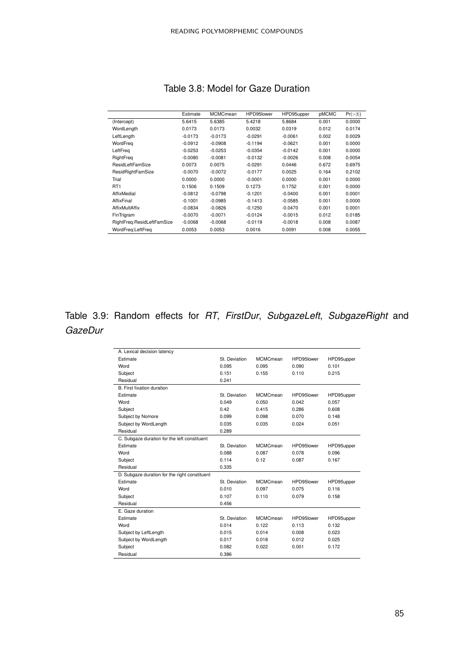|                            | Estimate  | <b>MCMCmean</b> | HPD95lower | HPD95upper | pMCMC | Pr(> t ) |
|----------------------------|-----------|-----------------|------------|------------|-------|----------|
| (Intercept)                | 5.6415    | 5.6385          | 5.4218     | 5.8684     | 0.001 | 0.0000   |
| WordLength                 | 0.0173    | 0.0173          | 0.0032     | 0.0319     | 0.012 | 0.0174   |
| LeftLength                 | $-0.0173$ | $-0.0173$       | $-0.0291$  | $-0.0061$  | 0.002 | 0.0029   |
| WordFreg                   | $-0.0912$ | $-0.0908$       | $-0.1194$  | $-0.0621$  | 0.001 | 0.0000   |
| LeftFreg                   | $-0.0253$ | $-0.0253$       | $-0.0354$  | $-0.0142$  | 0.001 | 0.0000   |
| RightFreg                  | $-0.0080$ | $-0.0081$       | $-0.0132$  | $-0.0026$  | 0.008 | 0.0054   |
| ResidLeftFamSize           | 0.0073    | 0.0075          | $-0.0291$  | 0.0446     | 0.672 | 0.6975   |
| <b>ResidRightFamSize</b>   | $-0.0070$ | $-0.0072$       | $-0.0177$  | 0.0025     | 0.164 | 0.2102   |
| Trial                      | 0.0000    | 0.0000          | $-0.0001$  | 0.0000     | 0.001 | 0.0000   |
| RT <sub>1</sub>            | 0.1506    | 0.1509          | 0.1273     | 0.1752     | 0.001 | 0.0000   |
| AffixMedial                | $-0.0812$ | $-0.0798$       | $-0.1201$  | $-0.0400$  | 0.001 | 0.0001   |
| AffixFinal                 | $-0.1001$ | $-0.0985$       | $-0.1413$  | $-0.0585$  | 0.001 | 0.0000   |
| AffixMultAffix             | $-0.0834$ | $-0.0826$       | $-0.1250$  | $-0.0470$  | 0.001 | 0.0001   |
| FinTrigram                 | $-0.0070$ | $-0.0071$       | $-0.0124$  | $-0.0015$  | 0.012 | 0.0185   |
| RightFreg:ResidLeftFamSize | $-0.0068$ | $-0.0068$       | $-0.0119$  | $-0.0018$  | 0.008 | 0.0087   |
| WordFreg:LeftFreg          | 0.0053    | 0.0053          | 0.0016     | 0.0091     | 0.008 | 0.0055   |

## Table 3.8: Model for Gaze Duration

Table 3.9: Random effects for *RT*, *FirstDur*, *SubgazeLeft*, *SubgazeRight* and *GazeDur*

| A. Lexical decision latency                   |               |                 |            |            |
|-----------------------------------------------|---------------|-----------------|------------|------------|
| Estimate                                      | St. Deviation | <b>MCMCmean</b> | HPD95lower | HPD95upper |
| Word                                          | 0.095         | 0.095           | 0.090      | 0.101      |
| Subject                                       | 0.151         | 0.155           | 0.110      | 0.215      |
| Residual                                      | 0.241         |                 |            |            |
| B. First fixation duration                    |               |                 |            |            |
| Estimate                                      | St. Deviation | <b>MCMCmean</b> | HPD95lower | HPD95upper |
| Word                                          | 0.049         | 0.050           | 0.042      | 0.057      |
| Subject                                       | 0.42          | 0.415           | 0.286      | 0.608      |
| Subject by Nomore                             | 0.099         | 0.098           | 0.070      | 0.148      |
| Subject by WordLength                         | 0.035         | 0.035           | 0.024      | 0.051      |
| Residual                                      | 0.289         |                 |            |            |
| C. Subgaze duration for the left constituent  |               |                 |            |            |
| Estimate                                      | St. Deviation | <b>MCMCmean</b> | HPD95lower | HPD95upper |
| Word                                          | 0.088         | 0.087           | 0.078      | 0.096      |
| Subject                                       | 0.114         | 0.12            | 0.087      | 0.167      |
| Residual                                      | 0.335         |                 |            |            |
| D. Subgaze duration for the right constituent |               |                 |            |            |
| Estimate                                      | St. Deviation | <b>MCMCmean</b> | HPD95lower | HPD95upper |
| Word                                          | 0.010         | 0.097           | 0.075      | 0.116      |
| Subject                                       | 0.107         | 0.110           | 0.079      | 0.158      |
| Residual                                      | 0.456         |                 |            |            |
| E. Gaze duration                              |               |                 |            |            |
| Estimate                                      | St. Deviation | <b>MCMCmean</b> | HPD95lower | HPD95upper |
| Word                                          | 0.014         | 0.122           | 0.113      | 0.132      |
| Subject by LeftLength                         | 0.015         | 0.014           | 0.008      | 0.023      |
| Subject by WordLength                         | 0.017         | 0.018           | 0.012      | 0.025      |
| Subject                                       | 0.082         | 0.022           | 0.001      | 0.172      |
| Residual                                      | 0.386         |                 |            |            |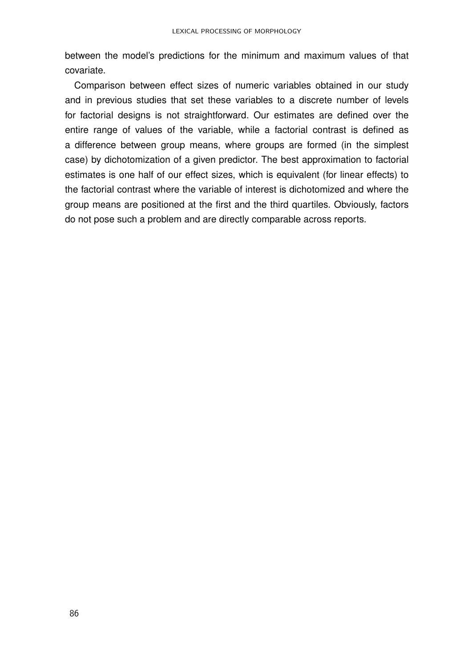between the model's predictions for the minimum and maximum values of that covariate.

Comparison between effect sizes of numeric variables obtained in our study and in previous studies that set these variables to a discrete number of levels for factorial designs is not straightforward. Our estimates are defined over the entire range of values of the variable, while a factorial contrast is defined as a difference between group means, where groups are formed (in the simplest case) by dichotomization of a given predictor. The best approximation to factorial estimates is one half of our effect sizes, which is equivalent (for linear effects) to the factorial contrast where the variable of interest is dichotomized and where the group means are positioned at the first and the third quartiles. Obviously, factors do not pose such a problem and are directly comparable across reports.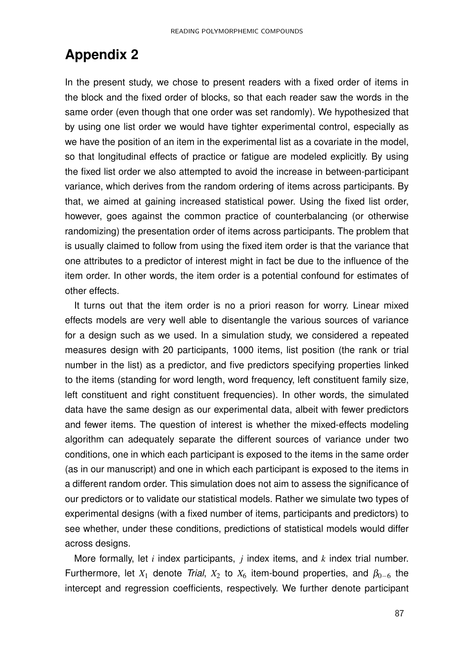# **Appendix 2**

In the present study, we chose to present readers with a fixed order of items in the block and the fixed order of blocks, so that each reader saw the words in the same order (even though that one order was set randomly). We hypothesized that by using one list order we would have tighter experimental control, especially as we have the position of an item in the experimental list as a covariate in the model, so that longitudinal effects of practice or fatigue are modeled explicitly. By using the fixed list order we also attempted to avoid the increase in between-participant variance, which derives from the random ordering of items across participants. By that, we aimed at gaining increased statistical power. Using the fixed list order, however, goes against the common practice of counterbalancing (or otherwise randomizing) the presentation order of items across participants. The problem that is usually claimed to follow from using the fixed item order is that the variance that one attributes to a predictor of interest might in fact be due to the influence of the item order. In other words, the item order is a potential confound for estimates of other effects.

It turns out that the item order is no a priori reason for worry. Linear mixed effects models are very well able to disentangle the various sources of variance for a design such as we used. In a simulation study, we considered a repeated measures design with 20 participants, 1000 items, list position (the rank or trial number in the list) as a predictor, and five predictors specifying properties linked to the items (standing for word length, word frequency, left constituent family size, left constituent and right constituent frequencies). In other words, the simulated data have the same design as our experimental data, albeit with fewer predictors and fewer items. The question of interest is whether the mixed-effects modeling algorithm can adequately separate the different sources of variance under two conditions, one in which each participant is exposed to the items in the same order (as in our manuscript) and one in which each participant is exposed to the items in a different random order. This simulation does not aim to assess the significance of our predictors or to validate our statistical models. Rather we simulate two types of experimental designs (with a fixed number of items, participants and predictors) to see whether, under these conditions, predictions of statistical models would differ across designs.

More formally, let *i* index participants, *j* index items, and *k* index trial number. Furthermore, let  $X_1$  denote *Trial*,  $X_2$  to  $X_6$  item-bound properties, and  $\beta_{0-6}$  the intercept and regression coefficients, respectively. We further denote participant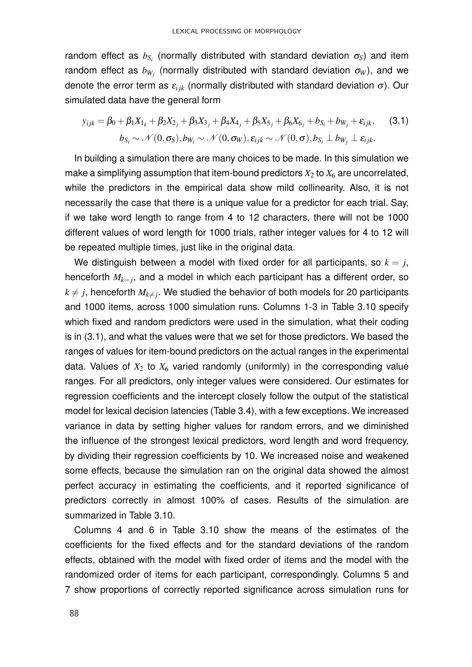$r$ andom effect as  $b_{S_i}$  (normally distributed with standard deviation  $\sigma_S$ ) and item random effect as  $b_{W_j}$  (normally distributed with standard deviation  $\sigma_W$ ), and we denote the error term as  $\varepsilon_{ijk}$  (normally distributed with standard deviation  $\sigma$ ). Our simulated data have the general form

$$
y_{ijk} = \beta_0 + \beta_1 X_{1_k} + \beta_2 X_{2_j} + \beta_3 X_{3_j} + \beta_4 X_{4_j} + \beta_5 X_{5_j} + \beta_6 X_{6_j} + b_{S_i} + b_{W_j} + \varepsilon_{ijk},
$$
\n(3.1)  
\n
$$
b_{S_i} \sim \mathcal{N}(0, \sigma_S), b_{W_i} \sim \mathcal{N}(0, \sigma_W), \varepsilon_{ijk} \sim \mathcal{N}(0, \sigma), b_{S_i} \perp b_{W_j} \perp \varepsilon_{ijk}.
$$

In building a simulation there are many choices to be made. In this simulation we make a simplifying assumption that item-bound predictors  $X_2$  to  $X_6$  are uncorrelated, while the predictors in the empirical data show mild collinearity. Also, it is not necessarily the case that there is a unique value for a predictor for each trial. Say, if we take word length to range from 4 to 12 characters, there will not be 1000 different values of word length for 1000 trials, rather integer values for 4 to 12 will be repeated multiple times, just like in the original data.

We distinguish between a model with fixed order for all participants, so  $k = j$ , henceforth *Mk*=*<sup>j</sup>* , and a model in which each participant has a different order, so  $k\neq j,$  henceforth  $M_{k\neq j}.$  We studied the behavior of both models for 20 participants and 1000 items, across 1000 simulation runs. Columns 1-3 in Table 3.10 specify which fixed and random predictors were used in the simulation, what their coding is in (3.1), and what the values were that we set for those predictors. We based the ranges of values for item-bound predictors on the actual ranges in the experimental data. Values of  $X_2$  to  $X_6$  varied randomly (uniformly) in the corresponding value ranges. For all predictors, only integer values were considered. Our estimates for regression coefficients and the intercept closely follow the output of the statistical model for lexical decision latencies (Table 3.4), with a few exceptions. We increased variance in data by setting higher values for random errors, and we diminished the influence of the strongest lexical predictors, word length and word frequency, by dividing their regression coefficients by 10. We increased noise and weakened some effects, because the simulation ran on the original data showed the almost perfect accuracy in estimating the coefficients, and it reported significance of predictors correctly in almost 100% of cases. Results of the simulation are summarized in Table 3.10.

Columns 4 and 6 in Table 3.10 show the means of the estimates of the coefficients for the fixed effects and for the standard deviations of the random effects, obtained with the model with fixed order of items and the model with the randomized order of items for each participant, correspondingly. Columns 5 and 7 show proportions of correctly reported significance across simulation runs for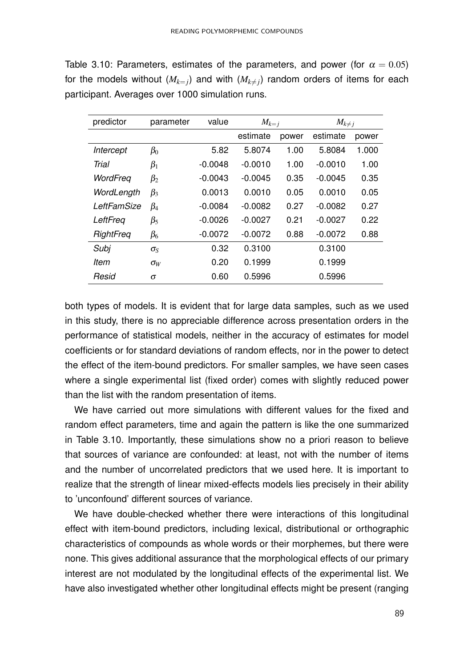| predictor   | parameter    | value     | $M_{k=j}$ |       | $M_{k\neq j}$ |       |
|-------------|--------------|-----------|-----------|-------|---------------|-------|
|             |              |           | estimate  | power | estimate      | power |
| Intercept   | $\beta_0$    | 5.82      | 5.8074    | 1.00  | 5.8084        | 1.000 |
| Trial       | $\beta_1$    | $-0.0048$ | $-0.0010$ | 1.00  | $-0.0010$     | 1.00  |
| WordFreq    | $\beta_2$    | $-0.0043$ | $-0.0045$ | 0.35  | $-0.0045$     | 0.35  |
| WordLength  | $\beta_3$    | 0.0013    | 0.0010    | 0.05  | 0.0010        | 0.05  |
| LeftFamSize | $\beta_4$    | $-0.0084$ | $-0.0082$ | 0.27  | $-0.0082$     | 0.27  |
| LeftFreq    | $\beta_5$    | $-0.0026$ | $-0.0027$ | 0.21  | $-0.0027$     | 0.22  |
| RightFreq   | $\beta_6$    | $-0.0072$ | $-0.0072$ | 0.88  | $-0.0072$     | 0.88  |
| Subj        | $\sigma_{S}$ | 0.32      | 0.3100    |       | 0.3100        |       |
| ltem        | $\sigma_W$   | 0.20      | 0.1999    |       | 0.1999        |       |
| Resid       | $\sigma$     | 0.60      | 0.5996    |       | 0.5996        |       |

Table 3.10: Parameters, estimates of the parameters, and power (for  $\alpha = 0.05$ ) for the models without  $(M_{k=j})$  and with  $(M_{k\neq j})$  random orders of items for each participant. Averages over 1000 simulation runs.

both types of models. It is evident that for large data samples, such as we used in this study, there is no appreciable difference across presentation orders in the performance of statistical models, neither in the accuracy of estimates for model coefficients or for standard deviations of random effects, nor in the power to detect the effect of the item-bound predictors. For smaller samples, we have seen cases where a single experimental list (fixed order) comes with slightly reduced power than the list with the random presentation of items.

We have carried out more simulations with different values for the fixed and random effect parameters, time and again the pattern is like the one summarized in Table 3.10. Importantly, these simulations show no a priori reason to believe that sources of variance are confounded: at least, not with the number of items and the number of uncorrelated predictors that we used here. It is important to realize that the strength of linear mixed-effects models lies precisely in their ability to 'unconfound' different sources of variance.

We have double-checked whether there were interactions of this longitudinal effect with item-bound predictors, including lexical, distributional or orthographic characteristics of compounds as whole words or their morphemes, but there were none. This gives additional assurance that the morphological effects of our primary interest are not modulated by the longitudinal effects of the experimental list. We have also investigated whether other longitudinal effects might be present (ranging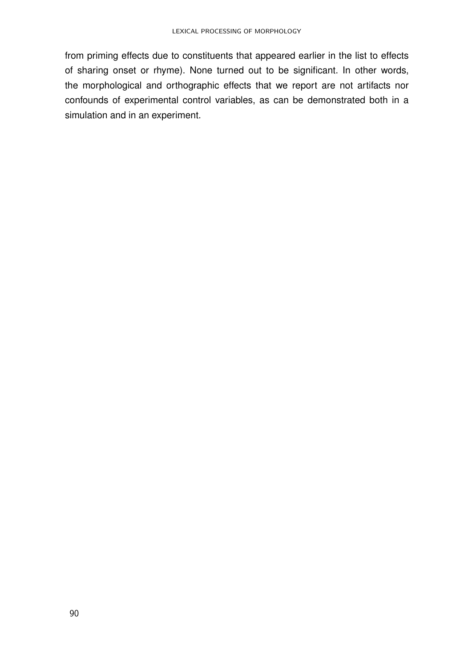from priming effects due to constituents that appeared earlier in the list to effects of sharing onset or rhyme). None turned out to be significant. In other words, the morphological and orthographic effects that we report are not artifacts nor confounds of experimental control variables, as can be demonstrated both in a simulation and in an experiment.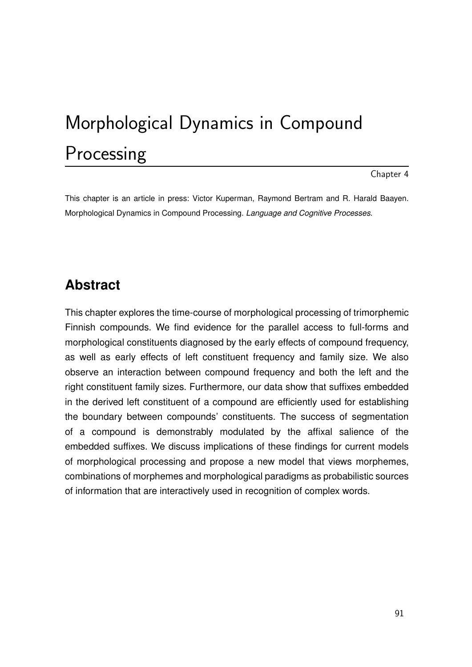# Morphological Dynamics in Compound Processing

Chapter 4

This chapter is an article in press: Victor Kuperman, Raymond Bertram and R. Harald Baayen. Morphological Dynamics in Compound Processing. *Language and Cognitive Processes.*

# **Abstract**

This chapter explores the time-course of morphological processing of trimorphemic Finnish compounds. We find evidence for the parallel access to full-forms and morphological constituents diagnosed by the early effects of compound frequency, as well as early effects of left constituent frequency and family size. We also observe an interaction between compound frequency and both the left and the right constituent family sizes. Furthermore, our data show that suffixes embedded in the derived left constituent of a compound are efficiently used for establishing the boundary between compounds' constituents. The success of segmentation of a compound is demonstrably modulated by the affixal salience of the embedded suffixes. We discuss implications of these findings for current models of morphological processing and propose a new model that views morphemes, combinations of morphemes and morphological paradigms as probabilistic sources of information that are interactively used in recognition of complex words.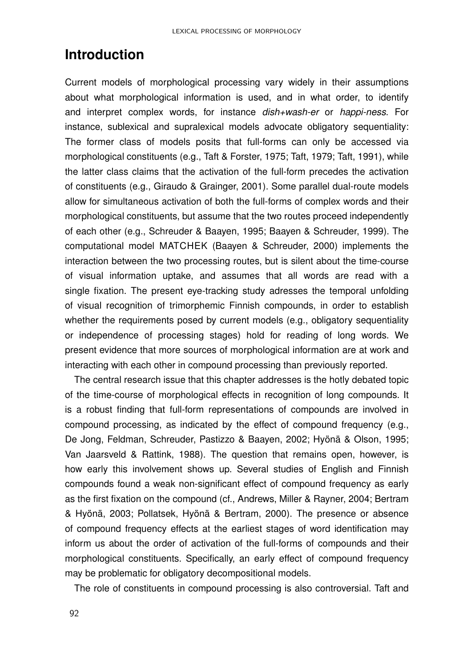# **Introduction**

Current models of morphological processing vary widely in their assumptions about what morphological information is used, and in what order, to identify and interpret complex words, for instance *dish+wash-er* or *happi-ness*. For instance, sublexical and supralexical models advocate obligatory sequentiality: The former class of models posits that full-forms can only be accessed via morphological constituents (e.g., Taft & Forster, 1975; Taft, 1979; Taft, 1991), while the latter class claims that the activation of the full-form precedes the activation of constituents (e.g., Giraudo & Grainger, 2001). Some parallel dual-route models allow for simultaneous activation of both the full-forms of complex words and their morphological constituents, but assume that the two routes proceed independently of each other (e.g., Schreuder & Baayen, 1995; Baayen & Schreuder, 1999). The computational model MATCHEK (Baayen & Schreuder, 2000) implements the interaction between the two processing routes, but is silent about the time-course of visual information uptake, and assumes that all words are read with a single fixation. The present eye-tracking study adresses the temporal unfolding of visual recognition of trimorphemic Finnish compounds, in order to establish whether the requirements posed by current models (e.g., obligatory sequentiality or independence of processing stages) hold for reading of long words. We present evidence that more sources of morphological information are at work and interacting with each other in compound processing than previously reported.

The central research issue that this chapter addresses is the hotly debated topic of the time-course of morphological effects in recognition of long compounds. It is a robust finding that full-form representations of compounds are involved in compound processing, as indicated by the effect of compound frequency (e.g., De Jong, Feldman, Schreuder, Pastizzo & Baayen, 2002; Hyönä & Olson, 1995; Van Jaarsveld & Rattink, 1988). The question that remains open, however, is how early this involvement shows up. Several studies of English and Finnish compounds found a weak non-significant effect of compound frequency as early as the first fixation on the compound (cf., Andrews, Miller & Rayner, 2004; Bertram & Hyönä, 2003; Pollatsek, Hyönä & Bertram, 2000). The presence or absence of compound frequency effects at the earliest stages of word identification may inform us about the order of activation of the full-forms of compounds and their morphological constituents. Specifically, an early effect of compound frequency may be problematic for obligatory decompositional models.

The role of constituents in compound processing is also controversial. Taft and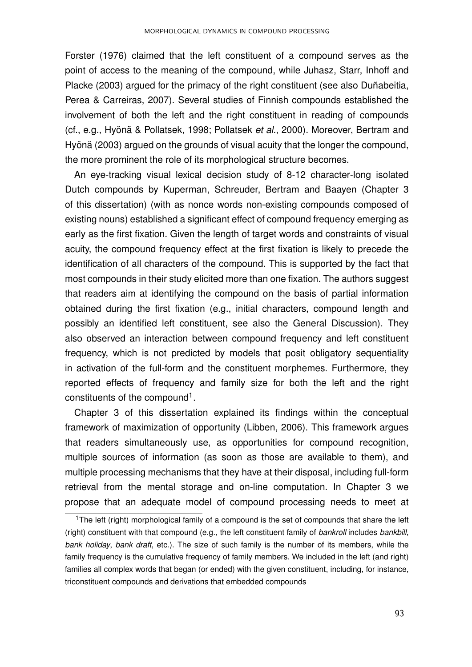Forster (1976) claimed that the left constituent of a compound serves as the point of access to the meaning of the compound, while Juhasz, Starr, Inhoff and Placke (2003) argued for the primacy of the right constituent (see also Duñabeitia, Perea & Carreiras, 2007). Several studies of Finnish compounds established the involvement of both the left and the right constituent in reading of compounds (cf., e.g., Hyönä & Pollatsek, 1998; Pollatsek *et al.*, 2000). Moreover, Bertram and Hyönä (2003) argued on the grounds of visual acuity that the longer the compound, the more prominent the role of its morphological structure becomes.

An eye-tracking visual lexical decision study of 8-12 character-long isolated Dutch compounds by Kuperman, Schreuder, Bertram and Baayen (Chapter 3 of this dissertation) (with as nonce words non-existing compounds composed of existing nouns) established a significant effect of compound frequency emerging as early as the first fixation. Given the length of target words and constraints of visual acuity, the compound frequency effect at the first fixation is likely to precede the identification of all characters of the compound. This is supported by the fact that most compounds in their study elicited more than one fixation. The authors suggest that readers aim at identifying the compound on the basis of partial information obtained during the first fixation (e.g., initial characters, compound length and possibly an identified left constituent, see also the General Discussion). They also observed an interaction between compound frequency and left constituent frequency, which is not predicted by models that posit obligatory sequentiality in activation of the full-form and the constituent morphemes. Furthermore, they reported effects of frequency and family size for both the left and the right constituents of the compound<sup>1</sup>.

Chapter 3 of this dissertation explained its findings within the conceptual framework of maximization of opportunity (Libben, 2006). This framework argues that readers simultaneously use, as opportunities for compound recognition, multiple sources of information (as soon as those are available to them), and multiple processing mechanisms that they have at their disposal, including full-form retrieval from the mental storage and on-line computation. In Chapter 3 we propose that an adequate model of compound processing needs to meet at

<sup>&</sup>lt;sup>1</sup>The left (right) morphological family of a compound is the set of compounds that share the left (right) constituent with that compound (e.g., the left constituent family of *bankroll* includes *bankbill*, *bank holiday*, *bank draft*, etc.). The size of such family is the number of its members, while the family frequency is the cumulative frequency of family members. We included in the left (and right) families all complex words that began (or ended) with the given constituent, including, for instance, triconstituent compounds and derivations that embedded compounds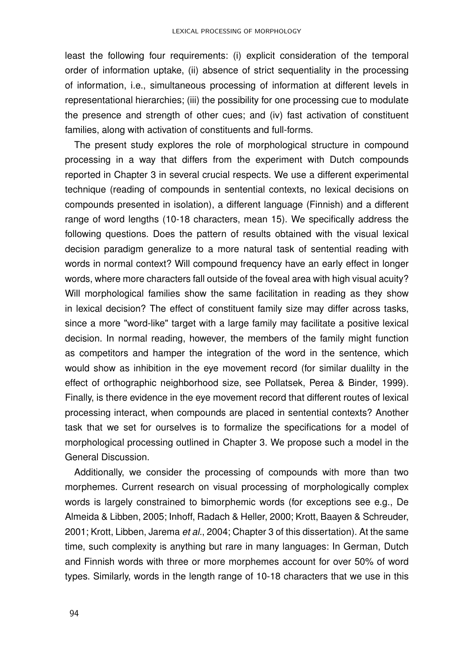least the following four requirements: (i) explicit consideration of the temporal order of information uptake, (ii) absence of strict sequentiality in the processing of information, i.e., simultaneous processing of information at different levels in representational hierarchies; (iii) the possibility for one processing cue to modulate the presence and strength of other cues; and (iv) fast activation of constituent families, along with activation of constituents and full-forms.

The present study explores the role of morphological structure in compound processing in a way that differs from the experiment with Dutch compounds reported in Chapter 3 in several crucial respects. We use a different experimental technique (reading of compounds in sentential contexts, no lexical decisions on compounds presented in isolation), a different language (Finnish) and a different range of word lengths (10-18 characters, mean 15). We specifically address the following questions. Does the pattern of results obtained with the visual lexical decision paradigm generalize to a more natural task of sentential reading with words in normal context? Will compound frequency have an early effect in longer words, where more characters fall outside of the foveal area with high visual acuity? Will morphological families show the same facilitation in reading as they show in lexical decision? The effect of constituent family size may differ across tasks, since a more "word-like" target with a large family may facilitate a positive lexical decision. In normal reading, however, the members of the family might function as competitors and hamper the integration of the word in the sentence, which would show as inhibition in the eye movement record (for similar dualilty in the effect of orthographic neighborhood size, see Pollatsek, Perea & Binder, 1999). Finally, is there evidence in the eye movement record that different routes of lexical processing interact, when compounds are placed in sentential contexts? Another task that we set for ourselves is to formalize the specifications for a model of morphological processing outlined in Chapter 3. We propose such a model in the General Discussion.

Additionally, we consider the processing of compounds with more than two morphemes. Current research on visual processing of morphologically complex words is largely constrained to bimorphemic words (for exceptions see e.g., De Almeida & Libben, 2005; Inhoff, Radach & Heller, 2000; Krott, Baayen & Schreuder, 2001; Krott, Libben, Jarema *et al.*, 2004; Chapter 3 of this dissertation). At the same time, such complexity is anything but rare in many languages: In German, Dutch and Finnish words with three or more morphemes account for over 50% of word types. Similarly, words in the length range of 10-18 characters that we use in this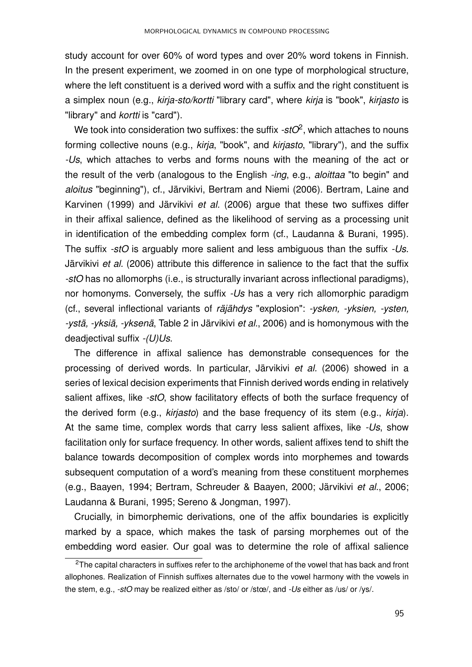study account for over 60% of word types and over 20% word tokens in Finnish. In the present experiment, we zoomed in on one type of morphological structure, where the left constituent is a derived word with a suffix and the right constituent is a simplex noun (e.g., *kirja-sto/kortti* "library card", where *kirja* is "book", *kirjasto* is "library" and *kortti* is "card").

We took into consideration two suffixes: the suffix *-stO*<sup>2</sup>, which attaches to nouns forming collective nouns (e.g., *kirja*, "book", and *kirjasto*, "library"), and the suffix *-Us*, which attaches to verbs and forms nouns with the meaning of the act or the result of the verb (analogous to the English *-ing*, e.g., *aloittaa* "to begin" and *aloitus* "beginning"), cf., Järvikivi, Bertram and Niemi (2006). Bertram, Laine and Karvinen (1999) and Järvikivi *et al.* (2006) argue that these two suffixes differ in their affixal salience, defined as the likelihood of serving as a processing unit in identification of the embedding complex form (cf., Laudanna & Burani, 1995). The suffix *-stO* is arguably more salient and less ambiguous than the suffix *-Us*. Järvikivi *et al.* (2006) attribute this difference in salience to the fact that the suffix *-stO* has no allomorphs (i.e., is structurally invariant across inflectional paradigms), nor homonyms. Conversely, the suffix *-Us* has a very rich allomorphic paradigm (cf., several inflectional variants of *räjähdys* "explosion": *-ysken, -yksien, -ysten, -ystä, -yksiä, -yksenä*, Table 2 in Järvikivi *et al.*, 2006) and is homonymous with the deadjectival suffix *-(U)Us*.

The difference in affixal salience has demonstrable consequences for the processing of derived words. In particular, Järvikivi *et al.* (2006) showed in a series of lexical decision experiments that Finnish derived words ending in relatively salient affixes, like *-stO*, show facilitatory effects of both the surface frequency of the derived form (e.g., *kirjasto*) and the base frequency of its stem (e.g., *kirja*). At the same time, complex words that carry less salient affixes, like *-Us*, show facilitation only for surface frequency. In other words, salient affixes tend to shift the balance towards decomposition of complex words into morphemes and towards subsequent computation of a word's meaning from these constituent morphemes (e.g., Baayen, 1994; Bertram, Schreuder & Baayen, 2000; Järvikivi *et al.*, 2006; Laudanna & Burani, 1995; Sereno & Jongman, 1997).

Crucially, in bimorphemic derivations, one of the affix boundaries is explicitly marked by a space, which makes the task of parsing morphemes out of the embedding word easier. Our goal was to determine the role of affixal salience

 $2$ The capital characters in suffixes refer to the archiphoneme of the vowel that has back and front allophones. Realization of Finnish suffixes alternates due to the vowel harmony with the vowels in the stem, e.g., *-stO* may be realized either as /sto/ or /stœ/, and *-Us* either as /us/ or /ys/.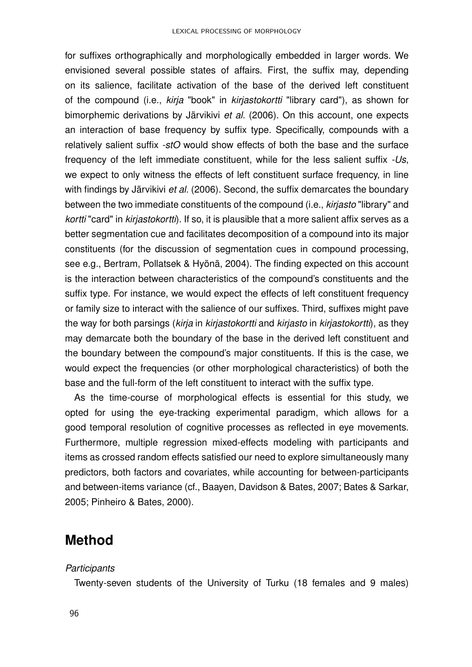for suffixes orthographically and morphologically embedded in larger words. We envisioned several possible states of affairs. First, the suffix may, depending on its salience, facilitate activation of the base of the derived left constituent of the compound (i.e., *kirja* "book" in *kirjastokortti* "library card"), as shown for bimorphemic derivations by Järvikivi *et al.* (2006). On this account, one expects an interaction of base frequency by suffix type. Specifically, compounds with a relatively salient suffix *-stO* would show effects of both the base and the surface frequency of the left immediate constituent, while for the less salient suffix *-Us*, we expect to only witness the effects of left constituent surface frequency, in line with findings by Järvikivi *et al.* (2006). Second, the suffix demarcates the boundary between the two immediate constituents of the compound (i.e., *kirjasto* "library" and *kortti* "card" in *kirjastokortti*). If so, it is plausible that a more salient affix serves as a better segmentation cue and facilitates decomposition of a compound into its major constituents (for the discussion of segmentation cues in compound processing, see e.g., Bertram, Pollatsek & Hyönä, 2004). The finding expected on this account is the interaction between characteristics of the compound's constituents and the suffix type. For instance, we would expect the effects of left constituent frequency or family size to interact with the salience of our suffixes. Third, suffixes might pave the way for both parsings (*kirja* in *kirjastokortti* and *kirjasto* in *kirjastokortti*), as they may demarcate both the boundary of the base in the derived left constituent and the boundary between the compound's major constituents. If this is the case, we would expect the frequencies (or other morphological characteristics) of both the base and the full-form of the left constituent to interact with the suffix type.

As the time-course of morphological effects is essential for this study, we opted for using the eye-tracking experimental paradigm, which allows for a good temporal resolution of cognitive processes as reflected in eye movements. Furthermore, multiple regression mixed-effects modeling with participants and items as crossed random effects satisfied our need to explore simultaneously many predictors, both factors and covariates, while accounting for between-participants and between-items variance (cf., Baayen, Davidson & Bates, 2007; Bates & Sarkar, 2005; Pinheiro & Bates, 2000).

# **Method**

#### *Participants*

Twenty-seven students of the University of Turku (18 females and 9 males)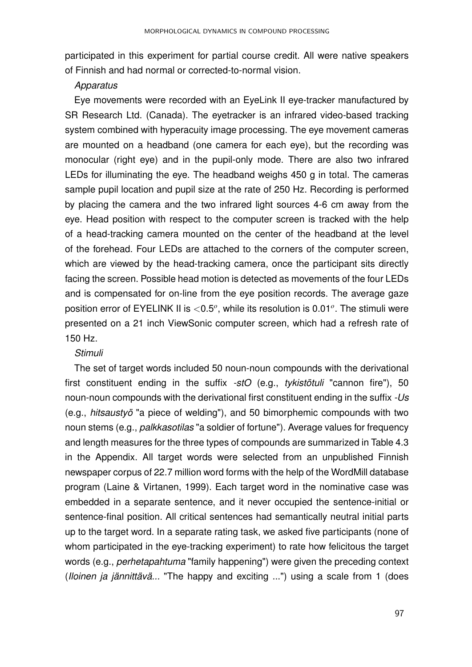participated in this experiment for partial course credit. All were native speakers of Finnish and had normal or corrected-to-normal vision.

#### *Apparatus*

Eye movements were recorded with an EyeLink II eye-tracker manufactured by SR Research Ltd. (Canada). The eyetracker is an infrared video-based tracking system combined with hyperacuity image processing. The eye movement cameras are mounted on a headband (one camera for each eye), but the recording was monocular (right eye) and in the pupil-only mode. There are also two infrared LEDs for illuminating the eye. The headband weighs 450 g in total. The cameras sample pupil location and pupil size at the rate of 250 Hz. Recording is performed by placing the camera and the two infrared light sources 4-6 cm away from the eye. Head position with respect to the computer screen is tracked with the help of a head-tracking camera mounted on the center of the headband at the level of the forehead. Four LEDs are attached to the corners of the computer screen, which are viewed by the head-tracking camera, once the participant sits directly facing the screen. Possible head motion is detected as movements of the four LEDs and is compensated for on-line from the eye position records. The average gaze position error of EYELINK II is <0.5<sup>o</sup>, while its resolution is 0.01<sup>o</sup>. The stimuli were presented on a 21 inch ViewSonic computer screen, which had a refresh rate of 150 Hz.

#### *Stimuli*

The set of target words included 50 noun-noun compounds with the derivational first constituent ending in the suffix *-stO* (e.g., *tykistötuli* "cannon fire"), 50 noun-noun compounds with the derivational first constituent ending in the suffix *-Us* (e.g., *hitsaustyö* "a piece of welding"), and 50 bimorphemic compounds with two noun stems (e.g., *palkkasotilas* "a soldier of fortune"). Average values for frequency and length measures for the three types of compounds are summarized in Table 4.3 in the Appendix. All target words were selected from an unpublished Finnish newspaper corpus of 22.7 million word forms with the help of the WordMill database program (Laine & Virtanen, 1999). Each target word in the nominative case was embedded in a separate sentence, and it never occupied the sentence-initial or sentence-final position. All critical sentences had semantically neutral initial parts up to the target word. In a separate rating task, we asked five participants (none of whom participated in the eye-tracking experiment) to rate how felicitous the target words (e.g., *perhetapahtuma* "family happening") were given the preceding context (*Iloinen ja jännittävä...* "The happy and exciting ...") using a scale from 1 (does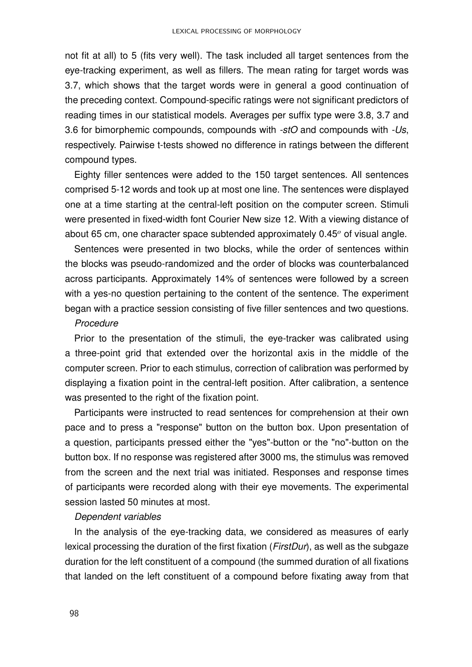not fit at all) to 5 (fits very well). The task included all target sentences from the eye-tracking experiment, as well as fillers. The mean rating for target words was 3.7, which shows that the target words were in general a good continuation of the preceding context. Compound-specific ratings were not significant predictors of reading times in our statistical models. Averages per suffix type were 3.8, 3.7 and 3.6 for bimorphemic compounds, compounds with *-stO* and compounds with *-Us*, respectively. Pairwise t-tests showed no difference in ratings between the different compound types.

Eighty filler sentences were added to the 150 target sentences. All sentences comprised 5-12 words and took up at most one line. The sentences were displayed one at a time starting at the central-left position on the computer screen. Stimuli were presented in fixed-width font Courier New size 12. With a viewing distance of about 65 cm, one character space subtended approximately 0.45*<sup>o</sup>* of visual angle.

Sentences were presented in two blocks, while the order of sentences within the blocks was pseudo-randomized and the order of blocks was counterbalanced across participants. Approximately 14% of sentences were followed by a screen with a yes-no question pertaining to the content of the sentence. The experiment began with a practice session consisting of five filler sentences and two questions.

#### *Procedure*

Prior to the presentation of the stimuli, the eye-tracker was calibrated using a three-point grid that extended over the horizontal axis in the middle of the computer screen. Prior to each stimulus, correction of calibration was performed by displaying a fixation point in the central-left position. After calibration, a sentence was presented to the right of the fixation point.

Participants were instructed to read sentences for comprehension at their own pace and to press a "response" button on the button box. Upon presentation of a question, participants pressed either the "yes"-button or the "no"-button on the button box. If no response was registered after 3000 ms, the stimulus was removed from the screen and the next trial was initiated. Responses and response times of participants were recorded along with their eye movements. The experimental session lasted 50 minutes at most.

#### *Dependent variables*

In the analysis of the eye-tracking data, we considered as measures of early lexical processing the duration of the first fixation (*FirstDur*), as well as the subgaze duration for the left constituent of a compound (the summed duration of all fixations that landed on the left constituent of a compound before fixating away from that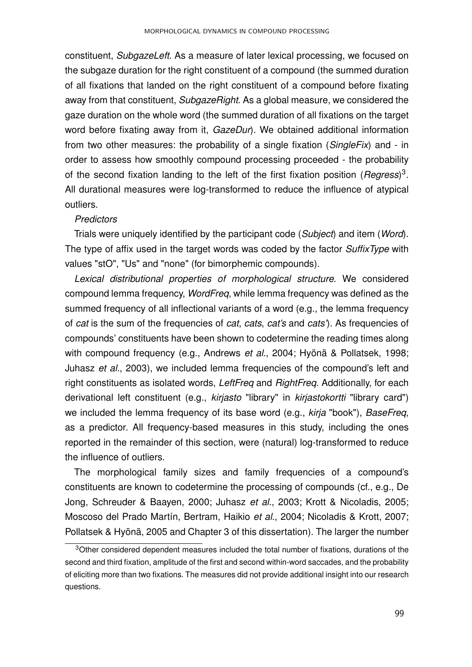constituent, *SubgazeLeft*. As a measure of later lexical processing, we focused on the subgaze duration for the right constituent of a compound (the summed duration of all fixations that landed on the right constituent of a compound before fixating away from that constituent, *SubgazeRight*. As a global measure, we considered the gaze duration on the whole word (the summed duration of all fixations on the target word before fixating away from it, *GazeDur*). We obtained additional information from two other measures: the probability of a single fixation (*SingleFix*) and - in order to assess how smoothly compound processing proceeded - the probability of the second fixation landing to the left of the first fixation position (*Regress*) 3 . All durational measures were log-transformed to reduce the influence of atypical outliers.

#### *Predictors*

Trials were uniquely identified by the participant code (*Subject*) and item (*Word*). The type of affix used in the target words was coded by the factor *SuffixType* with values "stO", "Us" and "none" (for bimorphemic compounds).

*Lexical distributional properties of morphological structure.* We considered compound lemma frequency, *WordFreq*, while lemma frequency was defined as the summed frequency of all inflectional variants of a word (e.g., the lemma frequency of *cat* is the sum of the frequencies of *cat*, *cats*, *cat's* and *cats'*). As frequencies of compounds' constituents have been shown to codetermine the reading times along with compound frequency (e.g., Andrews *et al.*, 2004; Hyönä & Pollatsek, 1998; Juhasz *et al.*, 2003), we included lemma frequencies of the compound's left and right constituents as isolated words, *LeftFreq* and *RightFreq*. Additionally, for each derivational left constituent (e.g., *kirjasto* "library" in *kirjastokortti* "library card") we included the lemma frequency of its base word (e.g., *kirja* "book"), *BaseFreq*, as a predictor. All frequency-based measures in this study, including the ones reported in the remainder of this section, were (natural) log-transformed to reduce the influence of outliers.

The morphological family sizes and family frequencies of a compound's constituents are known to codetermine the processing of compounds (cf., e.g., De Jong, Schreuder & Baayen, 2000; Juhasz *et al.*, 2003; Krott & Nicoladis, 2005; Moscoso del Prado Martín, Bertram, Haikio *et al.*, 2004; Nicoladis & Krott, 2007; Pollatsek & Hyönä, 2005 and Chapter 3 of this dissertation). The larger the number

<sup>&</sup>lt;sup>3</sup>Other considered dependent measures included the total number of fixations, durations of the second and third fixation, amplitude of the first and second within-word saccades, and the probability of eliciting more than two fixations. The measures did not provide additional insight into our research questions.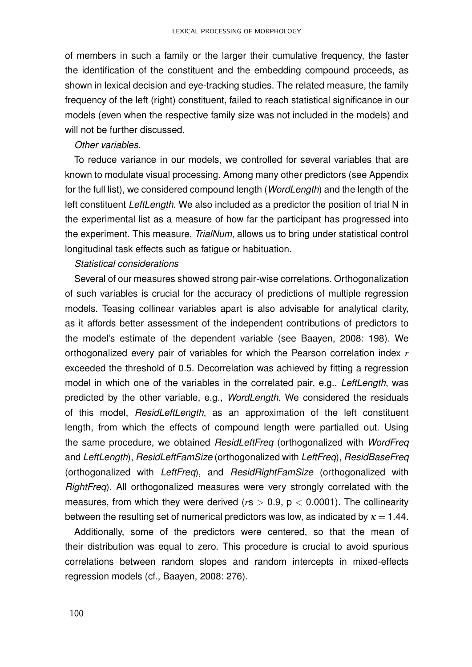of members in such a family or the larger their cumulative frequency, the faster the identification of the constituent and the embedding compound proceeds, as shown in lexical decision and eye-tracking studies. The related measure, the family frequency of the left (right) constituent, failed to reach statistical significance in our models (even when the respective family size was not included in the models) and will not be further discussed.

#### *Other variables.*

To reduce variance in our models, we controlled for several variables that are known to modulate visual processing. Among many other predictors (see Appendix for the full list), we considered compound length (*WordLength*) and the length of the left constituent *LeftLength*. We also included as a predictor the position of trial N in the experimental list as a measure of how far the participant has progressed into the experiment. This measure, *TrialNum*, allows us to bring under statistical control longitudinal task effects such as fatigue or habituation.

#### *Statistical considerations*

Several of our measures showed strong pair-wise correlations. Orthogonalization of such variables is crucial for the accuracy of predictions of multiple regression models. Teasing collinear variables apart is also advisable for analytical clarity, as it affords better assessment of the independent contributions of predictors to the model's estimate of the dependent variable (see Baayen, 2008: 198). We orthogonalized every pair of variables for which the Pearson correlation index *r* exceeded the threshold of 0.5. Decorrelation was achieved by fitting a regression model in which one of the variables in the correlated pair, e.g., *LeftLength*, was predicted by the other variable, e.g., *WordLength*. We considered the residuals of this model, *ResidLeftLength*, as an approximation of the left constituent length, from which the effects of compound length were partialled out. Using the same procedure, we obtained *ResidLeftFreq* (orthogonalized with *WordFreq* and *LeftLength*), *ResidLeftFamSize* (orthogonalized with *LeftFreq*), *ResidBaseFreq* (orthogonalized with *LeftFreq*), and *ResidRightFamSize* (orthogonalized with *RightFreq*). All orthogonalized measures were very strongly correlated with the measures, from which they were derived ( $rs > 0.9$ ,  $p < 0.0001$ ). The collinearity between the resulting set of numerical predictors was low, as indicated by  $\kappa = 1.44$ .

Additionally, some of the predictors were centered, so that the mean of their distribution was equal to zero. This procedure is crucial to avoid spurious correlations between random slopes and random intercepts in mixed-effects regression models (cf., Baayen, 2008: 276).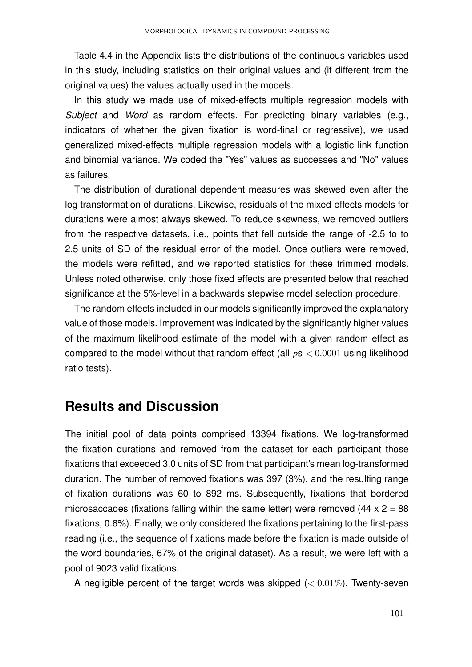Table 4.4 in the Appendix lists the distributions of the continuous variables used in this study, including statistics on their original values and (if different from the original values) the values actually used in the models.

In this study we made use of mixed-effects multiple regression models with *Subject* and *Word* as random effects. For predicting binary variables (e.g., indicators of whether the given fixation is word-final or regressive), we used generalized mixed-effects multiple regression models with a logistic link function and binomial variance. We coded the "Yes" values as successes and "No" values as failures.

The distribution of durational dependent measures was skewed even after the log transformation of durations. Likewise, residuals of the mixed-effects models for durations were almost always skewed. To reduce skewness, we removed outliers from the respective datasets, i.e., points that fell outside the range of -2.5 to to 2.5 units of SD of the residual error of the model. Once outliers were removed, the models were refitted, and we reported statistics for these trimmed models. Unless noted otherwise, only those fixed effects are presented below that reached significance at the 5%-level in a backwards stepwise model selection procedure.

The random effects included in our models significantly improved the explanatory value of those models. Improvement was indicated by the significantly higher values of the maximum likelihood estimate of the model with a given random effect as compared to the model without that random effect (all *p*s < 0.0001 using likelihood ratio tests).

# **Results and Discussion**

The initial pool of data points comprised 13394 fixations. We log-transformed the fixation durations and removed from the dataset for each participant those fixations that exceeded 3.0 units of SD from that participant's mean log-transformed duration. The number of removed fixations was 397 (3%), and the resulting range of fixation durations was 60 to 892 ms. Subsequently, fixations that bordered microsaccades (fixations falling within the same letter) were removed  $(44 \times 2 = 88)$ fixations, 0.6%). Finally, we only considered the fixations pertaining to the first-pass reading (i.e., the sequence of fixations made before the fixation is made outside of the word boundaries, 67% of the original dataset). As a result, we were left with a pool of 9023 valid fixations.

A negligible percent of the target words was skipped  $( $0.01\%$ ). Twenty-seven$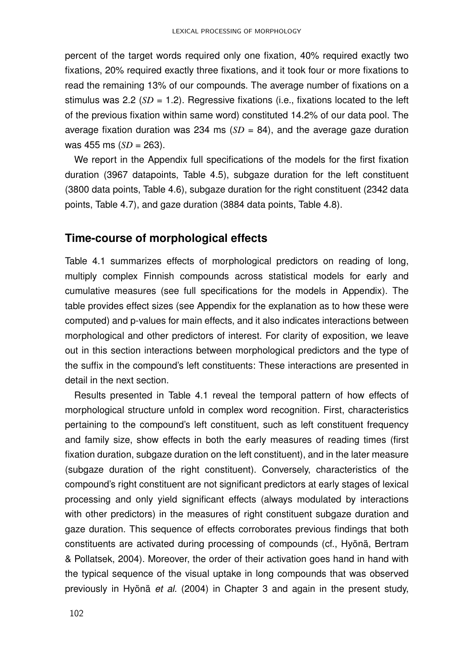percent of the target words required only one fixation, 40% required exactly two fixations, 20% required exactly three fixations, and it took four or more fixations to read the remaining 13% of our compounds. The average number of fixations on a stimulus was 2.2 (*SD* = 1.2). Regressive fixations (i.e., fixations located to the left of the previous fixation within same word) constituted 14.2% of our data pool. The average fixation duration was 234 ms  $(SD = 84)$ , and the average gaze duration was 455 ms (*SD* = 263).

We report in the Appendix full specifications of the models for the first fixation duration (3967 datapoints, Table 4.5), subgaze duration for the left constituent (3800 data points, Table 4.6), subgaze duration for the right constituent (2342 data points, Table 4.7), and gaze duration (3884 data points, Table 4.8).

## **Time-course of morphological effects**

Table 4.1 summarizes effects of morphological predictors on reading of long, multiply complex Finnish compounds across statistical models for early and cumulative measures (see full specifications for the models in Appendix). The table provides effect sizes (see Appendix for the explanation as to how these were computed) and p-values for main effects, and it also indicates interactions between morphological and other predictors of interest. For clarity of exposition, we leave out in this section interactions between morphological predictors and the type of the suffix in the compound's left constituents: These interactions are presented in detail in the next section.

Results presented in Table 4.1 reveal the temporal pattern of how effects of morphological structure unfold in complex word recognition. First, characteristics pertaining to the compound's left constituent, such as left constituent frequency and family size, show effects in both the early measures of reading times (first fixation duration, subgaze duration on the left constituent), and in the later measure (subgaze duration of the right constituent). Conversely, characteristics of the compound's right constituent are not significant predictors at early stages of lexical processing and only yield significant effects (always modulated by interactions with other predictors) in the measures of right constituent subgaze duration and gaze duration. This sequence of effects corroborates previous findings that both constituents are activated during processing of compounds (cf., Hyönä, Bertram & Pollatsek, 2004). Moreover, the order of their activation goes hand in hand with the typical sequence of the visual uptake in long compounds that was observed previously in Hyönä *et al.* (2004) in Chapter 3 and again in the present study,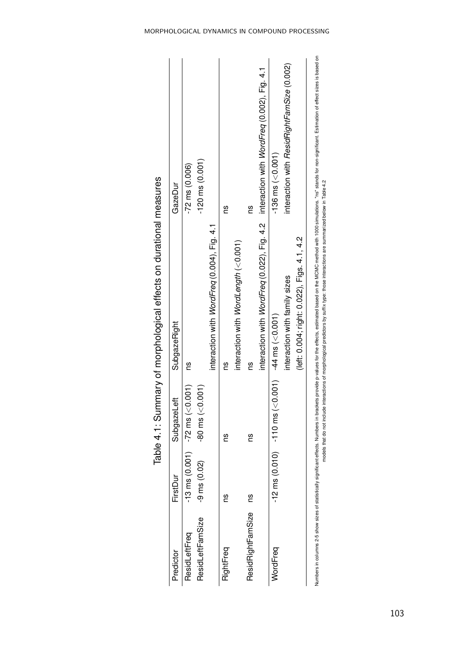| Predictor         | FirstDur                   | Left<br>Subgazel                                  | SubgazeRight                                                                                          | GazeDur                                    |
|-------------------|----------------------------|---------------------------------------------------|-------------------------------------------------------------------------------------------------------|--------------------------------------------|
| ResidLettFreq     |                            | $-13 \text{ ms} (0.001) -72 \text{ ms} (< 0.001)$ | <u>ဗ</u>                                                                                              | $-72$ ms $(0.006)$                         |
| ResidLeftFamSize  | $-9$ ms $(0.02)$           | $-80$ ms $(< 0.001)$                              |                                                                                                       | $-120$ ms $(0.001)$                        |
|                   |                            |                                                   | interaction with WordFreq (0.004), Fig. 4.1                                                           |                                            |
| RightFreq         | δJ                         | δJ                                                | 9S                                                                                                    | 8U                                         |
|                   |                            |                                                   | interaction with $WordLength$ $(< 0.001)$                                                             |                                            |
| ResidRightFamSize | 2u                         | ©<br>∩                                            | g                                                                                                     | <u>8</u>                                   |
|                   |                            |                                                   | interaction with <i>WordFreq</i> (0.022), Fig. 4.2 interaction with <i>WordFreq</i> (0.002), Fig. 4.1 |                                            |
| WordFreq          | $-12$ ms (0.010) $-110$ ms | $($ < 0.001)                                      | $-44$ ms ( $<$ 0.001)                                                                                 | $-136$ ms ( $<$ 0.001)                     |
|                   |                            |                                                   | interaction with family sizes                                                                         | interaction with ResidRightFamSize (0.002) |
|                   |                            |                                                   | (left: 0.004; right: 0.022), Figs. 4.1, 4.2                                                           |                                            |

j  $\frac{1}{2}$ chologianl offe Table 4 1. C.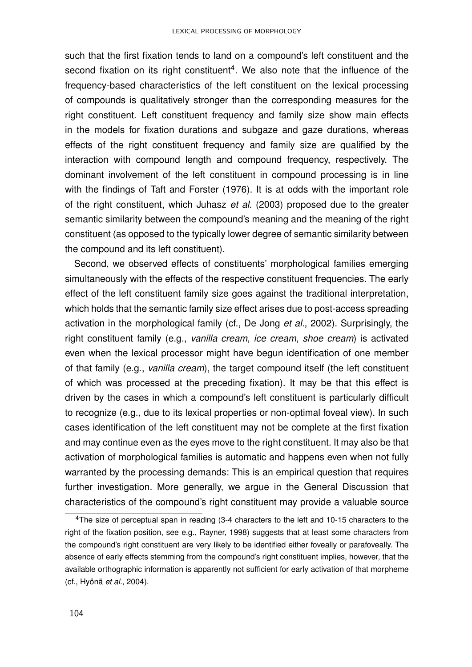such that the first fixation tends to land on a compound's left constituent and the second fixation on its right constituent<sup>4</sup>. We also note that the influence of the frequency-based characteristics of the left constituent on the lexical processing of compounds is qualitatively stronger than the corresponding measures for the right constituent. Left constituent frequency and family size show main effects in the models for fixation durations and subgaze and gaze durations, whereas effects of the right constituent frequency and family size are qualified by the interaction with compound length and compound frequency, respectively. The dominant involvement of the left constituent in compound processing is in line with the findings of Taft and Forster (1976). It is at odds with the important role of the right constituent, which Juhasz *et al.* (2003) proposed due to the greater semantic similarity between the compound's meaning and the meaning of the right constituent (as opposed to the typically lower degree of semantic similarity between the compound and its left constituent).

Second, we observed effects of constituents' morphological families emerging simultaneously with the effects of the respective constituent frequencies. The early effect of the left constituent family size goes against the traditional interpretation, which holds that the semantic family size effect arises due to post-access spreading activation in the morphological family (cf., De Jong *et al.*, 2002). Surprisingly, the right constituent family (e.g., *vanilla cream*, *ice cream*, *shoe cream*) is activated even when the lexical processor might have begun identification of one member of that family (e.g., *vanilla cream*), the target compound itself (the left constituent of which was processed at the preceding fixation). It may be that this effect is driven by the cases in which a compound's left constituent is particularly difficult to recognize (e.g., due to its lexical properties or non-optimal foveal view). In such cases identification of the left constituent may not be complete at the first fixation and may continue even as the eyes move to the right constituent. It may also be that activation of morphological families is automatic and happens even when not fully warranted by the processing demands: This is an empirical question that requires further investigation. More generally, we argue in the General Discussion that characteristics of the compound's right constituent may provide a valuable source

<sup>4</sup>The size of perceptual span in reading (3-4 characters to the left and 10-15 characters to the right of the fixation position, see e.g., Rayner, 1998) suggests that at least some characters from the compound's right constituent are very likely to be identified either foveally or parafoveally. The absence of early effects stemming from the compound's right constituent implies, however, that the available orthographic information is apparently not sufficient for early activation of that morpheme (cf., Hyönä *et al.*, 2004).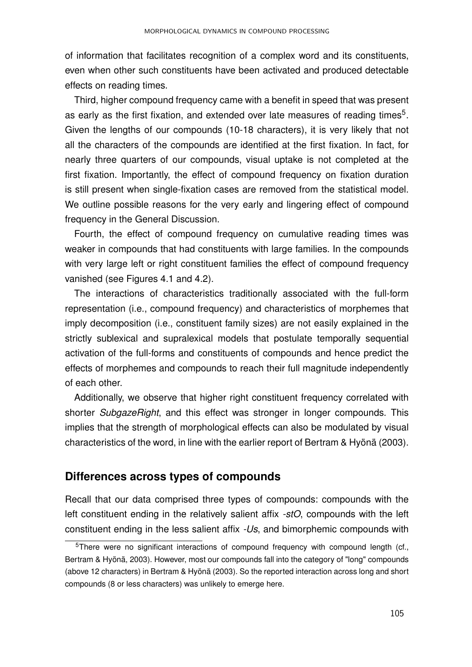of information that facilitates recognition of a complex word and its constituents, even when other such constituents have been activated and produced detectable effects on reading times.

Third, higher compound frequency came with a benefit in speed that was present as early as the first fixation, and extended over late measures of reading times<sup>5</sup>. Given the lengths of our compounds (10-18 characters), it is very likely that not all the characters of the compounds are identified at the first fixation. In fact, for nearly three quarters of our compounds, visual uptake is not completed at the first fixation. Importantly, the effect of compound frequency on fixation duration is still present when single-fixation cases are removed from the statistical model. We outline possible reasons for the very early and lingering effect of compound frequency in the General Discussion.

Fourth, the effect of compound frequency on cumulative reading times was weaker in compounds that had constituents with large families. In the compounds with very large left or right constituent families the effect of compound frequency vanished (see Figures 4.1 and 4.2).

The interactions of characteristics traditionally associated with the full-form representation (i.e., compound frequency) and characteristics of morphemes that imply decomposition (i.e., constituent family sizes) are not easily explained in the strictly sublexical and supralexical models that postulate temporally sequential activation of the full-forms and constituents of compounds and hence predict the effects of morphemes and compounds to reach their full magnitude independently of each other.

Additionally, we observe that higher right constituent frequency correlated with shorter *SubgazeRight*, and this effect was stronger in longer compounds. This implies that the strength of morphological effects can also be modulated by visual characteristics of the word, in line with the earlier report of Bertram & Hyönä (2003).

## **Differences across types of compounds**

Recall that our data comprised three types of compounds: compounds with the left constituent ending in the relatively salient affix *-stO*, compounds with the left constituent ending in the less salient affix *-Us*, and bimorphemic compounds with

<sup>&</sup>lt;sup>5</sup>There were no significant interactions of compound frequency with compound length (cf., Bertram & Hyönä, 2003). However, most our compounds fall into the category of "long" compounds (above 12 characters) in Bertram & Hyönä (2003). So the reported interaction across long and short compounds (8 or less characters) was unlikely to emerge here.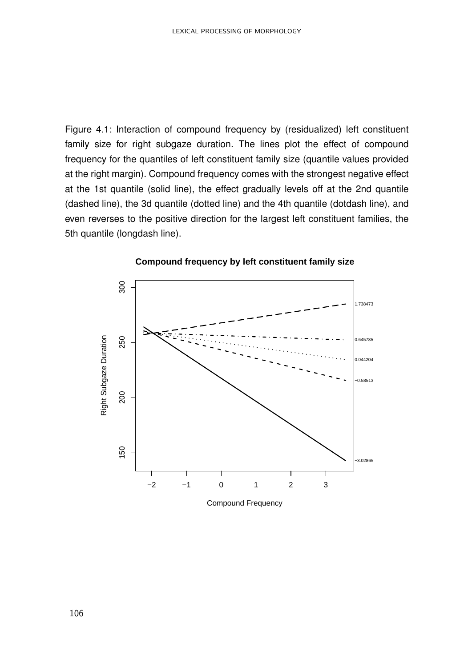Figure 4.1: Interaction of compound frequency by (residualized) left constituent family size for right subgaze duration. The lines plot the effect of compound frequency for the quantiles of left constituent family size (quantile values provided at the right margin). Compound frequency comes with the strongest negative effect at the 1st quantile (solid line), the effect gradually levels off at the 2nd quantile (dashed line), the 3d quantile (dotted line) and the 4th quantile (dotdash line), and even reverses to the positive direction for the largest left constituent families, the 5th quantile (longdash line).



**Compound frequency by left constituent family size**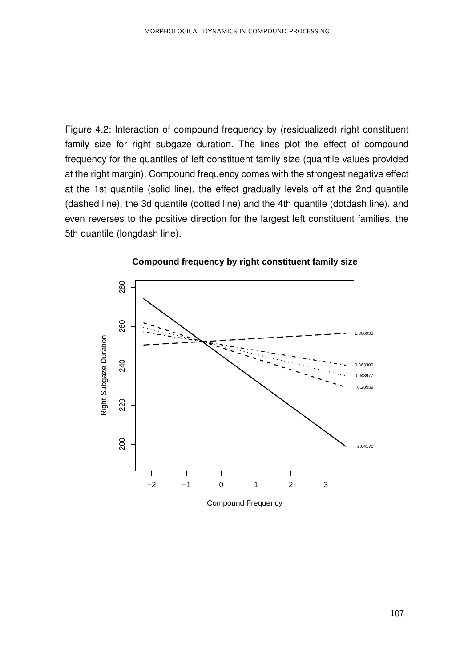Figure 4.2: Interaction of compound frequency by (residualized) right constituent family size for right subgaze duration. The lines plot the effect of compound frequency for the quantiles of left constituent family size (quantile values provided at the right margin). Compound frequency comes with the strongest negative effect at the 1st quantile (solid line), the effect gradually levels off at the 2nd quantile (dashed line), the 3d quantile (dotted line) and the 4th quantile (dotdash line), and even reverses to the positive direction for the largest left constituent families, the 5th quantile (longdash line).



#### **Compound frequency by right constituent family size**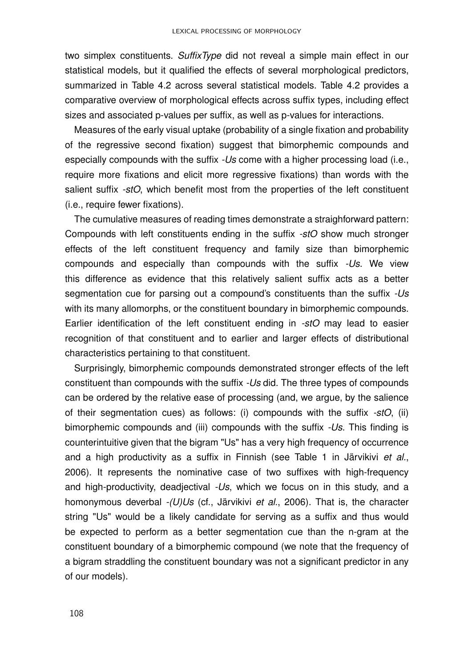two simplex constituents. *SuffixType* did not reveal a simple main effect in our statistical models, but it qualified the effects of several morphological predictors, summarized in Table 4.2 across several statistical models. Table 4.2 provides a comparative overview of morphological effects across suffix types, including effect sizes and associated p-values per suffix, as well as p-values for interactions.

Measures of the early visual uptake (probability of a single fixation and probability of the regressive second fixation) suggest that bimorphemic compounds and especially compounds with the suffix *-Us* come with a higher processing load (i.e., require more fixations and elicit more regressive fixations) than words with the salient suffix *-stO*, which benefit most from the properties of the left constituent (i.e., require fewer fixations).

The cumulative measures of reading times demonstrate a straighforward pattern: Compounds with left constituents ending in the suffix *-stO* show much stronger effects of the left constituent frequency and family size than bimorphemic compounds and especially than compounds with the suffix *-Us*. We view this difference as evidence that this relatively salient suffix acts as a better segmentation cue for parsing out a compound's constituents than the suffix *-Us* with its many allomorphs, or the constituent boundary in bimorphemic compounds. Earlier identification of the left constituent ending in *-stO* may lead to easier recognition of that constituent and to earlier and larger effects of distributional characteristics pertaining to that constituent.

Surprisingly, bimorphemic compounds demonstrated stronger effects of the left constituent than compounds with the suffix *-Us* did. The three types of compounds can be ordered by the relative ease of processing (and, we argue, by the salience of their segmentation cues) as follows: (i) compounds with the suffix *-stO*, (ii) bimorphemic compounds and (iii) compounds with the suffix *-Us*. This finding is counterintuitive given that the bigram "Us" has a very high frequency of occurrence and a high productivity as a suffix in Finnish (see Table 1 in Järvikivi *et al.*, 2006). It represents the nominative case of two suffixes with high-frequency and high-productivity, deadjectival *-Us*, which we focus on in this study, and a homonymous deverbal *-(U)Us* (cf., Järvikivi *et al.*, 2006). That is, the character string "Us" would be a likely candidate for serving as a suffix and thus would be expected to perform as a better segmentation cue than the n-gram at the constituent boundary of a bimorphemic compound (we note that the frequency of a bigram straddling the constituent boundary was not a significant predictor in any of our models).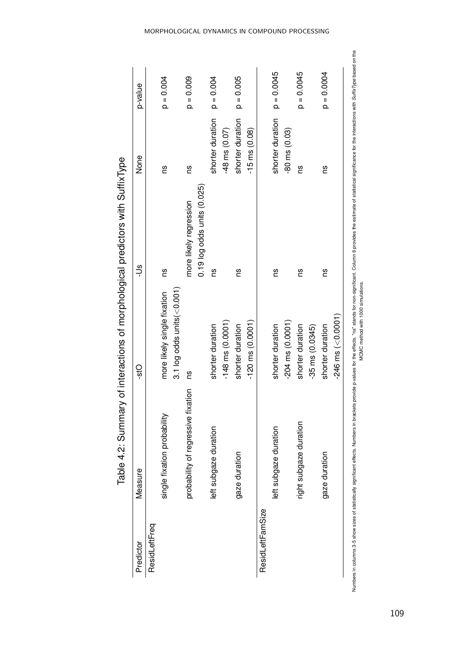| Table 4.2: Summary of interactions of morphological predictors with SuffixType |
|--------------------------------------------------------------------------------|
|                                                                                |
|                                                                                |
|                                                                                |
|                                                                                |

| Predictor        | Measure                            | -stO                                     |                                 | None              | p-value      |
|------------------|------------------------------------|------------------------------------------|---------------------------------|-------------------|--------------|
| ResidLeftFreq    |                                    |                                          |                                 |                   |              |
|                  | single fixation probability        | more likely single fixation              | <b>SU</b>                       | ΣU                | $p = 0.004$  |
|                  |                                    | $3.1 \log \text{odds}$ units $(< 0.001)$ |                                 |                   |              |
|                  | probability of regressive fixation | SJ                                       | more likely regression          | Su                | $p = 0.009$  |
|                  |                                    |                                          | $0.19$ log odds units $(0.025)$ |                   |              |
|                  | left subgaze duration              | shorter duration                         | 8U                              | shorter duration  | $p = 0.004$  |
|                  |                                    | $-148$ ms $(0.0001)$                     |                                 | $-48$ ms $(0.07)$ |              |
|                  | gaze duration                      | shorter duration                         | SU                              | shorter duration  | $p = 0.005$  |
|                  |                                    | $-120$ ms $(0.0001)$                     |                                 | $-15$ ms $(0.08)$ |              |
| ResidLettFamSize |                                    |                                          |                                 |                   |              |
|                  | left subgaze duration              | shorter duration                         | SU                              | shorter duration  | $p = 0.0045$ |
|                  |                                    | $-204$ ms $(0.0001)$                     |                                 | $-80$ ms $(0.03)$ |              |
|                  | right subgaze duration             | shorter duration                         | Sυ                              | Su                | $p = 0.0045$ |
|                  |                                    | $-35$ ms $(0.0345)$                      |                                 |                   |              |
|                  | gaze duration                      | shorter duration                         | 2u                              | ςu                | $p = 0.0004$ |
|                  |                                    | $-246$ ms $(< 0.0001)$                   |                                 |                   |              |

MORPHOLOGICAL DYNAMICS IN COMPOUND PROCESSING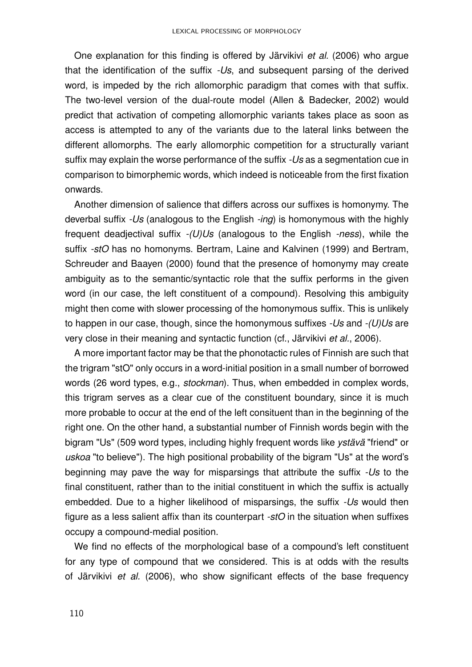One explanation for this finding is offered by Järvikivi *et al.* (2006) who argue that the identification of the suffix *-Us*, and subsequent parsing of the derived word, is impeded by the rich allomorphic paradigm that comes with that suffix. The two-level version of the dual-route model (Allen & Badecker, 2002) would predict that activation of competing allomorphic variants takes place as soon as access is attempted to any of the variants due to the lateral links between the different allomorphs. The early allomorphic competition for a structurally variant suffix may explain the worse performance of the suffix *-Us* as a segmentation cue in comparison to bimorphemic words, which indeed is noticeable from the first fixation onwards.

Another dimension of salience that differs across our suffixes is homonymy. The deverbal suffix *-Us* (analogous to the English *-ing*) is homonymous with the highly frequent deadjectival suffix *-(U)Us* (analogous to the English *-ness*), while the suffix *-stO* has no homonyms. Bertram, Laine and Kalvinen (1999) and Bertram, Schreuder and Baayen (2000) found that the presence of homonymy may create ambiguity as to the semantic/syntactic role that the suffix performs in the given word (in our case, the left constituent of a compound). Resolving this ambiguity might then come with slower processing of the homonymous suffix. This is unlikely to happen in our case, though, since the homonymous suffixes *-Us* and *-(U)Us* are very close in their meaning and syntactic function (cf., Järvikivi *et al.*, 2006).

A more important factor may be that the phonotactic rules of Finnish are such that the trigram "stO" only occurs in a word-initial position in a small number of borrowed words (26 word types, e.g., *stockman*). Thus, when embedded in complex words, this trigram serves as a clear cue of the constituent boundary, since it is much more probable to occur at the end of the left consituent than in the beginning of the right one. On the other hand, a substantial number of Finnish words begin with the bigram "Us" (509 word types, including highly frequent words like *ystävä* "friend" or *uskoa* "to believe"). The high positional probability of the bigram "Us" at the word's beginning may pave the way for misparsings that attribute the suffix *-Us* to the final constituent, rather than to the initial constituent in which the suffix is actually embedded. Due to a higher likelihood of misparsings, the suffix *-Us* would then figure as a less salient affix than its counterpart *-stO* in the situation when suffixes occupy a compound-medial position.

We find no effects of the morphological base of a compound's left constituent for any type of compound that we considered. This is at odds with the results of Järvikivi *et al.* (2006), who show significant effects of the base frequency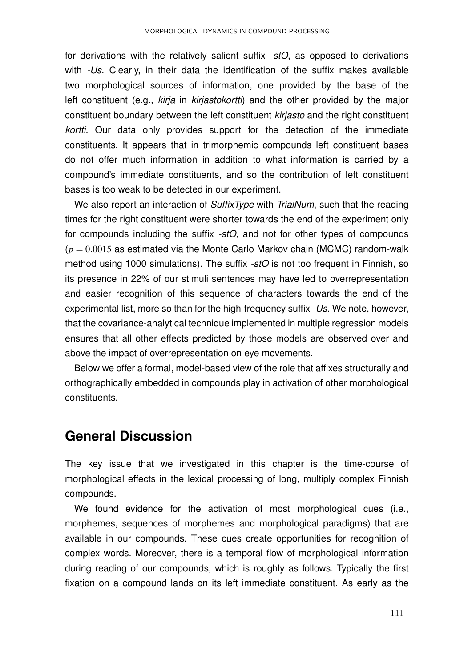for derivations with the relatively salient suffix *-stO*, as opposed to derivations with *-Us*. Clearly, in their data the identification of the suffix makes available two morphological sources of information, one provided by the base of the left constituent (e.g., *kirja* in *kirjastokortti*) and the other provided by the major constituent boundary between the left constituent *kirjasto* and the right constituent *kortti*. Our data only provides support for the detection of the immediate constituents. It appears that in trimorphemic compounds left constituent bases do not offer much information in addition to what information is carried by a compound's immediate constituents, and so the contribution of left constituent bases is too weak to be detected in our experiment.

We also report an interaction of *SuffixType* with *TrialNum*, such that the reading times for the right constituent were shorter towards the end of the experiment only for compounds including the suffix *-stO*, and not for other types of compounds  $(p = 0.0015$  as estimated via the Monte Carlo Markov chain (MCMC) random-walk method using 1000 simulations). The suffix *-stO* is not too frequent in Finnish, so its presence in 22% of our stimuli sentences may have led to overrepresentation and easier recognition of this sequence of characters towards the end of the experimental list, more so than for the high-frequency suffix *-Us*. We note, however, that the covariance-analytical technique implemented in multiple regression models ensures that all other effects predicted by those models are observed over and above the impact of overrepresentation on eye movements.

Below we offer a formal, model-based view of the role that affixes structurally and orthographically embedded in compounds play in activation of other morphological constituents.

#### **General Discussion**

The key issue that we investigated in this chapter is the time-course of morphological effects in the lexical processing of long, multiply complex Finnish compounds.

We found evidence for the activation of most morphological cues (i.e., morphemes, sequences of morphemes and morphological paradigms) that are available in our compounds. These cues create opportunities for recognition of complex words. Moreover, there is a temporal flow of morphological information during reading of our compounds, which is roughly as follows. Typically the first fixation on a compound lands on its left immediate constituent. As early as the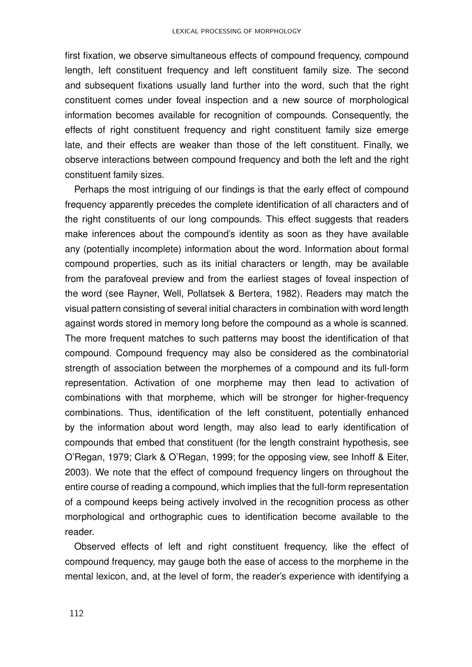first fixation, we observe simultaneous effects of compound frequency, compound length, left constituent frequency and left constituent family size. The second and subsequent fixations usually land further into the word, such that the right constituent comes under foveal inspection and a new source of morphological information becomes available for recognition of compounds. Consequently, the effects of right constituent frequency and right constituent family size emerge late, and their effects are weaker than those of the left constituent. Finally, we observe interactions between compound frequency and both the left and the right constituent family sizes.

Perhaps the most intriguing of our findings is that the early effect of compound frequency apparently precedes the complete identification of all characters and of the right constituents of our long compounds. This effect suggests that readers make inferences about the compound's identity as soon as they have available any (potentially incomplete) information about the word. Information about formal compound properties, such as its initial characters or length, may be available from the parafoveal preview and from the earliest stages of foveal inspection of the word (see Rayner, Well, Pollatsek & Bertera, 1982). Readers may match the visual pattern consisting of several initial characters in combination with word length against words stored in memory long before the compound as a whole is scanned. The more frequent matches to such patterns may boost the identification of that compound. Compound frequency may also be considered as the combinatorial strength of association between the morphemes of a compound and its full-form representation. Activation of one morpheme may then lead to activation of combinations with that morpheme, which will be stronger for higher-frequency combinations. Thus, identification of the left constituent, potentially enhanced by the information about word length, may also lead to early identification of compounds that embed that constituent (for the length constraint hypothesis, see O'Regan, 1979; Clark & O'Regan, 1999; for the opposing view, see Inhoff & Eiter, 2003). We note that the effect of compound frequency lingers on throughout the entire course of reading a compound, which implies that the full-form representation of a compound keeps being actively involved in the recognition process as other morphological and orthographic cues to identification become available to the reader.

Observed effects of left and right constituent frequency, like the effect of compound frequency, may gauge both the ease of access to the morpheme in the mental lexicon, and, at the level of form, the reader's experience with identifying a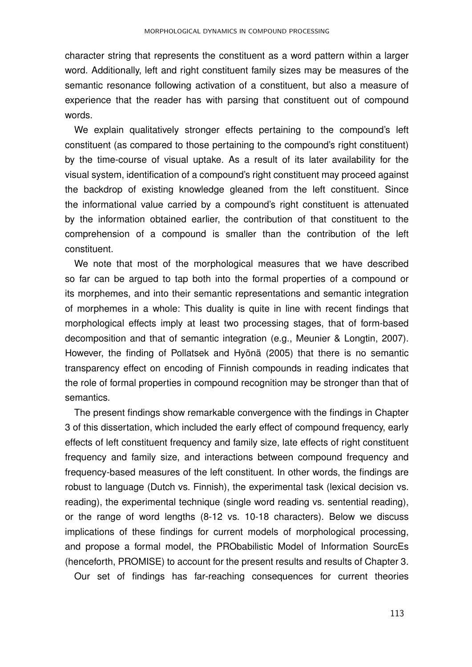character string that represents the constituent as a word pattern within a larger word. Additionally, left and right constituent family sizes may be measures of the semantic resonance following activation of a constituent, but also a measure of experience that the reader has with parsing that constituent out of compound words.

We explain qualitatively stronger effects pertaining to the compound's left constituent (as compared to those pertaining to the compound's right constituent) by the time-course of visual uptake. As a result of its later availability for the visual system, identification of a compound's right constituent may proceed against the backdrop of existing knowledge gleaned from the left constituent. Since the informational value carried by a compound's right constituent is attenuated by the information obtained earlier, the contribution of that constituent to the comprehension of a compound is smaller than the contribution of the left constituent.

We note that most of the morphological measures that we have described so far can be argued to tap both into the formal properties of a compound or its morphemes, and into their semantic representations and semantic integration of morphemes in a whole: This duality is quite in line with recent findings that morphological effects imply at least two processing stages, that of form-based decomposition and that of semantic integration (e.g., Meunier & Longtin, 2007). However, the finding of Pollatsek and Hyönä (2005) that there is no semantic transparency effect on encoding of Finnish compounds in reading indicates that the role of formal properties in compound recognition may be stronger than that of semantics.

The present findings show remarkable convergence with the findings in Chapter 3 of this dissertation, which included the early effect of compound frequency, early effects of left constituent frequency and family size, late effects of right constituent frequency and family size, and interactions between compound frequency and frequency-based measures of the left constituent. In other words, the findings are robust to language (Dutch vs. Finnish), the experimental task (lexical decision vs. reading), the experimental technique (single word reading vs. sentential reading), or the range of word lengths (8-12 vs. 10-18 characters). Below we discuss implications of these findings for current models of morphological processing, and propose a formal model, the PRObabilistic Model of Information SourcEs (henceforth, PROMISE) to account for the present results and results of Chapter 3.

Our set of findings has far-reaching consequences for current theories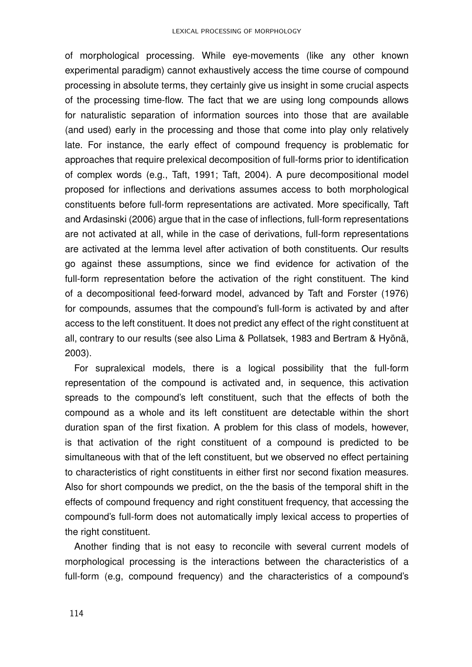of morphological processing. While eye-movements (like any other known experimental paradigm) cannot exhaustively access the time course of compound processing in absolute terms, they certainly give us insight in some crucial aspects of the processing time-flow. The fact that we are using long compounds allows for naturalistic separation of information sources into those that are available (and used) early in the processing and those that come into play only relatively late. For instance, the early effect of compound frequency is problematic for approaches that require prelexical decomposition of full-forms prior to identification of complex words (e.g., Taft, 1991; Taft, 2004). A pure decompositional model proposed for inflections and derivations assumes access to both morphological constituents before full-form representations are activated. More specifically, Taft and Ardasinski (2006) argue that in the case of inflections, full-form representations are not activated at all, while in the case of derivations, full-form representations are activated at the lemma level after activation of both constituents. Our results go against these assumptions, since we find evidence for activation of the full-form representation before the activation of the right constituent. The kind of a decompositional feed-forward model, advanced by Taft and Forster (1976) for compounds, assumes that the compound's full-form is activated by and after access to the left constituent. It does not predict any effect of the right constituent at all, contrary to our results (see also Lima & Pollatsek, 1983 and Bertram & Hyönä, 2003).

For supralexical models, there is a logical possibility that the full-form representation of the compound is activated and, in sequence, this activation spreads to the compound's left constituent, such that the effects of both the compound as a whole and its left constituent are detectable within the short duration span of the first fixation. A problem for this class of models, however, is that activation of the right constituent of a compound is predicted to be simultaneous with that of the left constituent, but we observed no effect pertaining to characteristics of right constituents in either first nor second fixation measures. Also for short compounds we predict, on the the basis of the temporal shift in the effects of compound frequency and right constituent frequency, that accessing the compound's full-form does not automatically imply lexical access to properties of the right constituent.

Another finding that is not easy to reconcile with several current models of morphological processing is the interactions between the characteristics of a full-form (e.g, compound frequency) and the characteristics of a compound's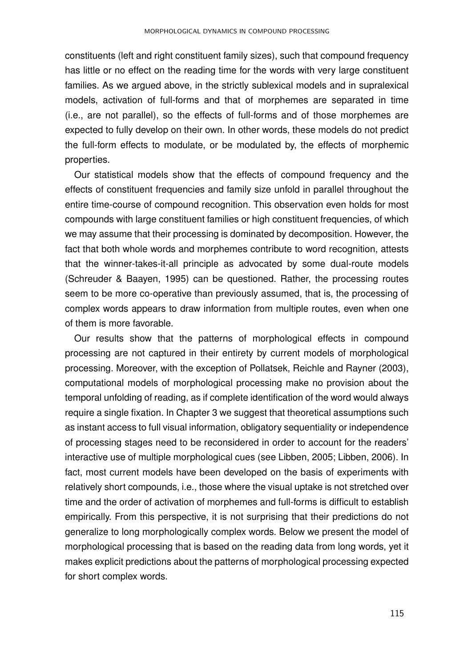constituents (left and right constituent family sizes), such that compound frequency has little or no effect on the reading time for the words with very large constituent families. As we argued above, in the strictly sublexical models and in supralexical models, activation of full-forms and that of morphemes are separated in time (i.e., are not parallel), so the effects of full-forms and of those morphemes are expected to fully develop on their own. In other words, these models do not predict the full-form effects to modulate, or be modulated by, the effects of morphemic properties.

Our statistical models show that the effects of compound frequency and the effects of constituent frequencies and family size unfold in parallel throughout the entire time-course of compound recognition. This observation even holds for most compounds with large constituent families or high constituent frequencies, of which we may assume that their processing is dominated by decomposition. However, the fact that both whole words and morphemes contribute to word recognition, attests that the winner-takes-it-all principle as advocated by some dual-route models (Schreuder & Baayen, 1995) can be questioned. Rather, the processing routes seem to be more co-operative than previously assumed, that is, the processing of complex words appears to draw information from multiple routes, even when one of them is more favorable.

Our results show that the patterns of morphological effects in compound processing are not captured in their entirety by current models of morphological processing. Moreover, with the exception of Pollatsek, Reichle and Rayner (2003), computational models of morphological processing make no provision about the temporal unfolding of reading, as if complete identification of the word would always require a single fixation. In Chapter 3 we suggest that theoretical assumptions such as instant access to full visual information, obligatory sequentiality or independence of processing stages need to be reconsidered in order to account for the readers' interactive use of multiple morphological cues (see Libben, 2005; Libben, 2006). In fact, most current models have been developed on the basis of experiments with relatively short compounds, i.e., those where the visual uptake is not stretched over time and the order of activation of morphemes and full-forms is difficult to establish empirically. From this perspective, it is not surprising that their predictions do not generalize to long morphologically complex words. Below we present the model of morphological processing that is based on the reading data from long words, yet it makes explicit predictions about the patterns of morphological processing expected for short complex words.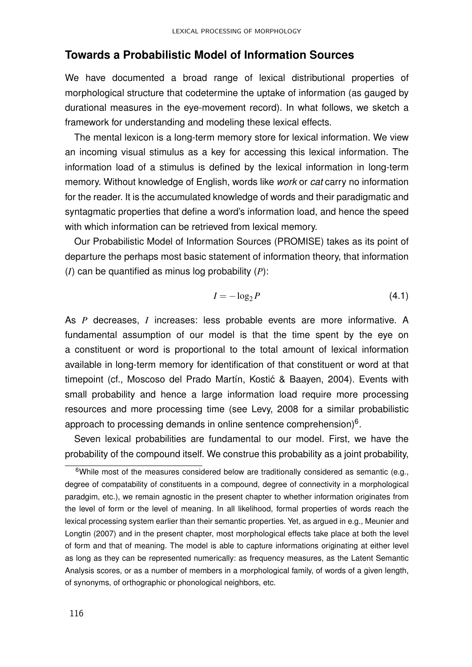#### **Towards a Probabilistic Model of Information Sources**

We have documented a broad range of lexical distributional properties of morphological structure that codetermine the uptake of information (as gauged by durational measures in the eye-movement record). In what follows, we sketch a framework for understanding and modeling these lexical effects.

The mental lexicon is a long-term memory store for lexical information. We view an incoming visual stimulus as a key for accessing this lexical information. The information load of a stimulus is defined by the lexical information in long-term memory. Without knowledge of English, words like *work* or *cat* carry no information for the reader. It is the accumulated knowledge of words and their paradigmatic and syntagmatic properties that define a word's information load, and hence the speed with which information can be retrieved from lexical memory.

Our Probabilistic Model of Information Sources (PROMISE) takes as its point of departure the perhaps most basic statement of information theory, that information (*I*) can be quantified as minus log probability (*P*):

$$
I = -\log_2 P \tag{4.1}
$$

As *P* decreases, *I* increases: less probable events are more informative. A fundamental assumption of our model is that the time spent by the eye on a constituent or word is proportional to the total amount of lexical information available in long-term memory for identification of that constituent or word at that timepoint (cf., Moscoso del Prado Martín, Kostic & Baayen, 2004). Events with ´ small probability and hence a large information load require more processing resources and more processing time (see Levy, 2008 for a similar probabilistic approach to processing demands in online sentence comprehension) $6$ .

Seven lexical probabilities are fundamental to our model. First, we have the probability of the compound itself. We construe this probability as a joint probability,

 $6$ While most of the measures considered below are traditionally considered as semantic (e.g., degree of compatability of constituents in a compound, degree of connectivity in a morphological paradgim, etc.), we remain agnostic in the present chapter to whether information originates from the level of form or the level of meaning. In all likelihood, formal properties of words reach the lexical processing system earlier than their semantic properties. Yet, as argued in e.g., Meunier and Longtin (2007) and in the present chapter, most morphological effects take place at both the level of form and that of meaning. The model is able to capture informations originating at either level as long as they can be represented numerically: as frequency measures, as the Latent Semantic Analysis scores, or as a number of members in a morphological family, of words of a given length, of synonyms, of orthographic or phonological neighbors, etc.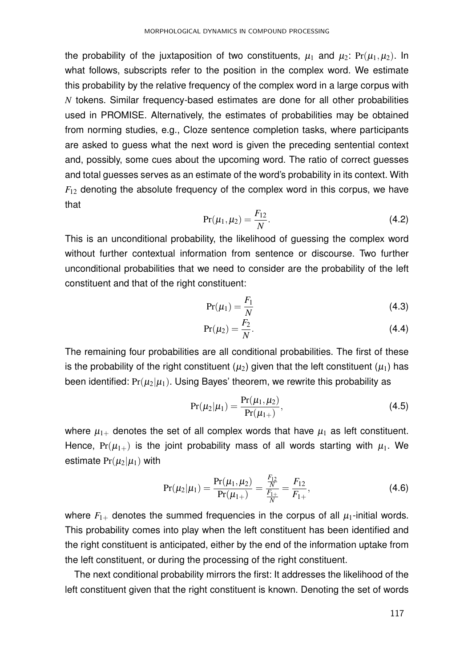the probability of the juxtaposition of two constituents,  $\mu_1$  and  $\mu_2$ : Pr( $\mu_1, \mu_2$ ). In what follows, subscripts refer to the position in the complex word. We estimate this probability by the relative frequency of the complex word in a large corpus with *N* tokens. Similar frequency-based estimates are done for all other probabilities used in PROMISE. Alternatively, the estimates of probabilities may be obtained from norming studies, e.g., Cloze sentence completion tasks, where participants are asked to guess what the next word is given the preceding sentential context and, possibly, some cues about the upcoming word. The ratio of correct guesses and total guesses serves as an estimate of the word's probability in its context. With *F*<sub>12</sub> denoting the absolute frequency of the complex word in this corpus, we have that

$$
Pr(\mu_1, \mu_2) = \frac{F_{12}}{N}.
$$
 (4.2)

This is an unconditional probability, the likelihood of guessing the complex word without further contextual information from sentence or discourse. Two further unconditional probabilities that we need to consider are the probability of the left constituent and that of the right constituent:

$$
Pr(\mu_1) = \frac{F_1}{N} \tag{4.3}
$$

$$
Pr(\mu_2) = \frac{F_2}{N}.
$$
 (4.4)

The remaining four probabilities are all conditional probabilities. The first of these is the probability of the right constituent  $(\mu_2)$  given that the left constituent  $(\mu_1)$  has been identified:  $Pr(\mu_2|\mu_1)$ . Using Bayes' theorem, we rewrite this probability as

$$
Pr(\mu_2|\mu_1) = \frac{Pr(\mu_1, \mu_2)}{Pr(\mu_{1+})},
$$
\n(4.5)

where  $\mu_{1+}$  denotes the set of all complex words that have  $\mu_1$  as left constituent. Hence,  $Pr(\mu_{1+})$  is the joint probability mass of all words starting with  $\mu_1$ . We estimate  $Pr(\mu_2|\mu_1)$  with

$$
Pr(\mu_2|\mu_1) = \frac{Pr(\mu_1, \mu_2)}{Pr(\mu_{1+})} = \frac{\frac{F_{12}}{N}}{\frac{F_{1+}}{N}} = \frac{F_{12}}{F_{1+}},
$$
\n(4.6)

where  $F_{1+}$  denotes the summed frequencies in the corpus of all  $\mu_1$ -initial words. This probability comes into play when the left constituent has been identified and the right constituent is anticipated, either by the end of the information uptake from the left constituent, or during the processing of the right constituent.

The next conditional probability mirrors the first: It addresses the likelihood of the left constituent given that the right constituent is known. Denoting the set of words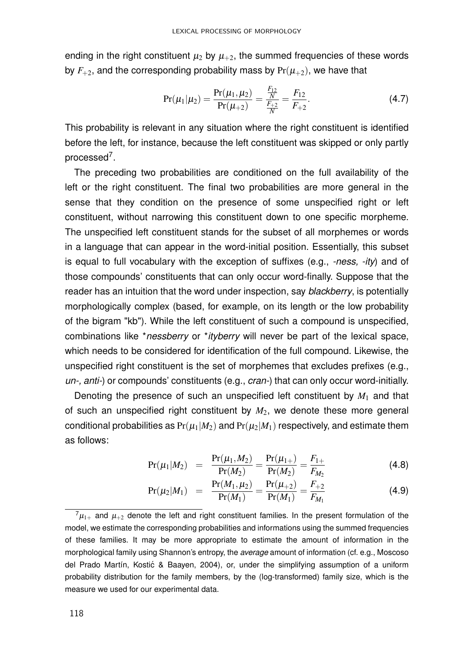ending in the right constituent  $\mu_2$  by  $\mu_{+2}$ , the summed frequencies of these words by  $F_{+2}$ , and the corresponding probability mass by  $Pr(\mu_{+2})$ , we have that

$$
Pr(\mu_1|\mu_2) = \frac{Pr(\mu_1, \mu_2)}{Pr(\mu_{+2})} = \frac{\frac{F_{12}}{N}}{\frac{F_{+2}}{N}} = \frac{F_{12}}{F_{+2}}.
$$
 (4.7)

This probability is relevant in any situation where the right constituent is identified before the left, for instance, because the left constituent was skipped or only partly processed<sup>7</sup>.

The preceding two probabilities are conditioned on the full availability of the left or the right constituent. The final two probabilities are more general in the sense that they condition on the presence of some unspecified right or left constituent, without narrowing this constituent down to one specific morpheme. The unspecified left constituent stands for the subset of all morphemes or words in a language that can appear in the word-initial position. Essentially, this subset is equal to full vocabulary with the exception of suffixes (e.g., *-ness, -ity*) and of those compounds' constituents that can only occur word-finally. Suppose that the reader has an intuition that the word under inspection, say *blackberry*, is potentially morphologically complex (based, for example, on its length or the low probability of the bigram "kb"). While the left constituent of such a compound is unspecified, combinations like \**nessberry* or \**ityberry* will never be part of the lexical space, which needs to be considered for identification of the full compound. Likewise, the unspecified right constituent is the set of morphemes that excludes prefixes (e.g., *un-, anti-*) or compounds' constituents (e.g., *cran-*) that can only occur word-initially.

Denoting the presence of such an unspecified left constituent by *M*<sup>1</sup> and that of such an unspecified right constituent by *M*2, we denote these more general conditional probabilities as  $Pr(\mu_1|M_2)$  and  $Pr(\mu_2|M_1)$  respectively, and estimate them as follows:

$$
Pr(\mu_1|M_2) = \frac{Pr(\mu_1,M_2)}{Pr(M_2)} = \frac{Pr(\mu_{1+})}{Pr(M_2)} = \frac{F_{1+}}{F_{M_2}}
$$
(4.8)

$$
Pr(\mu_2|M_1) = \frac{Pr(M_1, \mu_2)}{Pr(M_1)} = \frac{Pr(\mu_{+2})}{Pr(M_1)} = \frac{F_{+2}}{F_{M_1}}
$$
(4.9)

 $7\mu_{1+}$  and  $\mu_{+2}$  denote the left and right constituent families. In the present formulation of the model, we estimate the corresponding probabilities and informations using the summed frequencies of these families. It may be more appropriate to estimate the amount of information in the morphological family using Shannon's entropy, the *average* amount of information (cf. e.g., Moscoso del Prado Martín, Kostić & Baayen, 2004), or, under the simplifying assumption of a uniform probability distribution for the family members, by the (log-transformed) family size, which is the measure we used for our experimental data.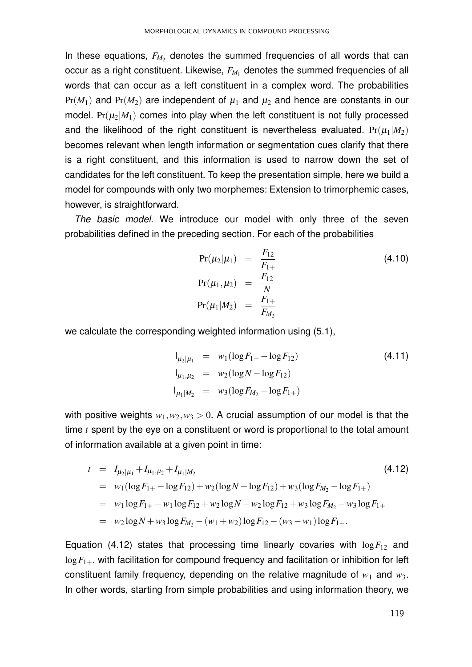In these equations,  $F_{M_2}$  denotes the summed frequencies of all words that can occur as a right constituent. Likewise,  $F_{M_1}$  denotes the summed frequencies of all words that can occur as a left constituent in a complex word. The probabilities  $Pr(M_1)$  and  $Pr(M_2)$  are independent of  $\mu_1$  and  $\mu_2$  and hence are constants in our model.  $Pr(\mu_2|M_1)$  comes into play when the left constituent is not fully processed and the likelihood of the right constituent is nevertheless evaluated.  $Pr(\mu_1|M_2)$ becomes relevant when length information or segmentation cues clarify that there is a right constituent, and this information is used to narrow down the set of candidates for the left constituent. To keep the presentation simple, here we build a model for compounds with only two morphemes: Extension to trimorphemic cases, however, is straightforward.

*The basic model.* We introduce our model with only three of the seven probabilities defined in the preceding section. For each of the probabilities

$$
Pr(\mu_2|\mu_1) = \frac{F_{12}}{F_{1+}}
$$
  
\n
$$
Pr(\mu_1, \mu_2) = \frac{F_{12}}{N}
$$
  
\n
$$
Pr(\mu_1|M_2) = \frac{F_{1+}}{F_{M_2}}
$$
\n(4.10)

we calculate the corresponding weighted information using (5.1),

$$
I_{\mu_2|\mu_1} = w_1(\log F_{1+} - \log F_{12})
$$
\n
$$
I_{\mu_1,\mu_2} = w_2(\log N - \log F_{12})
$$
\n
$$
I_{\mu_1|M_2} = w_3(\log F_{M_2} - \log F_{1+})
$$
\n(4.11)

with positive weights  $w_1, w_2, w_3 > 0$ . A crucial assumption of our model is that the time *t* spent by the eye on a constituent or word is proportional to the total amount of information available at a given point in time:

$$
t = I_{\mu_2|\mu_1} + I_{\mu_1,\mu_2} + I_{\mu_1|M_2}
$$
\n
$$
= w_1(\log F_{1+} - \log F_{12}) + w_2(\log N - \log F_{12}) + w_3(\log F_{M_2} - \log F_{1+})
$$
\n
$$
= w_1 \log F_{1+} - w_1 \log F_{12} + w_2 \log N - w_2 \log F_{12} + w_3 \log F_{M_2} - w_3 \log F_{1+}
$$
\n
$$
= w_2 \log N + w_3 \log F_{M_2} - (w_1 + w_2) \log F_{12} - (w_3 - w_1) \log F_{1+}.
$$
\n(4.12)

Equation (4.12) states that processing time linearly covaries with  $\log F_{12}$  and log  $F_{1+}$ , with facilitation for compound frequency and facilitation or inhibition for left constituent family frequency, depending on the relative magnitude of  $w_1$  and  $w_3$ . In other words, starting from simple probabilities and using information theory, we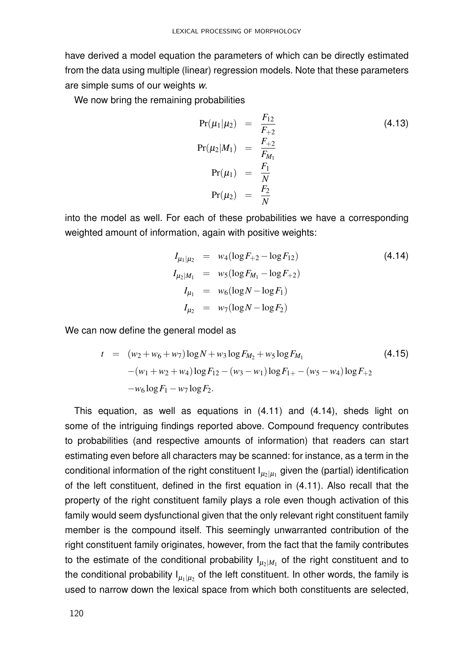have derived a model equation the parameters of which can be directly estimated from the data using multiple (linear) regression models. Note that these parameters are simple sums of our weights *w*.

We now bring the remaining probabilities

$$
Pr(\mu_1|\mu_2) = \frac{F_{12}}{F_{+2}}
$$
  
\n
$$
Pr(\mu_2|M_1) = \frac{F_{+2}}{F_{M_1}}
$$
  
\n
$$
Pr(\mu_1) = \frac{F_1}{N}
$$
  
\n
$$
Pr(\mu_2) = \frac{F_2}{N}
$$
 (4.13)

into the model as well. For each of these probabilities we have a corresponding weighted amount of information, again with positive weights:

$$
I_{\mu_1|\mu_2} = w_4(\log F_{+2} - \log F_{12})
$$
\n
$$
I_{\mu_2|M_1} = w_5(\log F_{M_1} - \log F_{+2})
$$
\n
$$
I_{\mu_1} = w_6(\log N - \log F_1)
$$
\n
$$
I_{\mu_2} = w_7(\log N - \log F_2)
$$
\n(4.14)

We can now define the general model as

$$
t = (w_2 + w_6 + w_7) \log N + w_3 \log F_{M_2} + w_5 \log F_{M_1}
$$
\n
$$
-(w_1 + w_2 + w_4) \log F_{12} - (w_3 - w_1) \log F_{1+} - (w_5 - w_4) \log F_{+2}
$$
\n
$$
-w_6 \log F_1 - w_7 \log F_2.
$$
\n(4.15)

This equation, as well as equations in (4.11) and (4.14), sheds light on some of the intriguing findings reported above. Compound frequency contributes to probabilities (and respective amounts of information) that readers can start estimating even before all characters may be scanned: for instance, as a term in the conditional information of the right constituent  $\mathsf{l}_{\mu_2|\mu_1}$  given the (partial) identification of the left constituent, defined in the first equation in (4.11). Also recall that the property of the right constituent family plays a role even though activation of this family would seem dysfunctional given that the only relevant right constituent family member is the compound itself. This seemingly unwarranted contribution of the right constituent family originates, however, from the fact that the family contributes to the estimate of the conditional probability  $\mathsf{I}_{\mu_2|M_1}$  of the right constituent and to the conditional probability  $\mathsf{I}_{\mu_1 \mid \mu_2}$  of the left constituent. In other words, the family is used to narrow down the lexical space from which both constituents are selected,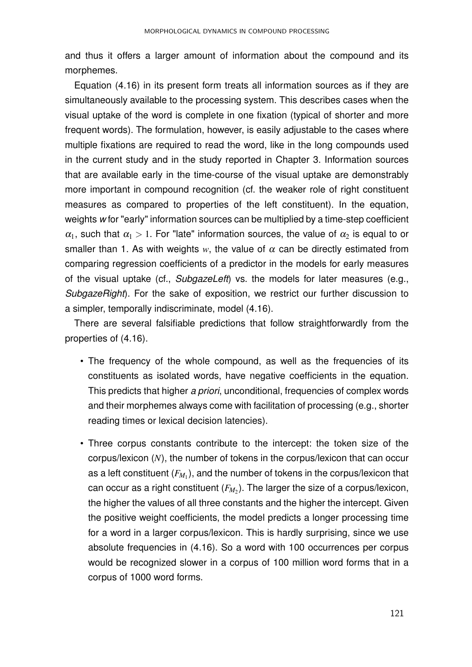and thus it offers a larger amount of information about the compound and its morphemes.

Equation (4.16) in its present form treats all information sources as if they are simultaneously available to the processing system. This describes cases when the visual uptake of the word is complete in one fixation (typical of shorter and more frequent words). The formulation, however, is easily adjustable to the cases where multiple fixations are required to read the word, like in the long compounds used in the current study and in the study reported in Chapter 3. Information sources that are available early in the time-course of the visual uptake are demonstrably more important in compound recognition (cf. the weaker role of right constituent measures as compared to properties of the left constituent). In the equation, weights *w* for "early" information sources can be multiplied by a time-step coefficient  $\alpha_1$ , such that  $\alpha_1 > 1$ . For "late" information sources, the value of  $\alpha_2$  is equal to or smaller than 1. As with weights *w*, the value of  $\alpha$  can be directly estimated from comparing regression coefficients of a predictor in the models for early measures of the visual uptake (cf., *SubgazeLeft*) vs. the models for later measures (e.g., *SubgazeRight*). For the sake of exposition, we restrict our further discussion to a simpler, temporally indiscriminate, model (4.16).

There are several falsifiable predictions that follow straightforwardly from the properties of (4.16).

- The frequency of the whole compound, as well as the frequencies of its constituents as isolated words, have negative coefficients in the equation. This predicts that higher *a priori*, unconditional, frequencies of complex words and their morphemes always come with facilitation of processing (e.g., shorter reading times or lexical decision latencies).
- Three corpus constants contribute to the intercept: the token size of the corpus/lexicon (*N*), the number of tokens in the corpus/lexicon that can occur as a left constituent  $(F_{M_1})$ , and the number of tokens in the corpus/lexicon that can occur as a right constituent  $(F_{M_2})$ . The larger the size of a corpus/lexicon, the higher the values of all three constants and the higher the intercept. Given the positive weight coefficients, the model predicts a longer processing time for a word in a larger corpus/lexicon. This is hardly surprising, since we use absolute frequencies in (4.16). So a word with 100 occurrences per corpus would be recognized slower in a corpus of 100 million word forms that in a corpus of 1000 word forms.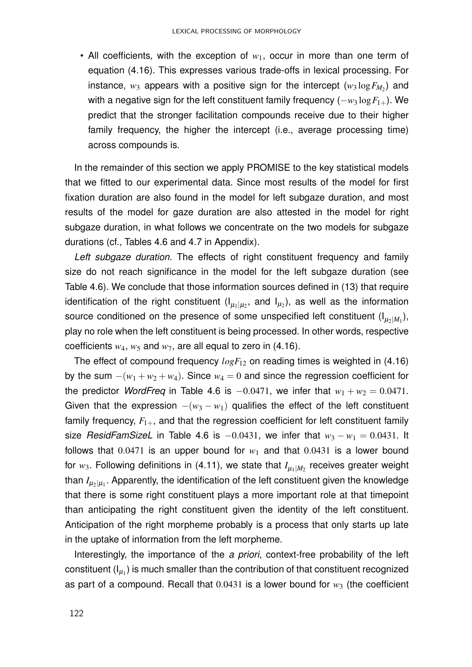• All coefficients, with the exception of  $w_1$ , occur in more than one term of equation (4.16). This expresses various trade-offs in lexical processing. For instance,  $w_3$  appears with a positive sign for the intercept  $(w_3 \log F_{M_2})$  and with a negative sign for the left constituent family frequency ( $-w_3 \log F_{1+}$ ). We predict that the stronger facilitation compounds receive due to their higher family frequency, the higher the intercept (i.e., average processing time) across compounds is.

In the remainder of this section we apply PROMISE to the key statistical models that we fitted to our experimental data. Since most results of the model for first fixation duration are also found in the model for left subgaze duration, and most results of the model for gaze duration are also attested in the model for right subgaze duration, in what follows we concentrate on the two models for subgaze durations (cf., Tables 4.6 and 4.7 in Appendix).

*Left subgaze duration.* The effects of right constituent frequency and family size do not reach significance in the model for the left subgaze duration (see Table 4.6). We conclude that those information sources defined in (13) that require identification of the right constituent ( $\vert_{\mu_1\vert\mu_2}$ , and  $\vert_{\mu_2}$ ), as well as the information source conditioned on the presence of some unspecified left constituent  $(\mathsf{I}_{\mu_2|M_1}),$ play no role when the left constituent is being processed. In other words, respective coefficients  $w_4$ ,  $w_5$  and  $w_7$ , are all equal to zero in (4.16).

The effect of compound frequency  $logF_{12}$  on reading times is weighted in (4.16) by the sum  $-(w_1 + w_2 + w_4)$ . Since  $w_4 = 0$  and since the regression coefficient for the predictor *WordFreq* in Table 4.6 is  $-0.0471$ , we infer that  $w_1 + w_2 = 0.0471$ . Given that the expression  $-(w_3 - w_1)$  qualifies the effect of the left constituent family frequency,  $F_{1+}$ , and that the regression coefficient for left constituent family size *ResidFamSizeL* in Table 4.6 is  $-0.0431$ , we infer that  $w_3 - w_1 = 0.0431$ . It follows that  $0.0471$  is an upper bound for  $w_1$  and that  $0.0431$  is a lower bound for  $w_3$ . Following definitions in (4.11), we state that  $I_{\mu_1|M_2}$  receives greater weight than  $I_{\mu_2|\mu_1}.$  Apparently, the identification of the left constituent given the knowledge that there is some right constituent plays a more important role at that timepoint than anticipating the right constituent given the identity of the left constituent. Anticipation of the right morpheme probably is a process that only starts up late in the uptake of information from the left morpheme.

Interestingly, the importance of the *a priori*, context-free probability of the left constituent (I $_{\mu_1}$ ) is much smaller than the contribution of that constituent recognized as part of a compound. Recall that  $0.0431$  is a lower bound for  $w_3$  (the coefficient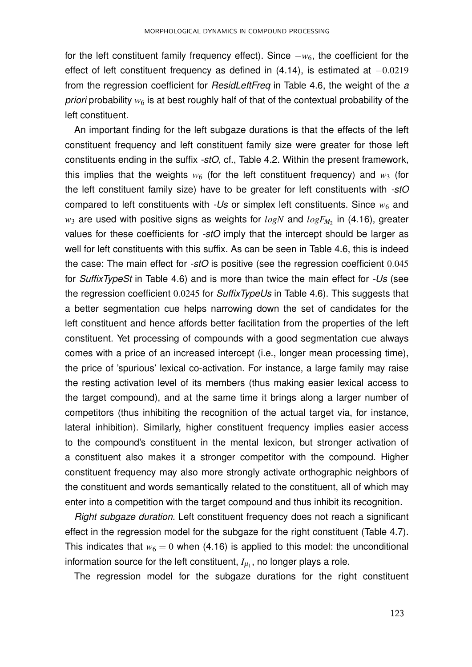for the left constituent family frequency effect). Since  $-w_6$ , the coefficient for the effect of left constituent frequency as defined in (4.14), is estimated at −0.0219 from the regression coefficient for *ResidLeftFreq* in Table 4.6, the weight of the *a priori* probability  $w_6$  is at best roughly half of that of the contextual probability of the left constituent.

An important finding for the left subgaze durations is that the effects of the left constituent frequency and left constituent family size were greater for those left constituents ending in the suffix *-stO*, cf., Table 4.2. Within the present framework, this implies that the weights  $w_6$  (for the left constituent frequency) and  $w_3$  (for the left constituent family size) have to be greater for left constituents with *-stO* compared to left constituents with *-Us* or simplex left constituents. Since  $w_6$  and  $w_3$  are used with positive signs as weights for  $logN$  and  $logF_{M_2}$  in (4.16), greater values for these coefficients for *-stO* imply that the intercept should be larger as well for left constituents with this suffix. As can be seen in Table 4.6, this is indeed the case: The main effect for *-stO* is positive (see the regression coefficient 0.045 for *SuffixTypeSt* in Table 4.6) and is more than twice the main effect for *-Us* (see the regression coefficient 0.0245 for *SuffixTypeUs* in Table 4.6). This suggests that a better segmentation cue helps narrowing down the set of candidates for the left constituent and hence affords better facilitation from the properties of the left constituent. Yet processing of compounds with a good segmentation cue always comes with a price of an increased intercept (i.e., longer mean processing time), the price of 'spurious' lexical co-activation. For instance, a large family may raise the resting activation level of its members (thus making easier lexical access to the target compound), and at the same time it brings along a larger number of competitors (thus inhibiting the recognition of the actual target via, for instance, lateral inhibition). Similarly, higher constituent frequency implies easier access to the compound's constituent in the mental lexicon, but stronger activation of a constituent also makes it a stronger competitor with the compound. Higher constituent frequency may also more strongly activate orthographic neighbors of the constituent and words semantically related to the constituent, all of which may enter into a competition with the target compound and thus inhibit its recognition.

*Right subgaze duration.* Left constituent frequency does not reach a significant effect in the regression model for the subgaze for the right constituent (Table 4.7). This indicates that  $w_6 = 0$  when (4.16) is applied to this model: the unconditional information source for the left constituent,  $I_{\mu_1},$  no longer plays a role.

The regression model for the subgaze durations for the right constituent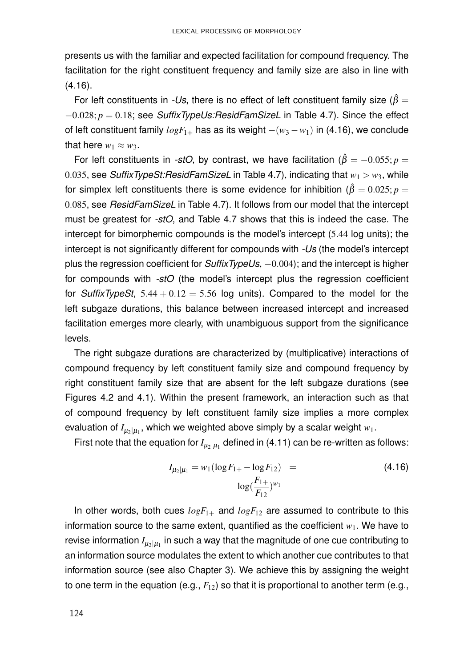presents us with the familiar and expected facilitation for compound frequency. The facilitation for the right constituent frequency and family size are also in line with (4.16).

For left constituents in *-Us*, there is no effect of left constituent family size ( $\hat{\beta}$  = −0.028; *p* = 0.18; see *SuffixTypeUs:ResidFamSizeL* in Table 4.7). Since the effect of left constituent family *logF*1<sup>+</sup> has as its weight −(*w*<sup>3</sup> −*w*1) in (4.16), we conclude that here  $w_1 \approx w_3$ .

For left constituents in *-stO*, by contrast, we have facilitation ( $\hat{\beta} = -0.055$ ;  $p =$ 0.035, see *SuffixTypeSt:ResidFamSizeL* in Table 4.7), indicating that  $w_1 > w_3$ , while for simplex left constituents there is some evidence for inhibition ( $\hat{\beta} = 0.025$ ;  $p =$ 0.085, see *ResidFamSizeL* in Table 4.7). It follows from our model that the intercept must be greatest for *-stO*, and Table 4.7 shows that this is indeed the case. The intercept for bimorphemic compounds is the model's intercept (5.44 log units); the intercept is not significantly different for compounds with *-Us* (the model's intercept plus the regression coefficient for *SuffixTypeUs*, −0.004); and the intercept is higher for compounds with *-stO* (the model's intercept plus the regression coefficient for *SuffixTypeSt*,  $5.44 + 0.12 = 5.56$  log units). Compared to the model for the left subgaze durations, this balance between increased intercept and increased facilitation emerges more clearly, with unambiguous support from the significance levels.

The right subgaze durations are characterized by (multiplicative) interactions of compound frequency by left constituent family size and compound frequency by right constituent family size that are absent for the left subgaze durations (see Figures 4.2 and 4.1). Within the present framework, an interaction such as that of compound frequency by left constituent family size implies a more complex evaluation of  $I_{\mu_2|\mu_1}$ , which we weighted above simply by a scalar weight  $w_1.$ 

First note that the equation for  $I_{\mu_2|\mu_1}$  defined in (4.11) can be re-written as follows:

$$
I_{\mu_2|\mu_1} = w_1(\log F_{1+} - \log F_{12}) = \log(\frac{F_{1+}}{F_{12}})^{w_1}
$$
\n(4.16)

In other words, both cues  $logF_{1+}$  and  $logF_{12}$  are assumed to contribute to this information source to the same extent, quantified as the coefficient  $w_1$ . We have to revise information  $I_{\mu_2|\mu_1}$  in such a way that the magnitude of one cue contributing to an information source modulates the extent to which another cue contributes to that information source (see also Chapter 3). We achieve this by assigning the weight to one term in the equation (e.g., *F*12) so that it is proportional to another term (e.g.,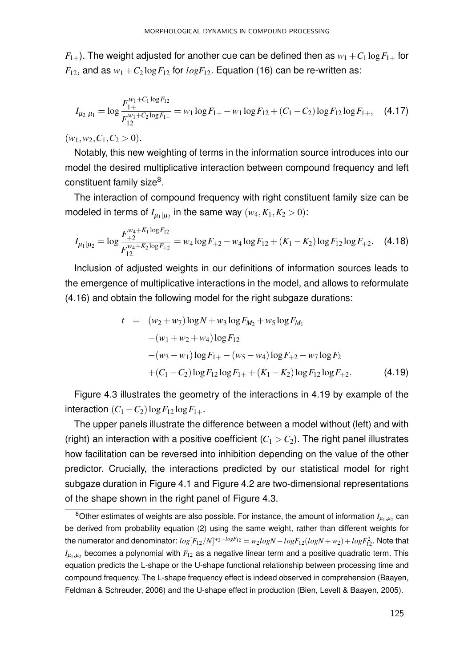$F_{1+}$ ). The weight adjusted for another cue can be defined then as  $w_1 + C_1 \log F_{1+}$  for  $F_{12}$ , and as  $w_1 + C_2 \log F_{12}$  for  $log F_{12}$ . Equation (16) can be re-written as:

$$
I_{\mu_2|\mu_1} = \log \frac{F_{1+}^{w_1+C_1 \log F_{12}}}{F_{12}^{w_1+C_2 \log F_{1+}}} = w_1 \log F_{1+} - w_1 \log F_{12} + (C_1 - C_2) \log F_{12} \log F_{1+}, \quad (4.17)
$$

 $(w_1, w_2, C_1, C_2 > 0).$ 

Notably, this new weighting of terms in the information source introduces into our model the desired multiplicative interaction between compound frequency and left constituent family size<sup>8</sup>.

The interaction of compound frequency with right constituent family size can be modeled in terms of  $I_{\mu_1 \mid \mu_2}$  in the same way  $(w_4, K_1, K_2 > 0)$ :

$$
I_{\mu_1|\mu_2} = \log \frac{F_{+2}^{w_4 + K_1 \log F_{12}}}{F_{12}^{w_4 + K_2 \log F_{+2}}} = w_4 \log F_{+2} - w_4 \log F_{12} + (K_1 - K_2) \log F_{12} \log F_{+2}.
$$
 (4.18)

Inclusion of adjusted weights in our definitions of information sources leads to the emergence of multiplicative interactions in the model, and allows to reformulate (4.16) and obtain the following model for the right subgaze durations:

$$
t = (w_2 + w_7) \log N + w_3 \log F_{M_2} + w_5 \log F_{M_1}
$$
  
-(w<sub>1</sub> + w<sub>2</sub> + w<sub>4</sub>) log F<sub>12</sub>  
-(w<sub>3</sub> - w<sub>1</sub>) log F<sub>1+</sub> - (w<sub>5</sub> - w<sub>4</sub>) log F<sub>+2</sub> - w<sub>7</sub> log F<sub>2</sub>  
+(C<sub>1</sub> - C<sub>2</sub>) log F<sub>12</sub> log F<sub>1+</sub> + (K<sub>1</sub> - K<sub>2</sub>) log F<sub>12</sub> log F<sub>+2</sub>. (4.19)

Figure 4.3 illustrates the geometry of the interactions in 4.19 by example of the  $interaction (C<sub>1</sub> – C<sub>2</sub>) log F<sub>12</sub> log F<sub>1+</sub>.$ 

The upper panels illustrate the difference between a model without (left) and with (right) an interaction with a positive coefficient  $(C_1 > C_2)$ . The right panel illustrates how facilitation can be reversed into inhibition depending on the value of the other predictor. Crucially, the interactions predicted by our statistical model for right subgaze duration in Figure 4.1 and Figure 4.2 are two-dimensional representations of the shape shown in the right panel of Figure 4.3.

 ${}^{8}$ Other estimates of weights are also possible. For instance, the amount of information  $I_{\mu_1,\mu_2}$  can be derived from probability equation (2) using the same weight, rather than different weights for the numerator and denominator:  $log[F_{12}/N]^{w_2+logF_{12}}=w_2logN-logF_{12}(logN+w_2)+logF_{12}^2$ . Note that  $I_{\mu_1,\mu_2}$  becomes a polynomial with  $F_{12}$  as a negative linear term and a positive quadratic term. This equation predicts the L-shape or the U-shape functional relationship between processing time and compound frequency. The L-shape frequency effect is indeed observed in comprehension (Baayen, Feldman & Schreuder, 2006) and the U-shape effect in production (Bien, Levelt & Baayen, 2005).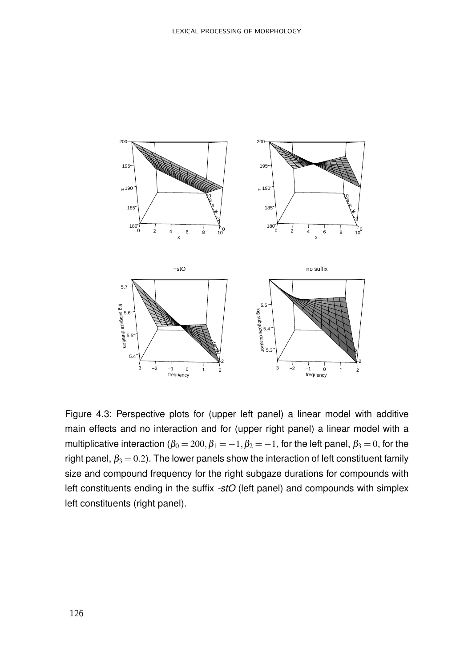

Figure 4.3: Perspective plots for (upper left panel) a linear model with additive main effects and no interaction and for (upper right panel) a linear model with a multiplicative interaction ( $\beta_0 = 200, \beta_1 = -1, \beta_2 = -1$ , for the left panel,  $\beta_3 = 0$ , for the right panel,  $\beta_3 = 0.2$ ). The lower panels show the interaction of left constituent family size and compound frequency for the right subgaze durations for compounds with left constituents ending in the suffix *-stO* (left panel) and compounds with simplex left constituents (right panel).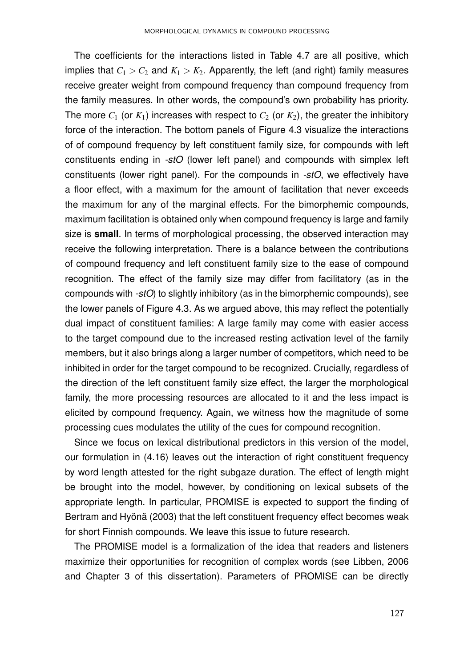The coefficients for the interactions listed in Table 4.7 are all positive, which implies that  $C_1 > C_2$  and  $K_1 > K_2$ . Apparently, the left (and right) family measures receive greater weight from compound frequency than compound frequency from the family measures. In other words, the compound's own probability has priority. The more  $C_1$  (or  $K_1$ ) increases with respect to  $C_2$  (or  $K_2$ ), the greater the inhibitory force of the interaction. The bottom panels of Figure 4.3 visualize the interactions of of compound frequency by left constituent family size, for compounds with left constituents ending in *-stO* (lower left panel) and compounds with simplex left constituents (lower right panel). For the compounds in *-stO*, we effectively have a floor effect, with a maximum for the amount of facilitation that never exceeds the maximum for any of the marginal effects. For the bimorphemic compounds, maximum facilitation is obtained only when compound frequency is large and family size is **small**. In terms of morphological processing, the observed interaction may receive the following interpretation. There is a balance between the contributions of compound frequency and left constituent family size to the ease of compound recognition. The effect of the family size may differ from facilitatory (as in the compounds with *-stO*) to slightly inhibitory (as in the bimorphemic compounds), see the lower panels of Figure 4.3. As we argued above, this may reflect the potentially dual impact of constituent families: A large family may come with easier access to the target compound due to the increased resting activation level of the family members, but it also brings along a larger number of competitors, which need to be inhibited in order for the target compound to be recognized. Crucially, regardless of the direction of the left constituent family size effect, the larger the morphological family, the more processing resources are allocated to it and the less impact is elicited by compound frequency. Again, we witness how the magnitude of some processing cues modulates the utility of the cues for compound recognition.

Since we focus on lexical distributional predictors in this version of the model, our formulation in (4.16) leaves out the interaction of right constituent frequency by word length attested for the right subgaze duration. The effect of length might be brought into the model, however, by conditioning on lexical subsets of the appropriate length. In particular, PROMISE is expected to support the finding of Bertram and Hyönä (2003) that the left constituent frequency effect becomes weak for short Finnish compounds. We leave this issue to future research.

The PROMISE model is a formalization of the idea that readers and listeners maximize their opportunities for recognition of complex words (see Libben, 2006 and Chapter 3 of this dissertation). Parameters of PROMISE can be directly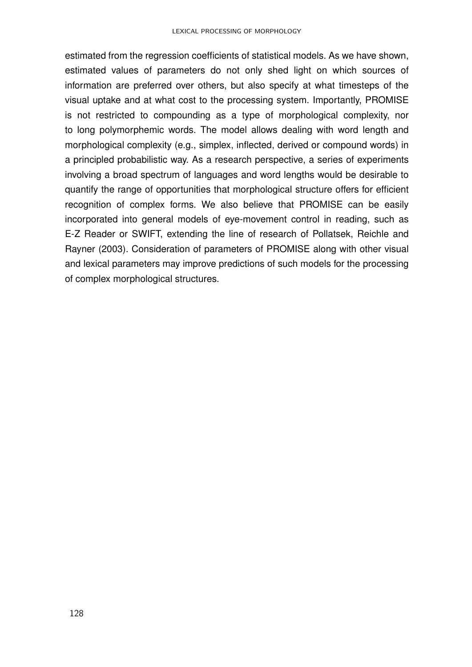estimated from the regression coefficients of statistical models. As we have shown, estimated values of parameters do not only shed light on which sources of information are preferred over others, but also specify at what timesteps of the visual uptake and at what cost to the processing system. Importantly, PROMISE is not restricted to compounding as a type of morphological complexity, nor to long polymorphemic words. The model allows dealing with word length and morphological complexity (e.g., simplex, inflected, derived or compound words) in a principled probabilistic way. As a research perspective, a series of experiments involving a broad spectrum of languages and word lengths would be desirable to quantify the range of opportunities that morphological structure offers for efficient recognition of complex forms. We also believe that PROMISE can be easily incorporated into general models of eye-movement control in reading, such as E-Z Reader or SWIFT, extending the line of research of Pollatsek, Reichle and Rayner (2003). Consideration of parameters of PROMISE along with other visual and lexical parameters may improve predictions of such models for the processing of complex morphological structures.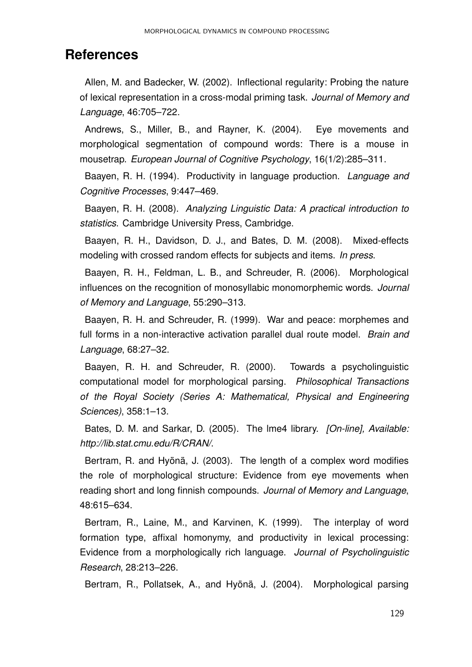## **References**

Allen, M. and Badecker, W. (2002). Inflectional regularity: Probing the nature of lexical representation in a cross-modal priming task. *Journal of Memory and Language*, 46:705–722.

Andrews, S., Miller, B., and Rayner, K. (2004). Eye movements and morphological segmentation of compound words: There is a mouse in mousetrap. *European Journal of Cognitive Psychology*, 16(1/2):285–311.

Baayen, R. H. (1994). Productivity in language production. *Language and Cognitive Processes*, 9:447–469.

Baayen, R. H. (2008). *Analyzing Linguistic Data: A practical introduction to statistics*. Cambridge University Press, Cambridge.

Baayen, R. H., Davidson, D. J., and Bates, D. M. (2008). Mixed-effects modeling with crossed random effects for subjects and items. *In press*.

Baayen, R. H., Feldman, L. B., and Schreuder, R. (2006). Morphological influences on the recognition of monosyllabic monomorphemic words. *Journal of Memory and Language*, 55:290–313.

Baayen, R. H. and Schreuder, R. (1999). War and peace: morphemes and full forms in a non-interactive activation parallel dual route model. *Brain and Language*, 68:27–32.

Baayen, R. H. and Schreuder, R. (2000). Towards a psycholinguistic computational model for morphological parsing. *Philosophical Transactions of the Royal Society (Series A: Mathematical, Physical and Engineering Sciences)*, 358:1–13.

Bates, D. M. and Sarkar, D. (2005). The lme4 library. *[On-line], Available: http://lib.stat.cmu.edu/R/CRAN/*.

Bertram, R. and Hyönä, J. (2003). The length of a complex word modifies the role of morphological structure: Evidence from eye movements when reading short and long finnish compounds. *Journal of Memory and Language*, 48:615–634.

Bertram, R., Laine, M., and Karvinen, K. (1999). The interplay of word formation type, affixal homonymy, and productivity in lexical processing: Evidence from a morphologically rich language. *Journal of Psycholinguistic Research*, 28:213–226.

Bertram, R., Pollatsek, A., and Hyönä, J. (2004). Morphological parsing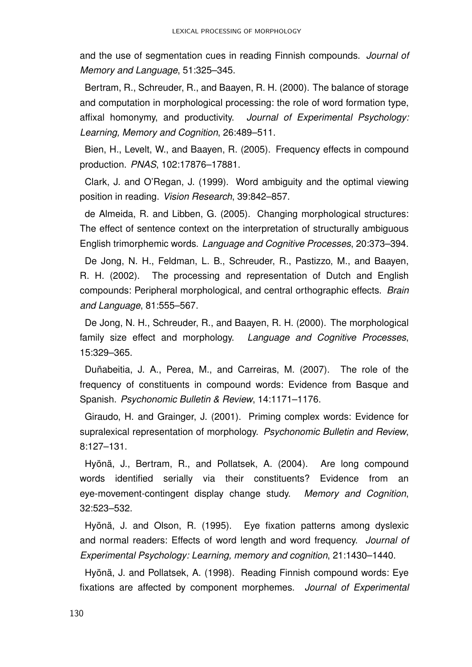and the use of segmentation cues in reading Finnish compounds. *Journal of Memory and Language*, 51:325–345.

Bertram, R., Schreuder, R., and Baayen, R. H. (2000). The balance of storage and computation in morphological processing: the role of word formation type, affixal homonymy, and productivity. *Journal of Experimental Psychology: Learning, Memory and Cognition*, 26:489–511.

Bien, H., Levelt, W., and Baayen, R. (2005). Frequency effects in compound production. *PNAS*, 102:17876–17881.

Clark, J. and O'Regan, J. (1999). Word ambiguity and the optimal viewing position in reading. *Vision Research*, 39:842–857.

de Almeida, R. and Libben, G. (2005). Changing morphological structures: The effect of sentence context on the interpretation of structurally ambiguous English trimorphemic words. *Language and Cognitive Processes*, 20:373–394.

De Jong, N. H., Feldman, L. B., Schreuder, R., Pastizzo, M., and Baayen, R. H. (2002). The processing and representation of Dutch and English compounds: Peripheral morphological, and central orthographic effects. *Brain and Language*, 81:555–567.

De Jong, N. H., Schreuder, R., and Baayen, R. H. (2000). The morphological family size effect and morphology. *Language and Cognitive Processes*, 15:329–365.

Duñabeitia, J. A., Perea, M., and Carreiras, M. (2007). The role of the frequency of constituents in compound words: Evidence from Basque and Spanish. *Psychonomic Bulletin & Review*, 14:1171–1176.

Giraudo, H. and Grainger, J. (2001). Priming complex words: Evidence for supralexical representation of morphology. *Psychonomic Bulletin and Review*, 8:127–131.

Hyönä, J., Bertram, R., and Pollatsek, A. (2004). Are long compound words identified serially via their constituents? Evidence from an eye-movement-contingent display change study. *Memory and Cognition*, 32:523–532.

Hyönä, J. and Olson, R. (1995). Eye fixation patterns among dyslexic and normal readers: Effects of word length and word frequency. *Journal of Experimental Psychology: Learning, memory and cognition*, 21:1430–1440.

Hyönä, J. and Pollatsek, A. (1998). Reading Finnish compound words: Eye fixations are affected by component morphemes. *Journal of Experimental*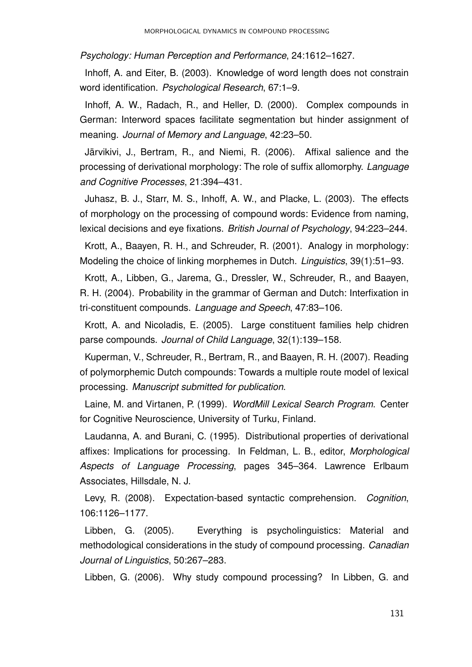*Psychology: Human Perception and Performance*, 24:1612–1627.

Inhoff, A. and Eiter, B. (2003). Knowledge of word length does not constrain word identification. *Psychological Research*, 67:1–9.

Inhoff, A. W., Radach, R., and Heller, D. (2000). Complex compounds in German: Interword spaces facilitate segmentation but hinder assignment of meaning. *Journal of Memory and Language*, 42:23–50.

Järvikivi, J., Bertram, R., and Niemi, R. (2006). Affixal salience and the processing of derivational morphology: The role of suffix allomorphy. *Language and Cognitive Processes*, 21:394–431.

Juhasz, B. J., Starr, M. S., Inhoff, A. W., and Placke, L. (2003). The effects of morphology on the processing of compound words: Evidence from naming, lexical decisions and eye fixations. *British Journal of Psychology*, 94:223–244.

Krott, A., Baayen, R. H., and Schreuder, R. (2001). Analogy in morphology: Modeling the choice of linking morphemes in Dutch. *Linguistics*, 39(1):51–93.

Krott, A., Libben, G., Jarema, G., Dressler, W., Schreuder, R., and Baayen, R. H. (2004). Probability in the grammar of German and Dutch: Interfixation in tri-constituent compounds. *Language and Speech*, 47:83–106.

Krott, A. and Nicoladis, E. (2005). Large constituent families help chidren parse compounds. *Journal of Child Language*, 32(1):139–158.

Kuperman, V., Schreuder, R., Bertram, R., and Baayen, R. H. (2007). Reading of polymorphemic Dutch compounds: Towards a multiple route model of lexical processing. *Manuscript submitted for publication*.

Laine, M. and Virtanen, P. (1999). *WordMill Lexical Search Program*. Center for Cognitive Neuroscience, University of Turku, Finland.

Laudanna, A. and Burani, C. (1995). Distributional properties of derivational affixes: Implications for processing. In Feldman, L. B., editor, *Morphological Aspects of Language Processing*, pages 345–364. Lawrence Erlbaum Associates, Hillsdale, N. J.

Levy, R. (2008). Expectation-based syntactic comprehension. *Cognition*, 106:1126–1177.

Libben, G. (2005). Everything is psycholinguistics: Material and methodological considerations in the study of compound processing. *Canadian Journal of Linguistics*, 50:267–283.

Libben, G. (2006). Why study compound processing? In Libben, G. and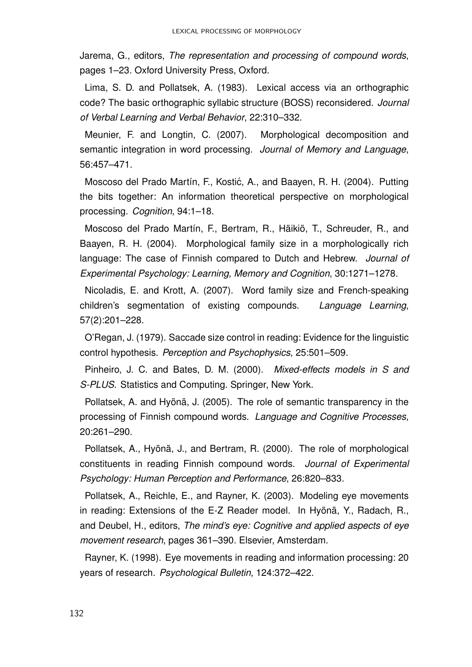Jarema, G., editors, *The representation and processing of compound words*, pages 1–23. Oxford University Press, Oxford.

Lima, S. D. and Pollatsek, A. (1983). Lexical access via an orthographic code? The basic orthographic syllabic structure (BOSS) reconsidered. *Journal of Verbal Learning and Verbal Behavior*, 22:310–332.

Meunier, F. and Longtin, C. (2007). Morphological decomposition and semantic integration in word processing. *Journal of Memory and Language*, 56:457–471.

Moscoso del Prado Martín, F., Kostić, A., and Baayen, R. H. (2004). Putting the bits together: An information theoretical perspective on morphological processing. *Cognition*, 94:1–18.

Moscoso del Prado Martín, F., Bertram, R., Häikiö, T., Schreuder, R., and Baayen, R. H. (2004). Morphological family size in a morphologically rich language: The case of Finnish compared to Dutch and Hebrew. *Journal of Experimental Psychology: Learning, Memory and Cognition*, 30:1271–1278.

Nicoladis, E. and Krott, A. (2007). Word family size and French-speaking children's segmentation of existing compounds. *Language Learning*, 57(2):201–228.

O'Regan, J. (1979). Saccade size control in reading: Evidence for the linguistic control hypothesis. *Perception and Psychophysics*, 25:501–509.

Pinheiro, J. C. and Bates, D. M. (2000). *Mixed-effects models in S and S-PLUS*. Statistics and Computing. Springer, New York.

Pollatsek, A. and Hyönä, J. (2005). The role of semantic transparency in the processing of Finnish compound words. *Language and Cognitive Processes*, 20:261–290.

Pollatsek, A., Hyönä, J., and Bertram, R. (2000). The role of morphological constituents in reading Finnish compound words. *Journal of Experimental Psychology: Human Perception and Performance*, 26:820–833.

Pollatsek, A., Reichle, E., and Rayner, K. (2003). Modeling eye movements in reading: Extensions of the E-Z Reader model. In Hyönä, Y., Radach, R., and Deubel, H., editors, *The mind's eye: Cognitive and applied aspects of eye movement research*, pages 361–390. Elsevier, Amsterdam.

Rayner, K. (1998). Eye movements in reading and information processing: 20 years of research. *Psychological Bulletin*, 124:372–422.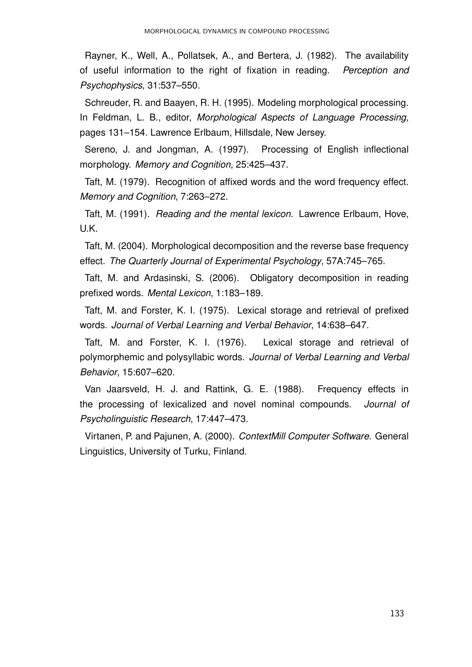Rayner, K., Well, A., Pollatsek, A., and Bertera, J. (1982). The availability of useful information to the right of fixation in reading. *Perception and Psychophysics*, 31:537–550.

Schreuder, R. and Baayen, R. H. (1995). Modeling morphological processing. In Feldman, L. B., editor, *Morphological Aspects of Language Processing*, pages 131–154. Lawrence Erlbaum, Hillsdale, New Jersey.

Sereno, J. and Jongman, A. (1997). Processing of English inflectional morphology. *Memory and Cognition*, 25:425–437.

Taft, M. (1979). Recognition of affixed words and the word frequency effect. *Memory and Cognition*, 7:263–272.

Taft, M. (1991). *Reading and the mental lexicon*. Lawrence Erlbaum, Hove, U.K.

Taft, M. (2004). Morphological decomposition and the reverse base frequency effect. *The Quarterly Journal of Experimental Psychology*, 57A:745–765.

Taft, M. and Ardasinski, S. (2006). Obligatory decomposition in reading prefixed words. *Mental Lexicon*, 1:183–189.

Taft, M. and Forster, K. I. (1975). Lexical storage and retrieval of prefixed words. *Journal of Verbal Learning and Verbal Behavior*, 14:638–647.

Taft, M. and Forster, K. I. (1976). Lexical storage and retrieval of polymorphemic and polysyllabic words. *Journal of Verbal Learning and Verbal Behavior*, 15:607–620.

Van Jaarsveld, H. J. and Rattink, G. E. (1988). Frequency effects in the processing of lexicalized and novel nominal compounds. *Journal of Psycholinguistic Research*, 17:447–473.

Virtanen, P. and Pajunen, A. (2000). *ContextMill Computer Software*. General Linguistics, University of Turku, Finland.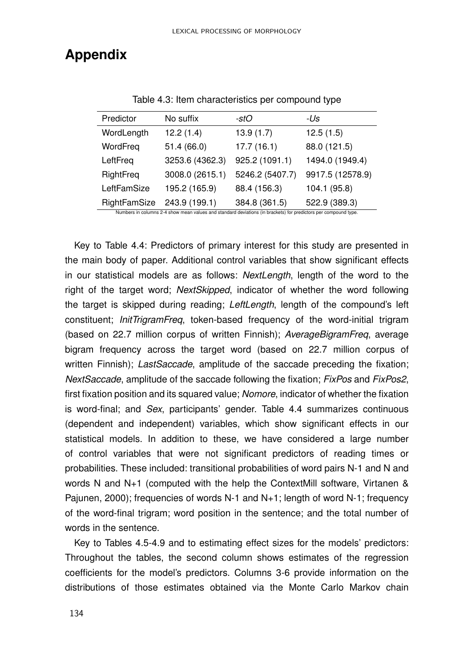## **Appendix**

| Predictor                                                                                                       | No suffix       | -stO            | -Us              |  |  |  |  |
|-----------------------------------------------------------------------------------------------------------------|-----------------|-----------------|------------------|--|--|--|--|
| WordLength                                                                                                      | 12.2(1.4)       | 13.9(1.7)       | 12.5(1.5)        |  |  |  |  |
| WordFreq                                                                                                        | 51.4 (66.0)     | 17.7(16.1)      | 88.0 (121.5)     |  |  |  |  |
| LeftFreq                                                                                                        | 3253.6 (4362.3) | 925.2 (1091.1)  | 1494.0 (1949.4)  |  |  |  |  |
| RightFreq                                                                                                       | 3008.0 (2615.1) | 5246.2 (5407.7) | 9917.5 (12578.9) |  |  |  |  |
| LeftFamSize                                                                                                     | 195.2 (165.9)   | 88.4 (156.3)    | 104.1 (95.8)     |  |  |  |  |
| RightFamSize                                                                                                    | 243.9 (199.1)   | 384.8 (361.5)   | 522.9 (389.3)    |  |  |  |  |
| Numbers in columns 2-4 show mean values and standard deviations (in brackets) for predictors per compound type. |                 |                 |                  |  |  |  |  |

Table 4.3: Item characteristics per compound type

Key to Table 4.4: Predictors of primary interest for this study are presented in the main body of paper. Additional control variables that show significant effects in our statistical models are as follows: *NextLength*, length of the word to the right of the target word; *NextSkipped*, indicator of whether the word following the target is skipped during reading; *LeftLength*, length of the compound's left constituent; *InitTrigramFreq*, token-based frequency of the word-initial trigram (based on 22.7 million corpus of written Finnish); *AverageBigramFreq*, average bigram frequency across the target word (based on 22.7 million corpus of written Finnish); *LastSaccade*, amplitude of the saccade preceding the fixation; *NextSaccade*, amplitude of the saccade following the fixation; *FixPos* and *FixPos2*, first fixation position and its squared value; *Nomore*, indicator of whether the fixation is word-final; and *Sex*, participants' gender. Table 4.4 summarizes continuous (dependent and independent) variables, which show significant effects in our statistical models. In addition to these, we have considered a large number of control variables that were not significant predictors of reading times or probabilities. These included: transitional probabilities of word pairs N-1 and N and words N and N+1 (computed with the help the ContextMill software, Virtanen & Pajunen, 2000); frequencies of words N-1 and N+1; length of word N-1; frequency of the word-final trigram; word position in the sentence; and the total number of words in the sentence.

Key to Tables 4.5-4.9 and to estimating effect sizes for the models' predictors: Throughout the tables, the second column shows estimates of the regression coefficients for the model's predictors. Columns 3-6 provide information on the distributions of those estimates obtained via the Monte Carlo Markov chain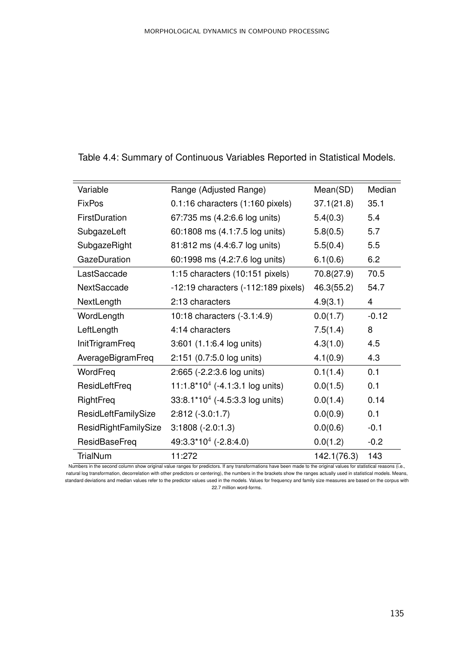| Variable               | Range (Adjusted Range)                      | Mean(SD)    | Median  |
|------------------------|---------------------------------------------|-------------|---------|
| <b>FixPos</b>          | $0.1:16$ characters $(1:160$ pixels)        | 37.1(21.8)  | 35.1    |
| FirstDuration          | 67:735 ms (4.2:6.6 log units)               | 5.4(0.3)    | 5.4     |
| SubgazeLeft            | 60:1808 ms (4.1:7.5 log units)              | 5.8(0.5)    | 5.7     |
| SubgazeRight           | 81:812 ms (4.4:6.7 log units)               | 5.5(0.4)    | 5.5     |
| GazeDuration           | 60:1998 ms (4.2:7.6 log units)              | 6.1(0.6)    | 6.2     |
| LastSaccade            | 1:15 characters (10:151 pixels)             | 70.8(27.9)  | 70.5    |
| NextSaccade            | $-12:19$ characters $(-112:189$ pixels)     | 46.3(55.2)  | 54.7    |
| NextLength             | 2:13 characters                             | 4.9(3.1)    | 4       |
| WordLength             | 10:18 characters (-3.1:4.9)                 | 0.0(1.7)    | $-0.12$ |
| LeftLength             | 4:14 characters                             | 7.5(1.4)    | 8       |
| <b>InitTrigramFreq</b> | 3:601 (1.1:6.4 log units)                   | 4.3(1.0)    | 4.5     |
| AverageBigramFreq      | 2:151 (0.7:5.0 log units)                   | 4.1(0.9)    | 4.3     |
| WordFreq               | 2:665 (-2.2:3.6 log units)                  | 0.1(1.4)    | 0.1     |
| ResidLeftFreq          | 11:1.8*10 <sup>4</sup> (-4.1:3.1 log units) | 0.0(1.5)    | 0.1     |
| RightFreq              | $33:8.1*104$ (-4.5:3.3 log units)           | 0.0(1.4)    | 0.14    |
| ResidLeftFamilySize    | $2:812(-3.0:1.7)$                           | 0.0(0.9)    | 0.1     |
| ResidRightFamilySize   | $3:1808 (-2.0:1.3)$                         | 0.0(0.6)    | $-0.1$  |
| ResidBaseFreq          | 49:3.3*10 <sup>4</sup> (-2.8:4.0)           | 0.0(1.2)    | $-0.2$  |
| <b>TrialNum</b>        | 11:272                                      | 142.1(76.3) | 143     |

Table 4.4: Summary of Continuous Variables Reported in Statistical Models.

Numbers in the second column show original value ranges for predictors. If any transformations have been made to the original values for statistical reasons (i.e., natural log transformation, decorrelation with other predictors or centering), the numbers in the brackets show the ranges actually used in statistical models. Means, standard deviations and median values refer to the predictor values used in the models. Values for frequency and family size measures are based on the corpus with 22.7 million word-forms.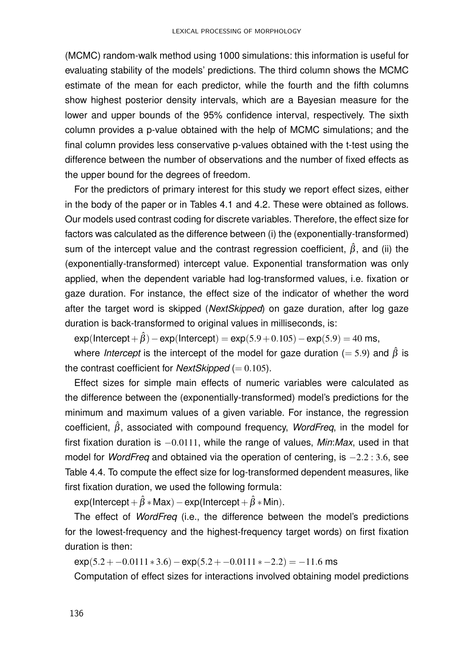(MCMC) random-walk method using 1000 simulations: this information is useful for evaluating stability of the models' predictions. The third column shows the MCMC estimate of the mean for each predictor, while the fourth and the fifth columns show highest posterior density intervals, which are a Bayesian measure for the lower and upper bounds of the 95% confidence interval, respectively. The sixth column provides a p-value obtained with the help of MCMC simulations; and the final column provides less conservative p-values obtained with the t-test using the difference between the number of observations and the number of fixed effects as the upper bound for the degrees of freedom.

For the predictors of primary interest for this study we report effect sizes, either in the body of the paper or in Tables 4.1 and 4.2. These were obtained as follows. Our models used contrast coding for discrete variables. Therefore, the effect size for factors was calculated as the difference between (i) the (exponentially-transformed) sum of the intercept value and the contrast regression coefficient,  $\hat{\beta}$ , and (ii) the (exponentially-transformed) intercept value. Exponential transformation was only applied, when the dependent variable had log-transformed values, i.e. fixation or gaze duration. For instance, the effect size of the indicator of whether the word after the target word is skipped (*NextSkipped*) on gaze duration, after log gaze duration is back-transformed to original values in milliseconds, is:

 $exp(Interedpt + \hat{\beta}) - exp(Interedpt) = exp(5.9 + 0.105) - exp(5.9) = 40$  ms,

where *Intercept* is the intercept of the model for gaze duration (= 5.9) and  $\hat{\beta}$  is the contrast coefficient for *NextSkipped* ( $= 0.105$ ).

Effect sizes for simple main effects of numeric variables were calculated as the difference between the (exponentially-transformed) model's predictions for the minimum and maximum values of a given variable. For instance, the regression coefficient,  $\hat{\beta}$ , associated with compound frequency, *WordFreq*, in the model for first fixation duration is −0.0111, while the range of values, *Min*:*Max*, used in that model for *WordFreq* and obtained via the operation of centering, is −2.2 : 3.6, see Table 4.4. To compute the effect size for log-transformed dependent measures, like first fixation duration, we used the following formula:

 $exp(Intercept + \hat{\beta} * Max) - exp(Intercept + \hat{\beta} * Min).$ 

The effect of *WordFreq* (i.e., the difference between the model's predictions for the lowest-frequency and the highest-frequency target words) on first fixation duration is then:

 $exp(5.2 + -0.0111 * 3.6) - exp(5.2 + -0.0111 * -2.2) = -11.6$  ms

Computation of effect sizes for interactions involved obtaining model predictions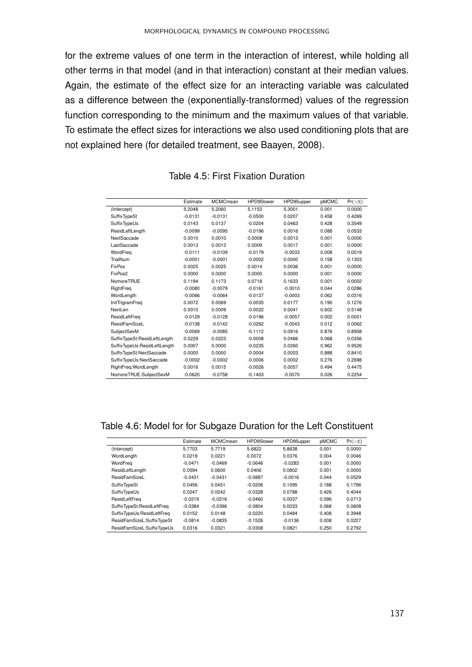for the extreme values of one term in the interaction of interest, while holding all other terms in that model (and in that interaction) constant at their median values. Again, the estimate of the effect size for an interacting variable was calculated as a difference between the (exponentially-transformed) values of the regression function corresponding to the minimum and the maximum values of that variable. To estimate the effect sizes for interactions we also used conditioning plots that are not explained here (for detailed treatment, see Baayen, 2008).

|                              | Estimate  | <b>MCMCmean</b> | HPD95lower | HPD95upper | pMCMC | Pr(> t ) |
|------------------------------|-----------|-----------------|------------|------------|-------|----------|
| (Intercept)                  | 5.2048    | 5.2060          | 5.1153     | 5.3001     | 0.001 | 0.0000   |
| SuffixTypeSt                 | $-0.0131$ | $-0.0131$       | $-0.0500$  | 0.0207     | 0.458 | 0.4269   |
| SuffixTypeUs                 | 0.0143    | 0.0137          | $-0.0204$  | 0.0463     | 0.428 | 0.3549   |
| ResidLeftLength              | $-0.0099$ | $-0.0095$       | $-0.0196$  | 0.0016     | 0.088 | 0.0533   |
| NextSaccade                  | 0.0010    | 0.0010          | 0.0008     | 0.0013     | 0.001 | 0.0000   |
| LastSaccade                  | 0.0013    | 0.0013          | 0.0009     | 0.0017     | 0.001 | 0.0000   |
| WordFreg                     | $-0.0111$ | $-0.0109$       | $-0.0179$  | $-0.0033$  | 0.008 | 0.0019   |
| TrialNum                     | $-0.0001$ | $-0.0001$       | $-0.0002$  | 0.0000     | 0.158 | 0.1303   |
| <b>FixPos</b>                | 0.0025    | 0.0025          | 0.0014     | 0.0036     | 0.001 | 0.0000   |
| FixPos2                      | 0.0000    | 0.0000          | 0.0000     | 0.0000     | 0.001 | 0.0000   |
| NomoreTRUE                   | 0.1194    | 0.1173          | 0.0718     | 0.1633     | 0.001 | 0.0002   |
| RightFreg                    | $-0.0080$ | $-0.0079$       | $-0.0161$  | $-0.0010$  | 0.044 | 0.0286   |
| WordLength                   | $-0.0066$ | $-0.0064$       | $-0.0137$  | $-0.0003$  | 0.062 | 0.0316   |
| <b>InitTrigramFreq</b>       | 0.0072    | 0.0069          | $-0.0035$  | 0.0177     | 0.190 | 0.1276   |
| NextLen                      | 0.0010    | 0.0009          | $-0.0022$  | 0.0041     | 0.602 | 0.5148   |
| ResidLeftFreq                | $-0.0129$ | $-0.0128$       | $-0.0196$  | $-0.0057$  | 0.002 | 0.0001   |
| ResidFamSizeL                | $-0.0138$ | $-0.0142$       | $-0.0262$  | $-0.0043$  | 0.012 | 0.0062   |
| SubjectSexM                  | $-0.0069$ | $-0.0085$       | $-0.1112$  | 0.0916     | 0.876 | 0.8958   |
| SuffixTypeSt:ResidLeftLength | 0.0229    | 0.0223          | $-0.0008$  | 0.0466     | 0.068 | 0.0356   |
| SuffixTypeUs:ResidLeftLength | 0.0007    | 0.0000          | $-0.0235$  | 0.0260     | 0.962 | 0.9526   |
| SuffixTypeSt:NextSaccade     | 0.0000    | 0.0000          | $-0.0004$  | 0.0003     | 0.888 | 0.8410   |
| SuffixTypeUs:NextSaccade     | $-0.0002$ | $-0.0002$       | $-0.0006$  | 0.0002     | 0.276 | 0.2698   |
| RightFreq:WordLength         | 0.0016    | 0.0015          | $-0.0026$  | 0.0057     | 0.494 | 0.4475   |
| NomoreTRUE:SubjectSexM       | $-0.0620$ | $-0.0758$       | $-0.1403$  | $-0.0070$  | 0.026 | 0.2254   |

#### Table 4.5: First Fixation Duration

#### Table 4.6: Model for for Subgaze Duration for the Left Constituent

|                            | Estimate  | <b>MCMCmean</b> | HPD95lower | HPD95upper | pMCMC | Pr(> t ) |
|----------------------------|-----------|-----------------|------------|------------|-------|----------|
| (Intercept)                | 5.7703    | 5.7719          | 5.6822     | 5.8638     | 0.001 | 0.0000   |
| WordLenath                 | 0.0219    | 0.0221          | 0.0072     | 0.0376     | 0.004 | 0.0046   |
| WordFreg                   | $-0.0471$ | $-0.0469$       | $-0.0646$  | $-0.0283$  | 0.001 | 0.0000   |
| ResidLeftLength            | 0.0594    | 0.0600          | 0.0406     | 0.0802     | 0.001 | 0.0000   |
| <b>ResidFamSizeL</b>       | $-0.0431$ | $-0.0431$       | $-0.0887$  | $-0.0016$  | 0.044 | 0.0529   |
| <b>SuffixTypeSt</b>        | 0.0456    | 0.0451          | $-0.0206$  | 0.1095     | 0.188 | 0.1796   |
| SuffixTypeUs               | 0.0247    | 0.0242          | $-0.0328$  | 0.0788     | 0.426 | 0.4044   |
| ResidLeftFreq              | $-0.0219$ | $-0.0216$       | $-0.0460$  | 0.0037     | 0.096 | 0.0713   |
| SuffixTypeSt:ResidLeftFreq | $-0.0384$ | $-0.0396$       | $-0.0804$  | 0.0033     | 0.068 | 0.0608   |
| SuffixTypeUs:ResidLeftFreq | 0.0152    | 0.0148          | $-0.0220$  | 0.0484     | 0.408 | 0.3948   |
| ResidFamSizeL:SuffixTypeSt | $-0.0814$ | $-0.0835$       | $-0.1526$  | $-0.0136$  | 0.008 | 0.0227   |
| ResidFamSizeL:SuffixTypeUs | 0.0316    | 0.0321          | $-0.0308$  | 0.0821     | 0.250 | 0.2792   |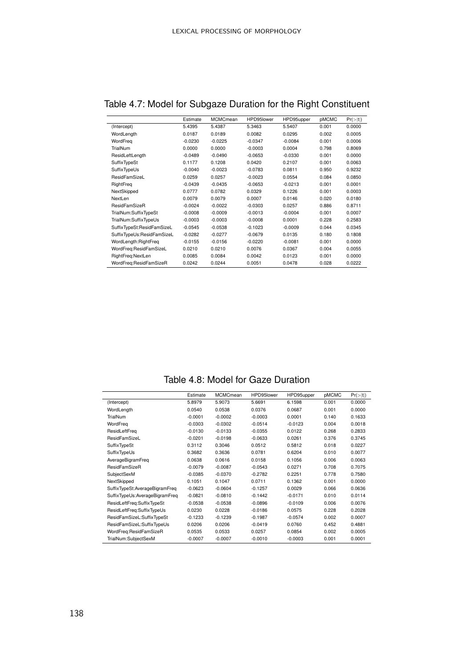|                            | Estimate  | <b>MCMCmean</b> | HPD95lower | HPD95upper | pMCMC | Pr(> t ) |
|----------------------------|-----------|-----------------|------------|------------|-------|----------|
| (Intercept)                | 5.4395    | 5.4387          | 5.3463     | 5.5407     | 0.001 | 0.0000   |
| WordLength                 | 0.0187    | 0.0189          | 0.0082     | 0.0295     | 0.002 | 0.0005   |
| WordFreg                   | $-0.0230$ | $-0.0225$       | $-0.0347$  | $-0.0084$  | 0.001 | 0.0006   |
| <b>TrialNum</b>            | 0.0000    | 0.0000          | $-0.0003$  | 0.0004     | 0.798 | 0.8069   |
| ResidLeftLength            | $-0.0489$ | $-0.0490$       | $-0.0653$  | $-0.0330$  | 0.001 | 0.0000   |
| <b>SuffixTypeSt</b>        | 0.1177    | 0.1208          | 0.0420     | 0.2107     | 0.001 | 0.0063   |
| SuffixTypeUs               | $-0.0040$ | $-0.0023$       | $-0.0783$  | 0.0811     | 0.950 | 0.9232   |
| <b>ResidFamSizeL</b>       | 0.0259    | 0.0257          | $-0.0023$  | 0.0554     | 0.084 | 0.0850   |
| RightFreg                  | $-0.0439$ | $-0.0435$       | $-0.0653$  | $-0.0213$  | 0.001 | 0.0001   |
| NextSkipped                | 0.0777    | 0.0782          | 0.0329     | 0.1226     | 0.001 | 0.0003   |
| NextLen                    | 0.0079    | 0.0079          | 0.0007     | 0.0146     | 0.020 | 0.0180   |
| ResidFamSizeR              | $-0.0024$ | $-0.0022$       | $-0.0303$  | 0.0257     | 0.886 | 0.8711   |
| TrialNum:SuffixTypeSt      | $-0.0008$ | $-0.0009$       | $-0.0013$  | $-0.0004$  | 0.001 | 0.0007   |
| TrialNum:SuffixTypeUs      | $-0.0003$ | $-0.0003$       | $-0.0008$  | 0.0001     | 0.228 | 0.2583   |
| SuffixTypeSt:ResidFamSizeL | $-0.0545$ | $-0.0538$       | $-0.1023$  | $-0.0009$  | 0.044 | 0.0345   |
| SuffixTypeUs:ResidFamSizeL | $-0.0282$ | $-0.0277$       | $-0.0679$  | 0.0135     | 0.180 | 0.1808   |
| WordLength:RightFreg       | $-0.0155$ | $-0.0156$       | $-0.0220$  | $-0.0081$  | 0.001 | 0.0000   |
| WordFreg:ResidFamSizeL     | 0.0210    | 0.0210          | 0.0076     | 0.0367     | 0.004 | 0.0055   |
| RightFreg:NextLen          | 0.0085    | 0.0084          | 0.0042     | 0.0123     | 0.001 | 0.0000   |
| WordFreg:ResidFamSizeR     | 0.0242    | 0.0244          | 0.0051     | 0.0478     | 0.028 | 0.0222   |

#### Table 4.7: Model for Subgaze Duration for the Right Constituent

Table 4.8: Model for Gaze Duration

|                                | Estimate  | <b>MCMCmean</b> | HPD95lower | HPD95upper | pMCMC | Pr(> t ) |
|--------------------------------|-----------|-----------------|------------|------------|-------|----------|
| (Intercept)                    | 5.8979    | 5.9073          | 5.6691     | 6.1598     | 0.001 | 0.0000   |
| WordLength                     | 0.0540    | 0.0538          | 0.0376     | 0.0687     | 0.001 | 0.0000   |
| TrialNum                       | $-0.0001$ | $-0.0002$       | $-0.0003$  | 0.0001     | 0.140 | 0.1633   |
|                                |           |                 |            |            |       |          |
| WordFreg                       | $-0.0303$ | $-0.0302$       | $-0.0514$  | $-0.0123$  | 0.004 | 0.0018   |
| ResidLeftFreq                  | $-0.0130$ | $-0.0133$       | $-0.0355$  | 0.0122     | 0.268 | 0.2833   |
| ResidFamSizeL                  | $-0.0201$ | $-0.0198$       | $-0.0633$  | 0.0261     | 0.376 | 0.3745   |
| SuffixTypeSt                   | 0.3112    | 0.3046          | 0.0512     | 0.5812     | 0.018 | 0.0227   |
| SuffixTypeUs                   | 0.3682    | 0.3636          | 0.0781     | 0.6204     | 0.010 | 0.0077   |
| AverageBigramFreq              | 0.0638    | 0.0616          | 0.0158     | 0.1056     | 0.006 | 0.0063   |
| <b>ResidFamSizeR</b>           | $-0.0079$ | $-0.0087$       | $-0.0543$  | 0.0271     | 0.708 | 0.7075   |
| SubjectSexM                    | $-0.0385$ | $-0.0370$       | $-0.2782$  | 0.2251     | 0.778 | 0.7580   |
| NextSkipped                    | 0.1051    | 0.1047          | 0.0711     | 0.1362     | 0.001 | 0.0000   |
| SuffixTypeSt:AverageBigramFreq | $-0.0623$ | $-0.0604$       | $-0.1257$  | 0.0029     | 0.066 | 0.0636   |
| SuffixTypeUs:AverageBigramFreq | $-0.0821$ | $-0.0810$       | $-0.1442$  | $-0.0171$  | 0.010 | 0.0114   |
| ResidLeftFreq:SuffixTypeSt     | $-0.0538$ | $-0.0538$       | $-0.0896$  | $-0.0109$  | 0.006 | 0.0076   |
| ResidLeftFreg:SuffixTypeUs     | 0.0230    | 0.0228          | $-0.0186$  | 0.0575     | 0.228 | 0.2028   |
| ResidFamSizeL:SuffixTypeSt     | $-0.1233$ | $-0.1239$       | $-0.1987$  | $-0.0574$  | 0.002 | 0.0007   |
| ResidFamSizeL:SuffixTypeUs     | 0.0206    | 0.0206          | $-0.0419$  | 0.0760     | 0.452 | 0.4881   |
| WordFreq:ResidFamSizeR         | 0.0535    | 0.0533          | 0.0257     | 0.0854     | 0.002 | 0.0005   |
| TrialNum:SubjectSexM           | $-0.0007$ | $-0.0007$       | $-0.0010$  | $-0.0003$  | 0.001 | 0.0001   |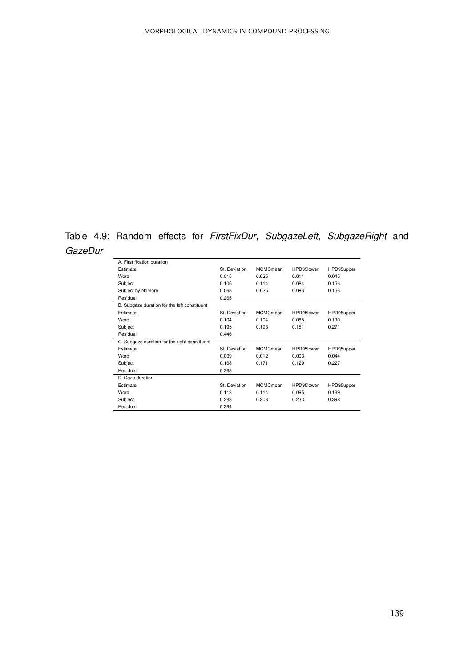# Table 4.9: Random effects for *FirstFixDur*, *SubgazeLeft*, *SubgazeRight* and *GazeDur*

| A. First fixation duration                    |               |                 |            |            |
|-----------------------------------------------|---------------|-----------------|------------|------------|
| Estimate                                      | St. Deviation | <b>MCMCmean</b> | HPD95lower | HPD95upper |
| Word                                          | 0.015         | 0.025           | 0.011      | 0.045      |
| Subject                                       | 0.106         | 0.114           | 0.084      | 0.156      |
| Subject by Nomore                             | 0.068         | 0.025           | 0.083      | 0.156      |
| Residual                                      | 0.265         |                 |            |            |
| B. Subgaze duration for the left constituent  |               |                 |            |            |
| Estimate                                      | St. Deviation | MCMCmean        | HPD95lower | HPD95upper |
| Word                                          | 0.104         | 0.104           | 0.085      | 0.130      |
| Subject                                       | 0.195         | 0.198           | 0.151      | 0.271      |
| Residual                                      | 0.446         |                 |            |            |
| C. Subgaze duration for the right constituent |               |                 |            |            |
| Estimate                                      | St. Deviation | MCMCmean        | HPD95lower | HPD95upper |
| Word                                          | 0.009         | 0.012           | 0.003      | 0.044      |
| Subject                                       | 0.168         | 0.171           | 0.129      | 0.227      |
| Residual                                      | 0.368         |                 |            |            |
| D. Gaze duration                              |               |                 |            |            |
| Estimate                                      | St. Deviation | MCMCmean        | HPD95lower | HPD95upper |
| Word                                          | 0.113         | 0.114           | 0.095      | 0.139      |
| Subject                                       | 0.298         | 0.303           | 0.233      | 0.398      |
| Residual                                      | 0.394         |                 |            |            |
|                                               |               |                 |            |            |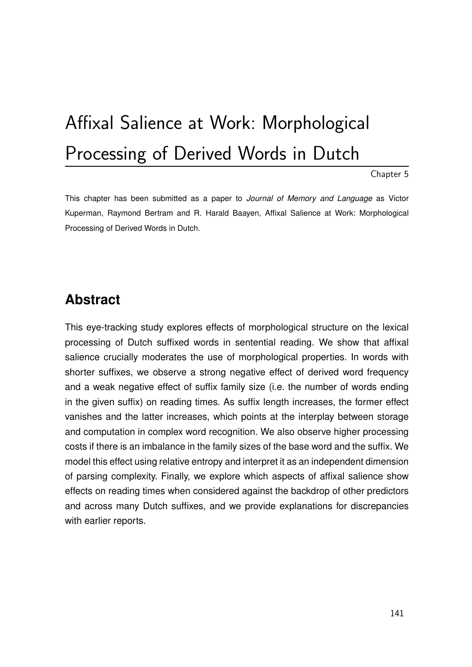# Affixal Salience at Work: Morphological Processing of Derived Words in Dutch

Chapter 5

This chapter has been submitted as a paper to *Journal of Memory and Language* as Victor Kuperman, Raymond Bertram and R. Harald Baayen, Affixal Salience at Work: Morphological Processing of Derived Words in Dutch.

## **Abstract**

This eye-tracking study explores effects of morphological structure on the lexical processing of Dutch suffixed words in sentential reading. We show that affixal salience crucially moderates the use of morphological properties. In words with shorter suffixes, we observe a strong negative effect of derived word frequency and a weak negative effect of suffix family size (i.e. the number of words ending in the given suffix) on reading times. As suffix length increases, the former effect vanishes and the latter increases, which points at the interplay between storage and computation in complex word recognition. We also observe higher processing costs if there is an imbalance in the family sizes of the base word and the suffix. We model this effect using relative entropy and interpret it as an independent dimension of parsing complexity. Finally, we explore which aspects of affixal salience show effects on reading times when considered against the backdrop of other predictors and across many Dutch suffixes, and we provide explanations for discrepancies with earlier reports.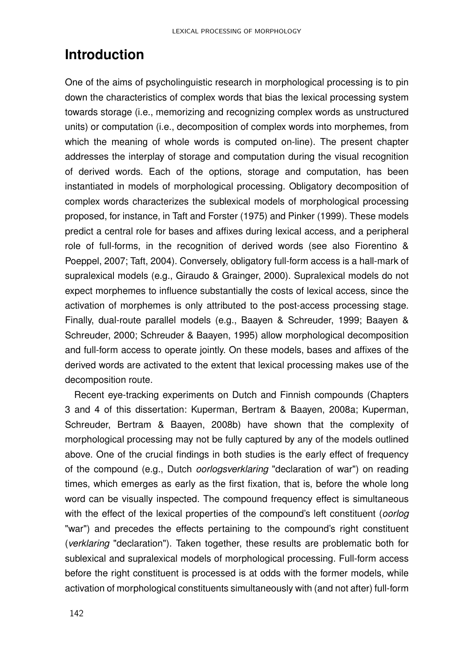## **Introduction**

One of the aims of psycholinguistic research in morphological processing is to pin down the characteristics of complex words that bias the lexical processing system towards storage (i.e., memorizing and recognizing complex words as unstructured units) or computation (i.e., decomposition of complex words into morphemes, from which the meaning of whole words is computed on-line). The present chapter addresses the interplay of storage and computation during the visual recognition of derived words. Each of the options, storage and computation, has been instantiated in models of morphological processing. Obligatory decomposition of complex words characterizes the sublexical models of morphological processing proposed, for instance, in Taft and Forster (1975) and Pinker (1999). These models predict a central role for bases and affixes during lexical access, and a peripheral role of full-forms, in the recognition of derived words (see also Fiorentino & Poeppel, 2007; Taft, 2004). Conversely, obligatory full-form access is a hall-mark of supralexical models (e.g., Giraudo & Grainger, 2000). Supralexical models do not expect morphemes to influence substantially the costs of lexical access, since the activation of morphemes is only attributed to the post-access processing stage. Finally, dual-route parallel models (e.g., Baayen & Schreuder, 1999; Baayen & Schreuder, 2000; Schreuder & Baayen, 1995) allow morphological decomposition and full-form access to operate jointly. On these models, bases and affixes of the derived words are activated to the extent that lexical processing makes use of the decomposition route.

Recent eye-tracking experiments on Dutch and Finnish compounds (Chapters 3 and 4 of this dissertation: Kuperman, Bertram & Baayen, 2008a; Kuperman, Schreuder, Bertram & Baayen, 2008b) have shown that the complexity of morphological processing may not be fully captured by any of the models outlined above. One of the crucial findings in both studies is the early effect of frequency of the compound (e.g., Dutch *oorlogsverklaring* "declaration of war") on reading times, which emerges as early as the first fixation, that is, before the whole long word can be visually inspected. The compound frequency effect is simultaneous with the effect of the lexical properties of the compound's left constituent (*oorlog* "war") and precedes the effects pertaining to the compound's right constituent (*verklaring* "declaration"). Taken together, these results are problematic both for sublexical and supralexical models of morphological processing. Full-form access before the right constituent is processed is at odds with the former models, while activation of morphological constituents simultaneously with (and not after) full-form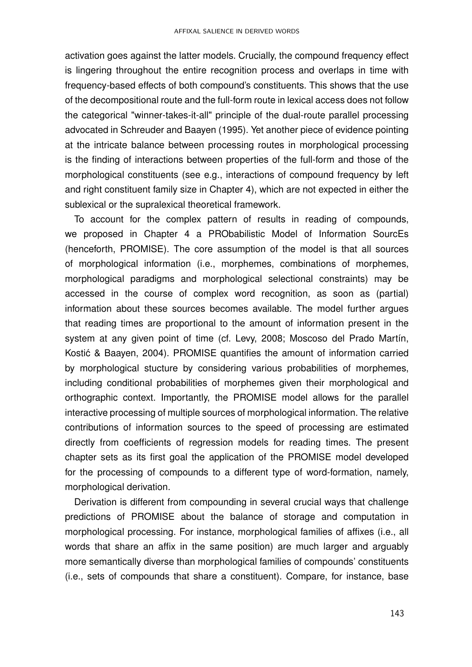activation goes against the latter models. Crucially, the compound frequency effect is lingering throughout the entire recognition process and overlaps in time with frequency-based effects of both compound's constituents. This shows that the use of the decompositional route and the full-form route in lexical access does not follow the categorical "winner-takes-it-all" principle of the dual-route parallel processing advocated in Schreuder and Baayen (1995). Yet another piece of evidence pointing at the intricate balance between processing routes in morphological processing is the finding of interactions between properties of the full-form and those of the morphological constituents (see e.g., interactions of compound frequency by left and right constituent family size in Chapter 4), which are not expected in either the sublexical or the supralexical theoretical framework.

To account for the complex pattern of results in reading of compounds, we proposed in Chapter 4 a PRObabilistic Model of Information SourcEs (henceforth, PROMISE). The core assumption of the model is that all sources of morphological information (i.e., morphemes, combinations of morphemes, morphological paradigms and morphological selectional constraints) may be accessed in the course of complex word recognition, as soon as (partial) information about these sources becomes available. The model further argues that reading times are proportional to the amount of information present in the system at any given point of time (cf. Levy, 2008; Moscoso del Prado Martín, Kostić & Baayen, 2004). PROMISE quantifies the amount of information carried by morphological stucture by considering various probabilities of morphemes, including conditional probabilities of morphemes given their morphological and orthographic context. Importantly, the PROMISE model allows for the parallel interactive processing of multiple sources of morphological information. The relative contributions of information sources to the speed of processing are estimated directly from coefficients of regression models for reading times. The present chapter sets as its first goal the application of the PROMISE model developed for the processing of compounds to a different type of word-formation, namely, morphological derivation.

Derivation is different from compounding in several crucial ways that challenge predictions of PROMISE about the balance of storage and computation in morphological processing. For instance, morphological families of affixes (i.e., all words that share an affix in the same position) are much larger and arguably more semantically diverse than morphological families of compounds' constituents (i.e., sets of compounds that share a constituent). Compare, for instance, base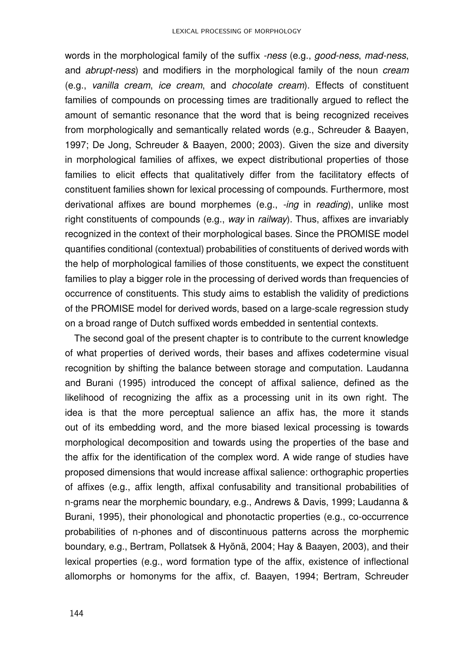words in the morphological family of the suffix *-ness* (e.g., *good-ness*, *mad-ness*, and *abrupt-ness*) and modifiers in the morphological family of the noun *cream* (e.g., *vanilla cream*, *ice cream*, and *chocolate cream*). Effects of constituent families of compounds on processing times are traditionally argued to reflect the amount of semantic resonance that the word that is being recognized receives from morphologically and semantically related words (e.g., Schreuder & Baayen, 1997; De Jong, Schreuder & Baayen, 2000; 2003). Given the size and diversity in morphological families of affixes, we expect distributional properties of those families to elicit effects that qualitatively differ from the facilitatory effects of constituent families shown for lexical processing of compounds. Furthermore, most derivational affixes are bound morphemes (e.g., *-ing* in *reading*), unlike most right constituents of compounds (e.g., *way* in *railway*). Thus, affixes are invariably recognized in the context of their morphological bases. Since the PROMISE model quantifies conditional (contextual) probabilities of constituents of derived words with the help of morphological families of those constituents, we expect the constituent families to play a bigger role in the processing of derived words than frequencies of occurrence of constituents. This study aims to establish the validity of predictions of the PROMISE model for derived words, based on a large-scale regression study on a broad range of Dutch suffixed words embedded in sentential contexts.

The second goal of the present chapter is to contribute to the current knowledge of what properties of derived words, their bases and affixes codetermine visual recognition by shifting the balance between storage and computation. Laudanna and Burani (1995) introduced the concept of affixal salience, defined as the likelihood of recognizing the affix as a processing unit in its own right. The idea is that the more perceptual salience an affix has, the more it stands out of its embedding word, and the more biased lexical processing is towards morphological decomposition and towards using the properties of the base and the affix for the identification of the complex word. A wide range of studies have proposed dimensions that would increase affixal salience: orthographic properties of affixes (e.g., affix length, affixal confusability and transitional probabilities of n-grams near the morphemic boundary, e.g., Andrews & Davis, 1999; Laudanna & Burani, 1995), their phonological and phonotactic properties (e.g., co-occurrence probabilities of n-phones and of discontinuous patterns across the morphemic boundary, e.g., Bertram, Pollatsek & Hyönä, 2004; Hay & Baayen, 2003), and their lexical properties (e.g., word formation type of the affix, existence of inflectional allomorphs or homonyms for the affix, cf. Baayen, 1994; Bertram, Schreuder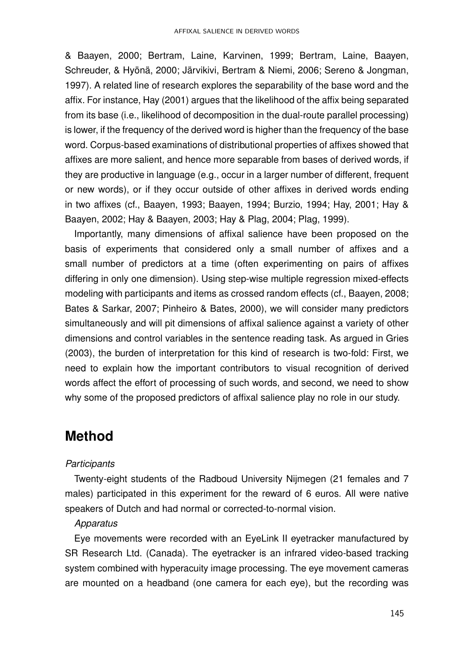& Baayen, 2000; Bertram, Laine, Karvinen, 1999; Bertram, Laine, Baayen, Schreuder, & Hyönä, 2000; Järvikivi, Bertram & Niemi, 2006; Sereno & Jongman, 1997). A related line of research explores the separability of the base word and the affix. For instance, Hay (2001) argues that the likelihood of the affix being separated from its base (i.e., likelihood of decomposition in the dual-route parallel processing) is lower, if the frequency of the derived word is higher than the frequency of the base word. Corpus-based examinations of distributional properties of affixes showed that affixes are more salient, and hence more separable from bases of derived words, if they are productive in language (e.g., occur in a larger number of different, frequent or new words), or if they occur outside of other affixes in derived words ending in two affixes (cf., Baayen, 1993; Baayen, 1994; Burzio, 1994; Hay, 2001; Hay & Baayen, 2002; Hay & Baayen, 2003; Hay & Plag, 2004; Plag, 1999).

Importantly, many dimensions of affixal salience have been proposed on the basis of experiments that considered only a small number of affixes and a small number of predictors at a time (often experimenting on pairs of affixes differing in only one dimension). Using step-wise multiple regression mixed-effects modeling with participants and items as crossed random effects (cf., Baayen, 2008; Bates & Sarkar, 2007; Pinheiro & Bates, 2000), we will consider many predictors simultaneously and will pit dimensions of affixal salience against a variety of other dimensions and control variables in the sentence reading task. As argued in Gries (2003), the burden of interpretation for this kind of research is two-fold: First, we need to explain how the important contributors to visual recognition of derived words affect the effort of processing of such words, and second, we need to show why some of the proposed predictors of affixal salience play no role in our study.

# **Method**

#### *Participants*

Twenty-eight students of the Radboud University Nijmegen (21 females and 7 males) participated in this experiment for the reward of 6 euros. All were native speakers of Dutch and had normal or corrected-to-normal vision.

#### *Apparatus*

Eye movements were recorded with an EyeLink II eyetracker manufactured by SR Research Ltd. (Canada). The eyetracker is an infrared video-based tracking system combined with hyperacuity image processing. The eye movement cameras are mounted on a headband (one camera for each eye), but the recording was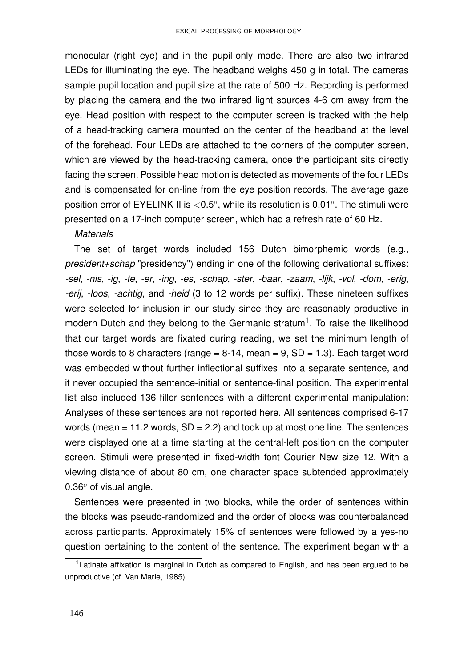monocular (right eye) and in the pupil-only mode. There are also two infrared LEDs for illuminating the eye. The headband weighs 450 g in total. The cameras sample pupil location and pupil size at the rate of 500 Hz. Recording is performed by placing the camera and the two infrared light sources 4-6 cm away from the eye. Head position with respect to the computer screen is tracked with the help of a head-tracking camera mounted on the center of the headband at the level of the forehead. Four LEDs are attached to the corners of the computer screen, which are viewed by the head-tracking camera, once the participant sits directly facing the screen. Possible head motion is detected as movements of the four LEDs and is compensated for on-line from the eye position records. The average gaze position error of EYELINK II is <0.5<sup>o</sup>, while its resolution is 0.01<sup>o</sup>. The stimuli were presented on a 17-inch computer screen, which had a refresh rate of 60 Hz.

#### *Materials*

The set of target words included 156 Dutch bimorphemic words (e.g., *president+schap* "presidency") ending in one of the following derivational suffixes: *-sel*, *-nis*, *-ig*, *-te*, *-er*, *-ing*, *-es*, *-schap*, *-ster*, *-baar*, *-zaam*, *-lijk*, *-vol*, *-dom*, *-erig*, *-erij*, *-loos*, *-achtig*, and *-heid* (3 to 12 words per suffix). These nineteen suffixes were selected for inclusion in our study since they are reasonably productive in modern Dutch and they belong to the Germanic stratum<sup>1</sup>. To raise the likelihood that our target words are fixated during reading, we set the minimum length of those words to 8 characters (range  $= 8-14$ , mean  $= 9$ , SD  $= 1.3$ ). Each target word was embedded without further inflectional suffixes into a separate sentence, and it never occupied the sentence-initial or sentence-final position. The experimental list also included 136 filler sentences with a different experimental manipulation: Analyses of these sentences are not reported here. All sentences comprised 6-17 words (mean  $= 11.2$  words,  $SD = 2.2$ ) and took up at most one line. The sentences were displayed one at a time starting at the central-left position on the computer screen. Stimuli were presented in fixed-width font Courier New size 12. With a viewing distance of about 80 cm, one character space subtended approximately 0.36*<sup>o</sup>* of visual angle.

Sentences were presented in two blocks, while the order of sentences within the blocks was pseudo-randomized and the order of blocks was counterbalanced across participants. Approximately 15% of sentences were followed by a yes-no question pertaining to the content of the sentence. The experiment began with a

 $1$ Latinate affixation is marginal in Dutch as compared to English, and has been argued to be unproductive (cf. Van Marle, 1985).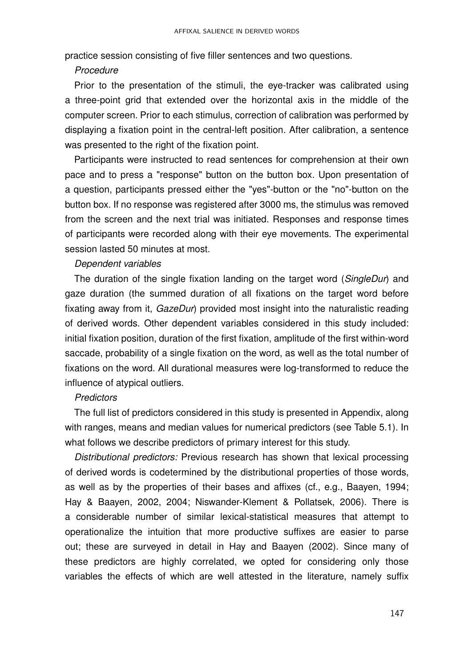practice session consisting of five filler sentences and two questions.

#### *Procedure*

Prior to the presentation of the stimuli, the eye-tracker was calibrated using a three-point grid that extended over the horizontal axis in the middle of the computer screen. Prior to each stimulus, correction of calibration was performed by displaying a fixation point in the central-left position. After calibration, a sentence was presented to the right of the fixation point.

Participants were instructed to read sentences for comprehension at their own pace and to press a "response" button on the button box. Upon presentation of a question, participants pressed either the "yes"-button or the "no"-button on the button box. If no response was registered after 3000 ms, the stimulus was removed from the screen and the next trial was initiated. Responses and response times of participants were recorded along with their eye movements. The experimental session lasted 50 minutes at most.

#### *Dependent variables*

The duration of the single fixation landing on the target word (*SingleDur*) and gaze duration (the summed duration of all fixations on the target word before fixating away from it, *GazeDur*) provided most insight into the naturalistic reading of derived words. Other dependent variables considered in this study included: initial fixation position, duration of the first fixation, amplitude of the first within-word saccade, probability of a single fixation on the word, as well as the total number of fixations on the word. All durational measures were log-transformed to reduce the influence of atypical outliers.

#### *Predictors*

The full list of predictors considered in this study is presented in Appendix, along with ranges, means and median values for numerical predictors (see Table 5.1). In what follows we describe predictors of primary interest for this study.

*Distributional predictors:* Previous research has shown that lexical processing of derived words is codetermined by the distributional properties of those words, as well as by the properties of their bases and affixes (cf., e.g., Baayen, 1994; Hay & Baayen, 2002, 2004; Niswander-Klement & Pollatsek, 2006). There is a considerable number of similar lexical-statistical measures that attempt to operationalize the intuition that more productive suffixes are easier to parse out; these are surveyed in detail in Hay and Baayen (2002). Since many of these predictors are highly correlated, we opted for considering only those variables the effects of which are well attested in the literature, namely suffix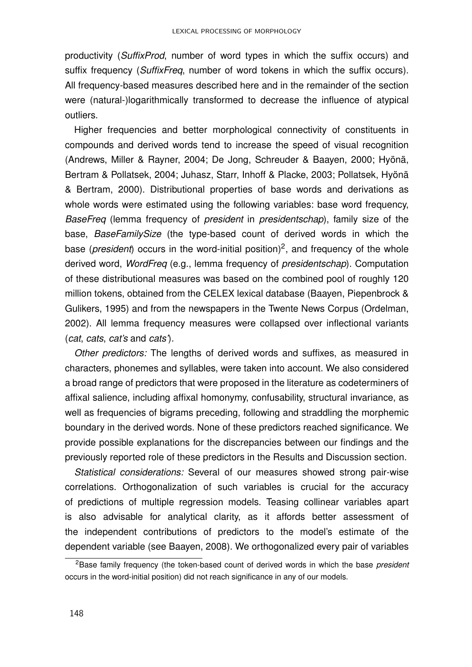productivity (*SuffixProd*, number of word types in which the suffix occurs) and suffix frequency (*SuffixFreq*, number of word tokens in which the suffix occurs). All frequency-based measures described here and in the remainder of the section were (natural-)logarithmically transformed to decrease the influence of atypical outliers.

Higher frequencies and better morphological connectivity of constituents in compounds and derived words tend to increase the speed of visual recognition (Andrews, Miller & Rayner, 2004; De Jong, Schreuder & Baayen, 2000; Hyönä, Bertram & Pollatsek, 2004; Juhasz, Starr, Inhoff & Placke, 2003; Pollatsek, Hyönä & Bertram, 2000). Distributional properties of base words and derivations as whole words were estimated using the following variables: base word frequency, *BaseFreq* (lemma frequency of *president* in *presidentschap*), family size of the base, *BaseFamilySize* (the type-based count of derived words in which the base (*president*) occurs in the word-initial position)<sup>2</sup>, and frequency of the whole derived word, *WordFreq* (e.g., lemma frequency of *presidentschap*). Computation of these distributional measures was based on the combined pool of roughly 120 million tokens, obtained from the CELEX lexical database (Baayen, Piepenbrock & Gulikers, 1995) and from the newspapers in the Twente News Corpus (Ordelman, 2002). All lemma frequency measures were collapsed over inflectional variants (*cat*, *cats*, *cat's* and *cats'*).

*Other predictors:* The lengths of derived words and suffixes, as measured in characters, phonemes and syllables, were taken into account. We also considered a broad range of predictors that were proposed in the literature as codeterminers of affixal salience, including affixal homonymy, confusability, structural invariance, as well as frequencies of bigrams preceding, following and straddling the morphemic boundary in the derived words. None of these predictors reached significance. We provide possible explanations for the discrepancies between our findings and the previously reported role of these predictors in the Results and Discussion section.

*Statistical considerations:* Several of our measures showed strong pair-wise correlations. Orthogonalization of such variables is crucial for the accuracy of predictions of multiple regression models. Teasing collinear variables apart is also advisable for analytical clarity, as it affords better assessment of the independent contributions of predictors to the model's estimate of the dependent variable (see Baayen, 2008). We orthogonalized every pair of variables

<sup>2</sup>Base family frequency (the token-based count of derived words in which the base *president* occurs in the word-initial position) did not reach significance in any of our models.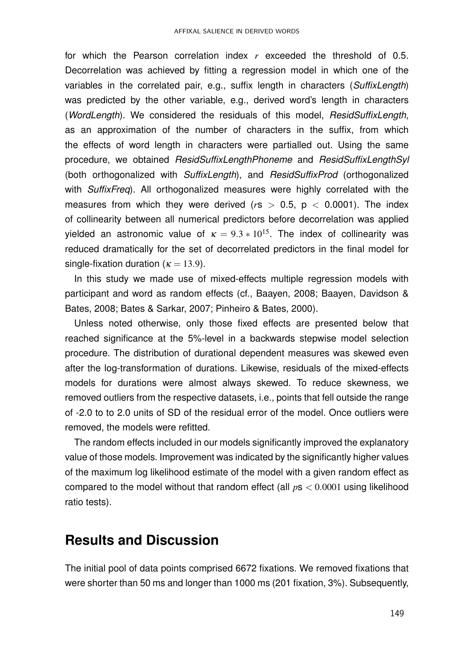for which the Pearson correlation index *r* exceeded the threshold of 0.5. Decorrelation was achieved by fitting a regression model in which one of the variables in the correlated pair, e.g., suffix length in characters (*SuffixLength*) was predicted by the other variable, e.g., derived word's length in characters (*WordLength*). We considered the residuals of this model, *ResidSuffixLength*, as an approximation of the number of characters in the suffix, from which the effects of word length in characters were partialled out. Using the same procedure, we obtained *ResidSuffixLengthPhoneme* and *ResidSuffixLengthSyl* (both orthogonalized with *SuffixLength*), and *ResidSuffixProd* (orthogonalized with *SuffixFreq*). All orthogonalized measures were highly correlated with the measures from which they were derived ( $rs$   $>$  0.5,  $p$   $<$  0.0001). The index of collinearity between all numerical predictors before decorrelation was applied yielded an astronomic value of  $\kappa = 9.3 * 10^{15}$ . The index of collinearity was reduced dramatically for the set of decorrelated predictors in the final model for single-fixation duration ( $\kappa = 13.9$ ).

In this study we made use of mixed-effects multiple regression models with participant and word as random effects (cf., Baayen, 2008; Baayen, Davidson & Bates, 2008; Bates & Sarkar, 2007; Pinheiro & Bates, 2000).

Unless noted otherwise, only those fixed effects are presented below that reached significance at the 5%-level in a backwards stepwise model selection procedure. The distribution of durational dependent measures was skewed even after the log-transformation of durations. Likewise, residuals of the mixed-effects models for durations were almost always skewed. To reduce skewness, we removed outliers from the respective datasets, i.e., points that fell outside the range of -2.0 to to 2.0 units of SD of the residual error of the model. Once outliers were removed, the models were refitted.

The random effects included in our models significantly improved the explanatory value of those models. Improvement was indicated by the significantly higher values of the maximum log likelihood estimate of the model with a given random effect as compared to the model without that random effect (all *p*s < 0.0001 using likelihood ratio tests).

# **Results and Discussion**

The initial pool of data points comprised 6672 fixations. We removed fixations that were shorter than 50 ms and longer than 1000 ms (201 fixation, 3%). Subsequently,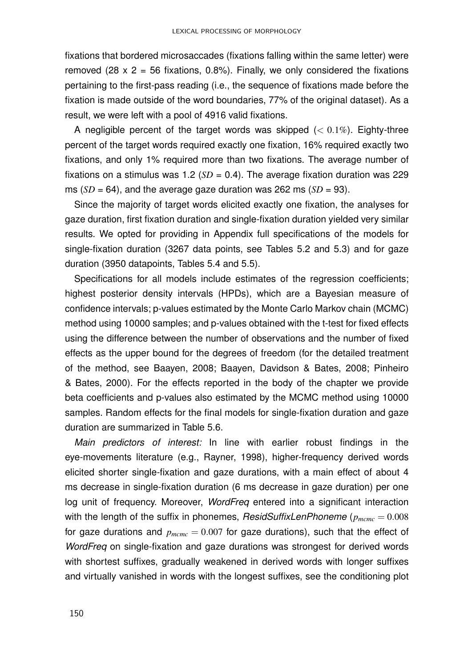fixations that bordered microsaccades (fixations falling within the same letter) were removed (28  $\times$  2 = 56 fixations, 0.8%). Finally, we only considered the fixations pertaining to the first-pass reading (i.e., the sequence of fixations made before the fixation is made outside of the word boundaries, 77% of the original dataset). As a result, we were left with a pool of 4916 valid fixations.

A negligible percent of the target words was skipped  $(< 0.1\%)$ . Eighty-three percent of the target words required exactly one fixation, 16% required exactly two fixations, and only 1% required more than two fixations. The average number of fixations on a stimulus was  $1.2$  ( $SD = 0.4$ ). The average fixation duration was 229 ms  $(SD = 64)$ , and the average gaze duration was 262 ms  $(SD = 93)$ .

Since the majority of target words elicited exactly one fixation, the analyses for gaze duration, first fixation duration and single-fixation duration yielded very similar results. We opted for providing in Appendix full specifications of the models for single-fixation duration (3267 data points, see Tables 5.2 and 5.3) and for gaze duration (3950 datapoints, Tables 5.4 and 5.5).

Specifications for all models include estimates of the regression coefficients; highest posterior density intervals (HPDs), which are a Bayesian measure of confidence intervals; p-values estimated by the Monte Carlo Markov chain (MCMC) method using 10000 samples; and p-values obtained with the t-test for fixed effects using the difference between the number of observations and the number of fixed effects as the upper bound for the degrees of freedom (for the detailed treatment of the method, see Baayen, 2008; Baayen, Davidson & Bates, 2008; Pinheiro & Bates, 2000). For the effects reported in the body of the chapter we provide beta coefficients and p-values also estimated by the MCMC method using 10000 samples. Random effects for the final models for single-fixation duration and gaze duration are summarized in Table 5.6.

*Main predictors of interest:* In line with earlier robust findings in the eye-movements literature (e.g., Rayner, 1998), higher-frequency derived words elicited shorter single-fixation and gaze durations, with a main effect of about 4 ms decrease in single-fixation duration (6 ms decrease in gaze duration) per one log unit of frequency. Moreover, *WordFreq* entered into a significant interaction with the length of the suffix in phonemes, *ResidSuffixLenPhoneme* (*pmcmc* = 0.008 for gaze durations and  $p_{\text{mcmc}} = 0.007$  for gaze durations), such that the effect of *WordFreq* on single-fixation and gaze durations was strongest for derived words with shortest suffixes, gradually weakened in derived words with longer suffixes and virtually vanished in words with the longest suffixes, see the conditioning plot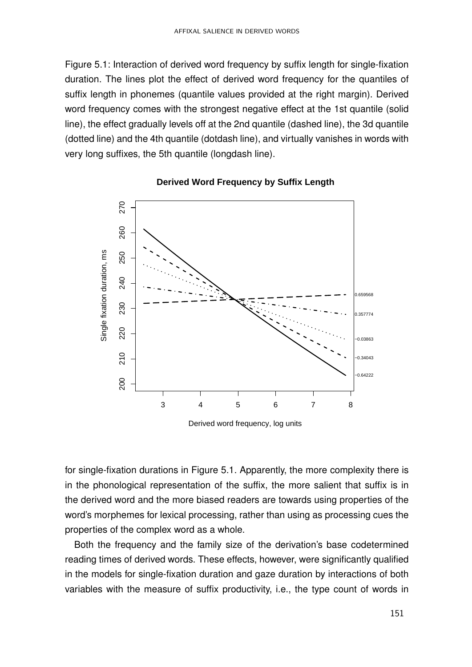Figure 5.1: Interaction of derived word frequency by suffix length for single-fixation duration. The lines plot the effect of derived word frequency for the quantiles of suffix length in phonemes (quantile values provided at the right margin). Derived word frequency comes with the strongest negative effect at the 1st quantile (solid line), the effect gradually levels off at the 2nd quantile (dashed line), the 3d quantile (dotted line) and the 4th quantile (dotdash line), and virtually vanishes in words with very long suffixes, the 5th quantile (longdash line).



#### **Derived Word Frequency by Suffix Length**

for single-fixation durations in Figure 5.1. Apparently, the more complexity there is in the phonological representation of the suffix, the more salient that suffix is in the derived word and the more biased readers are towards using properties of the word's morphemes for lexical processing, rather than using as processing cues the properties of the complex word as a whole.

Both the frequency and the family size of the derivation's base codetermined reading times of derived words. These effects, however, were significantly qualified in the models for single-fixation duration and gaze duration by interactions of both variables with the measure of suffix productivity, i.e., the type count of words in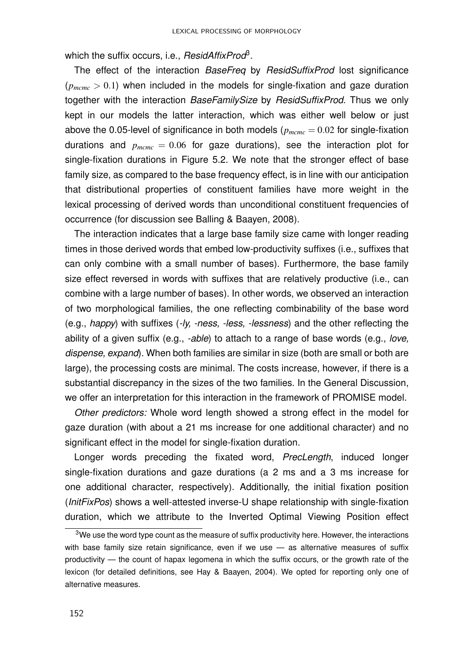which the suffix occurs, i.e., *ResidAffixProd*<sup>3</sup> .

The effect of the interaction *BaseFreq* by *ResidSuffixProd* lost significance  $(p_{\text{mcmc}} > 0.1)$  when included in the models for single-fixation and gaze duration together with the interaction *BaseFamilySize* by *ResidSuffixProd*. Thus we only kept in our models the latter interaction, which was either well below or just above the 0.05-level of significance in both models ( $p_{\text{mcmc}} = 0.02$  for single-fixation durations and  $p_{\text{mcmc}} = 0.06$  for gaze durations), see the interaction plot for single-fixation durations in Figure 5.2. We note that the stronger effect of base family size, as compared to the base frequency effect, is in line with our anticipation that distributional properties of constituent families have more weight in the lexical processing of derived words than unconditional constituent frequencies of occurrence (for discussion see Balling & Baayen, 2008).

The interaction indicates that a large base family size came with longer reading times in those derived words that embed low-productivity suffixes (i.e., suffixes that can only combine with a small number of bases). Furthermore, the base family size effect reversed in words with suffixes that are relatively productive (i.e., can combine with a large number of bases). In other words, we observed an interaction of two morphological families, the one reflecting combinability of the base word (e.g., *happy*) with suffixes (*-ly, -ness, -less, -lessness*) and the other reflecting the ability of a given suffix (e.g., *-able*) to attach to a range of base words (e.g., *love, dispense, expand*). When both families are similar in size (both are small or both are large), the processing costs are minimal. The costs increase, however, if there is a substantial discrepancy in the sizes of the two families. In the General Discussion, we offer an interpretation for this interaction in the framework of PROMISE model.

*Other predictors:* Whole word length showed a strong effect in the model for gaze duration (with about a 21 ms increase for one additional character) and no significant effect in the model for single-fixation duration.

Longer words preceding the fixated word, *PrecLength*, induced longer single-fixation durations and gaze durations (a 2 ms and a 3 ms increase for one additional character, respectively). Additionally, the initial fixation position (*InitFixPos*) shows a well-attested inverse-U shape relationship with single-fixation duration, which we attribute to the Inverted Optimal Viewing Position effect

 $3$ We use the word type count as the measure of suffix productivity here. However, the interactions with base family size retain significance, even if we use — as alternative measures of suffix productivity — the count of hapax legomena in which the suffix occurs, or the growth rate of the lexicon (for detailed definitions, see Hay & Baayen, 2004). We opted for reporting only one of alternative measures.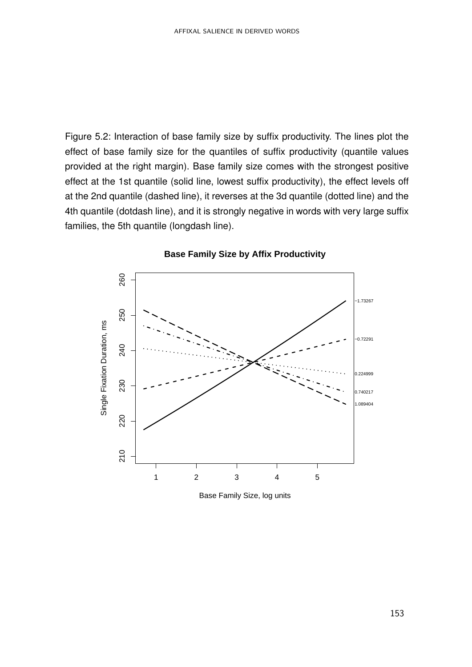Figure 5.2: Interaction of base family size by suffix productivity. The lines plot the effect of base family size for the quantiles of suffix productivity (quantile values provided at the right margin). Base family size comes with the strongest positive effect at the 1st quantile (solid line, lowest suffix productivity), the effect levels off at the 2nd quantile (dashed line), it reverses at the 3d quantile (dotted line) and the 4th quantile (dotdash line), and it is strongly negative in words with very large suffix families, the 5th quantile (longdash line).



#### **Base Family Size by Affix Productivity**

Base Family Size, log units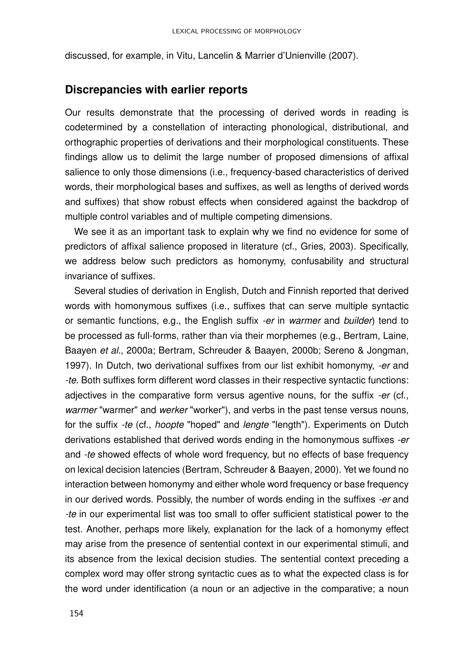discussed, for example, in Vitu, Lancelin & Marrier d'Unienville (2007).

#### **Discrepancies with earlier reports**

Our results demonstrate that the processing of derived words in reading is codetermined by a constellation of interacting phonological, distributional, and orthographic properties of derivations and their morphological constituents. These findings allow us to delimit the large number of proposed dimensions of affixal salience to only those dimensions (i.e., frequency-based characteristics of derived words, their morphological bases and suffixes, as well as lengths of derived words and suffixes) that show robust effects when considered against the backdrop of multiple control variables and of multiple competing dimensions.

We see it as an important task to explain why we find no evidence for some of predictors of affixal salience proposed in literature (cf., Gries, 2003). Specifically, we address below such predictors as homonymy, confusability and structural invariance of suffixes.

Several studies of derivation in English, Dutch and Finnish reported that derived words with homonymous suffixes (i.e., suffixes that can serve multiple syntactic or semantic functions, e.g., the English suffix *-er* in *warmer* and *builder*) tend to be processed as full-forms, rather than via their morphemes (e.g., Bertram, Laine, Baayen *et al.*, 2000a; Bertram, Schreuder & Baayen, 2000b; Sereno & Jongman, 1997). In Dutch, two derivational suffixes from our list exhibit homonymy, *-er* and *-te*. Both suffixes form different word classes in their respective syntactic functions: adjectives in the comparative form versus agentive nouns, for the suffix *-er* (cf., *warmer* "warmer" and *werker* "worker"), and verbs in the past tense versus nouns, for the suffix *-te* (cf., *hoopte* "hoped" and *lengte* "length"). Experiments on Dutch derivations established that derived words ending in the homonymous suffixes *-er* and *-te* showed effects of whole word frequency, but no effects of base frequency on lexical decision latencies (Bertram, Schreuder & Baayen, 2000). Yet we found no interaction between homonymy and either whole word frequency or base frequency in our derived words. Possibly, the number of words ending in the suffixes *-er* and *-te* in our experimental list was too small to offer sufficient statistical power to the test. Another, perhaps more likely, explanation for the lack of a homonymy effect may arise from the presence of sentential context in our experimental stimuli, and its absence from the lexical decision studies. The sentential context preceding a complex word may offer strong syntactic cues as to what the expected class is for the word under identification (a noun or an adjective in the comparative; a noun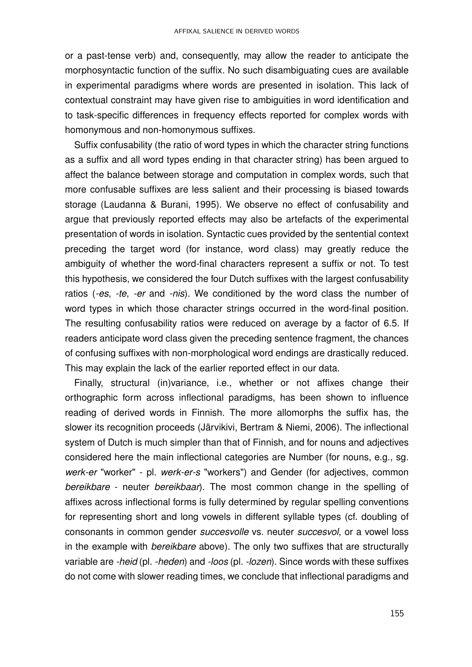or a past-tense verb) and, consequently, may allow the reader to anticipate the morphosyntactic function of the suffix. No such disambiguating cues are available in experimental paradigms where words are presented in isolation. This lack of contextual constraint may have given rise to ambiguities in word identification and to task-specific differences in frequency effects reported for complex words with homonymous and non-homonymous suffixes.

Suffix confusability (the ratio of word types in which the character string functions as a suffix and all word types ending in that character string) has been argued to affect the balance between storage and computation in complex words, such that more confusable suffixes are less salient and their processing is biased towards storage (Laudanna & Burani, 1995). We observe no effect of confusability and argue that previously reported effects may also be artefacts of the experimental presentation of words in isolation. Syntactic cues provided by the sentential context preceding the target word (for instance, word class) may greatly reduce the ambiguity of whether the word-final characters represent a suffix or not. To test this hypothesis, we considered the four Dutch suffixes with the largest confusability ratios (*-es*, *-te*, *-er* and *-nis*). We conditioned by the word class the number of word types in which those character strings occurred in the word-final position. The resulting confusability ratios were reduced on average by a factor of 6.5. If readers anticipate word class given the preceding sentence fragment, the chances of confusing suffixes with non-morphological word endings are drastically reduced. This may explain the lack of the earlier reported effect in our data.

Finally, structural (in)variance, i.e., whether or not affixes change their orthographic form across inflectional paradigms, has been shown to influence reading of derived words in Finnish. The more allomorphs the suffix has, the slower its recognition proceeds (Järvikivi, Bertram & Niemi, 2006). The inflectional system of Dutch is much simpler than that of Finnish, and for nouns and adjectives considered here the main inflectional categories are Number (for nouns, e.g., sg. *werk-er* "worker" - pl. *werk-er-s* "workers") and Gender (for adjectives, common *bereikbare* - neuter *bereikbaar*). The most common change in the spelling of affixes across inflectional forms is fully determined by regular spelling conventions for representing short and long vowels in different syllable types (cf. doubling of consonants in common gender *succesvolle* vs. neuter *succesvol*, or a vowel loss in the example with *bereikbare* above). The only two suffixes that are structurally variable are *-heid* (pl. *-heden*) and *-loos* (pl. *-lozen*). Since words with these suffixes do not come with slower reading times, we conclude that inflectional paradigms and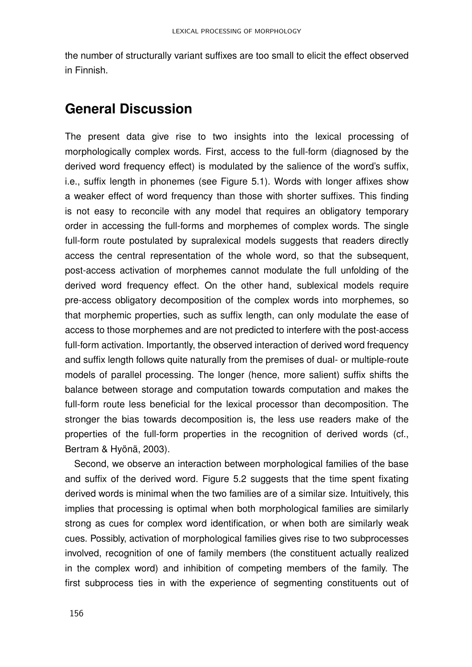the number of structurally variant suffixes are too small to elicit the effect observed in Finnish.

# **General Discussion**

The present data give rise to two insights into the lexical processing of morphologically complex words. First, access to the full-form (diagnosed by the derived word frequency effect) is modulated by the salience of the word's suffix, i.e., suffix length in phonemes (see Figure 5.1). Words with longer affixes show a weaker effect of word frequency than those with shorter suffixes. This finding is not easy to reconcile with any model that requires an obligatory temporary order in accessing the full-forms and morphemes of complex words. The single full-form route postulated by supralexical models suggests that readers directly access the central representation of the whole word, so that the subsequent, post-access activation of morphemes cannot modulate the full unfolding of the derived word frequency effect. On the other hand, sublexical models require pre-access obligatory decomposition of the complex words into morphemes, so that morphemic properties, such as suffix length, can only modulate the ease of access to those morphemes and are not predicted to interfere with the post-access full-form activation. Importantly, the observed interaction of derived word frequency and suffix length follows quite naturally from the premises of dual- or multiple-route models of parallel processing. The longer (hence, more salient) suffix shifts the balance between storage and computation towards computation and makes the full-form route less beneficial for the lexical processor than decomposition. The stronger the bias towards decomposition is, the less use readers make of the properties of the full-form properties in the recognition of derived words (cf., Bertram & Hyönä, 2003).

Second, we observe an interaction between morphological families of the base and suffix of the derived word. Figure 5.2 suggests that the time spent fixating derived words is minimal when the two families are of a similar size. Intuitively, this implies that processing is optimal when both morphological families are similarly strong as cues for complex word identification, or when both are similarly weak cues. Possibly, activation of morphological families gives rise to two subprocesses involved, recognition of one of family members (the constituent actually realized in the complex word) and inhibition of competing members of the family. The first subprocess ties in with the experience of segmenting constituents out of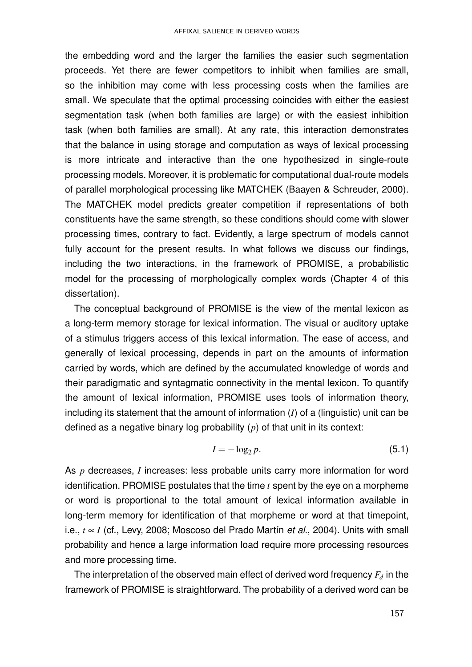the embedding word and the larger the families the easier such segmentation proceeds. Yet there are fewer competitors to inhibit when families are small, so the inhibition may come with less processing costs when the families are small. We speculate that the optimal processing coincides with either the easiest segmentation task (when both families are large) or with the easiest inhibition task (when both families are small). At any rate, this interaction demonstrates that the balance in using storage and computation as ways of lexical processing is more intricate and interactive than the one hypothesized in single-route processing models. Moreover, it is problematic for computational dual-route models of parallel morphological processing like MATCHEK (Baayen & Schreuder, 2000). The MATCHEK model predicts greater competition if representations of both constituents have the same strength, so these conditions should come with slower processing times, contrary to fact. Evidently, a large spectrum of models cannot fully account for the present results. In what follows we discuss our findings, including the two interactions, in the framework of PROMISE, a probabilistic model for the processing of morphologically complex words (Chapter 4 of this dissertation).

The conceptual background of PROMISE is the view of the mental lexicon as a long-term memory storage for lexical information. The visual or auditory uptake of a stimulus triggers access of this lexical information. The ease of access, and generally of lexical processing, depends in part on the amounts of information carried by words, which are defined by the accumulated knowledge of words and their paradigmatic and syntagmatic connectivity in the mental lexicon. To quantify the amount of lexical information, PROMISE uses tools of information theory, including its statement that the amount of information (*I*) of a (linguistic) unit can be defined as a negative binary log probability (*p*) of that unit in its context:

$$
I = -\log_2 p. \tag{5.1}
$$

As *p* decreases, *I* increases: less probable units carry more information for word identification. PROMISE postulates that the time *t* spent by the eye on a morpheme or word is proportional to the total amount of lexical information available in long-term memory for identification of that morpheme or word at that timepoint, i.e., *t* ∝ *I* (cf., Levy, 2008; Moscoso del Prado Martín *et al.*, 2004). Units with small probability and hence a large information load require more processing resources and more processing time.

The interpretation of the observed main effect of derived word frequency *F<sup>d</sup>* in the framework of PROMISE is straightforward. The probability of a derived word can be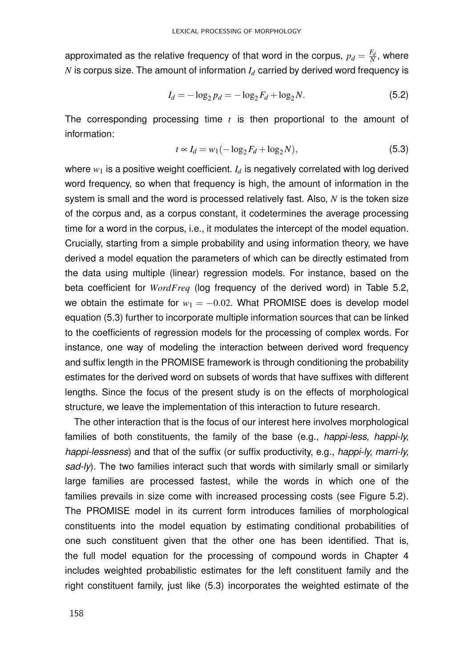approximated as the relative frequency of that word in the corpus,  $p_d = \frac{F_d}{N}$  $\frac{r_d}{N}$ , where *N* is corpus size. The amount of information *I<sup>d</sup>* carried by derived word frequency is

$$
I_d = -\log_2 p_d = -\log_2 F_d + \log_2 N. \tag{5.2}
$$

The corresponding processing time *t* is then proportional to the amount of information:

$$
t \propto I_d = w_1(-\log_2 F_d + \log_2 N),\tag{5.3}
$$

where  $w_1$  is a positive weight coefficient.  $I_d$  is negatively correlated with log derived word frequency, so when that frequency is high, the amount of information in the system is small and the word is processed relatively fast. Also, *N* is the token size of the corpus and, as a corpus constant, it codetermines the average processing time for a word in the corpus, i.e., it modulates the intercept of the model equation. Crucially, starting from a simple probability and using information theory, we have derived a model equation the parameters of which can be directly estimated from the data using multiple (linear) regression models. For instance, based on the beta coefficient for *WordFreq* (log frequency of the derived word) in Table 5.2, we obtain the estimate for  $w_1 = -0.02$ . What PROMISE does is develop model equation (5.3) further to incorporate multiple information sources that can be linked to the coefficients of regression models for the processing of complex words. For instance, one way of modeling the interaction between derived word frequency and suffix length in the PROMISE framework is through conditioning the probability estimates for the derived word on subsets of words that have suffixes with different lengths. Since the focus of the present study is on the effects of morphological structure, we leave the implementation of this interaction to future research.

The other interaction that is the focus of our interest here involves morphological families of both constituents, the family of the base (e.g., *happi-less, happi-ly, happi-lessness*) and that of the suffix (or suffix productivity, e.g., *happi-ly, marri-ly, sad-ly*). The two families interact such that words with similarly small or similarly large families are processed fastest, while the words in which one of the families prevails in size come with increased processing costs (see Figure 5.2). The PROMISE model in its current form introduces families of morphological constituents into the model equation by estimating conditional probabilities of one such constituent given that the other one has been identified. That is, the full model equation for the processing of compound words in Chapter 4 includes weighted probabilistic estimates for the left constituent family and the right constituent family, just like (5.3) incorporates the weighted estimate of the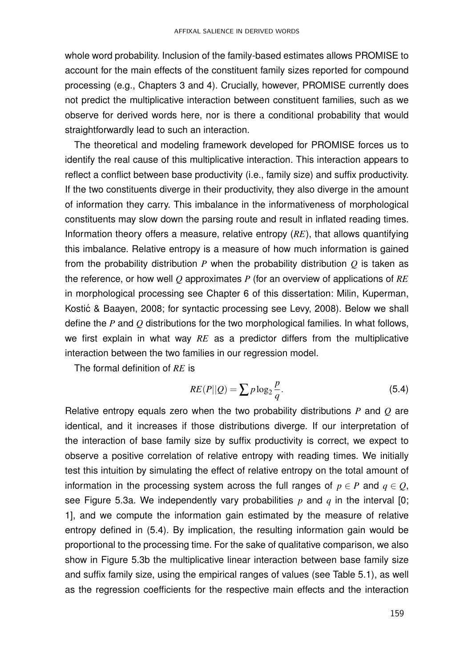whole word probability. Inclusion of the family-based estimates allows PROMISE to account for the main effects of the constituent family sizes reported for compound processing (e.g., Chapters 3 and 4). Crucially, however, PROMISE currently does not predict the multiplicative interaction between constituent families, such as we observe for derived words here, nor is there a conditional probability that would straightforwardly lead to such an interaction.

The theoretical and modeling framework developed for PROMISE forces us to identify the real cause of this multiplicative interaction. This interaction appears to reflect a conflict between base productivity (i.e., family size) and suffix productivity. If the two constituents diverge in their productivity, they also diverge in the amount of information they carry. This imbalance in the informativeness of morphological constituents may slow down the parsing route and result in inflated reading times. Information theory offers a measure, relative entropy (*RE*), that allows quantifying this imbalance. Relative entropy is a measure of how much information is gained from the probability distribution *P* when the probability distribution *Q* is taken as the reference, or how well *Q* approximates *P* (for an overview of applications of *RE* in morphological processing see Chapter 6 of this dissertation: Milin, Kuperman, Kostić & Baayen, 2008; for syntactic processing see Levy, 2008). Below we shall define the *P* and *Q* distributions for the two morphological families. In what follows, we first explain in what way *RE* as a predictor differs from the multiplicative interaction between the two families in our regression model.

The formal definition of *RE* is

$$
RE(P||Q) = \sum p \log_2 \frac{p}{q}.
$$
\n(5.4)

Relative entropy equals zero when the two probability distributions *P* and *Q* are identical, and it increases if those distributions diverge. If our interpretation of the interaction of base family size by suffix productivity is correct, we expect to observe a positive correlation of relative entropy with reading times. We initially test this intuition by simulating the effect of relative entropy on the total amount of information in the processing system across the full ranges of  $p \in P$  and  $q \in Q$ , see Figure 5.3a. We independently vary probabilities  $p$  and  $q$  in the interval [0; 1], and we compute the information gain estimated by the measure of relative entropy defined in (5.4). By implication, the resulting information gain would be proportional to the processing time. For the sake of qualitative comparison, we also show in Figure 5.3b the multiplicative linear interaction between base family size and suffix family size, using the empirical ranges of values (see Table 5.1), as well as the regression coefficients for the respective main effects and the interaction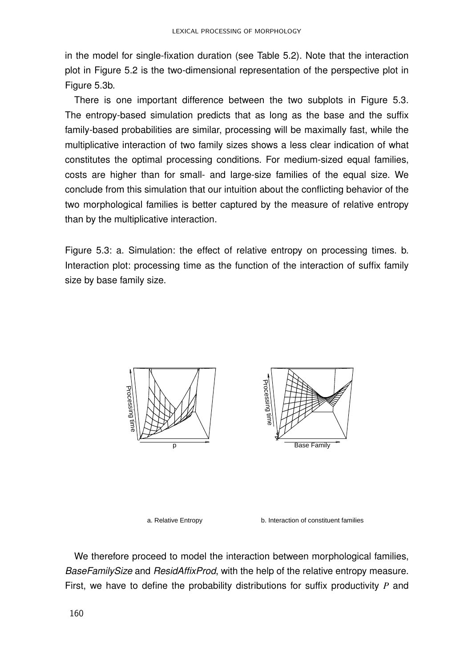in the model for single-fixation duration (see Table 5.2). Note that the interaction plot in Figure 5.2 is the two-dimensional representation of the perspective plot in Figure 5.3b.

There is one important difference between the two subplots in Figure 5.3. The entropy-based simulation predicts that as long as the base and the suffix family-based probabilities are similar, processing will be maximally fast, while the multiplicative interaction of two family sizes shows a less clear indication of what constitutes the optimal processing conditions. For medium-sized equal families, costs are higher than for small- and large-size families of the equal size. We conclude from this simulation that our intuition about the conflicting behavior of the two morphological families is better captured by the measure of relative entropy than by the multiplicative interaction.

Figure 5.3: a. Simulation: the effect of relative entropy on processing times. b. Interaction plot: processing time as the function of the interaction of suffix family size by base family size.





a. Relative Entropy

b. Interaction of constituent families

We therefore proceed to model the interaction between morphological families, *BaseFamilySize* and *ResidAffixProd*, with the help of the relative entropy measure. First, we have to define the probability distributions for suffix productivity *P* and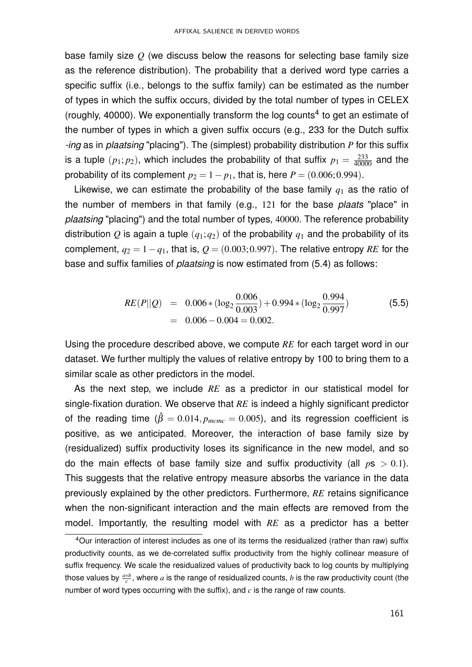base family size *Q* (we discuss below the reasons for selecting base family size as the reference distribution). The probability that a derived word type carries a specific suffix (i.e., belongs to the suffix family) can be estimated as the number of types in which the suffix occurs, divided by the total number of types in CELEX (roughly, 40000). We exponentially transform the log counts<sup>4</sup> to get an estimate of the number of types in which a given suffix occurs (e.g., 233 for the Dutch suffix *-ing* as in *plaatsing* "placing"). The (simplest) probability distribution *P* for this suffix is a tuple  $(p_1; p_2)$ , which includes the probability of that suffix  $p_1 = \frac{233}{40000}$  and the probability of its complement  $p_2 = 1 - p_1$ , that is, here  $P = (0.006; 0.994)$ .

Likewise, we can estimate the probability of the base family  $q_1$  as the ratio of the number of members in that family (e.g., 121 for the base *plaats* "place" in *plaatsing* "placing") and the total number of types, 40000. The reference probability distribution Q is again a tuple  $(q_1; q_2)$  of the probability  $q_1$  and the probability of its complement,  $q_2 = 1 - q_1$ , that is,  $Q = (0.003, 0.997)$ . The relative entropy *RE* for the base and suffix families of *plaatsing* is now estimated from (5.4) as follows:

$$
RE(P||Q) = 0.006 * (\log_2 \frac{0.006}{0.003}) + 0.994 * (\log_2 \frac{0.994}{0.997})
$$
(5.5)  
= 0.006 - 0.004 = 0.002.

Using the procedure described above, we compute *RE* for each target word in our dataset. We further multiply the values of relative entropy by 100 to bring them to a similar scale as other predictors in the model.

As the next step, we include *RE* as a predictor in our statistical model for single-fixation duration. We observe that *RE* is indeed a highly significant predictor of the reading time ( $\hat{\beta} = 0.014$ ,  $p_{\text{mcmc}} = 0.005$ ), and its regression coefficient is positive, as we anticipated. Moreover, the interaction of base family size by (residualized) suffix productivity loses its significance in the new model, and so do the main effects of base family size and suffix productivity (all  $p s > 0.1$ ). This suggests that the relative entropy measure absorbs the variance in the data previously explained by the other predictors. Furthermore, *RE* retains significance when the non-significant interaction and the main effects are removed from the model. Importantly, the resulting model with *RE* as a predictor has a better

<sup>&</sup>lt;sup>4</sup>Our interaction of interest includes as one of its terms the residualized (rather than raw) suffix productivity counts, as we de-correlated suffix productivity from the highly collinear measure of suffix frequency. We scale the residualized values of productivity back to log counts by multiplying those values by  $\frac{a*b}{c}$ , where  $a$  is the range of residualized counts,  $b$  is the raw productivity count (the number of word types occurring with the suffix), and *c* is the range of raw counts.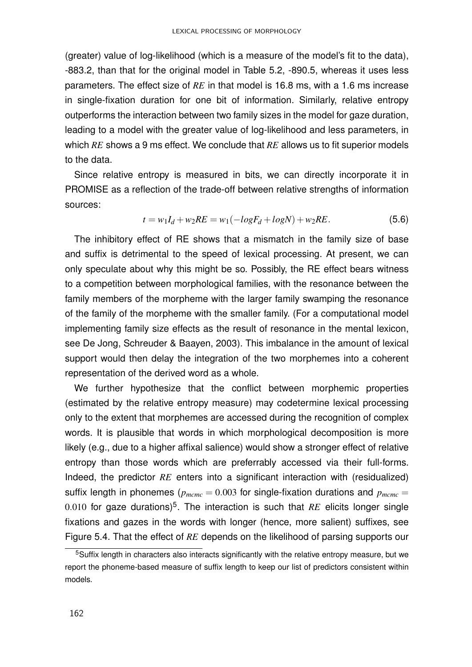(greater) value of log-likelihood (which is a measure of the model's fit to the data), -883.2, than that for the original model in Table 5.2, -890.5, whereas it uses less parameters. The effect size of *RE* in that model is 16.8 ms, with a 1.6 ms increase in single-fixation duration for one bit of information. Similarly, relative entropy outperforms the interaction between two family sizes in the model for gaze duration, leading to a model with the greater value of log-likelihood and less parameters, in which *RE* shows a 9 ms effect. We conclude that *RE* allows us to fit superior models to the data.

Since relative entropy is measured in bits, we can directly incorporate it in PROMISE as a reflection of the trade-off between relative strengths of information sources:

$$
t = w_1 I_d + w_2 RE = w_1(-logF_d + logN) + w_2 RE.
$$
 (5.6)

The inhibitory effect of RE shows that a mismatch in the family size of base and suffix is detrimental to the speed of lexical processing. At present, we can only speculate about why this might be so. Possibly, the RE effect bears witness to a competition between morphological families, with the resonance between the family members of the morpheme with the larger family swamping the resonance of the family of the morpheme with the smaller family. (For a computational model implementing family size effects as the result of resonance in the mental lexicon, see De Jong, Schreuder & Baayen, 2003). This imbalance in the amount of lexical support would then delay the integration of the two morphemes into a coherent representation of the derived word as a whole.

We further hypothesize that the conflict between morphemic properties (estimated by the relative entropy measure) may codetermine lexical processing only to the extent that morphemes are accessed during the recognition of complex words. It is plausible that words in which morphological decomposition is more likely (e.g., due to a higher affixal salience) would show a stronger effect of relative entropy than those words which are preferrably accessed via their full-forms. Indeed, the predictor *RE* enters into a significant interaction with (residualized) suffix length in phonemes ( $p_{\text{mcmc}} = 0.003$  for single-fixation durations and  $p_{\text{mcmc}} =$  $0.010$  for gaze durations)<sup>5</sup>. The interaction is such that  $RE$  elicits longer single fixations and gazes in the words with longer (hence, more salient) suffixes, see Figure 5.4. That the effect of *RE* depends on the likelihood of parsing supports our

<sup>&</sup>lt;sup>5</sup>Suffix length in characters also interacts significantly with the relative entropy measure, but we report the phoneme-based measure of suffix length to keep our list of predictors consistent within models.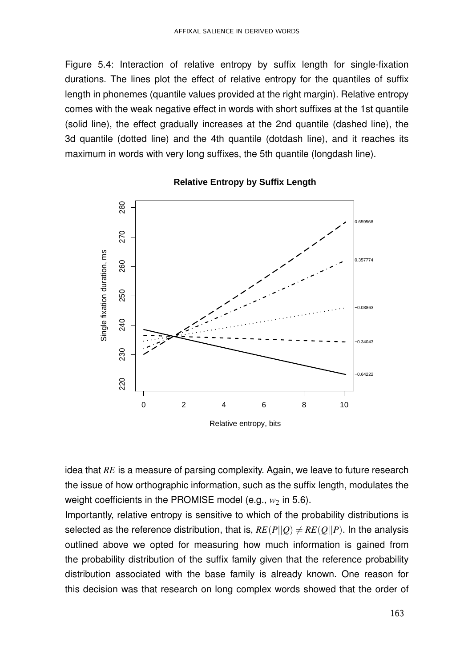Figure 5.4: Interaction of relative entropy by suffix length for single-fixation durations. The lines plot the effect of relative entropy for the quantiles of suffix length in phonemes (quantile values provided at the right margin). Relative entropy comes with the weak negative effect in words with short suffixes at the 1st quantile (solid line), the effect gradually increases at the 2nd quantile (dashed line), the 3d quantile (dotted line) and the 4th quantile (dotdash line), and it reaches its maximum in words with very long suffixes, the 5th quantile (longdash line).



#### **Relative Entropy by Suffix Length**

idea that *RE* is a measure of parsing complexity. Again, we leave to future research the issue of how orthographic information, such as the suffix length, modulates the weight coefficients in the PROMISE model (e.g.,  $w_2$  in 5.6).

Importantly, relative entropy is sensitive to which of the probability distributions is selected as the reference distribution, that is,  $RE(P||Q) \neq RE(Q||P)$ . In the analysis outlined above we opted for measuring how much information is gained from the probability distribution of the suffix family given that the reference probability distribution associated with the base family is already known. One reason for this decision was that research on long complex words showed that the order of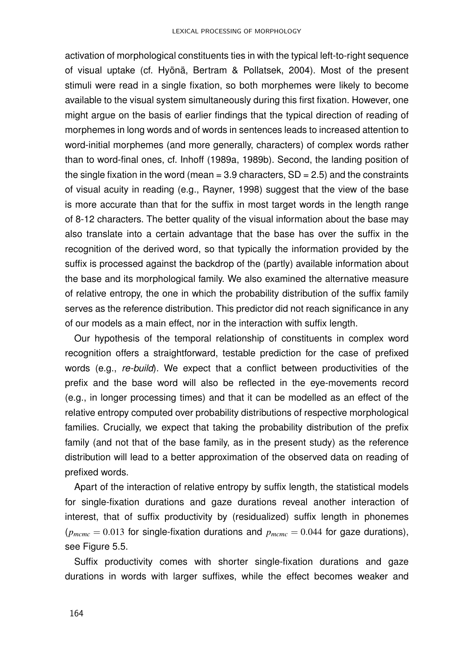activation of morphological constituents ties in with the typical left-to-right sequence of visual uptake (cf. Hyönä, Bertram & Pollatsek, 2004). Most of the present stimuli were read in a single fixation, so both morphemes were likely to become available to the visual system simultaneously during this first fixation. However, one might argue on the basis of earlier findings that the typical direction of reading of morphemes in long words and of words in sentences leads to increased attention to word-initial morphemes (and more generally, characters) of complex words rather than to word-final ones, cf. Inhoff (1989a, 1989b). Second, the landing position of the single fixation in the word (mean  $= 3.9$  characters,  $SD = 2.5$ ) and the constraints of visual acuity in reading (e.g., Rayner, 1998) suggest that the view of the base is more accurate than that for the suffix in most target words in the length range of 8-12 characters. The better quality of the visual information about the base may also translate into a certain advantage that the base has over the suffix in the recognition of the derived word, so that typically the information provided by the suffix is processed against the backdrop of the (partly) available information about the base and its morphological family. We also examined the alternative measure of relative entropy, the one in which the probability distribution of the suffix family serves as the reference distribution. This predictor did not reach significance in any of our models as a main effect, nor in the interaction with suffix length.

Our hypothesis of the temporal relationship of constituents in complex word recognition offers a straightforward, testable prediction for the case of prefixed words (e.g., *re-build*). We expect that a conflict between productivities of the prefix and the base word will also be reflected in the eye-movements record (e.g., in longer processing times) and that it can be modelled as an effect of the relative entropy computed over probability distributions of respective morphological families. Crucially, we expect that taking the probability distribution of the prefix family (and not that of the base family, as in the present study) as the reference distribution will lead to a better approximation of the observed data on reading of prefixed words.

Apart of the interaction of relative entropy by suffix length, the statistical models for single-fixation durations and gaze durations reveal another interaction of interest, that of suffix productivity by (residualized) suffix length in phonemes  $(p_{\text{mcmc}} = 0.013$  for single-fixation durations and  $p_{\text{mcmc}} = 0.044$  for gaze durations), see Figure 5.5.

Suffix productivity comes with shorter single-fixation durations and gaze durations in words with larger suffixes, while the effect becomes weaker and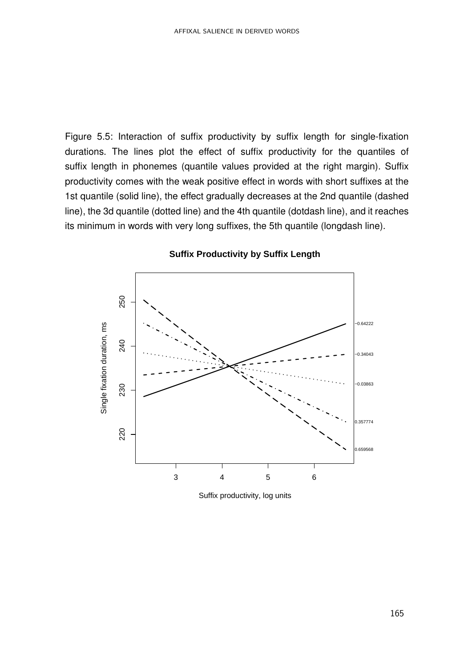Figure 5.5: Interaction of suffix productivity by suffix length for single-fixation durations. The lines plot the effect of suffix productivity for the quantiles of suffix length in phonemes (quantile values provided at the right margin). Suffix productivity comes with the weak positive effect in words with short suffixes at the 1st quantile (solid line), the effect gradually decreases at the 2nd quantile (dashed line), the 3d quantile (dotted line) and the 4th quantile (dotdash line), and it reaches its minimum in words with very long suffixes, the 5th quantile (longdash line).



#### **Suffix Productivity by Suffix Length**

Suffix productivity, log units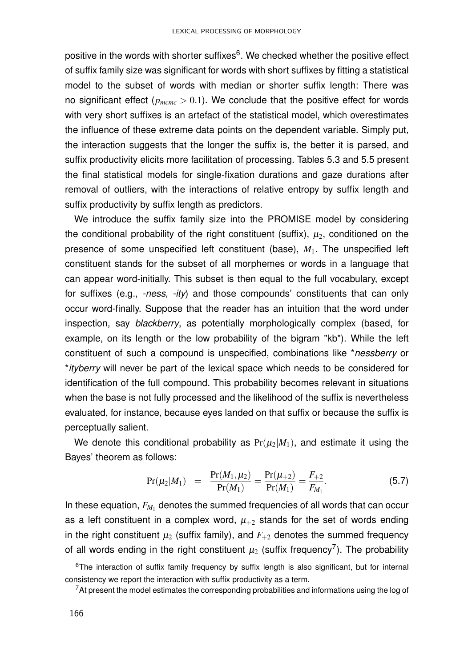positive in the words with shorter suffixes<sup>6</sup>. We checked whether the positive effect of suffix family size was significant for words with short suffixes by fitting a statistical model to the subset of words with median or shorter suffix length: There was no significant effect ( $p_{\text{mcmc}} > 0.1$ ). We conclude that the positive effect for words with very short suffixes is an artefact of the statistical model, which overestimates the influence of these extreme data points on the dependent variable. Simply put, the interaction suggests that the longer the suffix is, the better it is parsed, and suffix productivity elicits more facilitation of processing. Tables 5.3 and 5.5 present the final statistical models for single-fixation durations and gaze durations after removal of outliers, with the interactions of relative entropy by suffix length and suffix productivity by suffix length as predictors.

We introduce the suffix family size into the PROMISE model by considering the conditional probability of the right constituent (suffix),  $\mu_2$ , conditioned on the presence of some unspecified left constituent (base),  $M_1$ . The unspecified left constituent stands for the subset of all morphemes or words in a language that can appear word-initially. This subset is then equal to the full vocabulary, except for suffixes (e.g., *-ness, -ity*) and those compounds' constituents that can only occur word-finally. Suppose that the reader has an intuition that the word under inspection, say *blackberry*, as potentially morphologically complex (based, for example, on its length or the low probability of the bigram "kb"). While the left constituent of such a compound is unspecified, combinations like \**nessberry* or \**ityberry* will never be part of the lexical space which needs to be considered for identification of the full compound. This probability becomes relevant in situations when the base is not fully processed and the likelihood of the suffix is nevertheless evaluated, for instance, because eyes landed on that suffix or because the suffix is perceptually salient.

We denote this conditional probability as  $Pr(\mu_2|M_1)$ , and estimate it using the Bayes' theorem as follows:

$$
Pr(\mu_2|M_1) = \frac{Pr(M_1, \mu_2)}{Pr(M_1)} = \frac{Pr(\mu_{+2})}{Pr(M_1)} = \frac{F_{+2}}{F_{M_1}}.
$$
 (5.7)

In these equation,  $F_{M_1}$  denotes the summed frequencies of all words that can occur as a left constituent in a complex word,  $\mu_{+2}$  stands for the set of words ending in the right constituent  $\mu_2$  (suffix family), and  $F_{+2}$  denotes the summed frequency of all words ending in the right constituent  $\mu_2$  (suffix frequency<sup>7</sup>). The probability

<sup>&</sup>lt;sup>6</sup>The interaction of suffix family frequency by suffix length is also significant, but for internal consistency we report the interaction with suffix productivity as a term.

 $7$ At present the model estimates the corresponding probabilities and informations using the log of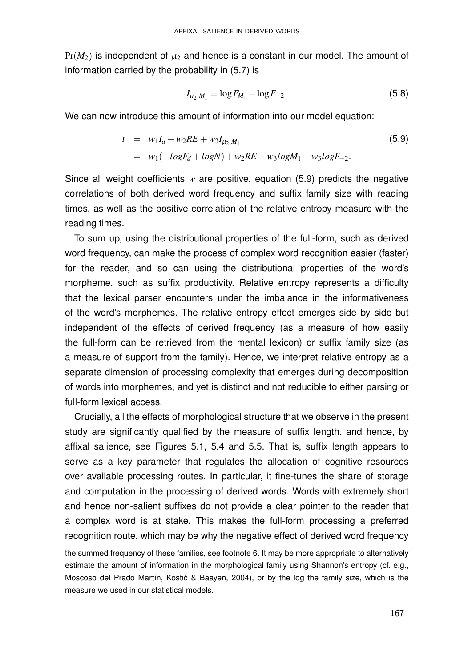$Pr(M_2)$  is independent of  $\mu_2$  and hence is a constant in our model. The amount of information carried by the probability in (5.7) is

$$
I_{\mu_2|M_1} = \log F_{M_1} - \log F_{+2}.\tag{5.8}
$$

We can now introduce this amount of information into our model equation:

$$
t = w_1 I_d + w_2 RE + w_3 I_{\mu_2|M_1}
$$
  
=  $w_1(-logF_d + logN) + w_2 RE + w_3 logM_1 - w_3 logF_{+2}$ . (5.9)

Since all weight coefficients *w* are positive, equation (5.9) predicts the negative correlations of both derived word frequency and suffix family size with reading times, as well as the positive correlation of the relative entropy measure with the reading times.

To sum up, using the distributional properties of the full-form, such as derived word frequency, can make the process of complex word recognition easier (faster) for the reader, and so can using the distributional properties of the word's morpheme, such as suffix productivity. Relative entropy represents a difficulty that the lexical parser encounters under the imbalance in the informativeness of the word's morphemes. The relative entropy effect emerges side by side but independent of the effects of derived frequency (as a measure of how easily the full-form can be retrieved from the mental lexicon) or suffix family size (as a measure of support from the family). Hence, we interpret relative entropy as a separate dimension of processing complexity that emerges during decomposition of words into morphemes, and yet is distinct and not reducible to either parsing or full-form lexical access.

Crucially, all the effects of morphological structure that we observe in the present study are significantly qualified by the measure of suffix length, and hence, by affixal salience, see Figures 5.1, 5.4 and 5.5. That is, suffix length appears to serve as a key parameter that regulates the allocation of cognitive resources over available processing routes. In particular, it fine-tunes the share of storage and computation in the processing of derived words. Words with extremely short and hence non-salient suffixes do not provide a clear pointer to the reader that a complex word is at stake. This makes the full-form processing a preferred recognition route, which may be why the negative effect of derived word frequency

the summed frequency of these families, see footnote 6. It may be more appropriate to alternatively estimate the amount of information in the morphological family using Shannon's entropy (cf. e.g., Moscoso del Prado Martín, Kostic & Baayen, 2004), or by the log the family size, which is the ´ measure we used in our statistical models.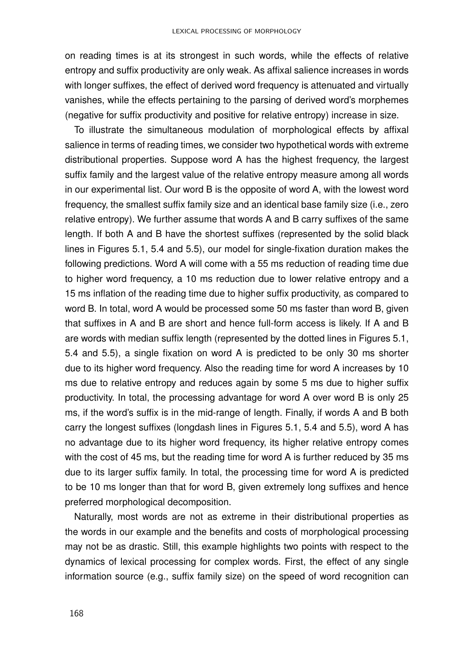on reading times is at its strongest in such words, while the effects of relative entropy and suffix productivity are only weak. As affixal salience increases in words with longer suffixes, the effect of derived word frequency is attenuated and virtually vanishes, while the effects pertaining to the parsing of derived word's morphemes (negative for suffix productivity and positive for relative entropy) increase in size.

To illustrate the simultaneous modulation of morphological effects by affixal salience in terms of reading times, we consider two hypothetical words with extreme distributional properties. Suppose word A has the highest frequency, the largest suffix family and the largest value of the relative entropy measure among all words in our experimental list. Our word B is the opposite of word A, with the lowest word frequency, the smallest suffix family size and an identical base family size (i.e., zero relative entropy). We further assume that words A and B carry suffixes of the same length. If both A and B have the shortest suffixes (represented by the solid black lines in Figures 5.1, 5.4 and 5.5), our model for single-fixation duration makes the following predictions. Word A will come with a 55 ms reduction of reading time due to higher word frequency, a 10 ms reduction due to lower relative entropy and a 15 ms inflation of the reading time due to higher suffix productivity, as compared to word B. In total, word A would be processed some 50 ms faster than word B, given that suffixes in A and B are short and hence full-form access is likely. If A and B are words with median suffix length (represented by the dotted lines in Figures 5.1, 5.4 and 5.5), a single fixation on word A is predicted to be only 30 ms shorter due to its higher word frequency. Also the reading time for word A increases by 10 ms due to relative entropy and reduces again by some 5 ms due to higher suffix productivity. In total, the processing advantage for word A over word B is only 25 ms, if the word's suffix is in the mid-range of length. Finally, if words A and B both carry the longest suffixes (longdash lines in Figures 5.1, 5.4 and 5.5), word A has no advantage due to its higher word frequency, its higher relative entropy comes with the cost of 45 ms, but the reading time for word A is further reduced by 35 ms due to its larger suffix family. In total, the processing time for word A is predicted to be 10 ms longer than that for word B, given extremely long suffixes and hence preferred morphological decomposition.

Naturally, most words are not as extreme in their distributional properties as the words in our example and the benefits and costs of morphological processing may not be as drastic. Still, this example highlights two points with respect to the dynamics of lexical processing for complex words. First, the effect of any single information source (e.g., suffix family size) on the speed of word recognition can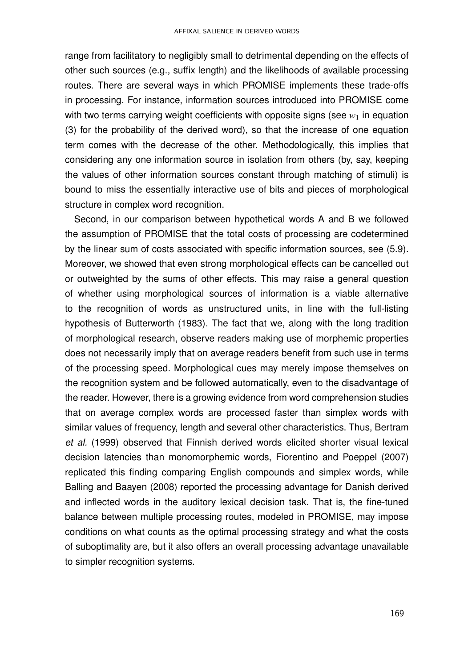range from facilitatory to negligibly small to detrimental depending on the effects of other such sources (e.g., suffix length) and the likelihoods of available processing routes. There are several ways in which PROMISE implements these trade-offs in processing. For instance, information sources introduced into PROMISE come with two terms carrying weight coefficients with opposite signs (see  $w_1$  in equation (3) for the probability of the derived word), so that the increase of one equation term comes with the decrease of the other. Methodologically, this implies that considering any one information source in isolation from others (by, say, keeping the values of other information sources constant through matching of stimuli) is bound to miss the essentially interactive use of bits and pieces of morphological structure in complex word recognition.

Second, in our comparison between hypothetical words A and B we followed the assumption of PROMISE that the total costs of processing are codetermined by the linear sum of costs associated with specific information sources, see (5.9). Moreover, we showed that even strong morphological effects can be cancelled out or outweighted by the sums of other effects. This may raise a general question of whether using morphological sources of information is a viable alternative to the recognition of words as unstructured units, in line with the full-listing hypothesis of Butterworth (1983). The fact that we, along with the long tradition of morphological research, observe readers making use of morphemic properties does not necessarily imply that on average readers benefit from such use in terms of the processing speed. Morphological cues may merely impose themselves on the recognition system and be followed automatically, even to the disadvantage of the reader. However, there is a growing evidence from word comprehension studies that on average complex words are processed faster than simplex words with similar values of frequency, length and several other characteristics. Thus, Bertram *et al.* (1999) observed that Finnish derived words elicited shorter visual lexical decision latencies than monomorphemic words, Fiorentino and Poeppel (2007) replicated this finding comparing English compounds and simplex words, while Balling and Baayen (2008) reported the processing advantage for Danish derived and inflected words in the auditory lexical decision task. That is, the fine-tuned balance between multiple processing routes, modeled in PROMISE, may impose conditions on what counts as the optimal processing strategy and what the costs of suboptimality are, but it also offers an overall processing advantage unavailable to simpler recognition systems.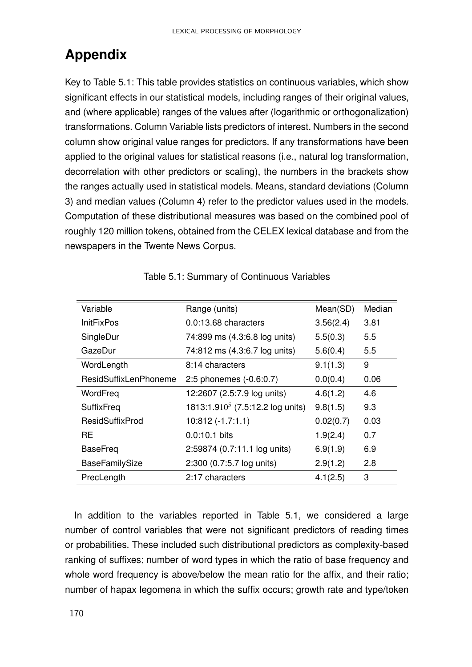# **Appendix**

Key to Table 5.1: This table provides statistics on continuous variables, which show significant effects in our statistical models, including ranges of their original values, and (where applicable) ranges of the values after (logarithmic or orthogonalization) transformations. Column Variable lists predictors of interest. Numbers in the second column show original value ranges for predictors. If any transformations have been applied to the original values for statistical reasons (i.e., natural log transformation, decorrelation with other predictors or scaling), the numbers in the brackets show the ranges actually used in statistical models. Means, standard deviations (Column 3) and median values (Column 4) refer to the predictor values used in the models. Computation of these distributional measures was based on the combined pool of roughly 120 million tokens, obtained from the CELEX lexical database and from the newspapers in the Twente News Corpus.

| Variable               | Range (units)                                | Mean(SD)  | Median |
|------------------------|----------------------------------------------|-----------|--------|
| <b>InitFixPos</b>      | $0.0:13.68$ characters                       | 3.56(2.4) | 3.81   |
| SingleDur              | 74:899 ms (4.3:6.8 log units)                | 5.5(0.3)  | 5.5    |
| GazeDur                | 74:812 ms (4.3:6.7 log units)                | 5.6(0.4)  | 5.5    |
| WordLength             | 8:14 characters                              | 9.1(1.3)  | 9      |
| ResidSuffixLenPhoneme  | 2:5 phonemes $(-0.6:0.7)$                    | 0.0(0.4)  | 0.06   |
| WordFreq               | 12:2607 (2.5:7.9 log units)                  | 4.6(1.2)  | 4.6    |
| <b>SuffixFreq</b>      | 1813:1.910 <sup>5</sup> (7.5:12.2 log units) | 9.8(1.5)  | 9.3    |
| <b>ResidSuffixProd</b> | $10:812 (-1.7:1.1)$                          | 0.02(0.7) | 0.03   |
| <b>RE</b>              | $0.0:10.1$ bits                              | 1.9(2.4)  | 0.7    |
| <b>BaseFreg</b>        | 2:59874 (0.7:11.1 log units)                 | 6.9(1.9)  | 6.9    |
| <b>BaseFamilySize</b>  | 2:300 (0.7:5.7 log units)                    | 2.9(1.2)  | 2.8    |
| PrecLength             | 2:17 characters                              | 4.1(2.5)  | 3      |

### Table 5.1: Summary of Continuous Variables

In addition to the variables reported in Table 5.1, we considered a large number of control variables that were not significant predictors of reading times or probabilities. These included such distributional predictors as complexity-based ranking of suffixes; number of word types in which the ratio of base frequency and whole word frequency is above/below the mean ratio for the affix, and their ratio; number of hapax legomena in which the suffix occurs; growth rate and type/token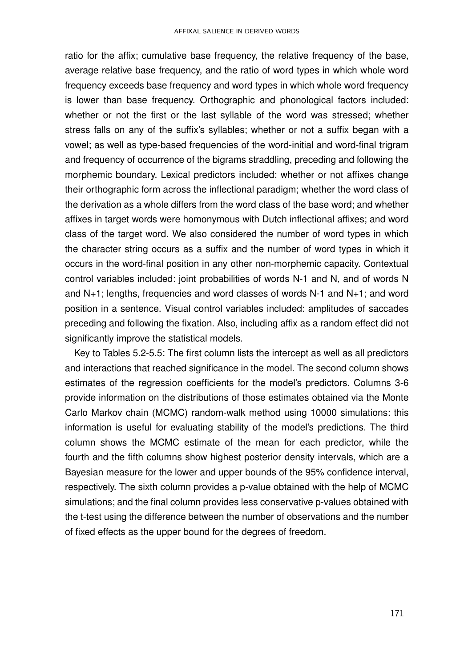ratio for the affix; cumulative base frequency, the relative frequency of the base, average relative base frequency, and the ratio of word types in which whole word frequency exceeds base frequency and word types in which whole word frequency is lower than base frequency. Orthographic and phonological factors included: whether or not the first or the last syllable of the word was stressed; whether stress falls on any of the suffix's syllables; whether or not a suffix began with a vowel; as well as type-based frequencies of the word-initial and word-final trigram and frequency of occurrence of the bigrams straddling, preceding and following the morphemic boundary. Lexical predictors included: whether or not affixes change their orthographic form across the inflectional paradigm; whether the word class of the derivation as a whole differs from the word class of the base word; and whether affixes in target words were homonymous with Dutch inflectional affixes; and word class of the target word. We also considered the number of word types in which the character string occurs as a suffix and the number of word types in which it occurs in the word-final position in any other non-morphemic capacity. Contextual control variables included: joint probabilities of words N-1 and N, and of words N and N+1; lengths, frequencies and word classes of words N-1 and N+1; and word position in a sentence. Visual control variables included: amplitudes of saccades preceding and following the fixation. Also, including affix as a random effect did not significantly improve the statistical models.

Key to Tables 5.2-5.5: The first column lists the intercept as well as all predictors and interactions that reached significance in the model. The second column shows estimates of the regression coefficients for the model's predictors. Columns 3-6 provide information on the distributions of those estimates obtained via the Monte Carlo Markov chain (MCMC) random-walk method using 10000 simulations: this information is useful for evaluating stability of the model's predictions. The third column shows the MCMC estimate of the mean for each predictor, while the fourth and the fifth columns show highest posterior density intervals, which are a Bayesian measure for the lower and upper bounds of the 95% confidence interval, respectively. The sixth column provides a p-value obtained with the help of MCMC simulations; and the final column provides less conservative p-values obtained with the t-test using the difference between the number of observations and the number of fixed effects as the upper bound for the degrees of freedom.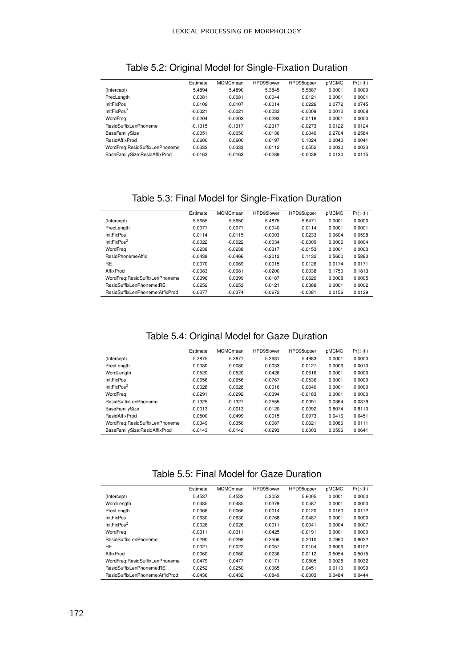|                                | Estimate  | <b>MCMCmean</b> | HPD95lower | HPD95upper | pMCMC  | Pr(> t ) |
|--------------------------------|-----------|-----------------|------------|------------|--------|----------|
| (Intercept)                    | 5.4894    | 5.4890          | 5.3845     | 5.5887     | 0.0001 | 0.0000   |
| PrecLength                     | 0.0081    | 0.0081          | 0.0044     | 0.0121     | 0.0001 | 0.0001   |
| <b>InitFixPos</b>              | 0.0109    | 0.0107          | $-0.0014$  | 0.0226     | 0.0772 | 0.0745   |
| Init $Fix$ Pos $^2$            | $-0.0021$ | $-0.0021$       | $-0.0033$  | $-0.0009$  | 0.0012 | 0.0008   |
| WordFreg                       | $-0.0204$ | $-0.0203$       | $-0.0293$  | $-0.0118$  | 0.0001 | 0.0000   |
| <b>ResidSuffixLenPhoneme</b>   | $-0.1315$ | $-0.1317$       | $-0.2317$  | $-0.0273$  | 0.0122 | 0.0124   |
| BaseFamilySize                 | $-0.0051$ | $-0.0050$       | $-0.0136$  | 0.0040     | 0.2704 | 0.2584   |
| <b>ResidAffixProd</b>          | 0.0600    | 0.0600          | 0.0197     | 0.1024     | 0.0040 | 0.0041   |
| WordFreg:ResidSuffixLenPhoneme | 0.0332    | 0.0333          | 0.0112     | 0.0552     | 0.0030 | 0.0033   |
| BaseFamilySize:ResidAffixProd  | $-0.0163$ | $-0.0163$       | $-0.0289$  | $-0.0038$  | 0.0130 | 0.0115   |

## Table 5.2: Original Model for Single-Fixation Duration

## Table 5.3: Final Model for Single-Fixation Duration

|                                 | Estimate  | <b>MCMCmean</b> | HPD95lower | HPD95upper | pMCMC  | Pr(> t ) |
|---------------------------------|-----------|-----------------|------------|------------|--------|----------|
| (Intercept)                     | 5.5655    | 5.5650          | 5.4875     | 5.6471     | 0.0001 | 0.0000   |
| PrecLength                      | 0.0077    | 0.0077          | 0.0040     | 0.0114     | 0.0001 | 0.0001   |
| <b>InitEixPos</b>               | 0.0114    | 0.0115          | $-0.0003$  | 0.0233     | 0.0604 | 0.0598   |
| Init $FixPos2$                  | $-0.0022$ | $-0.0022$       | $-0.0034$  | $-0.0009$  | 0.0006 | 0.0004   |
| WordFreg                        | $-0.0238$ | $-0.0238$       | $-0.0317$  | $-0.0153$  | 0.0001 | 0.0000   |
| <b>ResidPhonemeAffix</b>        | $-0.0438$ | $-0.0466$       | $-0.2012$  | 0.1132     | 0.5600 | 0.5883   |
| <b>RE</b>                       | 0.0070    | 0.0069          | 0.0015     | 0.0126     | 0.0174 | 0.0171   |
| AffixProd                       | $-0.0083$ | $-0.0081$       | $-0.0200$  | 0.0038     | 0.1750 | 0.1813   |
| WordFreg:ResidSuffixLenPhoneme  | 0.0396    | 0.0399          | 0.0187     | 0.0620     | 0.0008 | 0.0005   |
| ResidSuffixLenPhoneme:RE        | 0.0252    | 0.0253          | 0.0121     | 0.0388     | 0.0001 | 0.0002   |
| ResidSuffixLenPhoneme:AffixProd | $-0.0377$ | $-0.0374$       | $-0.0672$  | $-0.0081$  | 0.0156 | 0.0129   |
|                                 |           |                 |            |            |        |          |

## Table 5.4: Original Model for Gaze Duration

|                                | Estimate  | <b>MCMCmean</b> | HPD95lower | HPD95upper | pMCMC  | Pr(> t ) |
|--------------------------------|-----------|-----------------|------------|------------|--------|----------|
| (Intercept)                    | 5.3875    | 5.3877          | 5.2681     | 5.4983     | 0.0001 | 0.0000   |
| PrecLength                     | 0.0080    | 0.0080          | 0.0033     | 0.0127     | 0.0006 | 0.0010   |
| WordLength                     | 0.0520    | 0.0520          | 0.0426     | 0.0616     | 0.0001 | 0.0000   |
| <b>InitEixPos</b>              | $-0.0656$ | $-0.0656$       | $-0.0767$  | $-0.0536$  | 0.0001 | 0.0000   |
| Init $FixPos2$                 | 0.0028    | 0.0028          | 0.0016     | 0.0040     | 0.0001 | 0.0000   |
| WordFrea                       | $-0.0291$ | $-0.0292$       | $-0.0394$  | $-0.0183$  | 0.0001 | 0.0000   |
| <b>ResidSuffixLenPhoneme</b>   | $-0.1325$ | $-0.1327$       | $-0.2555$  | $-0.0091$  | 0.0364 | 0.0379   |
| <b>BaseFamilySize</b>          | $-0.0013$ | $-0.0013$       | $-0.0120$  | 0.0092     | 0.8074 | 0.8110   |
| <b>ResidAffixProd</b>          | 0.0500    | 0.0499          | 0.0015     | 0.0973     | 0.0416 | 0.0451   |
| WordFreg:ResidSuffixLenPhoneme | 0.0349    | 0.0350          | 0.0087     | 0.0621     | 0.0086 | 0.0111   |
| BaseFamilySize:ResidAffixProd  | $-0.0143$ | $-0.0142$       | $-0.0293$  | 0.0003     | 0.0596 | 0.0641   |

Table 5.5: Final Model for Gaze Duration

|                                 | Estimate  | <b>MCMCmean</b> | HPD95lower | HPD95upper | pMCMC  | Pr(> t ) |
|---------------------------------|-----------|-----------------|------------|------------|--------|----------|
| (Intercept)                     | 5.4537    | 5.4532          | 5.3052     | 5.6005     | 0.0001 | 0.0000   |
| WordLength                      | 0.0485    | 0.0485          | 0.0379     | 0.0587     | 0.0001 | 0.0000   |
| PrecLength                      | 0.0066    | 0.0066          | 0.0014     | 0.0120     | 0.0160 | 0.0172   |
| <b>InitFixPos</b>               | $-0.0630$ | $-0.0630$       | $-0.0768$  | $-0.0487$  | 0.0001 | 0.0000   |
| Init $FixPos2$                  | 0.0026    | 0.0026          | 0.0011     | 0.0041     | 0.0004 | 0.0007   |
| WordFreg                        | $-0.0311$ | $-0.0311$       | $-0.0425$  | $-0.0191$  | 0.0001 | 0.0000   |
| <b>ResidSuffixLenPhoneme</b>    | $-0.0290$ | $-0.0298$       | $-0.2506$  | 0.2010     | 0.7960 | 0.8022   |
| <b>RE</b>                       | 0.0021    | 0.0022          | $-0.0057$  | 0.0104     | 0.6006 | 0.6102   |
| AffixProd                       | $-0.0060$ | $-0.0060$       | $-0.0236$  | 0.0112     | 0.5054 | 0.5015   |
| WordFreg:ResidSuffixLenPhoneme  | 0.0479    | 0.0477          | 0.0171     | 0.0805     | 0.0028 | 0.0032   |
| ResidSuffixLenPhoneme:RE        | 0.0252    | 0.0250          | 0.0065     | 0.0451     | 0.0110 | 0.0099   |
| ResidSuffixLenPhoneme:AffixProd | $-0.0436$ | $-0.0432$       | $-0.0849$  | $-0.0003$  | 0.0484 | 0.0444   |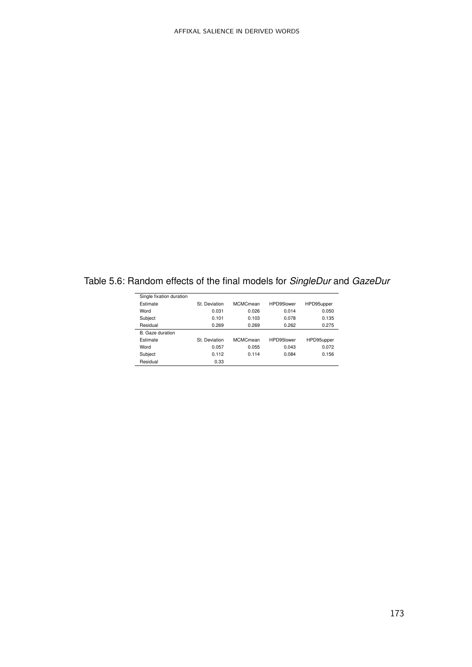Table 5.6: Random effects of the final models for *SingleDur* and *GazeDur*

| Single fixation duration |               |          |            |            |
|--------------------------|---------------|----------|------------|------------|
| Estimate                 | St. Deviation | MCMCmean | HPD95lower | HPD95upper |
| Word                     | 0.031         | 0.026    | 0.014      | 0.050      |
| Subject                  | 0.101         | 0.103    | 0.078      | 0.135      |
| Residual                 | 0.269         | 0.269    | 0.262      | 0.275      |
| B. Gaze duration         |               |          |            |            |
| Estimate                 | St. Deviation | MCMCmean | HPD95lower | HPD95upper |
| Word                     | 0.057         | 0.055    | 0.043      | 0.072      |
| Subject                  | 0.112         | 0.114    | 0.084      | 0.156      |
| Residual                 | 0.33          |          |            |            |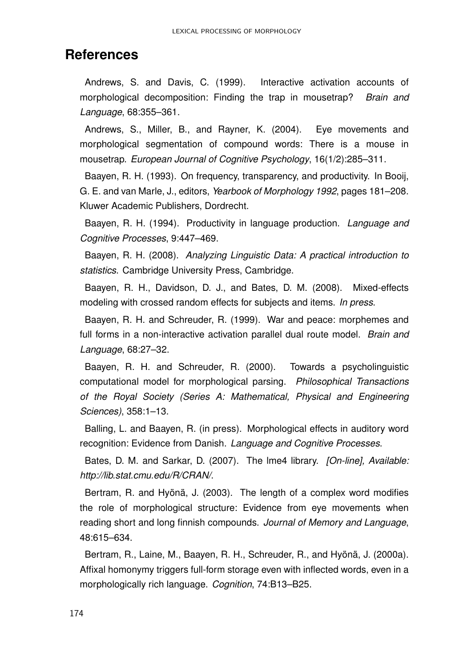# **References**

Andrews, S. and Davis, C. (1999). Interactive activation accounts of morphological decomposition: Finding the trap in mousetrap? *Brain and Language*, 68:355–361.

Andrews, S., Miller, B., and Rayner, K. (2004). Eye movements and morphological segmentation of compound words: There is a mouse in mousetrap. *European Journal of Cognitive Psychology*, 16(1/2):285–311.

Baayen, R. H. (1993). On frequency, transparency, and productivity. In Booij, G. E. and van Marle, J., editors, *Yearbook of Morphology 1992*, pages 181–208. Kluwer Academic Publishers, Dordrecht.

Baayen, R. H. (1994). Productivity in language production. *Language and Cognitive Processes*, 9:447–469.

Baayen, R. H. (2008). *Analyzing Linguistic Data: A practical introduction to statistics*. Cambridge University Press, Cambridge.

Baayen, R. H., Davidson, D. J., and Bates, D. M. (2008). Mixed-effects modeling with crossed random effects for subjects and items. *In press*.

Baayen, R. H. and Schreuder, R. (1999). War and peace: morphemes and full forms in a non-interactive activation parallel dual route model. *Brain and Language*, 68:27–32.

Baayen, R. H. and Schreuder, R. (2000). Towards a psycholinguistic computational model for morphological parsing. *Philosophical Transactions of the Royal Society (Series A: Mathematical, Physical and Engineering Sciences)*, 358:1–13.

Balling, L. and Baayen, R. (in press). Morphological effects in auditory word recognition: Evidence from Danish. *Language and Cognitive Processes*.

Bates, D. M. and Sarkar, D. (2007). The lme4 library. *[On-line], Available: http://lib.stat.cmu.edu/R/CRAN/*.

Bertram, R. and Hyönä, J. (2003). The length of a complex word modifies the role of morphological structure: Evidence from eye movements when reading short and long finnish compounds. *Journal of Memory and Language*, 48:615–634.

Bertram, R., Laine, M., Baayen, R. H., Schreuder, R., and Hyönä, J. (2000a). Affixal homonymy triggers full-form storage even with inflected words, even in a morphologically rich language. *Cognition*, 74:B13–B25.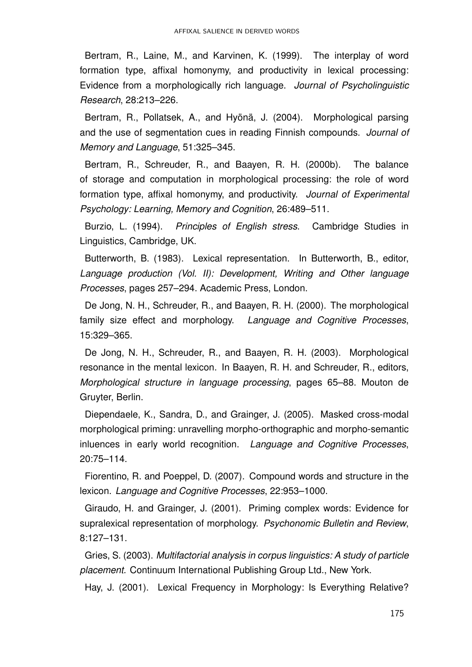Bertram, R., Laine, M., and Karvinen, K. (1999). The interplay of word formation type, affixal homonymy, and productivity in lexical processing: Evidence from a morphologically rich language. *Journal of Psycholinguistic Research*, 28:213–226.

Bertram, R., Pollatsek, A., and Hyönä, J. (2004). Morphological parsing and the use of segmentation cues in reading Finnish compounds. *Journal of Memory and Language*, 51:325–345.

Bertram, R., Schreuder, R., and Baayen, R. H. (2000b). The balance of storage and computation in morphological processing: the role of word formation type, affixal homonymy, and productivity. *Journal of Experimental Psychology: Learning, Memory and Cognition*, 26:489–511.

Burzio, L. (1994). *Principles of English stress*. Cambridge Studies in Linguistics, Cambridge, UK.

Butterworth, B. (1983). Lexical representation. In Butterworth, B., editor, *Language production (Vol. II): Development, Writing and Other language Processes*, pages 257–294. Academic Press, London.

De Jong, N. H., Schreuder, R., and Baayen, R. H. (2000). The morphological family size effect and morphology. *Language and Cognitive Processes*, 15:329–365.

De Jong, N. H., Schreuder, R., and Baayen, R. H. (2003). Morphological resonance in the mental lexicon. In Baayen, R. H. and Schreuder, R., editors, *Morphological structure in language processing*, pages 65–88. Mouton de Gruyter, Berlin.

Diependaele, K., Sandra, D., and Grainger, J. (2005). Masked cross-modal morphological priming: unravelling morpho-orthographic and morpho-semantic inluences in early world recognition. *Language and Cognitive Processes*, 20:75–114.

Fiorentino, R. and Poeppel, D. (2007). Compound words and structure in the lexicon. *Language and Cognitive Processes*, 22:953–1000.

Giraudo, H. and Grainger, J. (2001). Priming complex words: Evidence for supralexical representation of morphology. *Psychonomic Bulletin and Review*, 8:127–131.

Gries, S. (2003). *Multifactorial analysis in corpus linguistics: A study of particle placement.* Continuum International Publishing Group Ltd., New York.

Hay, J. (2001). Lexical Frequency in Morphology: Is Everything Relative?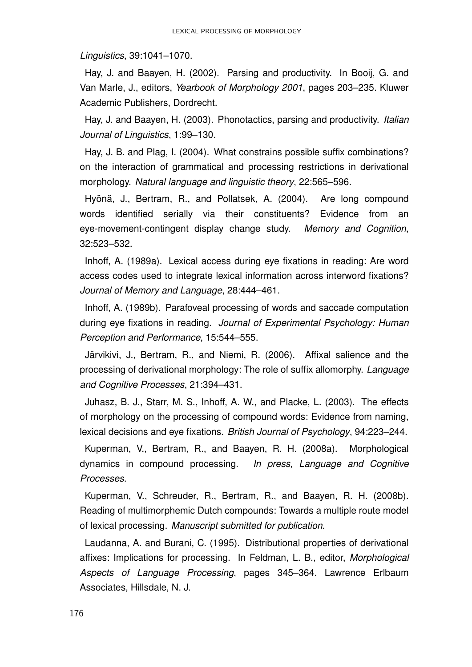#### *Linguistics*, 39:1041–1070.

Hay, J. and Baayen, H. (2002). Parsing and productivity. In Booij, G. and Van Marle, J., editors, *Yearbook of Morphology 2001*, pages 203–235. Kluwer Academic Publishers, Dordrecht.

Hay, J. and Baayen, H. (2003). Phonotactics, parsing and productivity. *Italian Journal of Linguistics*, 1:99–130.

Hay, J. B. and Plag, I. (2004). What constrains possible suffix combinations? on the interaction of grammatical and processing restrictions in derivational morphology. *Natural language and linguistic theory*, 22:565–596.

Hyönä, J., Bertram, R., and Pollatsek, A. (2004). Are long compound words identified serially via their constituents? Evidence from an eye-movement-contingent display change study. *Memory and Cognition*, 32:523–532.

Inhoff, A. (1989a). Lexical access during eye fixations in reading: Are word access codes used to integrate lexical information across interword fixations? *Journal of Memory and Language*, 28:444–461.

Inhoff, A. (1989b). Parafoveal processing of words and saccade computation during eye fixations in reading. *Journal of Experimental Psychology: Human Perception and Performance*, 15:544–555.

Järvikivi, J., Bertram, R., and Niemi, R. (2006). Affixal salience and the processing of derivational morphology: The role of suffix allomorphy. *Language and Cognitive Processes*, 21:394–431.

Juhasz, B. J., Starr, M. S., Inhoff, A. W., and Placke, L. (2003). The effects of morphology on the processing of compound words: Evidence from naming, lexical decisions and eye fixations. *British Journal of Psychology*, 94:223–244.

Kuperman, V., Bertram, R., and Baayen, R. H. (2008a). Morphological dynamics in compound processing. *In press, Language and Cognitive Processes*.

Kuperman, V., Schreuder, R., Bertram, R., and Baayen, R. H. (2008b). Reading of multimorphemic Dutch compounds: Towards a multiple route model of lexical processing. *Manuscript submitted for publication*.

Laudanna, A. and Burani, C. (1995). Distributional properties of derivational affixes: Implications for processing. In Feldman, L. B., editor, *Morphological Aspects of Language Processing*, pages 345–364. Lawrence Erlbaum Associates, Hillsdale, N. J.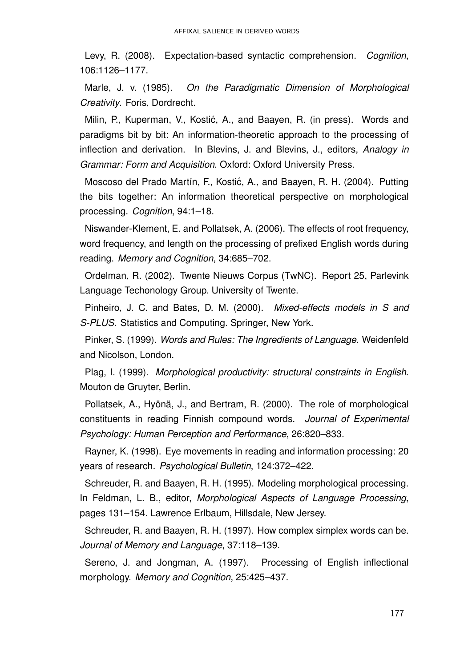Levy, R. (2008). Expectation-based syntactic comprehension. *Cognition*, 106:1126–1177.

Marle, J. v. (1985). *On the Paradigmatic Dimension of Morphological Creativity*. Foris, Dordrecht.

Milin, P., Kuperman, V., Kostić, A., and Baaven, R. (in press). Words and paradigms bit by bit: An information-theoretic approach to the processing of inflection and derivation. In Blevins, J. and Blevins, J., editors, *Analogy in Grammar: Form and Acquisition*. Oxford: Oxford University Press.

Moscoso del Prado Martín, F., Kostić, A., and Baayen, R. H. (2004). Putting the bits together: An information theoretical perspective on morphological processing. *Cognition*, 94:1–18.

Niswander-Klement, E. and Pollatsek, A. (2006). The effects of root frequency, word frequency, and length on the processing of prefixed English words during reading. *Memory and Cognition*, 34:685–702.

Ordelman, R. (2002). Twente Nieuws Corpus (TwNC). Report 25, Parlevink Language Techonology Group. University of Twente.

Pinheiro, J. C. and Bates, D. M. (2000). *Mixed-effects models in S and S-PLUS*. Statistics and Computing. Springer, New York.

Pinker, S. (1999). *Words and Rules: The Ingredients of Language*. Weidenfeld and Nicolson, London.

Plag, I. (1999). *Morphological productivity: structural constraints in English*. Mouton de Gruyter, Berlin.

Pollatsek, A., Hyönä, J., and Bertram, R. (2000). The role of morphological constituents in reading Finnish compound words. *Journal of Experimental Psychology: Human Perception and Performance*, 26:820–833.

Rayner, K. (1998). Eye movements in reading and information processing: 20 years of research. *Psychological Bulletin*, 124:372–422.

Schreuder, R. and Baayen, R. H. (1995). Modeling morphological processing. In Feldman, L. B., editor, *Morphological Aspects of Language Processing*, pages 131–154. Lawrence Erlbaum, Hillsdale, New Jersey.

Schreuder, R. and Baayen, R. H. (1997). How complex simplex words can be. *Journal of Memory and Language*, 37:118–139.

Sereno, J. and Jongman, A. (1997). Processing of English inflectional morphology. *Memory and Cognition*, 25:425–437.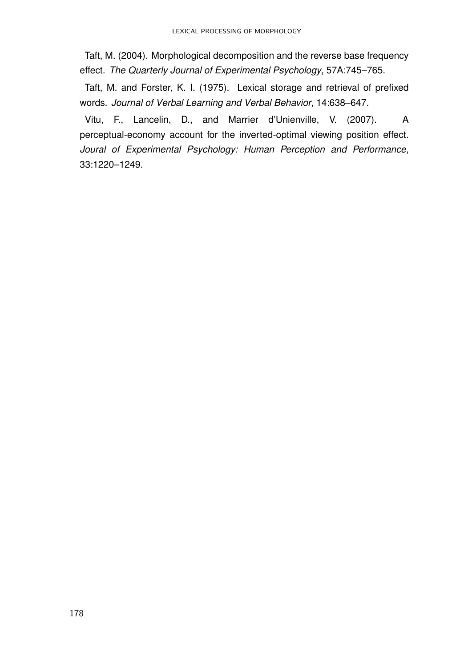Taft, M. (2004). Morphological decomposition and the reverse base frequency effect. *The Quarterly Journal of Experimental Psychology*, 57A:745–765.

Taft, M. and Forster, K. I. (1975). Lexical storage and retrieval of prefixed words. *Journal of Verbal Learning and Verbal Behavior*, 14:638–647.

Vitu, F., Lancelin, D., and Marrier d'Unienville, V. (2007). A perceptual-economy account for the inverted-optimal viewing position effect. *Joural of Experimental Psychology: Human Perception and Performance*, 33:1220–1249.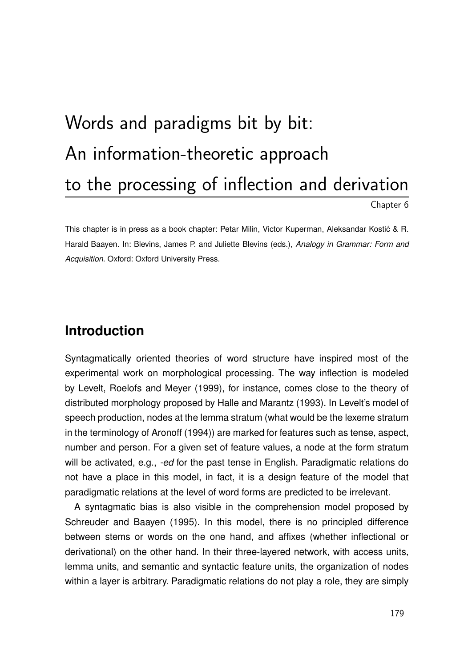# Words and paradigms bit by bit: An information-theoretic approach to the processing of inflection and derivation

Chapter 6

This chapter is in press as a book chapter: Petar Milin, Victor Kuperman, Aleksandar Kostic & R. ´ Harald Baayen. In: Blevins, James P. and Juliette Blevins (eds.), *Analogy in Grammar: Form and Acquisition*. Oxford: Oxford University Press.

# **Introduction**

Syntagmatically oriented theories of word structure have inspired most of the experimental work on morphological processing. The way inflection is modeled by Levelt, Roelofs and Meyer (1999), for instance, comes close to the theory of distributed morphology proposed by Halle and Marantz (1993). In Levelt's model of speech production, nodes at the lemma stratum (what would be the lexeme stratum in the terminology of Aronoff (1994)) are marked for features such as tense, aspect, number and person. For a given set of feature values, a node at the form stratum will be activated, e.g., *-ed* for the past tense in English. Paradigmatic relations do not have a place in this model, in fact, it is a design feature of the model that paradigmatic relations at the level of word forms are predicted to be irrelevant.

A syntagmatic bias is also visible in the comprehension model proposed by Schreuder and Baayen (1995). In this model, there is no principled difference between stems or words on the one hand, and affixes (whether inflectional or derivational) on the other hand. In their three-layered network, with access units, lemma units, and semantic and syntactic feature units, the organization of nodes within a layer is arbitrary. Paradigmatic relations do not play a role, they are simply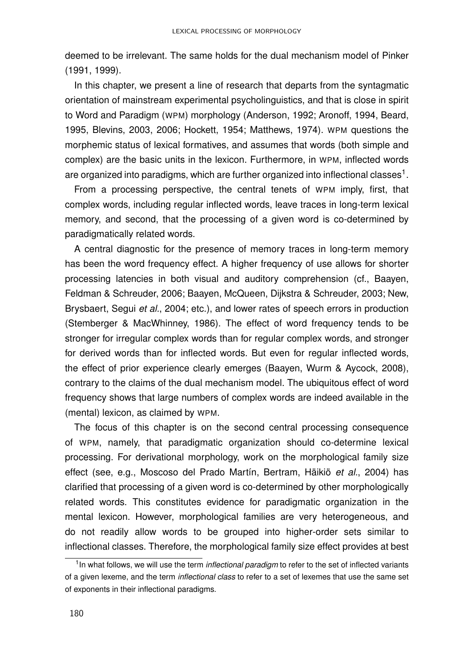deemed to be irrelevant. The same holds for the dual mechanism model of Pinker (1991, 1999).

In this chapter, we present a line of research that departs from the syntagmatic orientation of mainstream experimental psycholinguistics, and that is close in spirit to Word and Paradigm (WPM) morphology (Anderson, 1992; Aronoff, 1994, Beard, 1995, Blevins, 2003, 2006; Hockett, 1954; Matthews, 1974). WPM questions the morphemic status of lexical formatives, and assumes that words (both simple and complex) are the basic units in the lexicon. Furthermore, in WPM, inflected words are organized into paradigms, which are further organized into inflectional classes $^{\rm 1}.$ 

From a processing perspective, the central tenets of WPM imply, first, that complex words, including regular inflected words, leave traces in long-term lexical memory, and second, that the processing of a given word is co-determined by paradigmatically related words.

A central diagnostic for the presence of memory traces in long-term memory has been the word frequency effect. A higher frequency of use allows for shorter processing latencies in both visual and auditory comprehension (cf., Baayen, Feldman & Schreuder, 2006; Baayen, McQueen, Dijkstra & Schreuder, 2003; New, Brysbaert, Segui *et al.*, 2004; etc.), and lower rates of speech errors in production (Stemberger & MacWhinney, 1986). The effect of word frequency tends to be stronger for irregular complex words than for regular complex words, and stronger for derived words than for inflected words. But even for regular inflected words, the effect of prior experience clearly emerges (Baayen, Wurm & Aycock, 2008), contrary to the claims of the dual mechanism model. The ubiquitous effect of word frequency shows that large numbers of complex words are indeed available in the (mental) lexicon, as claimed by WPM.

The focus of this chapter is on the second central processing consequence of WPM, namely, that paradigmatic organization should co-determine lexical processing. For derivational morphology, work on the morphological family size effect (see, e.g., Moscoso del Prado Martín, Bertram, Häikiö *et al.*, 2004) has clarified that processing of a given word is co-determined by other morphologically related words. This constitutes evidence for paradigmatic organization in the mental lexicon. However, morphological families are very heterogeneous, and do not readily allow words to be grouped into higher-order sets similar to inflectional classes. Therefore, the morphological family size effect provides at best

<sup>&</sup>lt;sup>1</sup> In what follows, we will use the term *inflectional paradigm* to refer to the set of inflected variants of a given lexeme, and the term *inflectional class* to refer to a set of lexemes that use the same set of exponents in their inflectional paradigms.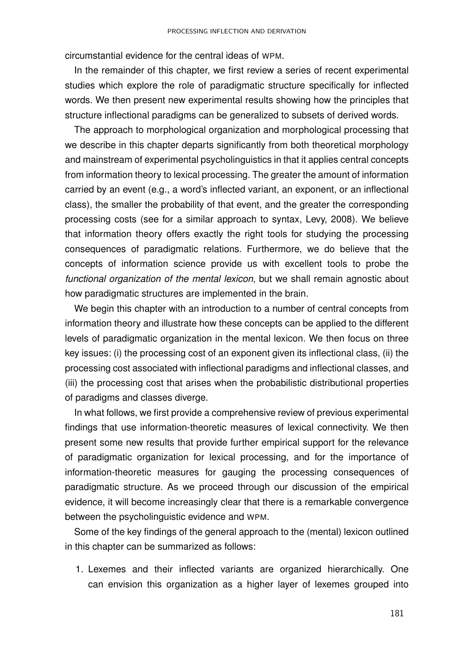circumstantial evidence for the central ideas of WPM.

In the remainder of this chapter, we first review a series of recent experimental studies which explore the role of paradigmatic structure specifically for inflected words. We then present new experimental results showing how the principles that structure inflectional paradigms can be generalized to subsets of derived words.

The approach to morphological organization and morphological processing that we describe in this chapter departs significantly from both theoretical morphology and mainstream of experimental psycholinguistics in that it applies central concepts from information theory to lexical processing. The greater the amount of information carried by an event (e.g., a word's inflected variant, an exponent, or an inflectional class), the smaller the probability of that event, and the greater the corresponding processing costs (see for a similar approach to syntax, Levy, 2008). We believe that information theory offers exactly the right tools for studying the processing consequences of paradigmatic relations. Furthermore, we do believe that the concepts of information science provide us with excellent tools to probe the *functional organization of the mental lexicon*, but we shall remain agnostic about how paradigmatic structures are implemented in the brain.

We begin this chapter with an introduction to a number of central concepts from information theory and illustrate how these concepts can be applied to the different levels of paradigmatic organization in the mental lexicon. We then focus on three key issues: (i) the processing cost of an exponent given its inflectional class, (ii) the processing cost associated with inflectional paradigms and inflectional classes, and (iii) the processing cost that arises when the probabilistic distributional properties of paradigms and classes diverge.

In what follows, we first provide a comprehensive review of previous experimental findings that use information-theoretic measures of lexical connectivity. We then present some new results that provide further empirical support for the relevance of paradigmatic organization for lexical processing, and for the importance of information-theoretic measures for gauging the processing consequences of paradigmatic structure. As we proceed through our discussion of the empirical evidence, it will become increasingly clear that there is a remarkable convergence between the psycholinguistic evidence and WPM.

Some of the key findings of the general approach to the (mental) lexicon outlined in this chapter can be summarized as follows:

1. Lexemes and their inflected variants are organized hierarchically. One can envision this organization as a higher layer of lexemes grouped into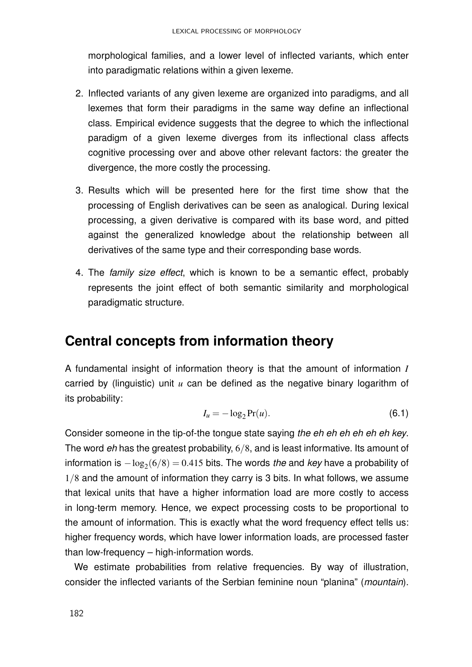morphological families, and a lower level of inflected variants, which enter into paradigmatic relations within a given lexeme.

- 2. Inflected variants of any given lexeme are organized into paradigms, and all lexemes that form their paradigms in the same way define an inflectional class. Empirical evidence suggests that the degree to which the inflectional paradigm of a given lexeme diverges from its inflectional class affects cognitive processing over and above other relevant factors: the greater the divergence, the more costly the processing.
- 3. Results which will be presented here for the first time show that the processing of English derivatives can be seen as analogical. During lexical processing, a given derivative is compared with its base word, and pitted against the generalized knowledge about the relationship between all derivatives of the same type and their corresponding base words.
- 4. The *family size effect*, which is known to be a semantic effect, probably represents the joint effect of both semantic similarity and morphological paradigmatic structure.

# **Central concepts from information theory**

A fundamental insight of information theory is that the amount of information *I* carried by (linguistic) unit *u* can be defined as the negative binary logarithm of its probability:

$$
I_u = -\log_2 \Pr(u). \tag{6.1}
$$

Consider someone in the tip-of-the tongue state saying *the eh eh eh eh eh eh key*. The word *eh* has the greatest probability, 6/8, and is least informative. Its amount of information is −log<sup>2</sup> (6/8) = 0.415 bits. The words *the* and *key* have a probability of 1/8 and the amount of information they carry is 3 bits. In what follows, we assume that lexical units that have a higher information load are more costly to access in long-term memory. Hence, we expect processing costs to be proportional to the amount of information. This is exactly what the word frequency effect tells us: higher frequency words, which have lower information loads, are processed faster than low-frequency – high-information words.

We estimate probabilities from relative frequencies. By way of illustration, consider the inflected variants of the Serbian feminine noun "planina" (*mountain*).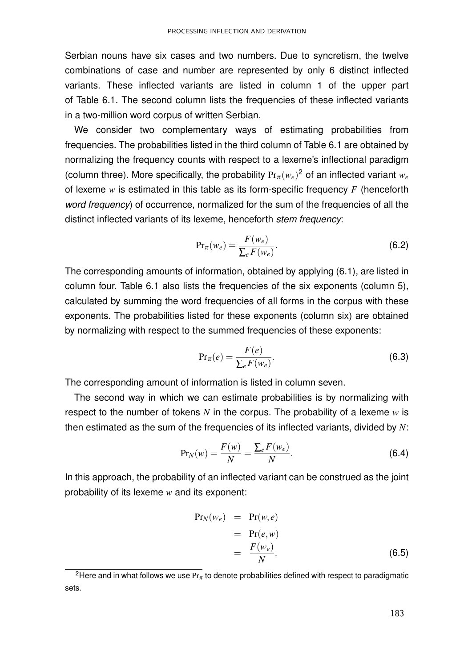Serbian nouns have six cases and two numbers. Due to syncretism, the twelve combinations of case and number are represented by only 6 distinct inflected variants. These inflected variants are listed in column 1 of the upper part of Table 6.1. The second column lists the frequencies of these inflected variants in a two-million word corpus of written Serbian.

We consider two complementary ways of estimating probabilities from frequencies. The probabilities listed in the third column of Table 6.1 are obtained by normalizing the frequency counts with respect to a lexeme's inflectional paradigm (column three). More specifically, the probability  $Pr_{\pi}(w_e)^2$  of an inflected variant  $w_e$ of lexeme *w* is estimated in this table as its form-specific frequency *F* (henceforth *word frequency*) of occurrence, normalized for the sum of the frequencies of all the distinct inflected variants of its lexeme, henceforth *stem frequency*:

$$
\Pr_{\pi}(w_e) = \frac{F(w_e)}{\sum_e F(w_e)}.\tag{6.2}
$$

The corresponding amounts of information, obtained by applying (6.1), are listed in column four. Table 6.1 also lists the frequencies of the six exponents (column 5), calculated by summing the word frequencies of all forms in the corpus with these exponents. The probabilities listed for these exponents (column six) are obtained by normalizing with respect to the summed frequencies of these exponents:

$$
\Pr_{\pi}(e) = \frac{F(e)}{\sum_{e} F(w_e)}.
$$
\n(6.3)

The corresponding amount of information is listed in column seven.

The second way in which we can estimate probabilities is by normalizing with respect to the number of tokens *N* in the corpus. The probability of a lexeme *w* is then estimated as the sum of the frequencies of its inflected variants, divided by *N*:

$$
Pr_N(w) = \frac{F(w)}{N} = \frac{\sum_e F(w_e)}{N}.
$$
 (6.4)

In this approach, the probability of an inflected variant can be construed as the joint probability of its lexeme *w* and its exponent:

$$
Pr_N(w_e) = Pr(w, e)
$$
  
= Pr(e, w)  
=  $\frac{F(w_e)}{N}$ . (6.5)

<sup>&</sup>lt;sup>2</sup>Here and in what follows we use  $Pr_{\pi}$  to denote probabilities defined with respect to paradigmatic sets.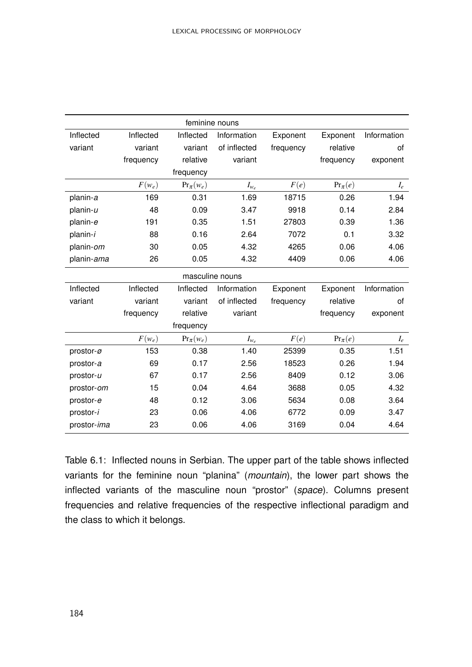| feminine nouns |           |                 |              |           |               |             |  |
|----------------|-----------|-----------------|--------------|-----------|---------------|-------------|--|
| Inflected      | Inflected | Inflected       | Information  | Exponent  | Exponent      | Information |  |
| variant        | variant   | variant         | of inflected | frequency | relative      | οf          |  |
|                | frequency | relative        | variant      |           | frequency     | exponent    |  |
|                |           | frequency       |              |           |               |             |  |
|                | $F(w_e)$  | $Pr_{\pi}(w_e)$ | $I_{w_e}$    | F(e)      | $Pr_{\pi}(e)$ | $I_e$       |  |
| planin-a       | 169       | 0.31            | 1.69         | 18715     | 0.26          | 1.94        |  |
| planin-u       | 48        | 0.09            | 3.47         | 9918      | 0.14          | 2.84        |  |
| planin-e       | 191       | 0.35            | 1.51         | 27803     | 0.39          | 1.36        |  |
| planin-i       | 88        | 0.16            | 2.64         | 7072      | 0.1           | 3.32        |  |
| planin-om      | 30        | 0.05            | 4.32         | 4265      | 0.06          | 4.06        |  |
| planin-ama     | 26        | 0.05            | 4.32         | 4409      | 0.06          | 4.06        |  |
|                |           | masculine nouns |              |           |               |             |  |
| Inflected      | Inflected | Inflected       | Information  | Exponent  | Exponent      | Information |  |
| variant        | variant   | variant         | of inflected | frequency | relative      | οf          |  |
|                | frequency | relative        | variant      |           | frequency     | exponent    |  |
|                |           | frequency       |              |           |               |             |  |
|                | $F(w_e)$  | $Pr_{\pi}(w_e)$ | $I_{w_e}$    | F(e)      | $Pr_{\pi}(e)$ | $I_e$       |  |
| prostor-ø      | 153       | 0.38            | 1.40         | 25399     | 0.35          | 1.51        |  |
| prostor-a      | 69        | 0.17            | 2.56         | 18523     | 0.26          | 1.94        |  |
| prostor-u      | 67        | 0.17            | 2.56         | 8409      | 0.12          | 3.06        |  |
| prostor-om     | 15        | 0.04            | 4.64         | 3688      | 0.05          | 4.32        |  |
| prostor-e      | 48        | 0.12            | 3.06         | 5634      | 0.08          | 3.64        |  |
| prostor-i      | 23        | 0.06            | 4.06         | 6772      | 0.09          | 3.47        |  |
| prostor-ima    | 23        | 0.06            | 4.06         | 3169      | 0.04          | 4.64        |  |

Table 6.1: Inflected nouns in Serbian. The upper part of the table shows inflected variants for the feminine noun "planina" (*mountain*), the lower part shows the inflected variants of the masculine noun "prostor" (*space*). Columns present frequencies and relative frequencies of the respective inflectional paradigm and the class to which it belongs.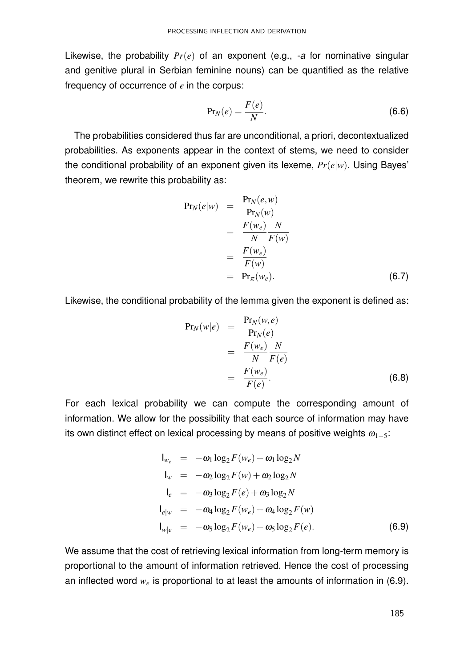Likewise, the probability *Pr*(*e*) of an exponent (e.g., *-a* for nominative singular and genitive plural in Serbian feminine nouns) can be quantified as the relative frequency of occurrence of *e* in the corpus:

$$
\Pr_N(e) = \frac{F(e)}{N}.\tag{6.6}
$$

The probabilities considered thus far are unconditional, a priori, decontextualized probabilities. As exponents appear in the context of stems, we need to consider the conditional probability of an exponent given its lexeme, *Pr*(*e*|*w*). Using Bayes' theorem, we rewrite this probability as:

$$
Pr_N(e|w) = \frac{Pr_N(e, w)}{Pr_N(w)} \n= \frac{F(w_e)}{N} \frac{N}{F(w)} \n= \frac{F(w_e)}{F(w)} \n= Pr_\pi(w_e).
$$
\n(6.7)

Likewise, the conditional probability of the lemma given the exponent is defined as:

$$
Pr_N(w|e) = \frac{Pr_N(w,e)}{Pr_N(e)}
$$
  
= 
$$
\frac{F(w_e)}{N} \frac{N}{F(e)}
$$
  
= 
$$
\frac{F(w_e)}{F(e)}.
$$
 (6.8)

For each lexical probability we can compute the corresponding amount of information. We allow for the possibility that each source of information may have its own distinct effect on lexical processing by means of positive weights  $\omega_{1-5}$ :

$$
\begin{aligned}\n\mathbf{I}_{w_e} &= -\omega_1 \log_2 F(w_e) + \omega_1 \log_2 N \\
\mathbf{I}_{w} &= -\omega_2 \log_2 F(w) + \omega_2 \log_2 N \\
\mathbf{I}_{e} &= -\omega_3 \log_2 F(e) + \omega_3 \log_2 N \\
\mathbf{I}_{e|w} &= -\omega_4 \log_2 F(w_e) + \omega_4 \log_2 F(w) \\
\mathbf{I}_{w|e} &= -\omega_5 \log_2 F(w_e) + \omega_5 \log_2 F(e).\n\end{aligned}
$$
(6.9)

We assume that the cost of retrieving lexical information from long-term memory is proportional to the amount of information retrieved. Hence the cost of processing an inflected word *w<sup>e</sup>* is proportional to at least the amounts of information in (6.9).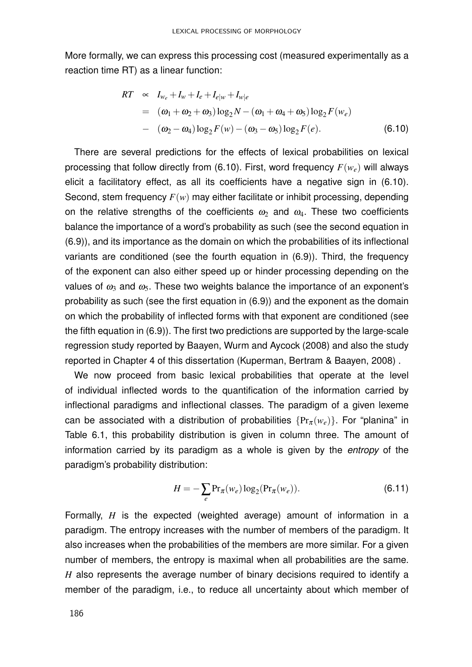More formally, we can express this processing cost (measured experimentally as a reaction time RT) as a linear function:

$$
RT \propto I_{w_e} + I_w + I_e + I_{e|w} + I_{w|e}
$$
  
=  $(\omega_1 + \omega_2 + \omega_3) \log_2 N - (\omega_1 + \omega_4 + \omega_5) \log_2 F(w_e)$   
-  $(\omega_2 - \omega_4) \log_2 F(w) - (\omega_3 - \omega_5) \log_2 F(e).$  (6.10)

There are several predictions for the effects of lexical probabilities on lexical processing that follow directly from (6.10). First, word frequency *F*(*we*) will always elicit a facilitatory effect, as all its coefficients have a negative sign in (6.10). Second, stem frequency *F*(*w*) may either facilitate or inhibit processing, depending on the relative strengths of the coefficients  $\omega_2$  and  $\omega_4$ . These two coefficients balance the importance of a word's probability as such (see the second equation in (6.9)), and its importance as the domain on which the probabilities of its inflectional variants are conditioned (see the fourth equation in (6.9)). Third, the frequency of the exponent can also either speed up or hinder processing depending on the values of  $\omega_3$  and  $\omega_5$ . These two weights balance the importance of an exponent's probability as such (see the first equation in (6.9)) and the exponent as the domain on which the probability of inflected forms with that exponent are conditioned (see the fifth equation in (6.9)). The first two predictions are supported by the large-scale regression study reported by Baayen, Wurm and Aycock (2008) and also the study reported in Chapter 4 of this dissertation (Kuperman, Bertram & Baayen, 2008) .

We now proceed from basic lexical probabilities that operate at the level of individual inflected words to the quantification of the information carried by inflectional paradigms and inflectional classes. The paradigm of a given lexeme can be associated with a distribution of probabilities  $\{Pr_{\pi}(w_e)\}$ . For "planina" in Table 6.1, this probability distribution is given in column three. The amount of information carried by its paradigm as a whole is given by the *entropy* of the paradigm's probability distribution:

$$
H = -\sum_{e} \Pr_{\pi}(w_e) \log_2(\Pr_{\pi}(w_e)). \tag{6.11}
$$

Formally, *H* is the expected (weighted average) amount of information in a paradigm. The entropy increases with the number of members of the paradigm. It also increases when the probabilities of the members are more similar. For a given number of members, the entropy is maximal when all probabilities are the same. *H* also represents the average number of binary decisions required to identify a member of the paradigm, i.e., to reduce all uncertainty about which member of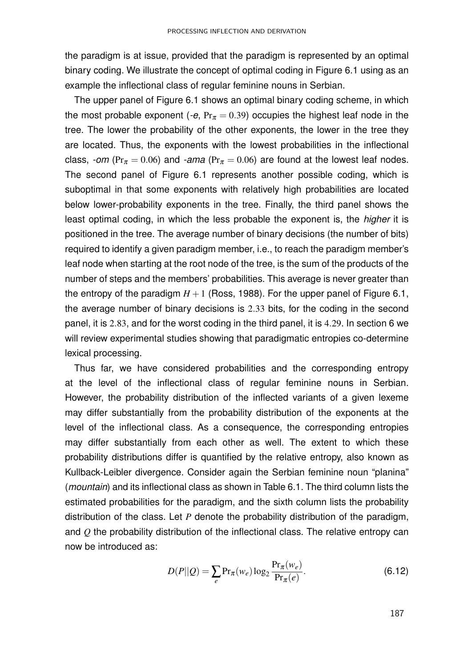the paradigm is at issue, provided that the paradigm is represented by an optimal binary coding. We illustrate the concept of optimal coding in Figure 6.1 using as an example the inflectional class of regular feminine nouns in Serbian.

The upper panel of Figure 6.1 shows an optimal binary coding scheme, in which the most probable exponent (*-e*,  $Pr_{\pi} = 0.39$ ) occupies the highest leaf node in the tree. The lower the probability of the other exponents, the lower in the tree they are located. Thus, the exponents with the lowest probabilities in the inflectional class, *-om* ( $Pr_{\pi} = 0.06$ ) and *-ama* ( $Pr_{\pi} = 0.06$ ) are found at the lowest leaf nodes. The second panel of Figure 6.1 represents another possible coding, which is suboptimal in that some exponents with relatively high probabilities are located below lower-probability exponents in the tree. Finally, the third panel shows the least optimal coding, in which the less probable the exponent is, the *higher* it is positioned in the tree. The average number of binary decisions (the number of bits) required to identify a given paradigm member, i.e., to reach the paradigm member's leaf node when starting at the root node of the tree, is the sum of the products of the number of steps and the members' probabilities. This average is never greater than the entropy of the paradigm  $H + 1$  (Ross, 1988). For the upper panel of Figure 6.1, the average number of binary decisions is 2.33 bits, for the coding in the second panel, it is 2.83, and for the worst coding in the third panel, it is 4.29. In section 6 we will review experimental studies showing that paradigmatic entropies co-determine lexical processing.

Thus far, we have considered probabilities and the corresponding entropy at the level of the inflectional class of regular feminine nouns in Serbian. However, the probability distribution of the inflected variants of a given lexeme may differ substantially from the probability distribution of the exponents at the level of the inflectional class. As a consequence, the corresponding entropies may differ substantially from each other as well. The extent to which these probability distributions differ is quantified by the relative entropy, also known as Kullback-Leibler divergence. Consider again the Serbian feminine noun "planina" (*mountain*) and its inflectional class as shown in Table 6.1. The third column lists the estimated probabilities for the paradigm, and the sixth column lists the probability distribution of the class. Let *P* denote the probability distribution of the paradigm, and *Q* the probability distribution of the inflectional class. The relative entropy can now be introduced as:

$$
D(P||Q) = \sum_{e} \Pr_{\pi}(w_e) \log_2 \frac{\Pr_{\pi}(w_e)}{\Pr_{\pi}(e)}.
$$
 (6.12)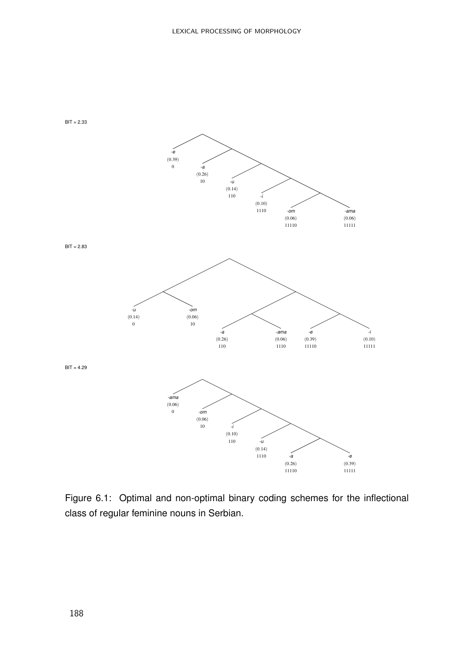

Figure 6.1: Optimal and non-optimal binary coding schemes for the inflectional class of regular feminine nouns in Serbian.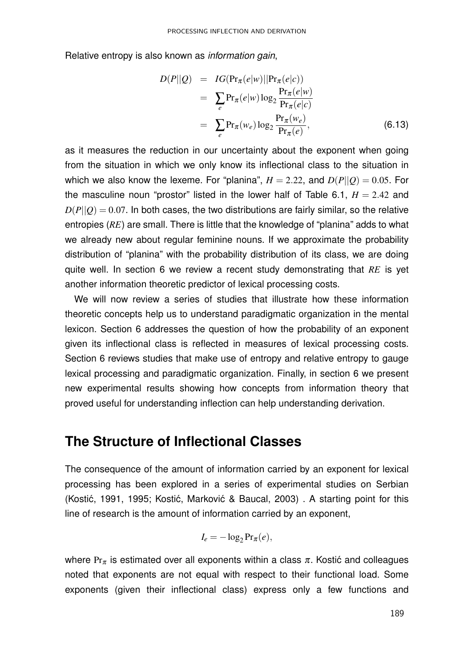Relative entropy is also known as *information gain*,

$$
D(P||Q) = IG(\Pr_{\pi}(e|w)||\Pr_{\pi}(e|c))
$$
  
= 
$$
\sum_{e} \Pr_{\pi}(e|w) \log_2 \frac{\Pr_{\pi}(e|w)}{\Pr_{\pi}(e|c)}
$$
  
= 
$$
\sum_{e} \Pr_{\pi}(w_e) \log_2 \frac{\Pr_{\pi}(w_e)}{\Pr_{\pi}(e)},
$$
 (6.13)

as it measures the reduction in our uncertainty about the exponent when going from the situation in which we only know its inflectional class to the situation in which we also know the lexeme. For "planina",  $H = 2.22$ , and  $D(P||Q) = 0.05$ . For the masculine noun "prostor" listed in the lower half of Table 6.1,  $H = 2.42$  and  $D(P||Q) = 0.07$ . In both cases, the two distributions are fairly similar, so the relative entropies (*RE*) are small. There is little that the knowledge of "planina" adds to what we already new about regular feminine nouns. If we approximate the probability distribution of "planina" with the probability distribution of its class, we are doing quite well. In section 6 we review a recent study demonstrating that *RE* is yet another information theoretic predictor of lexical processing costs.

We will now review a series of studies that illustrate how these information theoretic concepts help us to understand paradigmatic organization in the mental lexicon. Section 6 addresses the question of how the probability of an exponent given its inflectional class is reflected in measures of lexical processing costs. Section 6 reviews studies that make use of entropy and relative entropy to gauge lexical processing and paradigmatic organization. Finally, in section 6 we present new experimental results showing how concepts from information theory that proved useful for understanding inflection can help understanding derivation.

### **The Structure of Inflectional Classes**

The consequence of the amount of information carried by an exponent for lexical processing has been explored in a series of experimental studies on Serbian (Kostić, 1991, 1995; Kostić, Marković & Baucal, 2003). A starting point for this line of research is the amount of information carried by an exponent,

$$
I_e = -\log_2 \Pr_{\pi}(e),
$$

where  $Pr_{\pi}$  is estimated over all exponents within a class  $\pi$ . Kostić and colleagues noted that exponents are not equal with respect to their functional load. Some exponents (given their inflectional class) express only a few functions and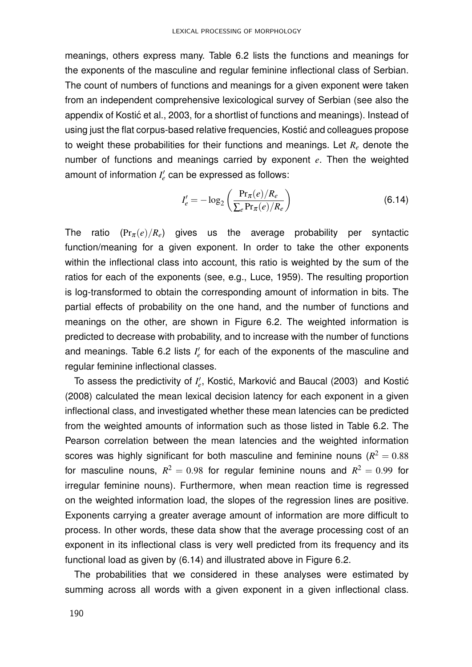meanings, others express many. Table 6.2 lists the functions and meanings for the exponents of the masculine and regular feminine inflectional class of Serbian. The count of numbers of functions and meanings for a given exponent were taken from an independent comprehensive lexicological survey of Serbian (see also the appendix of Kostić et al., 2003, for a shortlist of functions and meanings). Instead of using just the flat corpus-based relative frequencies, Kostic and colleagues propose ´ to weight these probabilities for their functions and meanings. Let *R<sup>e</sup>* denote the number of functions and meanings carried by exponent *e*. Then the weighted amount of information  $I_e^{\prime}$  can be expressed as follows:

$$
I'_{e} = -\log_2\left(\frac{\Pr_{\pi}(e)/R_e}{\sum_{e} \Pr_{\pi}(e)/R_e}\right)
$$
(6.14)

The ratio  $(\Pr_\pi(e)/R_e)$  gives us the average probability per syntactic function/meaning for a given exponent. In order to take the other exponents within the inflectional class into account, this ratio is weighted by the sum of the ratios for each of the exponents (see, e.g., Luce, 1959). The resulting proportion is log-transformed to obtain the corresponding amount of information in bits. The partial effects of probability on the one hand, and the number of functions and meanings on the other, are shown in Figure 6.2. The weighted information is predicted to decrease with probability, and to increase with the number of functions and meanings. Table 6.2 lists  $I'_{e}$  for each of the exponents of the masculine and regular feminine inflectional classes.

To assess the predictivity of I'<sub>c</sub>, Kostić, Marković and Baucal (2003) and Kostić (2008) calculated the mean lexical decision latency for each exponent in a given inflectional class, and investigated whether these mean latencies can be predicted from the weighted amounts of information such as those listed in Table 6.2. The Pearson correlation between the mean latencies and the weighted information scores was highly significant for both masculine and feminine nouns ( $R^2=0.88$ for masculine nouns,  $R^2=0.98$  for regular feminine nouns and  $R^2=0.99$  for irregular feminine nouns). Furthermore, when mean reaction time is regressed on the weighted information load, the slopes of the regression lines are positive. Exponents carrying a greater average amount of information are more difficult to process. In other words, these data show that the average processing cost of an exponent in its inflectional class is very well predicted from its frequency and its functional load as given by (6.14) and illustrated above in Figure 6.2.

The probabilities that we considered in these analyses were estimated by summing across all words with a given exponent in a given inflectional class.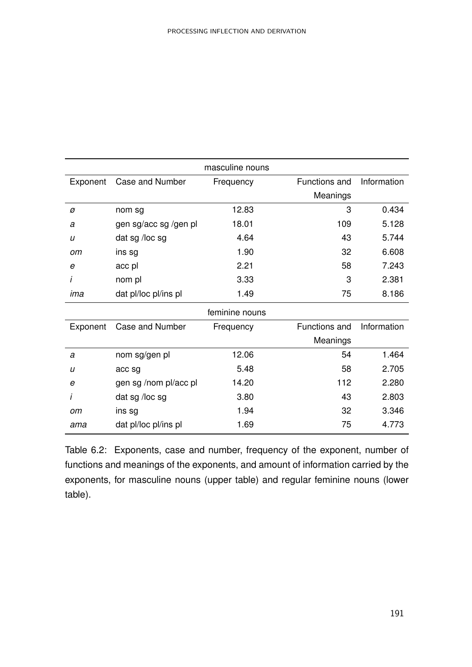|          |                       | masculine nouns |               |             |
|----------|-----------------------|-----------------|---------------|-------------|
| Exponent | Case and Number       | Frequency       | Functions and | Information |
|          |                       |                 | Meanings      |             |
| Ø        | nom sg                | 12.83           | 3             | 0.434       |
| a        | gen sg/acc sg /gen pl | 18.01           | 109           | 5.128       |
| U        | dat sg /loc sg        | 4.64            | 43            | 5.744       |
| оm       | ins sg                | 1.90            | 32            | 6.608       |
| e        | acc pl                | 2.21            | 58            | 7.243       |
| i        | nom pl                | 3.33            | 3             | 2.381       |
| ima      | dat pl/loc pl/ins pl  | 1.49            | 75            | 8.186       |
|          |                       | feminine nouns  |               |             |
| Exponent | Case and Number       | Frequency       | Functions and | Information |
|          |                       |                 | Meanings      |             |
| a        | nom sg/gen pl         | 12.06           | 54            | 1.464       |
| U        | acc sg                | 5.48            | 58            | 2.705       |
| e        | gen sg /nom pl/acc pl | 14.20           | 112           | 2.280       |
| İ        | dat sg /loc sg        | 3.80            | 43            | 2.803       |
| оm       | ins sg                | 1.94            | 32            | 3.346       |
| ama      | dat pl/loc pl/ins pl  | 1.69            | 75            | 4.773       |

Table 6.2: Exponents, case and number, frequency of the exponent, number of functions and meanings of the exponents, and amount of information carried by the exponents, for masculine nouns (upper table) and regular feminine nouns (lower table).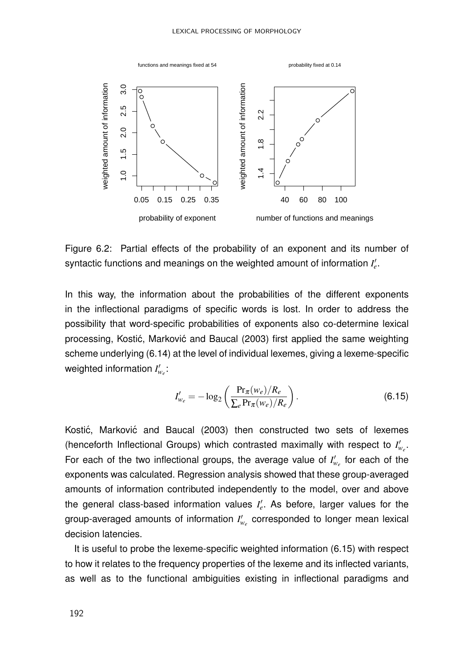

Figure 6.2: Partial effects of the probability of an exponent and its number of syntactic functions and meanings on the weighted amount of information  $I'_e$ .

In this way, the information about the probabilities of the different exponents in the inflectional paradigms of specific words is lost. In order to address the possibility that word-specific probabilities of exponents also co-determine lexical processing, Kostić, Marković and Baucal (2003) first applied the same weighting scheme underlying (6.14) at the level of individual lexemes, giving a lexeme-specific weighted information  $I'_{w_e}$ :

$$
I'_{w_e} = -\log_2\left(\frac{\Pr_{\pi}(w_e)/R_e}{\sum_e \Pr_{\pi}(w_e)/R_e}\right).
$$
 (6.15)

Kostić, Marković and Baucal (2003) then constructed two sets of lexemes (henceforth Inflectional Groups) which contrasted maximally with respect to  $I'_{w_e}$ . For each of the two inflectional groups, the average value of  $I'_{w_e}$  for each of the exponents was calculated. Regression analysis showed that these group-averaged amounts of information contributed independently to the model, over and above the general class-based information values  $I'_e$ . As before, larger values for the group-averaged amounts of information  $I'_{w_e}$  corresponded to longer mean lexical decision latencies.

It is useful to probe the lexeme-specific weighted information (6.15) with respect to how it relates to the frequency properties of the lexeme and its inflected variants, as well as to the functional ambiguities existing in inflectional paradigms and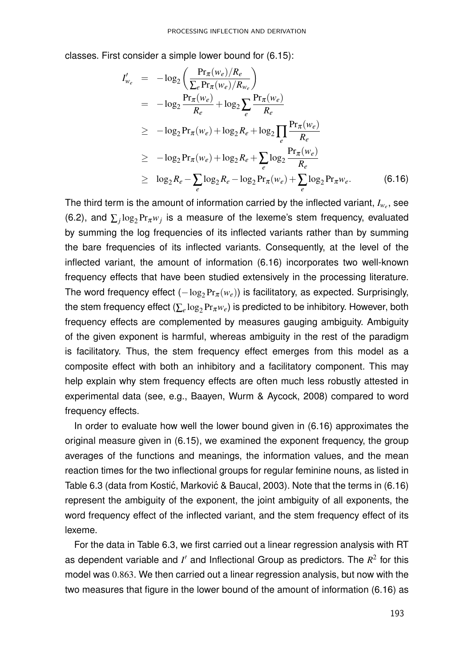classes. First consider a simple lower bound for (6.15):

$$
I'_{w_e} = -\log_2\left(\frac{\Pr_{\pi}(w_e)/R_e}{\sum_e \Pr_{\pi}(w_e)/R_{w_e}}\right)
$$
  
\n
$$
= -\log_2\frac{\Pr_{\pi}(w_e)}{R_e} + \log_2\sum_e \frac{\Pr_{\pi}(w_e)}{R_e}
$$
  
\n
$$
\geq -\log_2 \Pr_{\pi}(w_e) + \log_2 R_e + \log_2 \prod_e \frac{\Pr_{\pi}(w_e)}{R_e}
$$
  
\n
$$
\geq -\log_2 \Pr_{\pi}(w_e) + \log_2 R_e + \sum_e \log_2 \frac{\Pr_{\pi}(w_e)}{R_e}
$$
  
\n
$$
\geq \log_2 R_e - \sum_e \log_2 R_e - \log_2 \Pr_{\pi}(w_e) + \sum_e \log_2 \Pr_{\pi} w_e.
$$
 (6.16)

The third term is the amount of information carried by the inflected variant,  $I_{w_e}$ , see (6.2), and  $\sum_j \log_2 \Pr_{\pi} w_j$  is a measure of the lexeme's stem frequency, evaluated by summing the log frequencies of its inflected variants rather than by summing the bare frequencies of its inflected variants. Consequently, at the level of the inflected variant, the amount of information (6.16) incorporates two well-known frequency effects that have been studied extensively in the processing literature. The word frequency effect  $(-\log_2 Pr_\pi(w_e))$  is facilitatory, as expected. Surprisingly, the stem frequency effect ( $\sum_e \log_2 \Pr_{\pi}w_e$ ) is predicted to be inhibitory. However, both frequency effects are complemented by measures gauging ambiguity. Ambiguity of the given exponent is harmful, whereas ambiguity in the rest of the paradigm is facilitatory. Thus, the stem frequency effect emerges from this model as a composite effect with both an inhibitory and a facilitatory component. This may help explain why stem frequency effects are often much less robustly attested in experimental data (see, e.g., Baayen, Wurm & Aycock, 2008) compared to word frequency effects.

In order to evaluate how well the lower bound given in (6.16) approximates the original measure given in (6.15), we examined the exponent frequency, the group averages of the functions and meanings, the information values, and the mean reaction times for the two inflectional groups for regular feminine nouns, as listed in Table 6.3 (data from Kostić, Marković & Baucal, 2003). Note that the terms in (6.16) represent the ambiguity of the exponent, the joint ambiguity of all exponents, the word frequency effect of the inflected variant, and the stem frequency effect of its lexeme.

For the data in Table 6.3, we first carried out a linear regression analysis with RT as dependent variable and  $I'$  and Inflectional Group as predictors. The  $R^2$  for this model was 0.863. We then carried out a linear regression analysis, but now with the two measures that figure in the lower bound of the amount of information (6.16) as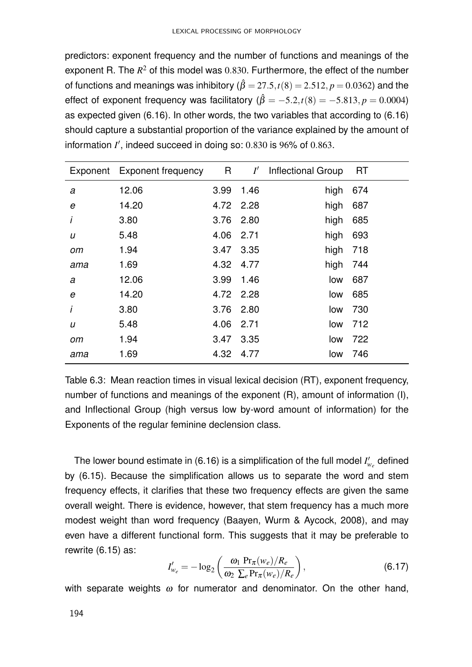predictors: exponent frequency and the number of functions and meanings of the exponent R. The  $R^2$  of this model was  $0.830$ . Furthermore, the effect of the number of functions and meanings was inhibitory  $(\hat{\beta} = 27.5, t(8) = 2.512, p = 0.0362)$  and the effect of exponent frequency was facilitatory  $(\hat{\beta} = -5.2, t(8) = -5.813, p = 0.0004)$ as expected given (6.16). In other words, the two variables that according to (6.16) should capture a substantial proportion of the variance explained by the amount of information I', indeed succeed in doing so: 0.830 is 96% of 0.863.

|                  | Exponent Exponent frequency R |           | I'   | Inflectional Group | <b>RT</b> |
|------------------|-------------------------------|-----------|------|--------------------|-----------|
| a                | 12.06                         | 3.99      | 1.46 | high               | 674       |
| е                | 14.20                         | 4.72 2.28 |      | high               | 687       |
|                  | 3.80                          | 3.76      | 2.80 | high               | 685       |
| U                | 5.48                          | 4.06      | 2.71 | high               | 693       |
| om               | 1.94                          | 3.47      | 3.35 | high               | 718       |
| ama              | 1.69                          | 4.32      | 4.77 | high               | 744       |
| a                | 12.06                         | 3.99      | 1.46 | low                | 687       |
| $\epsilon$       | 14.20                         | 4.72 2.28 |      | low                | 685       |
| i                | 3.80                          | 3.76      | 2.80 | low                | 730       |
| $\boldsymbol{u}$ | 5.48                          | 4.06      | 2.71 | low                | 712       |
| оm               | 1.94                          | 3.47      | 3.35 | low                | 722       |
| ama              | 1.69                          | 4.32      | 4.77 | low                | 746       |

Table 6.3: Mean reaction times in visual lexical decision (RT), exponent frequency, number of functions and meanings of the exponent (R), amount of information (I), and Inflectional Group (high versus low by-word amount of information) for the Exponents of the regular feminine declension class.

The lower bound estimate in (6.16) is a simplification of the full model  $I'_{w_e}$  defined by (6.15). Because the simplification allows us to separate the word and stem frequency effects, it clarifies that these two frequency effects are given the same overall weight. There is evidence, however, that stem frequency has a much more modest weight than word frequency (Baayen, Wurm & Aycock, 2008), and may even have a different functional form. This suggests that it may be preferable to rewrite (6.15) as:

$$
I'_{w_e} = -\log_2\left(\frac{\omega_1 \operatorname{Pr}_{\pi}(w_e)/R_e}{\omega_2 \sum_e \operatorname{Pr}_{\pi}(w_e)/R_e}\right),\tag{6.17}
$$

with separate weights  $\omega$  for numerator and denominator. On the other hand,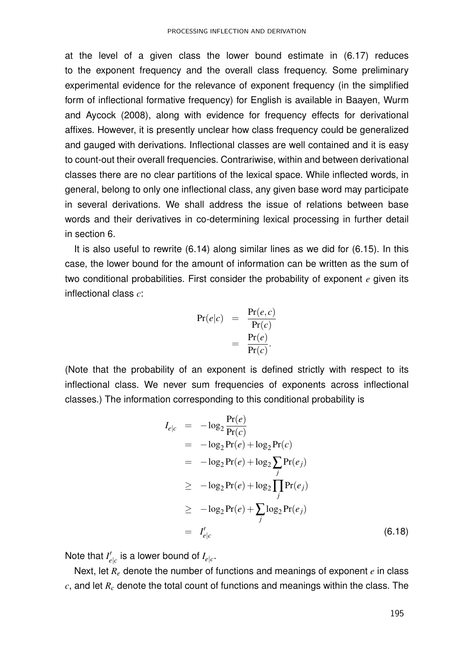at the level of a given class the lower bound estimate in (6.17) reduces to the exponent frequency and the overall class frequency. Some preliminary experimental evidence for the relevance of exponent frequency (in the simplified form of inflectional formative frequency) for English is available in Baayen, Wurm and Aycock (2008), along with evidence for frequency effects for derivational affixes. However, it is presently unclear how class frequency could be generalized and gauged with derivations. Inflectional classes are well contained and it is easy to count-out their overall frequencies. Contrariwise, within and between derivational classes there are no clear partitions of the lexical space. While inflected words, in general, belong to only one inflectional class, any given base word may participate in several derivations. We shall address the issue of relations between base words and their derivatives in co-determining lexical processing in further detail in section 6.

It is also useful to rewrite (6.14) along similar lines as we did for (6.15). In this case, the lower bound for the amount of information can be written as the sum of two conditional probabilities. First consider the probability of exponent *e* given its inflectional class *c*:

$$
\begin{array}{rcl}\n\Pr(e|c) & = & \frac{\Pr(e,c)}{\Pr(c)} \\
& = & \frac{\Pr(e)}{\Pr(c)}.\n\end{array}
$$

(Note that the probability of an exponent is defined strictly with respect to its inflectional class. We never sum frequencies of exponents across inflectional classes.) The information corresponding to this conditional probability is

$$
I_{e|c} = -\log_2 \frac{\Pr(e)}{\Pr(c)}
$$
  
= -\log\_2 \Pr(e) + \log\_2 \Pr(c)  
= -\log\_2 \Pr(e) + \log\_2 \sum\_j \Pr(e\_j)  
\ge -\log\_2 \Pr(e) + \log\_2 \prod\_j \Pr(e\_j)  
\ge -\log\_2 \Pr(e) + \sum\_j \log\_2 \Pr(e\_j)  
= I'\_{e|c}(6.18)

Note that  $I'_e$  $\ell_{e|c}^{\prime}$  is a lower bound of  $I_{e|c}.$ 

Next, let *R<sup>e</sup>* denote the number of functions and meanings of exponent *e* in class *c*, and let *R<sup>c</sup>* denote the total count of functions and meanings within the class. The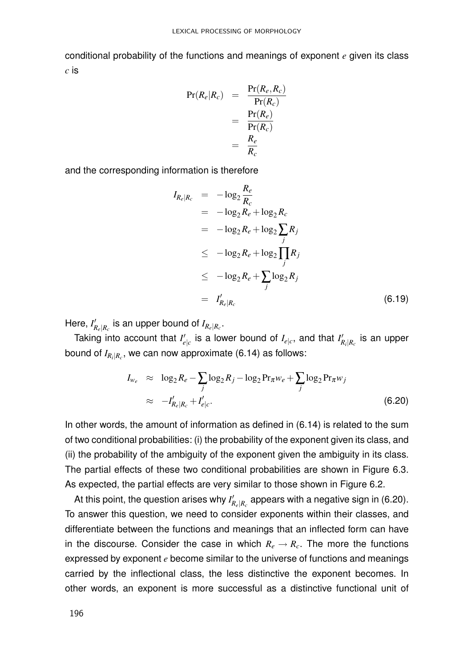conditional probability of the functions and meanings of exponent *e* given its class *c* is

$$
Pr(R_e|R_c) = \frac{Pr(R_e, R_c)}{Pr(R_c)}
$$
  
= 
$$
\frac{Pr(R_e)}{Pr(R_c)}
$$
  
= 
$$
\frac{R_e}{R_c}
$$

and the corresponding information is therefore

$$
I_{R_e|R_c} = -\log_2 \frac{R_e}{R_c}
$$
  
=  $-\log_2 R_e + \log_2 R_c$   
=  $-\log_2 R_e + \log_2 \sum_j R_j$   
 $\leq -\log_2 R_e + \log_2 \prod_j R_j$   
 $\leq -\log_2 R_e + \sum_j \log_2 R_j$   
=  $I'_{R_e|R_c}$  (6.19)

Here,  $I'_k$  $R_{e}|R_{c}|$  is an upper bound of  $I_{R_{e}|R_{c}}.$ 

Taking into account that I'  $\mathcal{C}'_{e|c}$  is a lower bound of  $I_{e|c}$ , and that  $I'_P$  $R_{i|R_c}^{\prime}$  is an upper bound of  $I_{R_i|R_c}$ , we can now approximate (6.14) as follows:

$$
I_{w_e} \approx \log_2 R_e - \sum_j \log_2 R_j - \log_2 \Pr_{\pi} w_e + \sum_j \log_2 \Pr_{\pi} w_j
$$
  

$$
\approx -I'_{R_e|R_c} + I'_{e|c}.
$$
 (6.20)

In other words, the amount of information as defined in  $(6.14)$  is related to the sum of two conditional probabilities: (i) the probability of the exponent given its class, and (ii) the probability of the ambiguity of the exponent given the ambiguity in its class. The partial effects of these two conditional probabilities are shown in Figure 6.3. As expected, the partial effects are very similar to those shown in Figure 6.2.

At this point, the question arises why  $I'_k$  $C_{R_{e}|R_{c}}^{\prime}$  appears with a negative sign in (6.20). To answer this question, we need to consider exponents within their classes, and differentiate between the functions and meanings that an inflected form can have in the discourse. Consider the case in which  $R_e \rightarrow R_c$ . The more the functions expressed by exponent *e* become similar to the universe of functions and meanings carried by the inflectional class, the less distinctive the exponent becomes. In other words, an exponent is more successful as a distinctive functional unit of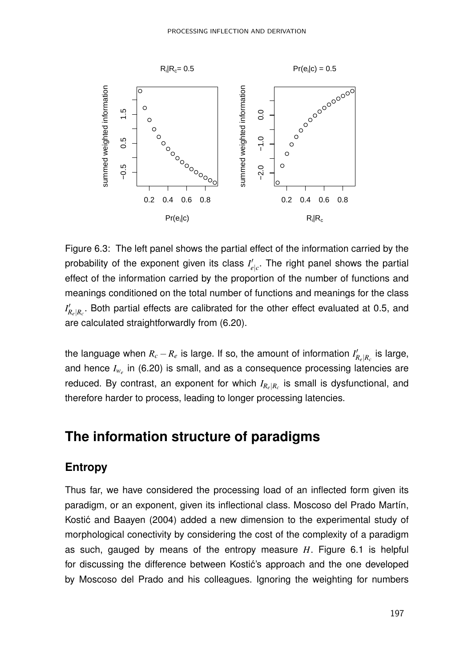

Figure 6.3: The left panel shows the partial effect of the information carried by the probability of the exponent given its class I' *e*|*c* . The right panel shows the partial effect of the information carried by the proportion of the number of functions and meanings conditioned on the total number of functions and meanings for the class  $I'_h$  $R_{e|R_c}^{\prime}$ . Both partial effects are calibrated for the other effect evaluated at 0.5, and are calculated straightforwardly from (6.20).

the language when  $R_c - R_e$  is large. If so, the amount of information  $I'_P$  $R_{\ell}^{'}|_{R_{c}}$  is large, and hence *Iw<sup>e</sup>* in (6.20) is small, and as a consequence processing latencies are reduced. By contrast, an exponent for which *IRe*|*R<sup>c</sup>* is small is dysfunctional, and therefore harder to process, leading to longer processing latencies.

## **The information structure of paradigms**

### **Entropy**

Thus far, we have considered the processing load of an inflected form given its paradigm, or an exponent, given its inflectional class. Moscoso del Prado Martín, Kostić and Baayen (2004) added a new dimension to the experimental study of morphological conectivity by considering the cost of the complexity of a paradigm as such, gauged by means of the entropy measure *H*. Figure 6.1 is helpful for discussing the difference between Kostić's approach and the one developed by Moscoso del Prado and his colleagues. Ignoring the weighting for numbers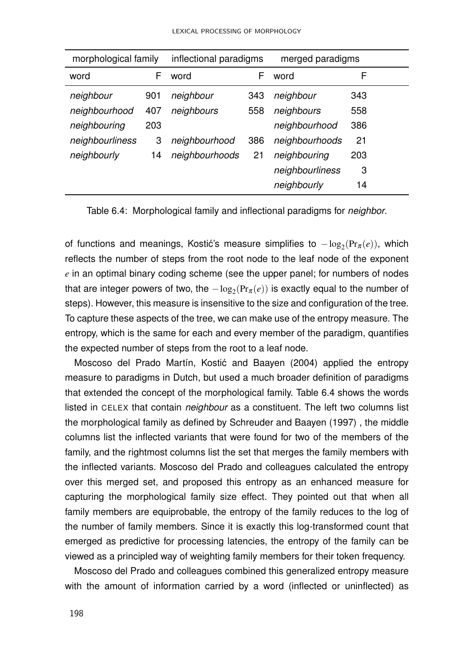| morphological family |     | inflectional paradigms |     | merged paradigms |     |
|----------------------|-----|------------------------|-----|------------------|-----|
| word                 | F   | word                   | F   | word             | F   |
| neighbour            | 901 | neighbour              | 343 | neighbour        | 343 |
| neighbourhood        | 407 | neighbours             | 558 | neighbours       | 558 |
| neighbouring         | 203 |                        |     | neighbourhood    | 386 |
| neighbourliness      | 3   | neighbourhood          | 386 | neighbourhoods   | 21  |
| neighbourly          | 14  | neighbourhoods         | 21  | neighbouring     | 203 |
|                      |     |                        |     | neighbourliness  | 3   |
|                      |     |                        |     | neighbourly      | 14  |

Table 6.4: Morphological family and inflectional paradigms for *neighbor*.

of functions and meanings, Kostić's measure simplifies to  $-\log_2(\Pr_{\pi}(e))$ , which reflects the number of steps from the root node to the leaf node of the exponent *e* in an optimal binary coding scheme (see the upper panel; for numbers of nodes that are integer powers of two, the  $-\log_2(\Pr_{\pi}(e))$  is exactly equal to the number of steps). However, this measure is insensitive to the size and configuration of the tree. To capture these aspects of the tree, we can make use of the entropy measure. The entropy, which is the same for each and every member of the paradigm, quantifies the expected number of steps from the root to a leaf node.

Moscoso del Prado Martín, Kostić and Baayen (2004) applied the entropy measure to paradigms in Dutch, but used a much broader definition of paradigms that extended the concept of the morphological family. Table 6.4 shows the words listed in CELEX that contain *neighbour* as a constituent. The left two columns list the morphological family as defined by Schreuder and Baayen (1997) , the middle columns list the inflected variants that were found for two of the members of the family, and the rightmost columns list the set that merges the family members with the inflected variants. Moscoso del Prado and colleagues calculated the entropy over this merged set, and proposed this entropy as an enhanced measure for capturing the morphological family size effect. They pointed out that when all family members are equiprobable, the entropy of the family reduces to the log of the number of family members. Since it is exactly this log-transformed count that emerged as predictive for processing latencies, the entropy of the family can be viewed as a principled way of weighting family members for their token frequency.

Moscoso del Prado and colleagues combined this generalized entropy measure with the amount of information carried by a word (inflected or uninflected) as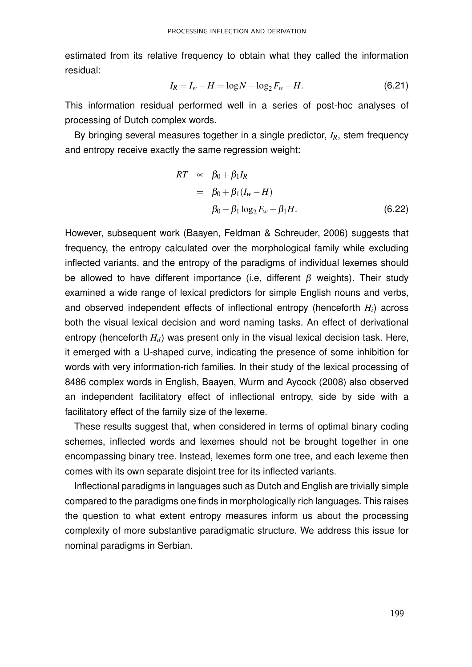estimated from its relative frequency to obtain what they called the information residual:

$$
I_R = I_w - H = \log N - \log_2 F_w - H.
$$
 (6.21)

This information residual performed well in a series of post-hoc analyses of processing of Dutch complex words.

By bringing several measures together in a single predictor, *IR*, stem frequency and entropy receive exactly the same regression weight:

$$
RT \propto \beta_0 + \beta_1 I_R
$$
  
=  $\beta_0 + \beta_1 (I_w - H)$   
 $\beta_0 - \beta_1 \log_2 F_w - \beta_1 H.$  (6.22)

However, subsequent work (Baayen, Feldman & Schreuder, 2006) suggests that frequency, the entropy calculated over the morphological family while excluding inflected variants, and the entropy of the paradigms of individual lexemes should be allowed to have different importance (i.e, different  $\beta$  weights). Their study examined a wide range of lexical predictors for simple English nouns and verbs, and observed independent effects of inflectional entropy (henceforth *Hi*) across both the visual lexical decision and word naming tasks. An effect of derivational entropy (henceforth *Hd*) was present only in the visual lexical decision task. Here, it emerged with a U-shaped curve, indicating the presence of some inhibition for words with very information-rich families. In their study of the lexical processing of 8486 complex words in English, Baayen, Wurm and Aycock (2008) also observed an independent facilitatory effect of inflectional entropy, side by side with a facilitatory effect of the family size of the lexeme.

These results suggest that, when considered in terms of optimal binary coding schemes, inflected words and lexemes should not be brought together in one encompassing binary tree. Instead, lexemes form one tree, and each lexeme then comes with its own separate disjoint tree for its inflected variants.

Inflectional paradigms in languages such as Dutch and English are trivially simple compared to the paradigms one finds in morphologically rich languages. This raises the question to what extent entropy measures inform us about the processing complexity of more substantive paradigmatic structure. We address this issue for nominal paradigms in Serbian.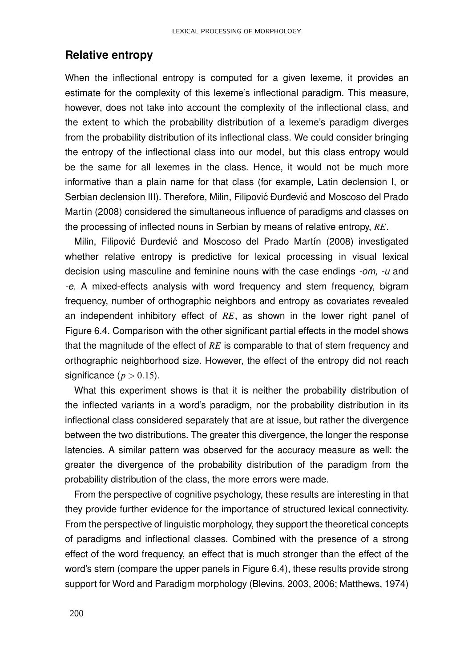#### **Relative entropy**

When the inflectional entropy is computed for a given lexeme, it provides an estimate for the complexity of this lexeme's inflectional paradigm. This measure, however, does not take into account the complexity of the inflectional class, and the extent to which the probability distribution of a lexeme's paradigm diverges from the probability distribution of its inflectional class. We could consider bringing the entropy of the inflectional class into our model, but this class entropy would be the same for all lexemes in the class. Hence, it would not be much more informative than a plain name for that class (for example, Latin declension I, or Serbian declension III). Therefore, Milin, Filipović Đurđević and Moscoso del Prado Martín (2008) considered the simultaneous influence of paradigms and classes on the processing of inflected nouns in Serbian by means of relative entropy, *RE*.

Milin, Filipović Đurđević and Moscoso del Prado Martín (2008) investigated whether relative entropy is predictive for lexical processing in visual lexical decision using masculine and feminine nouns with the case endings *-om, -u* and *-e*. A mixed-effects analysis with word frequency and stem frequency, bigram frequency, number of orthographic neighbors and entropy as covariates revealed an independent inhibitory effect of *RE*, as shown in the lower right panel of Figure 6.4. Comparison with the other significant partial effects in the model shows that the magnitude of the effect of *RE* is comparable to that of stem frequency and orthographic neighborhood size. However, the effect of the entropy did not reach significance  $(p > 0.15)$ .

What this experiment shows is that it is neither the probability distribution of the inflected variants in a word's paradigm, nor the probability distribution in its inflectional class considered separately that are at issue, but rather the divergence between the two distributions. The greater this divergence, the longer the response latencies. A similar pattern was observed for the accuracy measure as well: the greater the divergence of the probability distribution of the paradigm from the probability distribution of the class, the more errors were made.

From the perspective of cognitive psychology, these results are interesting in that they provide further evidence for the importance of structured lexical connectivity. From the perspective of linguistic morphology, they support the theoretical concepts of paradigms and inflectional classes. Combined with the presence of a strong effect of the word frequency, an effect that is much stronger than the effect of the word's stem (compare the upper panels in Figure 6.4), these results provide strong support for Word and Paradigm morphology (Blevins, 2003, 2006; Matthews, 1974)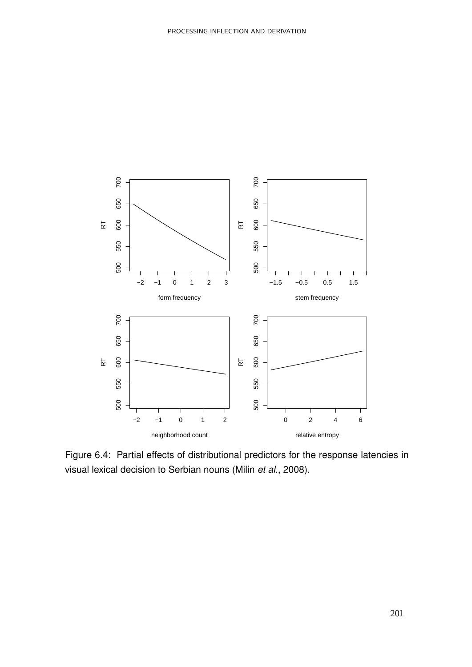

Figure 6.4: Partial effects of distributional predictors for the response latencies in visual lexical decision to Serbian nouns (Milin *et al.*, 2008).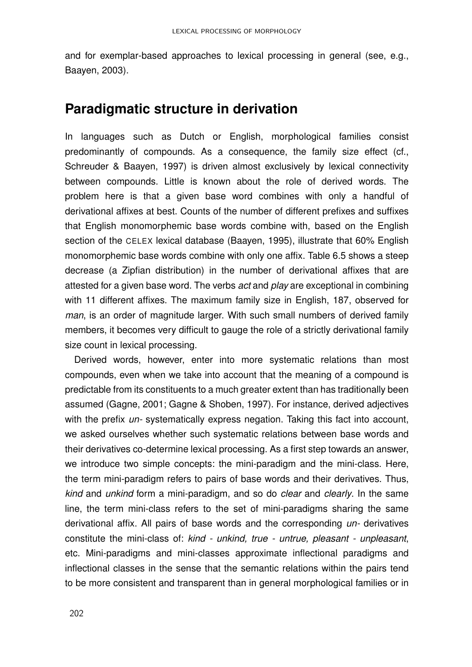and for exemplar-based approaches to lexical processing in general (see, e.g., Baayen, 2003).

# **Paradigmatic structure in derivation**

In languages such as Dutch or English, morphological families consist predominantly of compounds. As a consequence, the family size effect (cf., Schreuder & Baayen, 1997) is driven almost exclusively by lexical connectivity between compounds. Little is known about the role of derived words. The problem here is that a given base word combines with only a handful of derivational affixes at best. Counts of the number of different prefixes and suffixes that English monomorphemic base words combine with, based on the English section of the CELEX lexical database (Baayen, 1995), illustrate that 60% English monomorphemic base words combine with only one affix. Table 6.5 shows a steep decrease (a Zipfian distribution) in the number of derivational affixes that are attested for a given base word. The verbs *act* and *play* are exceptional in combining with 11 different affixes. The maximum family size in English, 187, observed for *man*, is an order of magnitude larger. With such small numbers of derived family members, it becomes very difficult to gauge the role of a strictly derivational family size count in lexical processing.

Derived words, however, enter into more systematic relations than most compounds, even when we take into account that the meaning of a compound is predictable from its constituents to a much greater extent than has traditionally been assumed (Gagne, 2001; Gagne & Shoben, 1997). For instance, derived adjectives with the prefix *un-* systematically express negation. Taking this fact into account, we asked ourselves whether such systematic relations between base words and their derivatives co-determine lexical processing. As a first step towards an answer, we introduce two simple concepts: the mini-paradigm and the mini-class. Here, the term mini-paradigm refers to pairs of base words and their derivatives. Thus, *kind* and *unkind* form a mini-paradigm, and so do *clear* and *clearly*. In the same line, the term mini-class refers to the set of mini-paradigms sharing the same derivational affix. All pairs of base words and the corresponding *un-* derivatives constitute the mini-class of: *kind - unkind, true - untrue, pleasant - unpleasant*, etc. Mini-paradigms and mini-classes approximate inflectional paradigms and inflectional classes in the sense that the semantic relations within the pairs tend to be more consistent and transparent than in general morphological families or in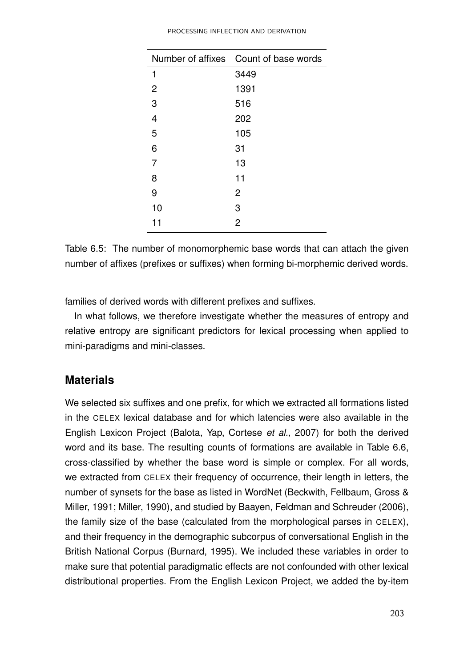#### PROCESSING INFLECTION AND DERIVATION

|                | Number of affixes Count of base words |
|----------------|---------------------------------------|
| 1              | 3449                                  |
| $\overline{2}$ | 1391                                  |
| 3              | 516                                   |
| 4              | 202                                   |
| 5              | 105                                   |
| 6              | 31                                    |
| $\overline{7}$ | 13                                    |
| 8              | 11                                    |
| 9              | $\overline{2}$                        |
| 10             | 3                                     |
| 11             | $\overline{2}$                        |

Table 6.5: The number of monomorphemic base words that can attach the given number of affixes (prefixes or suffixes) when forming bi-morphemic derived words.

families of derived words with different prefixes and suffixes.

In what follows, we therefore investigate whether the measures of entropy and relative entropy are significant predictors for lexical processing when applied to mini-paradigms and mini-classes.

### **Materials**

We selected six suffixes and one prefix, for which we extracted all formations listed in the CELEX lexical database and for which latencies were also available in the English Lexicon Project (Balota, Yap, Cortese *et al.*, 2007) for both the derived word and its base. The resulting counts of formations are available in Table 6.6, cross-classified by whether the base word is simple or complex. For all words, we extracted from CELEX their frequency of occurrence, their length in letters, the number of synsets for the base as listed in WordNet (Beckwith, Fellbaum, Gross & Miller, 1991; Miller, 1990), and studied by Baayen, Feldman and Schreuder (2006), the family size of the base (calculated from the morphological parses in CELEX), and their frequency in the demographic subcorpus of conversational English in the British National Corpus (Burnard, 1995). We included these variables in order to make sure that potential paradigmatic effects are not confounded with other lexical distributional properties. From the English Lexicon Project, we added the by-item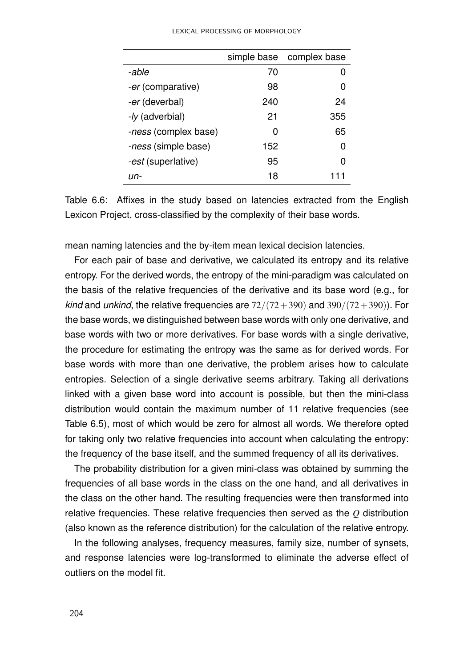|                      |     | simple base complex base |
|----------------------|-----|--------------------------|
| -able                | 70  |                          |
| -er (comparative)    | 98  | O                        |
| -er (deverbal)       | 240 | 24                       |
| -ly (adverbial)      | 21  | 355                      |
| -ness (complex base) | 0   | 65                       |
| -ness (simple base)  | 152 | O                        |
| -est (superlative)   | 95  |                          |
| ıın-                 | 18  |                          |

Table 6.6: Affixes in the study based on latencies extracted from the English Lexicon Project, cross-classified by the complexity of their base words.

mean naming latencies and the by-item mean lexical decision latencies.

For each pair of base and derivative, we calculated its entropy and its relative entropy. For the derived words, the entropy of the mini-paradigm was calculated on the basis of the relative frequencies of the derivative and its base word (e.g., for *kind* and *unkind*, the relative frequencies are  $72/(72+390)$  and  $390/(72+390)$ . For the base words, we distinguished between base words with only one derivative, and base words with two or more derivatives. For base words with a single derivative, the procedure for estimating the entropy was the same as for derived words. For base words with more than one derivative, the problem arises how to calculate entropies. Selection of a single derivative seems arbitrary. Taking all derivations linked with a given base word into account is possible, but then the mini-class distribution would contain the maximum number of 11 relative frequencies (see Table 6.5), most of which would be zero for almost all words. We therefore opted for taking only two relative frequencies into account when calculating the entropy: the frequency of the base itself, and the summed frequency of all its derivatives.

The probability distribution for a given mini-class was obtained by summing the frequencies of all base words in the class on the one hand, and all derivatives in the class on the other hand. The resulting frequencies were then transformed into relative frequencies. These relative frequencies then served as the *Q* distribution (also known as the reference distribution) for the calculation of the relative entropy.

In the following analyses, frequency measures, family size, number of synsets, and response latencies were log-transformed to eliminate the adverse effect of outliers on the model fit.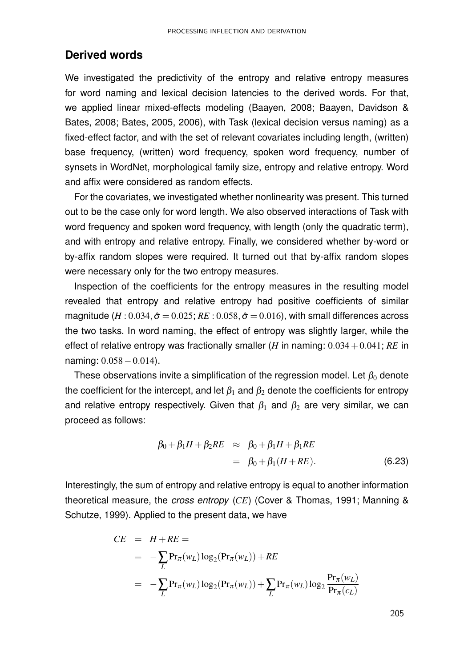#### **Derived words**

We investigated the predictivity of the entropy and relative entropy measures for word naming and lexical decision latencies to the derived words. For that, we applied linear mixed-effects modeling (Baayen, 2008; Baayen, Davidson & Bates, 2008; Bates, 2005, 2006), with Task (lexical decision versus naming) as a fixed-effect factor, and with the set of relevant covariates including length, (written) base frequency, (written) word frequency, spoken word frequency, number of synsets in WordNet, morphological family size, entropy and relative entropy. Word and affix were considered as random effects.

For the covariates, we investigated whether nonlinearity was present. This turned out to be the case only for word length. We also observed interactions of Task with word frequency and spoken word frequency, with length (only the quadratic term), and with entropy and relative entropy. Finally, we considered whether by-word or by-affix random slopes were required. It turned out that by-affix random slopes were necessary only for the two entropy measures.

Inspection of the coefficients for the entropy measures in the resulting model revealed that entropy and relative entropy had positive coefficients of similar magnitude (*H* : 0.034,  $\hat{\sigma} = 0.025$ ; *RE* : 0.058,  $\hat{\sigma} = 0.016$ ), with small differences across the two tasks. In word naming, the effect of entropy was slightly larger, while the effect of relative entropy was fractionally smaller (*H* in naming: 0.034+0.041; *RE* in naming:  $0.058 - 0.014$ ).

These observations invite a simplification of the regression model. Let  $\beta_0$  denote the coefficient for the intercept, and let  $\beta_1$  and  $\beta_2$  denote the coefficients for entropy and relative entropy respectively. Given that  $\beta_1$  and  $\beta_2$  are very similar, we can proceed as follows:

$$
\beta_0 + \beta_1 H + \beta_2 RE \approx \beta_0 + \beta_1 H + \beta_1 RE
$$
  
= 
$$
\beta_0 + \beta_1 (H + RE).
$$
 (6.23)

Interestingly, the sum of entropy and relative entropy is equal to another information theoretical measure, the *cross entropy* (*CE*) (Cover & Thomas, 1991; Manning & Schutze, 1999). Applied to the present data, we have

$$
CE = H + RE =
$$
  
= 
$$
-\sum_{L} \Pr_{\pi}(w_L) \log_2(\Pr_{\pi}(w_L)) + RE
$$
  
= 
$$
-\sum_{L} \Pr_{\pi}(w_L) \log_2(\Pr_{\pi}(w_L)) + \sum_{L} \Pr_{\pi}(w_L) \log_2 \frac{\Pr_{\pi}(w_L)}{\Pr_{\pi}(c_L)}
$$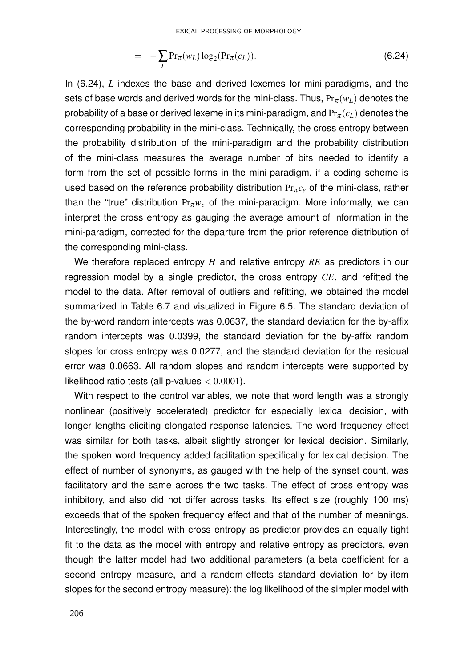$$
= -\sum_{L} \Pr_{\pi}(w_L) \log_2(\Pr_{\pi}(c_L)). \tag{6.24}
$$

In (6.24), *L* indexes the base and derived lexemes for mini-paradigms, and the sets of base words and derived words for the mini-class. Thus,  $Pr_{\pi}(w_L)$  denotes the probability of a base or derived lexeme in its mini-paradigm, and  $Pr_{\pi}(c_L)$  denotes the corresponding probability in the mini-class. Technically, the cross entropy between the probability distribution of the mini-paradigm and the probability distribution of the mini-class measures the average number of bits needed to identify a form from the set of possible forms in the mini-paradigm, if a coding scheme is used based on the reference probability distribution  $Pr_{\pi}c_{e}$  of the mini-class, rather than the "true" distribution  $Pr_{\pi}w_e$  of the mini-paradigm. More informally, we can interpret the cross entropy as gauging the average amount of information in the mini-paradigm, corrected for the departure from the prior reference distribution of the corresponding mini-class.

We therefore replaced entropy *H* and relative entropy *RE* as predictors in our regression model by a single predictor, the cross entropy *CE*, and refitted the model to the data. After removal of outliers and refitting, we obtained the model summarized in Table 6.7 and visualized in Figure 6.5. The standard deviation of the by-word random intercepts was 0.0637, the standard deviation for the by-affix random intercepts was 0.0399, the standard deviation for the by-affix random slopes for cross entropy was 0.0277, and the standard deviation for the residual error was 0.0663. All random slopes and random intercepts were supported by likelihood ratio tests (all p-values  $< 0.0001$ ).

With respect to the control variables, we note that word length was a strongly nonlinear (positively accelerated) predictor for especially lexical decision, with longer lengths eliciting elongated response latencies. The word frequency effect was similar for both tasks, albeit slightly stronger for lexical decision. Similarly, the spoken word frequency added facilitation specifically for lexical decision. The effect of number of synonyms, as gauged with the help of the synset count, was facilitatory and the same across the two tasks. The effect of cross entropy was inhibitory, and also did not differ across tasks. Its effect size (roughly 100 ms) exceeds that of the spoken frequency effect and that of the number of meanings. Interestingly, the model with cross entropy as predictor provides an equally tight fit to the data as the model with entropy and relative entropy as predictors, even though the latter model had two additional parameters (a beta coefficient for a second entropy measure, and a random-effects standard deviation for by-item slopes for the second entropy measure): the log likelihood of the simpler model with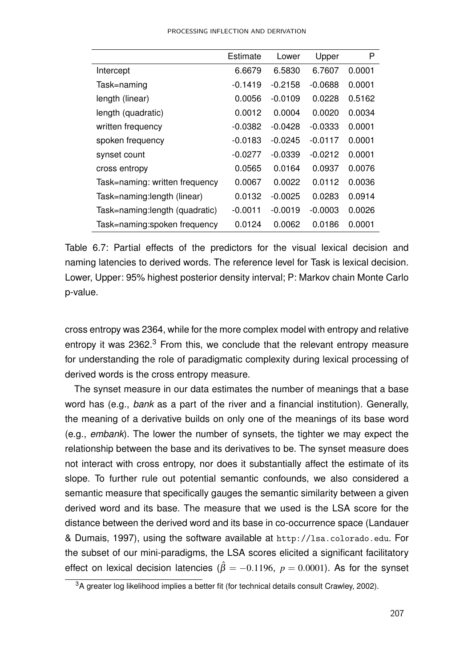|                                | Estimate  | Lower     | Upper     | P      |
|--------------------------------|-----------|-----------|-----------|--------|
| Intercept                      | 6.6679    | 6.5830    | 6.7607    | 0.0001 |
| Task=naming                    | $-0.1419$ | $-0.2158$ | $-0.0688$ | 0.0001 |
| length (linear)                | 0.0056    | $-0.0109$ | 0.0228    | 0.5162 |
| length (quadratic)             | 0.0012    | 0.0004    | 0.0020    | 0.0034 |
| written frequency              | $-0.0382$ | $-0.0428$ | $-0.0333$ | 0.0001 |
| spoken frequency               | $-0.0183$ | $-0.0245$ | $-0.0117$ | 0.0001 |
| synset count                   | $-0.0277$ | $-0.0339$ | $-0.0212$ | 0.0001 |
| cross entropy                  | 0.0565    | 0.0164    | 0.0937    | 0.0076 |
| Task=naming: written frequency | 0.0067    | 0.0022    | 0.0112    | 0.0036 |
| Task=naming:length (linear)    | 0.0132    | $-0.0025$ | 0.0283    | 0.0914 |
| Task=naming:length (quadratic) | $-0.0011$ | $-0.0019$ | $-0.0003$ | 0.0026 |
| Task=naming:spoken frequency   | 0.0124    | 0.0062    | 0.0186    | 0.0001 |

Table 6.7: Partial effects of the predictors for the visual lexical decision and naming latencies to derived words. The reference level for Task is lexical decision. Lower, Upper: 95% highest posterior density interval; P: Markov chain Monte Carlo p-value.

cross entropy was 2364, while for the more complex model with entropy and relative entropy it was 2362.<sup>3</sup> From this, we conclude that the relevant entropy measure for understanding the role of paradigmatic complexity during lexical processing of derived words is the cross entropy measure.

The synset measure in our data estimates the number of meanings that a base word has (e.g., *bank* as a part of the river and a financial institution). Generally, the meaning of a derivative builds on only one of the meanings of its base word (e.g., *embank*). The lower the number of synsets, the tighter we may expect the relationship between the base and its derivatives to be. The synset measure does not interact with cross entropy, nor does it substantially affect the estimate of its slope. To further rule out potential semantic confounds, we also considered a semantic measure that specifically gauges the semantic similarity between a given derived word and its base. The measure that we used is the LSA score for the distance between the derived word and its base in co-occurrence space (Landauer & Dumais, 1997), using the software available at http://lsa.colorado.edu. For the subset of our mini-paradigms, the LSA scores elicited a significant facilitatory effect on lexical decision latencies ( $\hat{\beta} = -0.1196$ ,  $p = 0.0001$ ). As for the synset

<sup>&</sup>lt;sup>3</sup>A greater log likelihood implies a better fit (for technical details consult Crawley, 2002).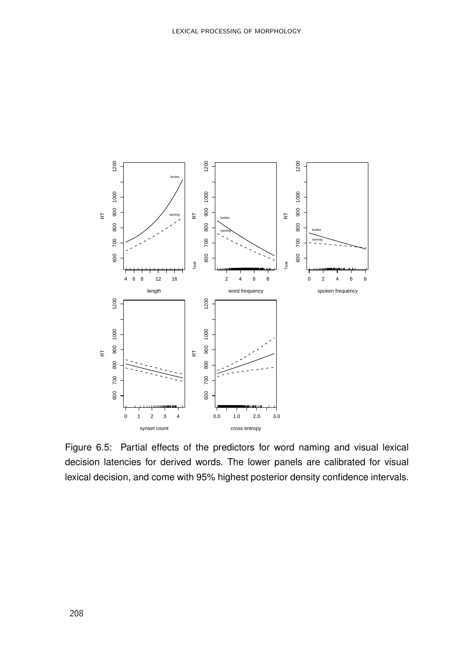

Figure 6.5: Partial effects of the predictors for word naming and visual lexical decision latencies for derived words. The lower panels are calibrated for visual lexical decision, and come with 95% highest posterior density confidence intervals.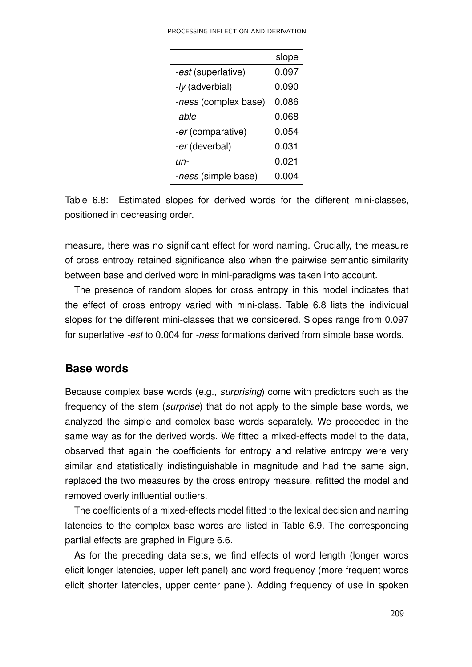PROCESSING INFLECTION AND DERIVATION

|                      | slope |
|----------------------|-------|
| -est (superlative)   | 0.097 |
| -ly (adverbial)      | 0.090 |
| -ness (complex base) | 0.086 |
| -ahle                | 0.068 |
| -er (comparative)    | 0.054 |
| -er (deverbal)       | 0.031 |
| ıın-                 | 0.021 |
| -ness (simple base)  | 0.004 |
|                      |       |

Table 6.8: Estimated slopes for derived words for the different mini-classes, positioned in decreasing order.

measure, there was no significant effect for word naming. Crucially, the measure of cross entropy retained significance also when the pairwise semantic similarity between base and derived word in mini-paradigms was taken into account.

The presence of random slopes for cross entropy in this model indicates that the effect of cross entropy varied with mini-class. Table 6.8 lists the individual slopes for the different mini-classes that we considered. Slopes range from 0.097 for superlative *-est* to 0.004 for *-ness* formations derived from simple base words.

### **Base words**

Because complex base words (e.g., *surprising*) come with predictors such as the frequency of the stem (*surprise*) that do not apply to the simple base words, we analyzed the simple and complex base words separately. We proceeded in the same way as for the derived words. We fitted a mixed-effects model to the data, observed that again the coefficients for entropy and relative entropy were very similar and statistically indistinguishable in magnitude and had the same sign, replaced the two measures by the cross entropy measure, refitted the model and removed overly influential outliers.

The coefficients of a mixed-effects model fitted to the lexical decision and naming latencies to the complex base words are listed in Table 6.9. The corresponding partial effects are graphed in Figure 6.6.

As for the preceding data sets, we find effects of word length (longer words elicit longer latencies, upper left panel) and word frequency (more frequent words elicit shorter latencies, upper center panel). Adding frequency of use in spoken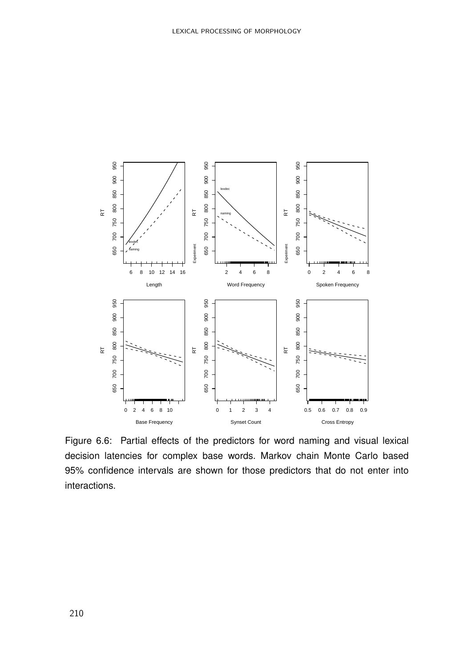

Figure 6.6: Partial effects of the predictors for word naming and visual lexical decision latencies for complex base words. Markov chain Monte Carlo based 95% confidence intervals are shown for those predictors that do not enter into interactions.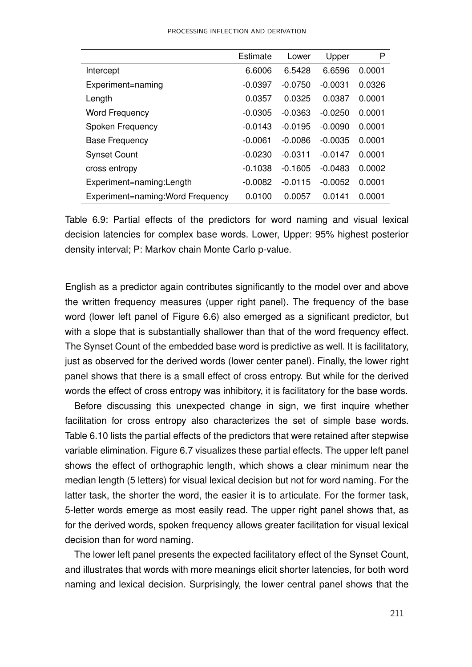|                                   | Estimate  | Lower     | Upper     | P      |
|-----------------------------------|-----------|-----------|-----------|--------|
| Intercept                         | 6.6006    | 6.5428    | 6.6596    | 0.0001 |
| Experiment=naming                 | $-0.0397$ | $-0.0750$ | $-0.0031$ | 0.0326 |
| Length                            | 0.0357    | 0.0325    | 0.0387    | 0.0001 |
| <b>Word Frequency</b>             | $-0.0305$ | $-0.0363$ | $-0.0250$ | 0.0001 |
| Spoken Frequency                  | $-0.0143$ | $-0.0195$ | $-0.0090$ | 0.0001 |
| <b>Base Frequency</b>             | $-0.0061$ | $-0.0086$ | $-0.0035$ | 0.0001 |
| <b>Synset Count</b>               | $-0.0230$ | $-0.0311$ | $-0.0147$ | 0.0001 |
| cross entropy                     | $-0.1038$ | $-0.1605$ | $-0.0483$ | 0.0002 |
| Experiment=naming:Length          | $-0.0082$ | $-0.0115$ | $-0.0052$ | 0.0001 |
| Experiment=naming: Word Frequency | 0.0100    | 0.0057    | 0.0141    | 0.0001 |

Table 6.9: Partial effects of the predictors for word naming and visual lexical decision latencies for complex base words. Lower, Upper: 95% highest posterior density interval; P: Markov chain Monte Carlo p-value.

English as a predictor again contributes significantly to the model over and above the written frequency measures (upper right panel). The frequency of the base word (lower left panel of Figure 6.6) also emerged as a significant predictor, but with a slope that is substantially shallower than that of the word frequency effect. The Synset Count of the embedded base word is predictive as well. It is facilitatory, just as observed for the derived words (lower center panel). Finally, the lower right panel shows that there is a small effect of cross entropy. But while for the derived words the effect of cross entropy was inhibitory, it is facilitatory for the base words.

Before discussing this unexpected change in sign, we first inquire whether facilitation for cross entropy also characterizes the set of simple base words. Table 6.10 lists the partial effects of the predictors that were retained after stepwise variable elimination. Figure 6.7 visualizes these partial effects. The upper left panel shows the effect of orthographic length, which shows a clear minimum near the median length (5 letters) for visual lexical decision but not for word naming. For the latter task, the shorter the word, the easier it is to articulate. For the former task, 5-letter words emerge as most easily read. The upper right panel shows that, as for the derived words, spoken frequency allows greater facilitation for visual lexical decision than for word naming.

The lower left panel presents the expected facilitatory effect of the Synset Count, and illustrates that words with more meanings elicit shorter latencies, for both word naming and lexical decision. Surprisingly, the lower central panel shows that the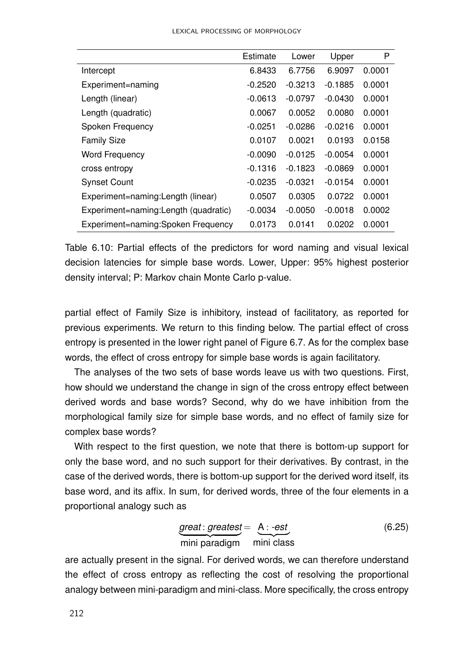|                                      | Estimate  | Lower     | Upper     | P      |
|--------------------------------------|-----------|-----------|-----------|--------|
| Intercept                            | 6.8433    | 6.7756    | 6.9097    | 0.0001 |
| Experiment=naming                    | $-0.2520$ | $-0.3213$ | $-0.1885$ | 0.0001 |
| Length (linear)                      | $-0.0613$ | $-0.0797$ | $-0.0430$ | 0.0001 |
| Length (quadratic)                   | 0.0067    | 0.0052    | 0.0080    | 0.0001 |
| Spoken Frequency                     | $-0.0251$ | $-0.0286$ | $-0.0216$ | 0.0001 |
| <b>Family Size</b>                   | 0.0107    | 0.0021    | 0.0193    | 0.0158 |
| <b>Word Frequency</b>                | $-0.0090$ | $-0.0125$ | $-0.0054$ | 0.0001 |
| cross entropy                        | $-0.1316$ | $-0.1823$ | $-0.0869$ | 0.0001 |
| <b>Synset Count</b>                  | $-0.0235$ | $-0.0321$ | $-0.0154$ | 0.0001 |
| Experiment=naming:Length (linear)    | 0.0507    | 0.0305    | 0.0722    | 0.0001 |
| Experiment=naming:Length (quadratic) | $-0.0034$ | $-0.0050$ | $-0.0018$ | 0.0002 |
| Experiment=naming:Spoken Frequency   | 0.0173    | 0.0141    | 0.0202    | 0.0001 |

Table 6.10: Partial effects of the predictors for word naming and visual lexical decision latencies for simple base words. Lower, Upper: 95% highest posterior density interval; P: Markov chain Monte Carlo p-value.

partial effect of Family Size is inhibitory, instead of facilitatory, as reported for previous experiments. We return to this finding below. The partial effect of cross entropy is presented in the lower right panel of Figure 6.7. As for the complex base words, the effect of cross entropy for simple base words is again facilitatory.

The analyses of the two sets of base words leave us with two questions. First, how should we understand the change in sign of the cross entropy effect between derived words and base words? Second, why do we have inhibition from the morphological family size for simple base words, and no effect of family size for complex base words?

With respect to the first question, we note that there is bottom-up support for only the base word, and no such support for their derivatives. By contrast, in the case of the derived words, there is bottom-up support for the derived word itself, its base word, and its affix. In sum, for derived words, three of the four elements in a proportional analogy such as

$$
\underbrace{\text{great}:\text{greatest}}_{\text{mini paradigm}} = \underbrace{A:-est}_{\text{mini class}} \tag{6.25}
$$

are actually present in the signal. For derived words, we can therefore understand the effect of cross entropy as reflecting the cost of resolving the proportional analogy between mini-paradigm and mini-class. More specifically, the cross entropy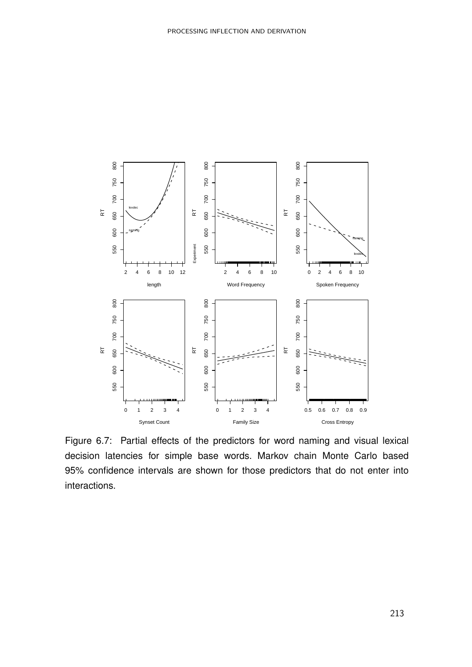

Figure 6.7: Partial effects of the predictors for word naming and visual lexical decision latencies for simple base words. Markov chain Monte Carlo based 95% confidence intervals are shown for those predictors that do not enter into interactions.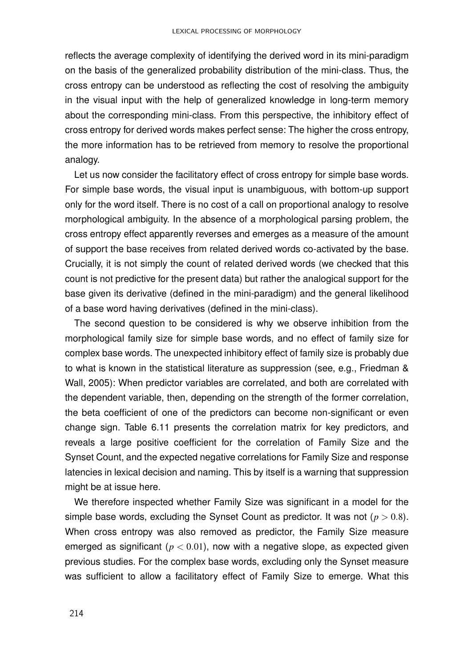reflects the average complexity of identifying the derived word in its mini-paradigm on the basis of the generalized probability distribution of the mini-class. Thus, the cross entropy can be understood as reflecting the cost of resolving the ambiguity in the visual input with the help of generalized knowledge in long-term memory about the corresponding mini-class. From this perspective, the inhibitory effect of cross entropy for derived words makes perfect sense: The higher the cross entropy, the more information has to be retrieved from memory to resolve the proportional analogy.

Let us now consider the facilitatory effect of cross entropy for simple base words. For simple base words, the visual input is unambiguous, with bottom-up support only for the word itself. There is no cost of a call on proportional analogy to resolve morphological ambiguity. In the absence of a morphological parsing problem, the cross entropy effect apparently reverses and emerges as a measure of the amount of support the base receives from related derived words co-activated by the base. Crucially, it is not simply the count of related derived words (we checked that this count is not predictive for the present data) but rather the analogical support for the base given its derivative (defined in the mini-paradigm) and the general likelihood of a base word having derivatives (defined in the mini-class).

The second question to be considered is why we observe inhibition from the morphological family size for simple base words, and no effect of family size for complex base words. The unexpected inhibitory effect of family size is probably due to what is known in the statistical literature as suppression (see, e.g., Friedman & Wall, 2005): When predictor variables are correlated, and both are correlated with the dependent variable, then, depending on the strength of the former correlation, the beta coefficient of one of the predictors can become non-significant or even change sign. Table 6.11 presents the correlation matrix for key predictors, and reveals a large positive coefficient for the correlation of Family Size and the Synset Count, and the expected negative correlations for Family Size and response latencies in lexical decision and naming. This by itself is a warning that suppression might be at issue here.

We therefore inspected whether Family Size was significant in a model for the simple base words, excluding the Synset Count as predictor. It was not  $(p > 0.8)$ . When cross entropy was also removed as predictor, the Family Size measure emerged as significant ( $p < 0.01$ ), now with a negative slope, as expected given previous studies. For the complex base words, excluding only the Synset measure was sufficient to allow a facilitatory effect of Family Size to emerge. What this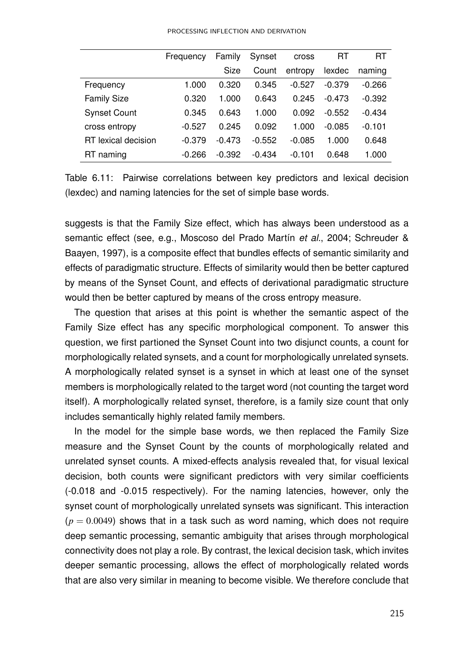|                            | Frequency | Family   | Synset   | cross    | RT       | RT       |
|----------------------------|-----------|----------|----------|----------|----------|----------|
|                            |           | Size     | Count    | entropy  | lexdec   | naming   |
| Frequency                  | 1.000     | 0.320    | 0.345    | $-0.527$ | $-0.379$ | $-0.266$ |
| <b>Family Size</b>         | 0.320     | 1.000    | 0.643    | 0.245    | $-0.473$ | $-0.392$ |
| <b>Synset Count</b>        | 0.345     | 0.643    | 1.000    | 0.092    | $-0.552$ | $-0.434$ |
| cross entropy              | $-0.527$  | 0.245    | 0.092    | 1.000    | -0.085   | $-0.101$ |
| <b>RT</b> lexical decision | $-0.379$  | $-0.473$ | $-0.552$ | $-0.085$ | 1.000    | 0.648    |
| RT naming                  | $-0.266$  | $-0.392$ | $-0.434$ | $-0.101$ | 0.648    | 1.000    |

Table 6.11: Pairwise correlations between key predictors and lexical decision (lexdec) and naming latencies for the set of simple base words.

suggests is that the Family Size effect, which has always been understood as a semantic effect (see, e.g., Moscoso del Prado Martín *et al.*, 2004; Schreuder & Baayen, 1997), is a composite effect that bundles effects of semantic similarity and effects of paradigmatic structure. Effects of similarity would then be better captured by means of the Synset Count, and effects of derivational paradigmatic structure would then be better captured by means of the cross entropy measure.

The question that arises at this point is whether the semantic aspect of the Family Size effect has any specific morphological component. To answer this question, we first partioned the Synset Count into two disjunct counts, a count for morphologically related synsets, and a count for morphologically unrelated synsets. A morphologically related synset is a synset in which at least one of the synset members is morphologically related to the target word (not counting the target word itself). A morphologically related synset, therefore, is a family size count that only includes semantically highly related family members.

In the model for the simple base words, we then replaced the Family Size measure and the Synset Count by the counts of morphologically related and unrelated synset counts. A mixed-effects analysis revealed that, for visual lexical decision, both counts were significant predictors with very similar coefficients (-0.018 and -0.015 respectively). For the naming latencies, however, only the synset count of morphologically unrelated synsets was significant. This interaction  $(p = 0.0049)$  shows that in a task such as word naming, which does not require deep semantic processing, semantic ambiguity that arises through morphological connectivity does not play a role. By contrast, the lexical decision task, which invites deeper semantic processing, allows the effect of morphologically related words that are also very similar in meaning to become visible. We therefore conclude that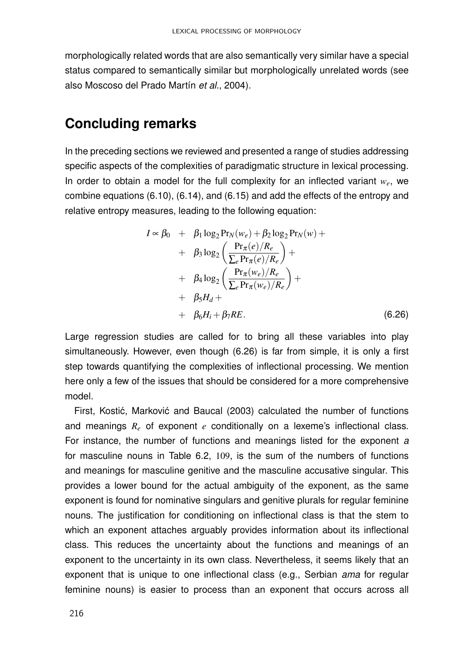morphologically related words that are also semantically very similar have a special status compared to semantically similar but morphologically unrelated words (see also Moscoso del Prado Martín *et al.*, 2004).

## **Concluding remarks**

In the preceding sections we reviewed and presented a range of studies addressing specific aspects of the complexities of paradigmatic structure in lexical processing. In order to obtain a model for the full complexity for an inflected variant *we*, we combine equations (6.10), (6.14), and (6.15) and add the effects of the entropy and relative entropy measures, leading to the following equation:

$$
I \propto \beta_0 + \beta_1 \log_2 \Pr_N(w_e) + \beta_2 \log_2 \Pr_N(w) +
$$
  
+ 
$$
\beta_3 \log_2 \left( \frac{\Pr_\pi(e)/R_e}{\sum_e \Pr_\pi(e)/R_e} \right) +
$$
  
+ 
$$
\beta_4 \log_2 \left( \frac{\Pr_\pi(w_e)/R_e}{\sum_e \Pr_\pi(w_e)/R_e} \right) +
$$
  
+ 
$$
\beta_5 H_d +
$$
  
+ 
$$
\beta_6 H_i + \beta_7 RE.
$$
 (6.26)

Large regression studies are called for to bring all these variables into play simultaneously. However, even though (6.26) is far from simple, it is only a first step towards quantifying the complexities of inflectional processing. We mention here only a few of the issues that should be considered for a more comprehensive model.

First, Kostić, Marković and Baucal (2003) calculated the number of functions and meanings *R<sup>e</sup>* of exponent *e* conditionally on a lexeme's inflectional class. For instance, the number of functions and meanings listed for the exponent *a* for masculine nouns in Table 6.2, 109, is the sum of the numbers of functions and meanings for masculine genitive and the masculine accusative singular. This provides a lower bound for the actual ambiguity of the exponent, as the same exponent is found for nominative singulars and genitive plurals for regular feminine nouns. The justification for conditioning on inflectional class is that the stem to which an exponent attaches arguably provides information about its inflectional class. This reduces the uncertainty about the functions and meanings of an exponent to the uncertainty in its own class. Nevertheless, it seems likely that an exponent that is unique to one inflectional class (e.g., Serbian *ama* for regular feminine nouns) is easier to process than an exponent that occurs across all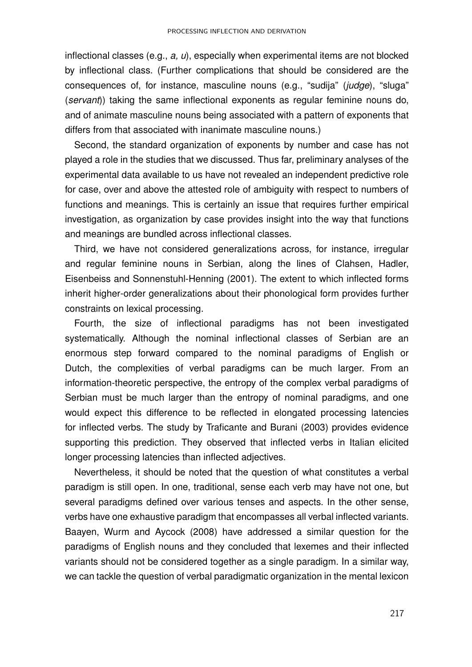inflectional classes (e.g., *a, u*), especially when experimental items are not blocked by inflectional class. (Further complications that should be considered are the consequences of, for instance, masculine nouns (e.g., "sudija" (*judge*), "sluga" (*servant*)) taking the same inflectional exponents as regular feminine nouns do, and of animate masculine nouns being associated with a pattern of exponents that differs from that associated with inanimate masculine nouns.)

Second, the standard organization of exponents by number and case has not played a role in the studies that we discussed. Thus far, preliminary analyses of the experimental data available to us have not revealed an independent predictive role for case, over and above the attested role of ambiguity with respect to numbers of functions and meanings. This is certainly an issue that requires further empirical investigation, as organization by case provides insight into the way that functions and meanings are bundled across inflectional classes.

Third, we have not considered generalizations across, for instance, irregular and regular feminine nouns in Serbian, along the lines of Clahsen, Hadler, Eisenbeiss and Sonnenstuhl-Henning (2001). The extent to which inflected forms inherit higher-order generalizations about their phonological form provides further constraints on lexical processing.

Fourth, the size of inflectional paradigms has not been investigated systematically. Although the nominal inflectional classes of Serbian are an enormous step forward compared to the nominal paradigms of English or Dutch, the complexities of verbal paradigms can be much larger. From an information-theoretic perspective, the entropy of the complex verbal paradigms of Serbian must be much larger than the entropy of nominal paradigms, and one would expect this difference to be reflected in elongated processing latencies for inflected verbs. The study by Traficante and Burani (2003) provides evidence supporting this prediction. They observed that inflected verbs in Italian elicited longer processing latencies than inflected adjectives.

Nevertheless, it should be noted that the question of what constitutes a verbal paradigm is still open. In one, traditional, sense each verb may have not one, but several paradigms defined over various tenses and aspects. In the other sense, verbs have one exhaustive paradigm that encompasses all verbal inflected variants. Baayen, Wurm and Aycock (2008) have addressed a similar question for the paradigms of English nouns and they concluded that lexemes and their inflected variants should not be considered together as a single paradigm. In a similar way, we can tackle the question of verbal paradigmatic organization in the mental lexicon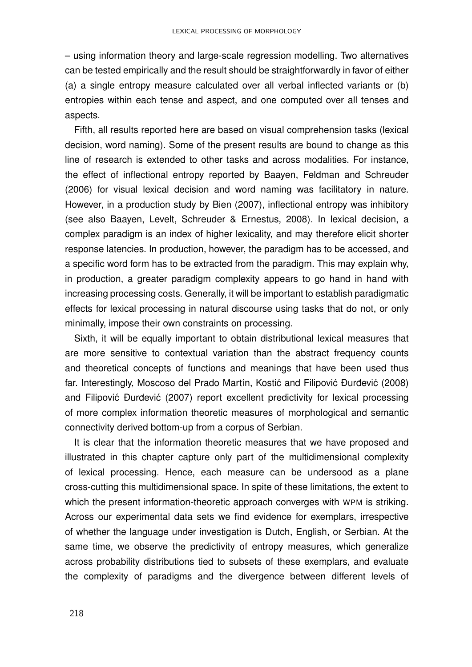– using information theory and large-scale regression modelling. Two alternatives can be tested empirically and the result should be straightforwardly in favor of either (a) a single entropy measure calculated over all verbal inflected variants or (b) entropies within each tense and aspect, and one computed over all tenses and aspects.

Fifth, all results reported here are based on visual comprehension tasks (lexical decision, word naming). Some of the present results are bound to change as this line of research is extended to other tasks and across modalities. For instance, the effect of inflectional entropy reported by Baayen, Feldman and Schreuder (2006) for visual lexical decision and word naming was facilitatory in nature. However, in a production study by Bien (2007), inflectional entropy was inhibitory (see also Baayen, Levelt, Schreuder & Ernestus, 2008). In lexical decision, a complex paradigm is an index of higher lexicality, and may therefore elicit shorter response latencies. In production, however, the paradigm has to be accessed, and a specific word form has to be extracted from the paradigm. This may explain why, in production, a greater paradigm complexity appears to go hand in hand with increasing processing costs. Generally, it will be important to establish paradigmatic effects for lexical processing in natural discourse using tasks that do not, or only minimally, impose their own constraints on processing.

Sixth, it will be equally important to obtain distributional lexical measures that are more sensitive to contextual variation than the abstract frequency counts and theoretical concepts of functions and meanings that have been used thus far. Interestingly, Moscoso del Prado Martín, Kostić and Filipović Đurđević (2008) and Filipović Đurđević (2007) report excellent predictivity for lexical processing of more complex information theoretic measures of morphological and semantic connectivity derived bottom-up from a corpus of Serbian.

It is clear that the information theoretic measures that we have proposed and illustrated in this chapter capture only part of the multidimensional complexity of lexical processing. Hence, each measure can be undersood as a plane cross-cutting this multidimensional space. In spite of these limitations, the extent to which the present information-theoretic approach converges with WPM is striking. Across our experimental data sets we find evidence for exemplars, irrespective of whether the language under investigation is Dutch, English, or Serbian. At the same time, we observe the predictivity of entropy measures, which generalize across probability distributions tied to subsets of these exemplars, and evaluate the complexity of paradigms and the divergence between different levels of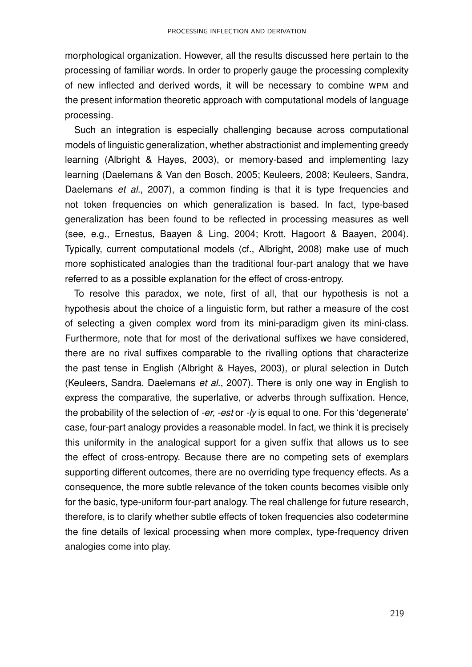morphological organization. However, all the results discussed here pertain to the processing of familiar words. In order to properly gauge the processing complexity of new inflected and derived words, it will be necessary to combine WPM and the present information theoretic approach with computational models of language processing.

Such an integration is especially challenging because across computational models of linguistic generalization, whether abstractionist and implementing greedy learning (Albright & Hayes, 2003), or memory-based and implementing lazy learning (Daelemans & Van den Bosch, 2005; Keuleers, 2008; Keuleers, Sandra, Daelemans *et al.*, 2007), a common finding is that it is type frequencies and not token frequencies on which generalization is based. In fact, type-based generalization has been found to be reflected in processing measures as well (see, e.g., Ernestus, Baayen & Ling, 2004; Krott, Hagoort & Baayen, 2004). Typically, current computational models (cf., Albright, 2008) make use of much more sophisticated analogies than the traditional four-part analogy that we have referred to as a possible explanation for the effect of cross-entropy.

To resolve this paradox, we note, first of all, that our hypothesis is not a hypothesis about the choice of a linguistic form, but rather a measure of the cost of selecting a given complex word from its mini-paradigm given its mini-class. Furthermore, note that for most of the derivational suffixes we have considered, there are no rival suffixes comparable to the rivalling options that characterize the past tense in English (Albright & Hayes, 2003), or plural selection in Dutch (Keuleers, Sandra, Daelemans *et al.*, 2007). There is only one way in English to express the comparative, the superlative, or adverbs through suffixation. Hence, the probability of the selection of *-er, -est* or *-ly* is equal to one. For this 'degenerate' case, four-part analogy provides a reasonable model. In fact, we think it is precisely this uniformity in the analogical support for a given suffix that allows us to see the effect of cross-entropy. Because there are no competing sets of exemplars supporting different outcomes, there are no overriding type frequency effects. As a consequence, the more subtle relevance of the token counts becomes visible only for the basic, type-uniform four-part analogy. The real challenge for future research, therefore, is to clarify whether subtle effects of token frequencies also codetermine the fine details of lexical processing when more complex, type-frequency driven analogies come into play.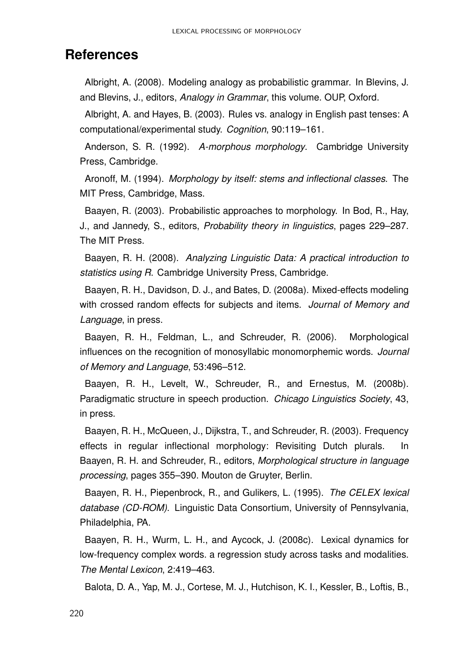## **References**

Albright, A. (2008). Modeling analogy as probabilistic grammar. In Blevins, J. and Blevins, J., editors, *Analogy in Grammar*, this volume. OUP, Oxford.

Albright, A. and Hayes, B. (2003). Rules vs. analogy in English past tenses: A computational/experimental study. *Cognition*, 90:119–161.

Anderson, S. R. (1992). *A-morphous morphology*. Cambridge University Press, Cambridge.

Aronoff, M. (1994). *Morphology by itself: stems and inflectional classes*. The MIT Press, Cambridge, Mass.

Baayen, R. (2003). Probabilistic approaches to morphology. In Bod, R., Hay, J., and Jannedy, S., editors, *Probability theory in linguistics*, pages 229–287. The MIT Press.

Baayen, R. H. (2008). *Analyzing Linguistic Data: A practical introduction to statistics using R*. Cambridge University Press, Cambridge.

Baayen, R. H., Davidson, D. J., and Bates, D. (2008a). Mixed-effects modeling with crossed random effects for subjects and items. *Journal of Memory and Language*, in press.

Baayen, R. H., Feldman, L., and Schreuder, R. (2006). Morphological influences on the recognition of monosyllabic monomorphemic words. *Journal of Memory and Language*, 53:496–512.

Baayen, R. H., Levelt, W., Schreuder, R., and Ernestus, M. (2008b). Paradigmatic structure in speech production. *Chicago Linguistics Society*, 43, in press.

Baayen, R. H., McQueen, J., Dijkstra, T., and Schreuder, R. (2003). Frequency effects in regular inflectional morphology: Revisiting Dutch plurals. In Baayen, R. H. and Schreuder, R., editors, *Morphological structure in language processing*, pages 355–390. Mouton de Gruyter, Berlin.

Baayen, R. H., Piepenbrock, R., and Gulikers, L. (1995). *The CELEX lexical database (CD-ROM)*. Linguistic Data Consortium, University of Pennsylvania, Philadelphia, PA.

Baayen, R. H., Wurm, L. H., and Aycock, J. (2008c). Lexical dynamics for low-frequency complex words. a regression study across tasks and modalities. *The Mental Lexicon*, 2:419–463.

Balota, D. A., Yap, M. J., Cortese, M. J., Hutchison, K. I., Kessler, B., Loftis, B.,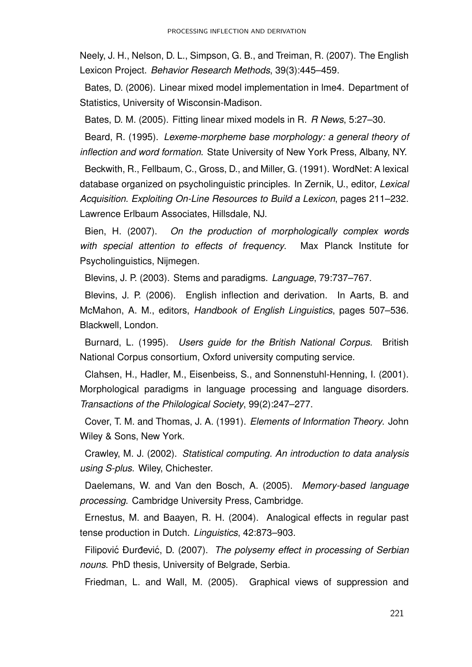Neely, J. H., Nelson, D. L., Simpson, G. B., and Treiman, R. (2007). The English Lexicon Project. *Behavior Research Methods*, 39(3):445–459.

Bates, D. (2006). Linear mixed model implementation in lme4. Department of Statistics, University of Wisconsin-Madison.

Bates, D. M. (2005). Fitting linear mixed models in R. *R News*, 5:27–30.

Beard, R. (1995). *Lexeme-morpheme base morphology: a general theory of inflection and word formation*. State University of New York Press, Albany, NY.

Beckwith, R., Fellbaum, C., Gross, D., and Miller, G. (1991). WordNet: A lexical database organized on psycholinguistic principles. In Zernik, U., editor, *Lexical Acquisition. Exploiting On-Line Resources to Build a Lexicon*, pages 211–232. Lawrence Erlbaum Associates, Hillsdale, NJ.

Bien, H. (2007). *On the production of morphologically complex words with special attention to effects of frequency*. Max Planck Institute for Psycholinguistics, Nijmegen.

Blevins, J. P. (2003). Stems and paradigms. *Language*, 79:737–767.

Blevins, J. P. (2006). English inflection and derivation. In Aarts, B. and McMahon, A. M., editors, *Handbook of English Linguistics*, pages 507–536. Blackwell, London.

Burnard, L. (1995). *Users guide for the British National Corpus*. British National Corpus consortium, Oxford university computing service.

Clahsen, H., Hadler, M., Eisenbeiss, S., and Sonnenstuhl-Henning, I. (2001). Morphological paradigms in language processing and language disorders. *Transactions of the Philological Society*, 99(2):247–277.

Cover, T. M. and Thomas, J. A. (1991). *Elements of Information Theory*. John Wiley & Sons, New York.

Crawley, M. J. (2002). *Statistical computing. An introduction to data analysis using S-plus*. Wiley, Chichester.

Daelemans, W. and Van den Bosch, A. (2005). *Memory-based language processing*. Cambridge University Press, Cambridge.

Ernestus, M. and Baayen, R. H. (2004). Analogical effects in regular past tense production in Dutch. *Linguistics*, 42:873–903.

Filipović Đurđević, D. (2007). *The polysemy effect in processing of Serbian nouns*. PhD thesis, University of Belgrade, Serbia.

Friedman, L. and Wall, M. (2005). Graphical views of suppression and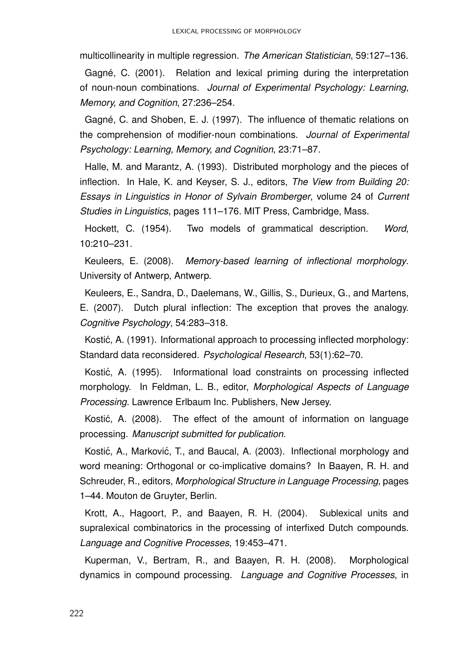multicollinearity in multiple regression. *The American Statistician*, 59:127–136.

Gagné, C. (2001). Relation and lexical priming during the interpretation of noun-noun combinations. *Journal of Experimental Psychology: Learning, Memory, and Cognition*, 27:236–254.

Gagné, C. and Shoben, E. J. (1997). The influence of thematic relations on the comprehension of modifier-noun combinations. *Journal of Experimental Psychology: Learning, Memory, and Cognition*, 23:71–87.

Halle, M. and Marantz, A. (1993). Distributed morphology and the pieces of inflection. In Hale, K. and Keyser, S. J., editors, *The View from Building 20: Essays in Linguistics in Honor of Sylvain Bromberger*, volume 24 of *Current Studies in Linguistics*, pages 111–176. MIT Press, Cambridge, Mass.

Hockett, C. (1954). Two models of grammatical description. *Word*, 10:210–231.

Keuleers, E. (2008). *Memory-based learning of inflectional morphology*. University of Antwerp, Antwerp.

Keuleers, E., Sandra, D., Daelemans, W., Gillis, S., Durieux, G., and Martens, E. (2007). Dutch plural inflection: The exception that proves the analogy. *Cognitive Psychology*, 54:283–318.

Kostić, A. (1991). Informational approach to processing inflected morphology: Standard data reconsidered. *Psychological Research*, 53(1):62–70.

Kostić, A. (1995). Informational load constraints on processing inflected morphology. In Feldman, L. B., editor, *Morphological Aspects of Language Processing*. Lawrence Erlbaum Inc. Publishers, New Jersey.

Kostić, A. (2008). The effect of the amount of information on language processing. *Manuscript submitted for publication*.

Kostić, A., Marković, T., and Baucal, A. (2003). Inflectional morphology and word meaning: Orthogonal or co-implicative domains? In Baayen, R. H. and Schreuder, R., editors, *Morphological Structure in Language Processing*, pages 1–44. Mouton de Gruyter, Berlin.

Krott, A., Hagoort, P., and Baayen, R. H. (2004). Sublexical units and supralexical combinatorics in the processing of interfixed Dutch compounds. *Language and Cognitive Processes*, 19:453–471.

Kuperman, V., Bertram, R., and Baayen, R. H. (2008). Morphological dynamics in compound processing. *Language and Cognitive Processes*, in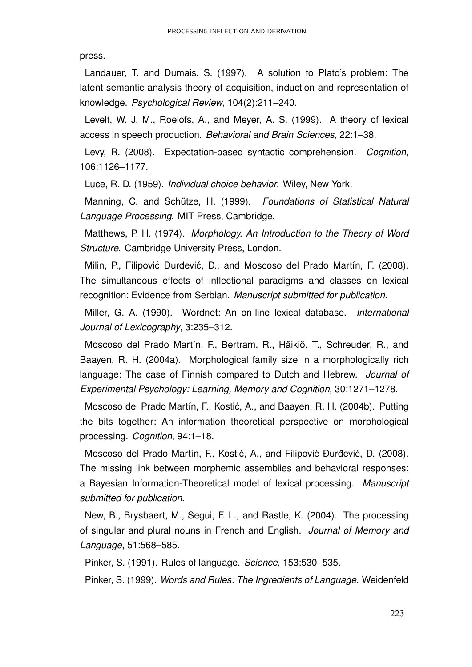press.

Landauer, T. and Dumais, S. (1997). A solution to Plato's problem: The latent semantic analysis theory of acquisition, induction and representation of knowledge. *Psychological Review*, 104(2):211–240.

Levelt, W. J. M., Roelofs, A., and Meyer, A. S. (1999). A theory of lexical access in speech production. *Behavioral and Brain Sciences*, 22:1–38.

Levy, R. (2008). Expectation-based syntactic comprehension. *Cognition*, 106:1126–1177.

Luce, R. D. (1959). *Individual choice behavior*. Wiley, New York.

Manning, C. and Schütze, H. (1999). *Foundations of Statistical Natural Language Processing*. MIT Press, Cambridge.

Matthews, P. H. (1974). *Morphology. An Introduction to the Theory of Word Structure*. Cambridge University Press, London.

Milin, P., Filipović Đurđević, D., and Moscoso del Prado Martín, F. (2008). The simultaneous effects of inflectional paradigms and classes on lexical recognition: Evidence from Serbian. *Manuscript submitted for publication*.

Miller, G. A. (1990). Wordnet: An on-line lexical database. *International Journal of Lexicography*, 3:235–312.

Moscoso del Prado Martín, F., Bertram, R., Häikiö, T., Schreuder, R., and Baayen, R. H. (2004a). Morphological family size in a morphologically rich language: The case of Finnish compared to Dutch and Hebrew. *Journal of Experimental Psychology: Learning, Memory and Cognition*, 30:1271–1278.

Moscoso del Prado Martín, F., Kostic, A., and Baayen, R. H. (2004b). Putting ´ the bits together: An information theoretical perspective on morphological processing. *Cognition*, 94:1–18.

Moscoso del Prado Martín, F., Kostić, A., and Filipović Đurđević, D. (2008). The missing link between morphemic assemblies and behavioral responses: a Bayesian Information-Theoretical model of lexical processing. *Manuscript submitted for publication*.

New, B., Brysbaert, M., Segui, F. L., and Rastle, K. (2004). The processing of singular and plural nouns in French and English. *Journal of Memory and Language*, 51:568–585.

Pinker, S. (1991). Rules of language. *Science*, 153:530–535.

Pinker, S. (1999). *Words and Rules: The Ingredients of Language*. Weidenfeld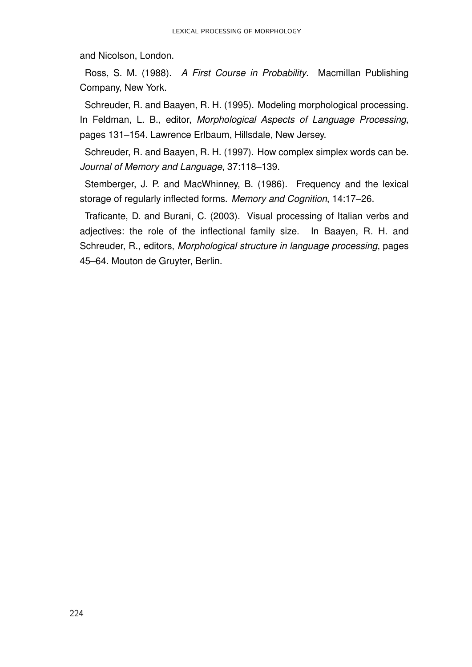and Nicolson, London.

Ross, S. M. (1988). *A First Course in Probability*. Macmillan Publishing Company, New York.

Schreuder, R. and Baayen, R. H. (1995). Modeling morphological processing. In Feldman, L. B., editor, *Morphological Aspects of Language Processing*, pages 131–154. Lawrence Erlbaum, Hillsdale, New Jersey.

Schreuder, R. and Baayen, R. H. (1997). How complex simplex words can be. *Journal of Memory and Language*, 37:118–139.

Stemberger, J. P. and MacWhinney, B. (1986). Frequency and the lexical storage of regularly inflected forms. *Memory and Cognition*, 14:17–26.

Traficante, D. and Burani, C. (2003). Visual processing of Italian verbs and adjectives: the role of the inflectional family size. In Baayen, R. H. and Schreuder, R., editors, *Morphological structure in language processing*, pages 45–64. Mouton de Gruyter, Berlin.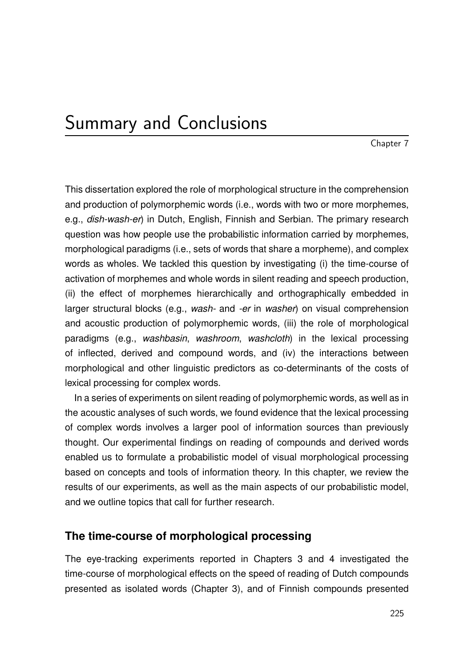# Summary and Conclusions

Chapter 7

This dissertation explored the role of morphological structure in the comprehension and production of polymorphemic words (i.e., words with two or more morphemes, e.g., *dish-wash-er*) in Dutch, English, Finnish and Serbian. The primary research question was how people use the probabilistic information carried by morphemes, morphological paradigms (i.e., sets of words that share a morpheme), and complex words as wholes. We tackled this question by investigating (i) the time-course of activation of morphemes and whole words in silent reading and speech production, (ii) the effect of morphemes hierarchically and orthographically embedded in larger structural blocks (e.g., *wash-* and *-er* in *washer*) on visual comprehension and acoustic production of polymorphemic words, (iii) the role of morphological paradigms (e.g., *washbasin*, *washroom*, *washcloth*) in the lexical processing of inflected, derived and compound words, and (iv) the interactions between morphological and other linguistic predictors as co-determinants of the costs of lexical processing for complex words.

In a series of experiments on silent reading of polymorphemic words, as well as in the acoustic analyses of such words, we found evidence that the lexical processing of complex words involves a larger pool of information sources than previously thought. Our experimental findings on reading of compounds and derived words enabled us to formulate a probabilistic model of visual morphological processing based on concepts and tools of information theory. In this chapter, we review the results of our experiments, as well as the main aspects of our probabilistic model, and we outline topics that call for further research.

#### **The time-course of morphological processing**

The eye-tracking experiments reported in Chapters 3 and 4 investigated the time-course of morphological effects on the speed of reading of Dutch compounds presented as isolated words (Chapter 3), and of Finnish compounds presented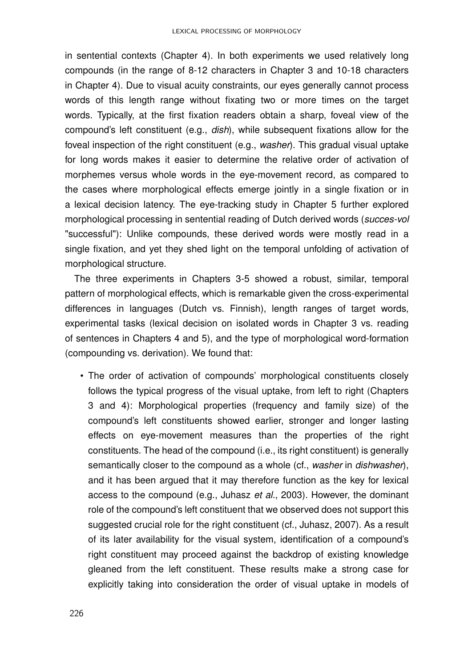in sentential contexts (Chapter 4). In both experiments we used relatively long compounds (in the range of 8-12 characters in Chapter 3 and 10-18 characters in Chapter 4). Due to visual acuity constraints, our eyes generally cannot process words of this length range without fixating two or more times on the target words. Typically, at the first fixation readers obtain a sharp, foveal view of the compound's left constituent (e.g., *dish*), while subsequent fixations allow for the foveal inspection of the right constituent (e.g., *washer*). This gradual visual uptake for long words makes it easier to determine the relative order of activation of morphemes versus whole words in the eye-movement record, as compared to the cases where morphological effects emerge jointly in a single fixation or in a lexical decision latency. The eye-tracking study in Chapter 5 further explored morphological processing in sentential reading of Dutch derived words (*succes-vol* "successful"): Unlike compounds, these derived words were mostly read in a single fixation, and yet they shed light on the temporal unfolding of activation of morphological structure.

The three experiments in Chapters 3-5 showed a robust, similar, temporal pattern of morphological effects, which is remarkable given the cross-experimental differences in languages (Dutch vs. Finnish), length ranges of target words, experimental tasks (lexical decision on isolated words in Chapter 3 vs. reading of sentences in Chapters 4 and 5), and the type of morphological word-formation (compounding vs. derivation). We found that:

• The order of activation of compounds' morphological constituents closely follows the typical progress of the visual uptake, from left to right (Chapters 3 and 4): Morphological properties (frequency and family size) of the compound's left constituents showed earlier, stronger and longer lasting effects on eye-movement measures than the properties of the right constituents. The head of the compound (i.e., its right constituent) is generally semantically closer to the compound as a whole (cf., *washer* in *dishwasher*), and it has been argued that it may therefore function as the key for lexical access to the compound (e.g., Juhasz *et al.*, 2003). However, the dominant role of the compound's left constituent that we observed does not support this suggested crucial role for the right constituent (cf., Juhasz, 2007). As a result of its later availability for the visual system, identification of a compound's right constituent may proceed against the backdrop of existing knowledge gleaned from the left constituent. These results make a strong case for explicitly taking into consideration the order of visual uptake in models of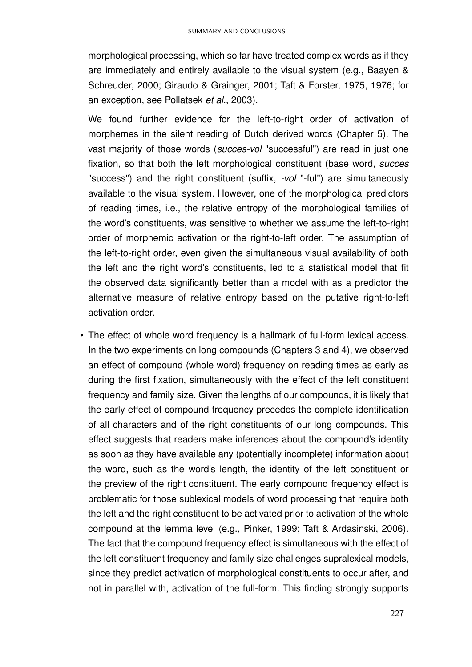morphological processing, which so far have treated complex words as if they are immediately and entirely available to the visual system (e.g., Baayen & Schreuder, 2000; Giraudo & Grainger, 2001; Taft & Forster, 1975, 1976; for an exception, see Pollatsek *et al.*, 2003).

We found further evidence for the left-to-right order of activation of morphemes in the silent reading of Dutch derived words (Chapter 5). The vast majority of those words (*succes-vol* "successful") are read in just one fixation, so that both the left morphological constituent (base word, *succes* "success") and the right constituent (suffix, *-vol* "-ful") are simultaneously available to the visual system. However, one of the morphological predictors of reading times, i.e., the relative entropy of the morphological families of the word's constituents, was sensitive to whether we assume the left-to-right order of morphemic activation or the right-to-left order. The assumption of the left-to-right order, even given the simultaneous visual availability of both the left and the right word's constituents, led to a statistical model that fit the observed data significantly better than a model with as a predictor the alternative measure of relative entropy based on the putative right-to-left activation order.

• The effect of whole word frequency is a hallmark of full-form lexical access. In the two experiments on long compounds (Chapters 3 and 4), we observed an effect of compound (whole word) frequency on reading times as early as during the first fixation, simultaneously with the effect of the left constituent frequency and family size. Given the lengths of our compounds, it is likely that the early effect of compound frequency precedes the complete identification of all characters and of the right constituents of our long compounds. This effect suggests that readers make inferences about the compound's identity as soon as they have available any (potentially incomplete) information about the word, such as the word's length, the identity of the left constituent or the preview of the right constituent. The early compound frequency effect is problematic for those sublexical models of word processing that require both the left and the right constituent to be activated prior to activation of the whole compound at the lemma level (e.g., Pinker, 1999; Taft & Ardasinski, 2006). The fact that the compound frequency effect is simultaneous with the effect of the left constituent frequency and family size challenges supralexical models, since they predict activation of morphological constituents to occur after, and not in parallel with, activation of the full-form. This finding strongly supports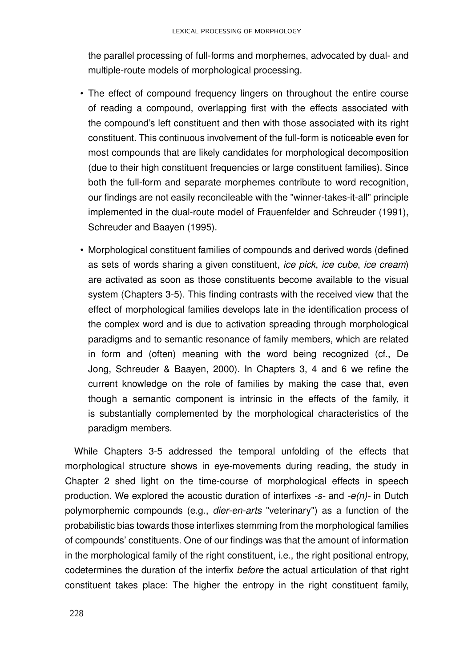the parallel processing of full-forms and morphemes, advocated by dual- and multiple-route models of morphological processing.

- The effect of compound frequency lingers on throughout the entire course of reading a compound, overlapping first with the effects associated with the compound's left constituent and then with those associated with its right constituent. This continuous involvement of the full-form is noticeable even for most compounds that are likely candidates for morphological decomposition (due to their high constituent frequencies or large constituent families). Since both the full-form and separate morphemes contribute to word recognition, our findings are not easily reconcileable with the "winner-takes-it-all" principle implemented in the dual-route model of Frauenfelder and Schreuder (1991), Schreuder and Baayen (1995).
- Morphological constituent families of compounds and derived words (defined as sets of words sharing a given constituent, *ice pick*, *ice cube*, *ice cream*) are activated as soon as those constituents become available to the visual system (Chapters 3-5). This finding contrasts with the received view that the effect of morphological families develops late in the identification process of the complex word and is due to activation spreading through morphological paradigms and to semantic resonance of family members, which are related in form and (often) meaning with the word being recognized (cf., De Jong, Schreuder & Baayen, 2000). In Chapters 3, 4 and 6 we refine the current knowledge on the role of families by making the case that, even though a semantic component is intrinsic in the effects of the family, it is substantially complemented by the morphological characteristics of the paradigm members.

While Chapters 3-5 addressed the temporal unfolding of the effects that morphological structure shows in eye-movements during reading, the study in Chapter 2 shed light on the time-course of morphological effects in speech production. We explored the acoustic duration of interfixes *-s-* and *-e(n)-* in Dutch polymorphemic compounds (e.g., *dier-en-arts* "veterinary") as a function of the probabilistic bias towards those interfixes stemming from the morphological families of compounds' constituents. One of our findings was that the amount of information in the morphological family of the right constituent, i.e., the right positional entropy, codetermines the duration of the interfix *before* the actual articulation of that right constituent takes place: The higher the entropy in the right constituent family,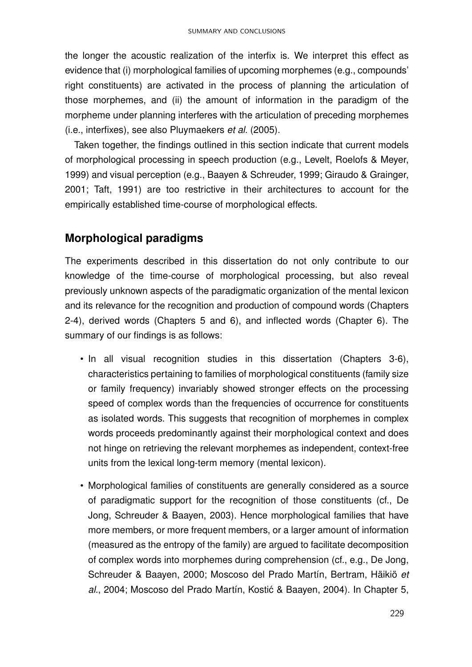the longer the acoustic realization of the interfix is. We interpret this effect as evidence that (i) morphological families of upcoming morphemes (e.g., compounds' right constituents) are activated in the process of planning the articulation of those morphemes, and (ii) the amount of information in the paradigm of the morpheme under planning interferes with the articulation of preceding morphemes (i.e., interfixes), see also Pluymaekers *et al.* (2005).

Taken together, the findings outlined in this section indicate that current models of morphological processing in speech production (e.g., Levelt, Roelofs & Meyer, 1999) and visual perception (e.g., Baayen & Schreuder, 1999; Giraudo & Grainger, 2001; Taft, 1991) are too restrictive in their architectures to account for the empirically established time-course of morphological effects.

### **Morphological paradigms**

The experiments described in this dissertation do not only contribute to our knowledge of the time-course of morphological processing, but also reveal previously unknown aspects of the paradigmatic organization of the mental lexicon and its relevance for the recognition and production of compound words (Chapters 2-4), derived words (Chapters 5 and 6), and inflected words (Chapter 6). The summary of our findings is as follows:

- In all visual recognition studies in this dissertation (Chapters 3-6), characteristics pertaining to families of morphological constituents (family size or family frequency) invariably showed stronger effects on the processing speed of complex words than the frequencies of occurrence for constituents as isolated words. This suggests that recognition of morphemes in complex words proceeds predominantly against their morphological context and does not hinge on retrieving the relevant morphemes as independent, context-free units from the lexical long-term memory (mental lexicon).
- Morphological families of constituents are generally considered as a source of paradigmatic support for the recognition of those constituents (cf., De Jong, Schreuder & Baayen, 2003). Hence morphological families that have more members, or more frequent members, or a larger amount of information (measured as the entropy of the family) are argued to facilitate decomposition of complex words into morphemes during comprehension (cf., e.g., De Jong, Schreuder & Baayen, 2000; Moscoso del Prado Martín, Bertram, Häikiö *et al.*, 2004; Moscoso del Prado Martín, Kostic & Baayen, 2004). In Chapter 5, ´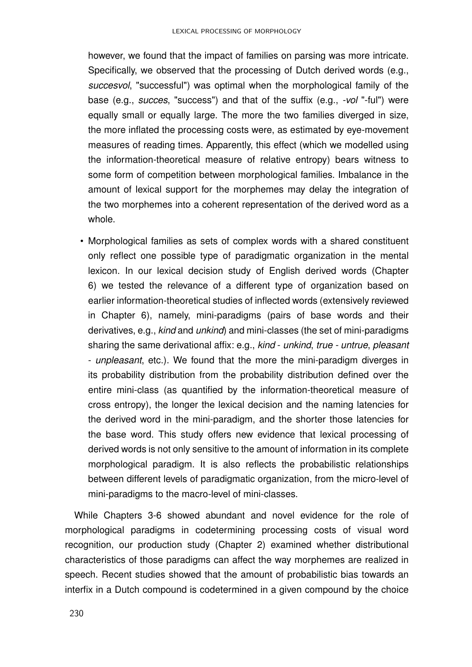however, we found that the impact of families on parsing was more intricate. Specifically, we observed that the processing of Dutch derived words (e.g., *succesvol*, "successful") was optimal when the morphological family of the base (e.g., *succes*, "success") and that of the suffix (e.g., *-vol* "-ful") were equally small or equally large. The more the two families diverged in size, the more inflated the processing costs were, as estimated by eye-movement measures of reading times. Apparently, this effect (which we modelled using the information-theoretical measure of relative entropy) bears witness to some form of competition between morphological families. Imbalance in the amount of lexical support for the morphemes may delay the integration of the two morphemes into a coherent representation of the derived word as a whole.

• Morphological families as sets of complex words with a shared constituent only reflect one possible type of paradigmatic organization in the mental lexicon. In our lexical decision study of English derived words (Chapter 6) we tested the relevance of a different type of organization based on earlier information-theoretical studies of inflected words (extensively reviewed in Chapter 6), namely, mini-paradigms (pairs of base words and their derivatives, e.g., *kind* and *unkind*) and mini-classes (the set of mini-paradigms sharing the same derivational affix: e.g., *kind* - *unkind*, *true - untrue*, *pleasant* - *unpleasant*, etc.). We found that the more the mini-paradigm diverges in its probability distribution from the probability distribution defined over the entire mini-class (as quantified by the information-theoretical measure of cross entropy), the longer the lexical decision and the naming latencies for the derived word in the mini-paradigm, and the shorter those latencies for the base word. This study offers new evidence that lexical processing of derived words is not only sensitive to the amount of information in its complete morphological paradigm. It is also reflects the probabilistic relationships between different levels of paradigmatic organization, from the micro-level of mini-paradigms to the macro-level of mini-classes.

While Chapters 3-6 showed abundant and novel evidence for the role of morphological paradigms in codetermining processing costs of visual word recognition, our production study (Chapter 2) examined whether distributional characteristics of those paradigms can affect the way morphemes are realized in speech. Recent studies showed that the amount of probabilistic bias towards an interfix in a Dutch compound is codetermined in a given compound by the choice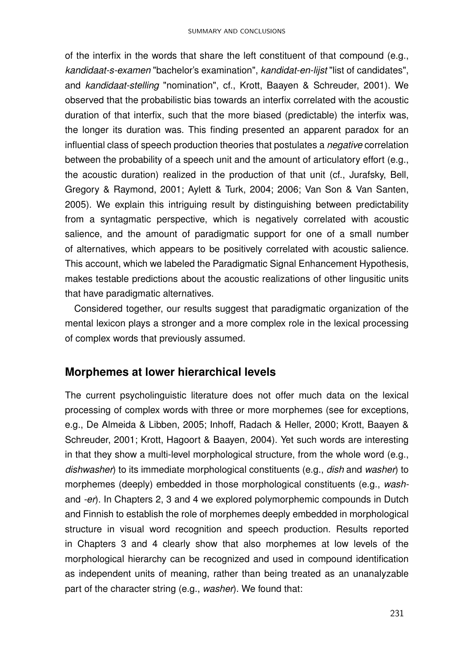of the interfix in the words that share the left constituent of that compound (e.g., *kandidaat-s-examen* "bachelor's examination", *kandidat-en-lijst* "list of candidates", and *kandidaat-stelling* "nomination", cf., Krott, Baayen & Schreuder, 2001). We observed that the probabilistic bias towards an interfix correlated with the acoustic duration of that interfix, such that the more biased (predictable) the interfix was, the longer its duration was. This finding presented an apparent paradox for an influential class of speech production theories that postulates a *negative* correlation between the probability of a speech unit and the amount of articulatory effort (e.g., the acoustic duration) realized in the production of that unit (cf., Jurafsky, Bell, Gregory & Raymond, 2001; Aylett & Turk, 2004; 2006; Van Son & Van Santen, 2005). We explain this intriguing result by distinguishing between predictability from a syntagmatic perspective, which is negatively correlated with acoustic salience, and the amount of paradigmatic support for one of a small number of alternatives, which appears to be positively correlated with acoustic salience. This account, which we labeled the Paradigmatic Signal Enhancement Hypothesis, makes testable predictions about the acoustic realizations of other lingusitic units that have paradigmatic alternatives.

Considered together, our results suggest that paradigmatic organization of the mental lexicon plays a stronger and a more complex role in the lexical processing of complex words that previously assumed.

#### **Morphemes at lower hierarchical levels**

The current psycholinguistic literature does not offer much data on the lexical processing of complex words with three or more morphemes (see for exceptions, e.g., De Almeida & Libben, 2005; Inhoff, Radach & Heller, 2000; Krott, Baayen & Schreuder, 2001; Krott, Hagoort & Baayen, 2004). Yet such words are interesting in that they show a multi-level morphological structure, from the whole word (e.g., *dishwasher*) to its immediate morphological constituents (e.g., *dish* and *washer*) to morphemes (deeply) embedded in those morphological constituents (e.g., *wash*and *-er*). In Chapters 2, 3 and 4 we explored polymorphemic compounds in Dutch and Finnish to establish the role of morphemes deeply embedded in morphological structure in visual word recognition and speech production. Results reported in Chapters 3 and 4 clearly show that also morphemes at low levels of the morphological hierarchy can be recognized and used in compound identification as independent units of meaning, rather than being treated as an unanalyzable part of the character string (e.g., *washer*). We found that: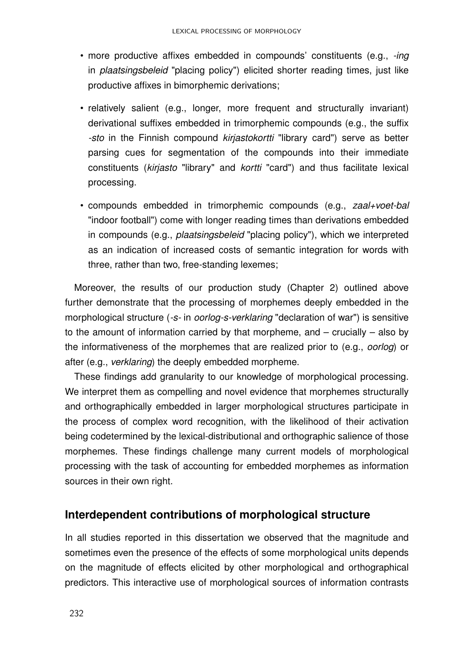- more productive affixes embedded in compounds' constituents (e.g., *-ing* in *plaatsingsbeleid* "placing policy") elicited shorter reading times, just like productive affixes in bimorphemic derivations;
- relatively salient (e.g., longer, more frequent and structurally invariant) derivational suffixes embedded in trimorphemic compounds (e.g., the suffix *-sto* in the Finnish compound *kirjastokortti* "library card") serve as better parsing cues for segmentation of the compounds into their immediate constituents (*kirjasto* "library" and *kortti* "card") and thus facilitate lexical processing.
- compounds embedded in trimorphemic compounds (e.g., *zaal+voet-bal* "indoor football") come with longer reading times than derivations embedded in compounds (e.g., *plaatsingsbeleid* "placing policy"), which we interpreted as an indication of increased costs of semantic integration for words with three, rather than two, free-standing lexemes;

Moreover, the results of our production study (Chapter 2) outlined above further demonstrate that the processing of morphemes deeply embedded in the morphological structure (*-s-* in *oorlog-s-verklaring* "declaration of war") is sensitive to the amount of information carried by that morpheme, and – crucially – also by the informativeness of the morphemes that are realized prior to (e.g., *oorlog*) or after (e.g., *verklaring*) the deeply embedded morpheme.

These findings add granularity to our knowledge of morphological processing. We interpret them as compelling and novel evidence that morphemes structurally and orthographically embedded in larger morphological structures participate in the process of complex word recognition, with the likelihood of their activation being codetermined by the lexical-distributional and orthographic salience of those morphemes. These findings challenge many current models of morphological processing with the task of accounting for embedded morphemes as information sources in their own right.

#### **Interdependent contributions of morphological structure**

In all studies reported in this dissertation we observed that the magnitude and sometimes even the presence of the effects of some morphological units depends on the magnitude of effects elicited by other morphological and orthographical predictors. This interactive use of morphological sources of information contrasts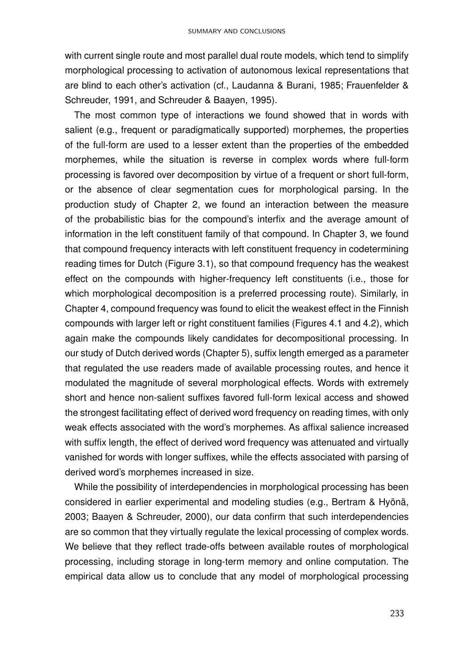with current single route and most parallel dual route models, which tend to simplify morphological processing to activation of autonomous lexical representations that are blind to each other's activation (cf., Laudanna & Burani, 1985; Frauenfelder & Schreuder, 1991, and Schreuder & Baayen, 1995).

The most common type of interactions we found showed that in words with salient (e.g., frequent or paradigmatically supported) morphemes, the properties of the full-form are used to a lesser extent than the properties of the embedded morphemes, while the situation is reverse in complex words where full-form processing is favored over decomposition by virtue of a frequent or short full-form, or the absence of clear segmentation cues for morphological parsing. In the production study of Chapter 2, we found an interaction between the measure of the probabilistic bias for the compound's interfix and the average amount of information in the left constituent family of that compound. In Chapter 3, we found that compound frequency interacts with left constituent frequency in codetermining reading times for Dutch (Figure 3.1), so that compound frequency has the weakest effect on the compounds with higher-frequency left constituents (i.e., those for which morphological decomposition is a preferred processing route). Similarly, in Chapter 4, compound frequency was found to elicit the weakest effect in the Finnish compounds with larger left or right constituent families (Figures 4.1 and 4.2), which again make the compounds likely candidates for decompositional processing. In our study of Dutch derived words (Chapter 5), suffix length emerged as a parameter that regulated the use readers made of available processing routes, and hence it modulated the magnitude of several morphological effects. Words with extremely short and hence non-salient suffixes favored full-form lexical access and showed the strongest facilitating effect of derived word frequency on reading times, with only weak effects associated with the word's morphemes. As affixal salience increased with suffix length, the effect of derived word frequency was attenuated and virtually vanished for words with longer suffixes, while the effects associated with parsing of derived word's morphemes increased in size.

While the possibility of interdependencies in morphological processing has been considered in earlier experimental and modeling studies (e.g., Bertram & Hyönä, 2003; Baayen & Schreuder, 2000), our data confirm that such interdependencies are so common that they virtually regulate the lexical processing of complex words. We believe that they reflect trade-offs between available routes of morphological processing, including storage in long-term memory and online computation. The empirical data allow us to conclude that any model of morphological processing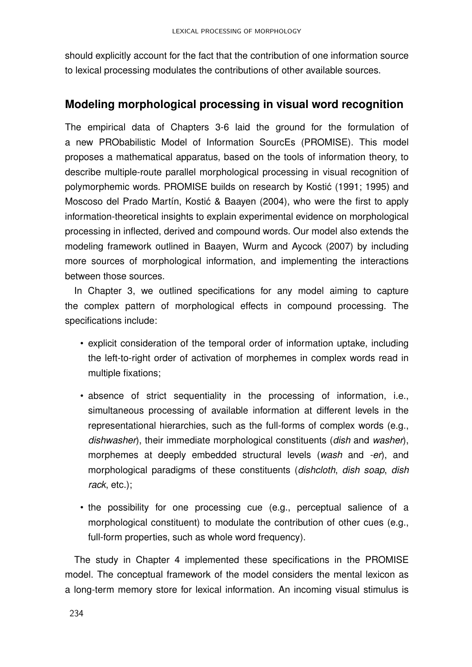should explicitly account for the fact that the contribution of one information source to lexical processing modulates the contributions of other available sources.

## **Modeling morphological processing in visual word recognition**

The empirical data of Chapters 3-6 laid the ground for the formulation of a new PRObabilistic Model of Information SourcEs (PROMISE). This model proposes a mathematical apparatus, based on the tools of information theory, to describe multiple-route parallel morphological processing in visual recognition of polymorphemic words. PROMISE builds on research by Kostic (1991; 1995) and ´ Moscoso del Prado Martín, Kostić & Baayen (2004), who were the first to apply information-theoretical insights to explain experimental evidence on morphological processing in inflected, derived and compound words. Our model also extends the modeling framework outlined in Baayen, Wurm and Aycock (2007) by including more sources of morphological information, and implementing the interactions between those sources.

In Chapter 3, we outlined specifications for any model aiming to capture the complex pattern of morphological effects in compound processing. The specifications include:

- explicit consideration of the temporal order of information uptake, including the left-to-right order of activation of morphemes in complex words read in multiple fixations;
- absence of strict sequentiality in the processing of information, i.e., simultaneous processing of available information at different levels in the representational hierarchies, such as the full-forms of complex words (e.g., *dishwasher*), their immediate morphological constituents (*dish* and *washer*), morphemes at deeply embedded structural levels (*wash* and *-er*), and morphological paradigms of these constituents (*dishcloth*, *dish soap*, *dish rack*, etc.);
- the possibility for one processing cue (e.g., perceptual salience of a morphological constituent) to modulate the contribution of other cues (e.g., full-form properties, such as whole word frequency).

The study in Chapter 4 implemented these specifications in the PROMISE model. The conceptual framework of the model considers the mental lexicon as a long-term memory store for lexical information. An incoming visual stimulus is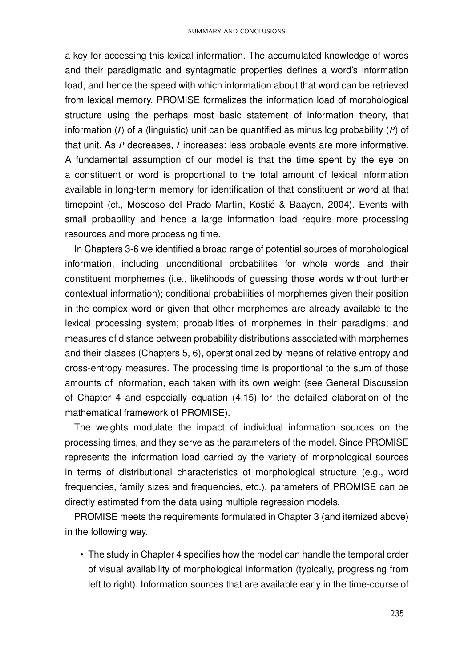a key for accessing this lexical information. The accumulated knowledge of words and their paradigmatic and syntagmatic properties defines a word's information load, and hence the speed with which information about that word can be retrieved from lexical memory. PROMISE formalizes the information load of morphological structure using the perhaps most basic statement of information theory, that information (*I*) of a (linguistic) unit can be quantified as minus log probability (*P*) of that unit. As *P* decreases, *I* increases: less probable events are more informative. A fundamental assumption of our model is that the time spent by the eye on a constituent or word is proportional to the total amount of lexical information available in long-term memory for identification of that constituent or word at that timepoint (cf., Moscoso del Prado Martín, Kostic & Baayen, 2004). Events with ´ small probability and hence a large information load require more processing resources and more processing time.

In Chapters 3-6 we identified a broad range of potential sources of morphological information, including unconditional probabilites for whole words and their constituent morphemes (i.e., likelihoods of guessing those words without further contextual information); conditional probabilities of morphemes given their position in the complex word or given that other morphemes are already available to the lexical processing system; probabilities of morphemes in their paradigms; and measures of distance between probability distributions associated with morphemes and their classes (Chapters 5, 6), operationalized by means of relative entropy and cross-entropy measures. The processing time is proportional to the sum of those amounts of information, each taken with its own weight (see General Discussion of Chapter 4 and especially equation (4.15) for the detailed elaboration of the mathematical framework of PROMISE).

The weights modulate the impact of individual information sources on the processing times, and they serve as the parameters of the model. Since PROMISE represents the information load carried by the variety of morphological sources in terms of distributional characteristics of morphological structure (e.g., word frequencies, family sizes and frequencies, etc.), parameters of PROMISE can be directly estimated from the data using multiple regression models.

PROMISE meets the requirements formulated in Chapter 3 (and itemized above) in the following way.

• The study in Chapter 4 specifies how the model can handle the temporal order of visual availability of morphological information (typically, progressing from left to right). Information sources that are available early in the time-course of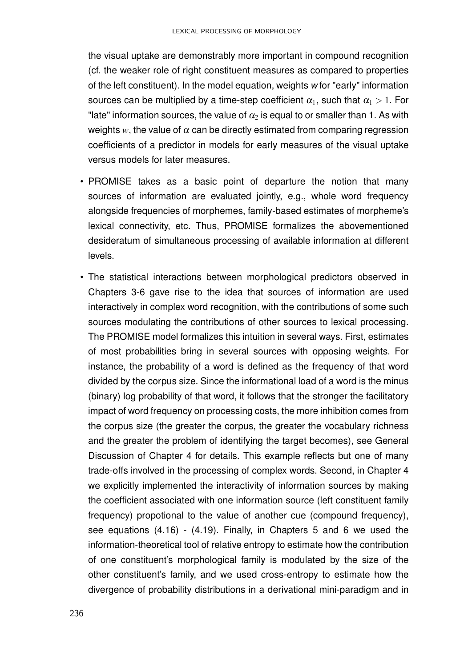the visual uptake are demonstrably more important in compound recognition (cf. the weaker role of right constituent measures as compared to properties of the left constituent). In the model equation, weights *w* for "early" information sources can be multiplied by a time-step coefficient  $\alpha_1$ , such that  $\alpha_1 > 1$ . For "late" information sources, the value of  $\alpha_2$  is equal to or smaller than 1. As with weights  $w$ , the value of  $\alpha$  can be directly estimated from comparing regression coefficients of a predictor in models for early measures of the visual uptake versus models for later measures.

- PROMISE takes as a basic point of departure the notion that many sources of information are evaluated jointly, e.g., whole word frequency alongside frequencies of morphemes, family-based estimates of morpheme's lexical connectivity, etc. Thus, PROMISE formalizes the abovementioned desideratum of simultaneous processing of available information at different levels.
- The statistical interactions between morphological predictors observed in Chapters 3-6 gave rise to the idea that sources of information are used interactively in complex word recognition, with the contributions of some such sources modulating the contributions of other sources to lexical processing. The PROMISE model formalizes this intuition in several ways. First, estimates of most probabilities bring in several sources with opposing weights. For instance, the probability of a word is defined as the frequency of that word divided by the corpus size. Since the informational load of a word is the minus (binary) log probability of that word, it follows that the stronger the facilitatory impact of word frequency on processing costs, the more inhibition comes from the corpus size (the greater the corpus, the greater the vocabulary richness and the greater the problem of identifying the target becomes), see General Discussion of Chapter 4 for details. This example reflects but one of many trade-offs involved in the processing of complex words. Second, in Chapter 4 we explicitly implemented the interactivity of information sources by making the coefficient associated with one information source (left constituent family frequency) propotional to the value of another cue (compound frequency), see equations (4.16) - (4.19). Finally, in Chapters 5 and 6 we used the information-theoretical tool of relative entropy to estimate how the contribution of one constituent's morphological family is modulated by the size of the other constituent's family, and we used cross-entropy to estimate how the divergence of probability distributions in a derivational mini-paradigm and in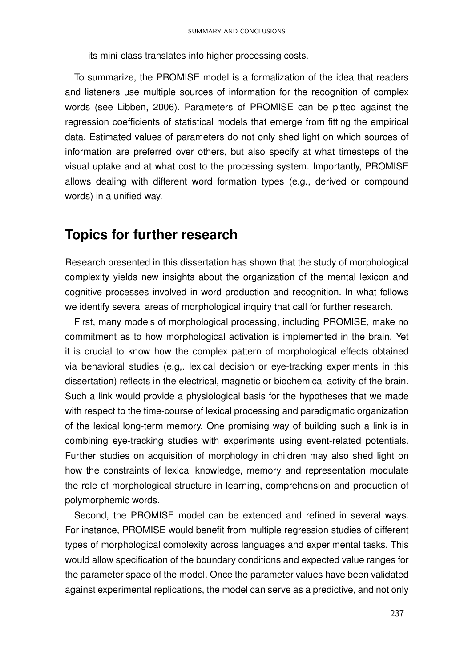its mini-class translates into higher processing costs.

To summarize, the PROMISE model is a formalization of the idea that readers and listeners use multiple sources of information for the recognition of complex words (see Libben, 2006). Parameters of PROMISE can be pitted against the regression coefficients of statistical models that emerge from fitting the empirical data. Estimated values of parameters do not only shed light on which sources of information are preferred over others, but also specify at what timesteps of the visual uptake and at what cost to the processing system. Importantly, PROMISE allows dealing with different word formation types (e.g., derived or compound words) in a unified way.

## **Topics for further research**

Research presented in this dissertation has shown that the study of morphological complexity yields new insights about the organization of the mental lexicon and cognitive processes involved in word production and recognition. In what follows we identify several areas of morphological inquiry that call for further research.

First, many models of morphological processing, including PROMISE, make no commitment as to how morphological activation is implemented in the brain. Yet it is crucial to know how the complex pattern of morphological effects obtained via behavioral studies (e.g,. lexical decision or eye-tracking experiments in this dissertation) reflects in the electrical, magnetic or biochemical activity of the brain. Such a link would provide a physiological basis for the hypotheses that we made with respect to the time-course of lexical processing and paradigmatic organization of the lexical long-term memory. One promising way of building such a link is in combining eye-tracking studies with experiments using event-related potentials. Further studies on acquisition of morphology in children may also shed light on how the constraints of lexical knowledge, memory and representation modulate the role of morphological structure in learning, comprehension and production of polymorphemic words.

Second, the PROMISE model can be extended and refined in several ways. For instance, PROMISE would benefit from multiple regression studies of different types of morphological complexity across languages and experimental tasks. This would allow specification of the boundary conditions and expected value ranges for the parameter space of the model. Once the parameter values have been validated against experimental replications, the model can serve as a predictive, and not only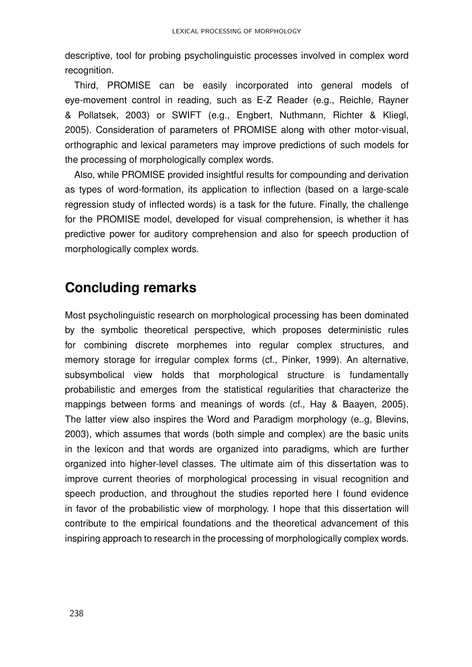descriptive, tool for probing psycholinguistic processes involved in complex word recognition.

Third, PROMISE can be easily incorporated into general models of eye-movement control in reading, such as E-Z Reader (e.g., Reichle, Rayner & Pollatsek, 2003) or SWIFT (e.g., Engbert, Nuthmann, Richter & Kliegl, 2005). Consideration of parameters of PROMISE along with other motor-visual, orthographic and lexical parameters may improve predictions of such models for the processing of morphologically complex words.

Also, while PROMISE provided insightful results for compounding and derivation as types of word-formation, its application to inflection (based on a large-scale regression study of inflected words) is a task for the future. Finally, the challenge for the PROMISE model, developed for visual comprehension, is whether it has predictive power for auditory comprehension and also for speech production of morphologically complex words.

# **Concluding remarks**

Most psycholinguistic research on morphological processing has been dominated by the symbolic theoretical perspective, which proposes deterministic rules for combining discrete morphemes into regular complex structures, and memory storage for irregular complex forms (cf., Pinker, 1999). An alternative, subsymbolical view holds that morphological structure is fundamentally probabilistic and emerges from the statistical regularities that characterize the mappings between forms and meanings of words (cf., Hay & Baayen, 2005). The latter view also inspires the Word and Paradigm morphology (e..g, Blevins, 2003), which assumes that words (both simple and complex) are the basic units in the lexicon and that words are organized into paradigms, which are further organized into higher-level classes. The ultimate aim of this dissertation was to improve current theories of morphological processing in visual recognition and speech production, and throughout the studies reported here I found evidence in favor of the probabilistic view of morphology. I hope that this dissertation will contribute to the empirical foundations and the theoretical advancement of this inspiring approach to research in the processing of morphologically complex words.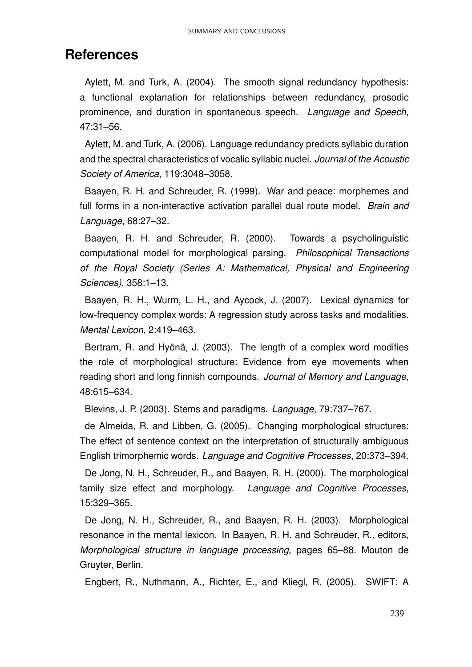# **References**

Aylett, M. and Turk, A. (2004). The smooth signal redundancy hypothesis: a functional explanation for relationships between redundancy, prosodic prominence, and duration in spontaneous speech. *Language and Speech*, 47:31–56.

Aylett, M. and Turk, A. (2006). Language redundancy predicts syllabic duration and the spectral characteristics of vocalic syllabic nuclei. *Journal of the Acoustic Society of America*, 119:3048–3058.

Baayen, R. H. and Schreuder, R. (1999). War and peace: morphemes and full forms in a non-interactive activation parallel dual route model. *Brain and Language*, 68:27–32.

Baayen, R. H. and Schreuder, R. (2000). Towards a psycholinguistic computational model for morphological parsing. *Philosophical Transactions of the Royal Society (Series A: Mathematical, Physical and Engineering Sciences)*, 358:1–13.

Baayen, R. H., Wurm, L. H., and Aycock, J. (2007). Lexical dynamics for low-frequency complex words: A regression study across tasks and modalities. *Mental Lexicon*, 2:419–463.

Bertram, R. and Hyönä, J. (2003). The length of a complex word modifies the role of morphological structure: Evidence from eye movements when reading short and long finnish compounds. *Journal of Memory and Language*, 48:615–634.

Blevins, J. P. (2003). Stems and paradigms. *Language*, 79:737–767.

de Almeida, R. and Libben, G. (2005). Changing morphological structures: The effect of sentence context on the interpretation of structurally ambiguous English trimorphemic words. *Language and Cognitive Processes*, 20:373–394.

De Jong, N. H., Schreuder, R., and Baayen, R. H. (2000). The morphological family size effect and morphology. *Language and Cognitive Processes*, 15:329–365.

De Jong, N. H., Schreuder, R., and Baayen, R. H. (2003). Morphological resonance in the mental lexicon. In Baayen, R. H. and Schreuder, R., editors, *Morphological structure in language processing*, pages 65–88. Mouton de Gruyter, Berlin.

Engbert, R., Nuthmann, A., Richter, E., and Kliegl, R. (2005). SWIFT: A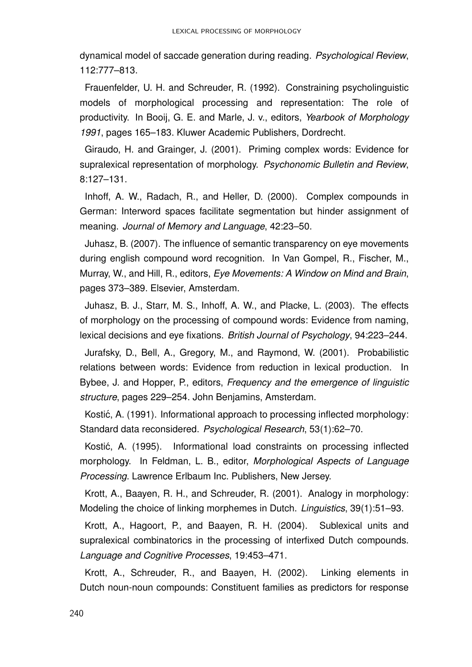dynamical model of saccade generation during reading. *Psychological Review*, 112:777–813.

Frauenfelder, U. H. and Schreuder, R. (1992). Constraining psycholinguistic models of morphological processing and representation: The role of productivity. In Booij, G. E. and Marle, J. v., editors, *Yearbook of Morphology 1991*, pages 165–183. Kluwer Academic Publishers, Dordrecht.

Giraudo, H. and Grainger, J. (2001). Priming complex words: Evidence for supralexical representation of morphology. *Psychonomic Bulletin and Review*, 8:127–131.

Inhoff, A. W., Radach, R., and Heller, D. (2000). Complex compounds in German: Interword spaces facilitate segmentation but hinder assignment of meaning. *Journal of Memory and Language*, 42:23–50.

Juhasz, B. (2007). The influence of semantic transparency on eye movements during english compound word recognition. In Van Gompel, R., Fischer, M., Murray, W., and Hill, R., editors, *Eye Movements: A Window on Mind and Brain*, pages 373–389. Elsevier, Amsterdam.

Juhasz, B. J., Starr, M. S., Inhoff, A. W., and Placke, L. (2003). The effects of morphology on the processing of compound words: Evidence from naming, lexical decisions and eye fixations. *British Journal of Psychology*, 94:223–244.

Jurafsky, D., Bell, A., Gregory, M., and Raymond, W. (2001). Probabilistic relations between words: Evidence from reduction in lexical production. In Bybee, J. and Hopper, P., editors, *Frequency and the emergence of linguistic structure*, pages 229–254. John Benjamins, Amsterdam.

Kostić, A. (1991). Informational approach to processing inflected morphology: Standard data reconsidered. *Psychological Research*, 53(1):62–70.

Kostić, A. (1995). Informational load constraints on processing inflected morphology. In Feldman, L. B., editor, *Morphological Aspects of Language Processing*. Lawrence Erlbaum Inc. Publishers, New Jersey.

Krott, A., Baayen, R. H., and Schreuder, R. (2001). Analogy in morphology: Modeling the choice of linking morphemes in Dutch. *Linguistics*, 39(1):51–93.

Krott, A., Hagoort, P., and Baayen, R. H. (2004). Sublexical units and supralexical combinatorics in the processing of interfixed Dutch compounds. *Language and Cognitive Processes*, 19:453–471.

Krott, A., Schreuder, R., and Baayen, H. (2002). Linking elements in Dutch noun-noun compounds: Constituent families as predictors for response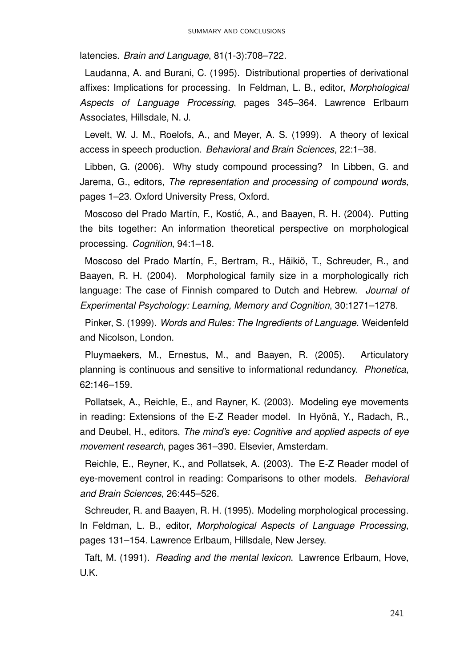latencies. *Brain and Language*, 81(1-3):708–722.

Laudanna, A. and Burani, C. (1995). Distributional properties of derivational affixes: Implications for processing. In Feldman, L. B., editor, *Morphological Aspects of Language Processing*, pages 345–364. Lawrence Erlbaum Associates, Hillsdale, N. J.

Levelt, W. J. M., Roelofs, A., and Meyer, A. S. (1999). A theory of lexical access in speech production. *Behavioral and Brain Sciences*, 22:1–38.

Libben, G. (2006). Why study compound processing? In Libben, G. and Jarema, G., editors, *The representation and processing of compound words*, pages 1–23. Oxford University Press, Oxford.

Moscoso del Prado Martín, F., Kostić, A., and Baayen, R. H. (2004). Putting the bits together: An information theoretical perspective on morphological processing. *Cognition*, 94:1–18.

Moscoso del Prado Martín, F., Bertram, R., Häikiö, T., Schreuder, R., and Baayen, R. H. (2004). Morphological family size in a morphologically rich language: The case of Finnish compared to Dutch and Hebrew. *Journal of Experimental Psychology: Learning, Memory and Cognition*, 30:1271–1278.

Pinker, S. (1999). *Words and Rules: The Ingredients of Language*. Weidenfeld and Nicolson, London.

Pluymaekers, M., Ernestus, M., and Baayen, R. (2005). Articulatory planning is continuous and sensitive to informational redundancy. *Phonetica*, 62:146–159.

Pollatsek, A., Reichle, E., and Rayner, K. (2003). Modeling eye movements in reading: Extensions of the E-Z Reader model. In Hyönä, Y., Radach, R., and Deubel, H., editors, *The mind's eye: Cognitive and applied aspects of eye movement research*, pages 361–390. Elsevier, Amsterdam.

Reichle, E., Reyner, K., and Pollatsek, A. (2003). The E-Z Reader model of eye-movement control in reading: Comparisons to other models. *Behavioral and Brain Sciences*, 26:445–526.

Schreuder, R. and Baayen, R. H. (1995). Modeling morphological processing. In Feldman, L. B., editor, *Morphological Aspects of Language Processing*, pages 131–154. Lawrence Erlbaum, Hillsdale, New Jersey.

Taft, M. (1991). *Reading and the mental lexicon*. Lawrence Erlbaum, Hove, U.K.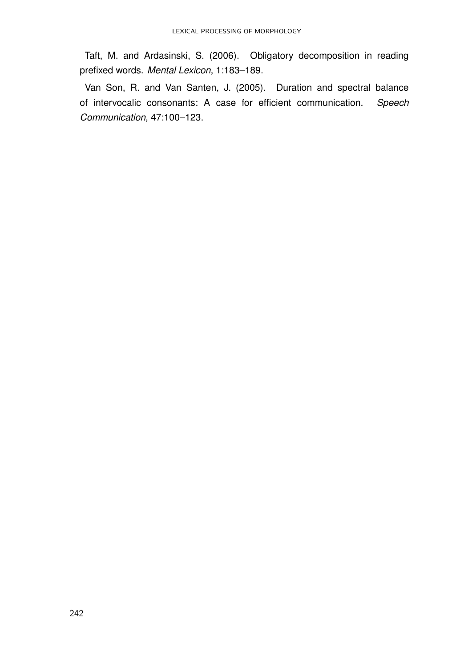Taft, M. and Ardasinski, S. (2006). Obligatory decomposition in reading prefixed words. *Mental Lexicon*, 1:183–189.

Van Son, R. and Van Santen, J. (2005). Duration and spectral balance of intervocalic consonants: A case for efficient communication. *Speech Communication*, 47:100–123.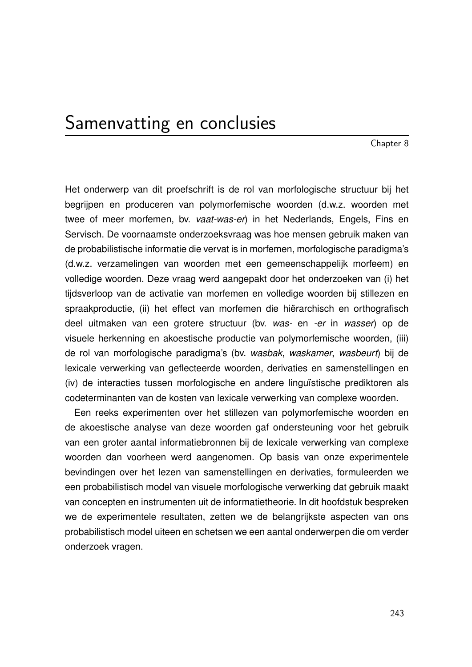# Samenvatting en conclusies

Chapter 8

Het onderwerp van dit proefschrift is de rol van morfologische structuur bij het begrijpen en produceren van polymorfemische woorden (d.w.z. woorden met twee of meer morfemen, bv. *vaat-was-er*) in het Nederlands, Engels, Fins en Servisch. De voornaamste onderzoeksvraag was hoe mensen gebruik maken van de probabilistische informatie die vervat is in morfemen, morfologische paradigma's (d.w.z. verzamelingen van woorden met een gemeenschappelijk morfeem) en volledige woorden. Deze vraag werd aangepakt door het onderzoeken van (i) het tijdsverloop van de activatie van morfemen en volledige woorden bij stillezen en spraakproductie, (ii) het effect van morfemen die hiërarchisch en orthografisch deel uitmaken van een grotere structuur (bv. *was-* en *-er* in *wasser*) op de visuele herkenning en akoestische productie van polymorfemische woorden, (iii) de rol van morfologische paradigma's (bv. *wasbak*, *waskamer*, *wasbeurt*) bij de lexicale verwerking van geflecteerde woorden, derivaties en samenstellingen en (iv) de interacties tussen morfologische en andere linguïstische prediktoren als codeterminanten van de kosten van lexicale verwerking van complexe woorden.

Een reeks experimenten over het stillezen van polymorfemische woorden en de akoestische analyse van deze woorden gaf ondersteuning voor het gebruik van een groter aantal informatiebronnen bij de lexicale verwerking van complexe woorden dan voorheen werd aangenomen. Op basis van onze experimentele bevindingen over het lezen van samenstellingen en derivaties, formuleerden we een probabilistisch model van visuele morfologische verwerking dat gebruik maakt van concepten en instrumenten uit de informatietheorie. In dit hoofdstuk bespreken we de experimentele resultaten, zetten we de belangrijkste aspecten van ons probabilistisch model uiteen en schetsen we een aantal onderwerpen die om verder onderzoek vragen.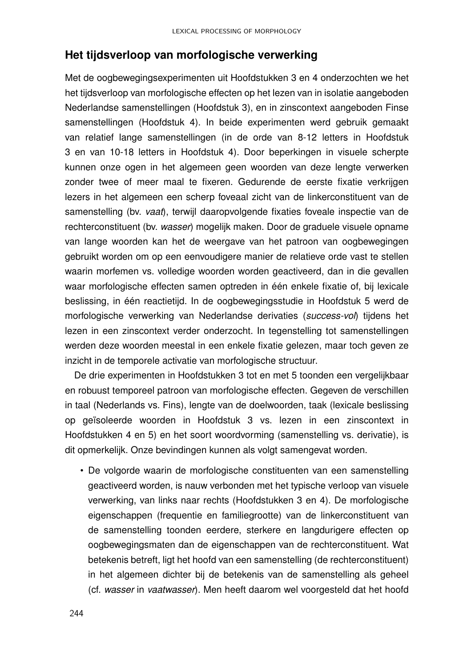## **Het tijdsverloop van morfologische verwerking**

Met de oogbewegingsexperimenten uit Hoofdstukken 3 en 4 onderzochten we het het tijdsverloop van morfologische effecten op het lezen van in isolatie aangeboden Nederlandse samenstellingen (Hoofdstuk 3), en in zinscontext aangeboden Finse samenstellingen (Hoofdstuk 4). In beide experimenten werd gebruik gemaakt van relatief lange samenstellingen (in de orde van 8-12 letters in Hoofdstuk 3 en van 10-18 letters in Hoofdstuk 4). Door beperkingen in visuele scherpte kunnen onze ogen in het algemeen geen woorden van deze lengte verwerken zonder twee of meer maal te fixeren. Gedurende de eerste fixatie verkrijgen lezers in het algemeen een scherp foveaal zicht van de linkerconstituent van de samenstelling (bv. *vaat*), terwijl daaropvolgende fixaties foveale inspectie van de rechterconstituent (bv. *wasser*) mogelijk maken. Door de graduele visuele opname van lange woorden kan het de weergave van het patroon van oogbewegingen gebruikt worden om op een eenvoudigere manier de relatieve orde vast te stellen waarin morfemen vs. volledige woorden worden geactiveerd, dan in die gevallen waar morfologische effecten samen optreden in één enkele fixatie of, bij lexicale beslissing, in één reactietijd. In de oogbewegingsstudie in Hoofdstuk 5 werd de morfologische verwerking van Nederlandse derivaties (*success-vol*) tijdens het lezen in een zinscontext verder onderzocht. In tegenstelling tot samenstellingen werden deze woorden meestal in een enkele fixatie gelezen, maar toch geven ze inzicht in de temporele activatie van morfologische structuur.

De drie experimenten in Hoofdstukken 3 tot en met 5 toonden een vergelijkbaar en robuust temporeel patroon van morfologische effecten. Gegeven de verschillen in taal (Nederlands vs. Fins), lengte van de doelwoorden, taak (lexicale beslissing op geïsoleerde woorden in Hoofdstuk 3 vs. lezen in een zinscontext in Hoofdstukken 4 en 5) en het soort woordvorming (samenstelling vs. derivatie), is dit opmerkelijk. Onze bevindingen kunnen als volgt samengevat worden.

• De volgorde waarin de morfologische constituenten van een samenstelling geactiveerd worden, is nauw verbonden met het typische verloop van visuele verwerking, van links naar rechts (Hoofdstukken 3 en 4). De morfologische eigenschappen (frequentie en familiegrootte) van de linkerconstituent van de samenstelling toonden eerdere, sterkere en langdurigere effecten op oogbewegingsmaten dan de eigenschappen van de rechterconstituent. Wat betekenis betreft, ligt het hoofd van een samenstelling (de rechterconstituent) in het algemeen dichter bij de betekenis van de samenstelling als geheel (cf. *wasser* in *vaatwasser*). Men heeft daarom wel voorgesteld dat het hoofd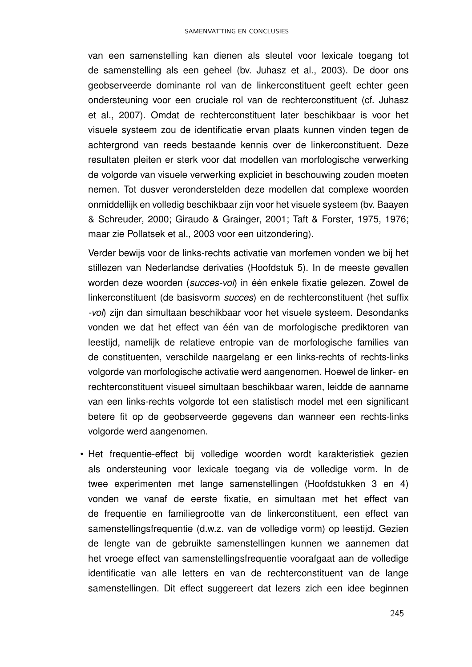van een samenstelling kan dienen als sleutel voor lexicale toegang tot de samenstelling als een geheel (bv. Juhasz et al., 2003). De door ons geobserveerde dominante rol van de linkerconstituent geeft echter geen ondersteuning voor een cruciale rol van de rechterconstituent (cf. Juhasz et al., 2007). Omdat de rechterconstituent later beschikbaar is voor het visuele systeem zou de identificatie ervan plaats kunnen vinden tegen de achtergrond van reeds bestaande kennis over de linkerconstituent. Deze resultaten pleiten er sterk voor dat modellen van morfologische verwerking de volgorde van visuele verwerking expliciet in beschouwing zouden moeten nemen. Tot dusver veronderstelden deze modellen dat complexe woorden onmiddellijk en volledig beschikbaar zijn voor het visuele systeem (bv. Baayen & Schreuder, 2000; Giraudo & Grainger, 2001; Taft & Forster, 1975, 1976; maar zie Pollatsek et al., 2003 voor een uitzondering).

Verder bewijs voor de links-rechts activatie van morfemen vonden we bij het stillezen van Nederlandse derivaties (Hoofdstuk 5). In de meeste gevallen worden deze woorden (*succes-vol*) in één enkele fixatie gelezen. Zowel de linkerconstituent (de basisvorm *succes*) en de rechterconstituent (het suffix *-vol*) zijn dan simultaan beschikbaar voor het visuele systeem. Desondanks vonden we dat het effect van één van de morfologische prediktoren van leestijd, namelijk de relatieve entropie van de morfologische families van de constituenten, verschilde naargelang er een links-rechts of rechts-links volgorde van morfologische activatie werd aangenomen. Hoewel de linker- en rechterconstituent visueel simultaan beschikbaar waren, leidde de aanname van een links-rechts volgorde tot een statistisch model met een significant betere fit op de geobserveerde gegevens dan wanneer een rechts-links volgorde werd aangenomen.

• Het frequentie-effect bij volledige woorden wordt karakteristiek gezien als ondersteuning voor lexicale toegang via de volledige vorm. In de twee experimenten met lange samenstellingen (Hoofdstukken 3 en 4) vonden we vanaf de eerste fixatie, en simultaan met het effect van de frequentie en familiegrootte van de linkerconstituent, een effect van samenstellingsfrequentie (d.w.z. van de volledige vorm) op leestijd. Gezien de lengte van de gebruikte samenstellingen kunnen we aannemen dat het vroege effect van samenstellingsfrequentie voorafgaat aan de volledige identificatie van alle letters en van de rechterconstituent van de lange samenstellingen. Dit effect suggereert dat lezers zich een idee beginnen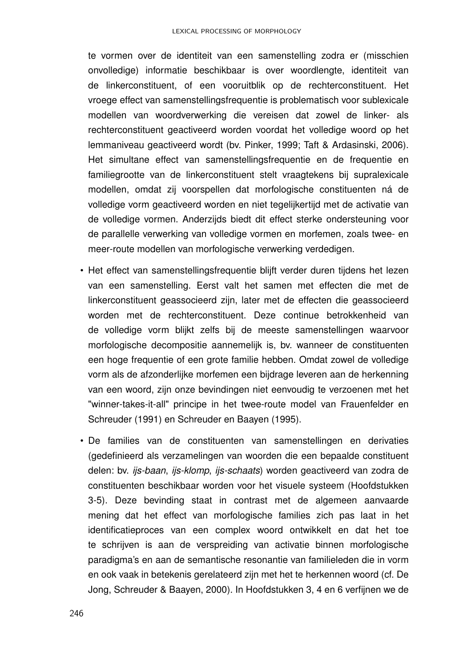te vormen over de identiteit van een samenstelling zodra er (misschien onvolledige) informatie beschikbaar is over woordlengte, identiteit van de linkerconstituent, of een vooruitblik op de rechterconstituent. Het vroege effect van samenstellingsfrequentie is problematisch voor sublexicale modellen van woordverwerking die vereisen dat zowel de linker- als rechterconstituent geactiveerd worden voordat het volledige woord op het lemmaniveau geactiveerd wordt (bv. Pinker, 1999; Taft & Ardasinski, 2006). Het simultane effect van samenstellingsfrequentie en de frequentie en familiegrootte van de linkerconstituent stelt vraagtekens bij supralexicale modellen, omdat zij voorspellen dat morfologische constituenten ná de volledige vorm geactiveerd worden en niet tegelijkertijd met de activatie van de volledige vormen. Anderzijds biedt dit effect sterke ondersteuning voor de parallelle verwerking van volledige vormen en morfemen, zoals twee- en meer-route modellen van morfologische verwerking verdedigen.

- Het effect van samenstellingsfrequentie blijft verder duren tijdens het lezen van een samenstelling. Eerst valt het samen met effecten die met de linkerconstituent geassocieerd zijn, later met de effecten die geassocieerd worden met de rechterconstituent. Deze continue betrokkenheid van de volledige vorm blijkt zelfs bij de meeste samenstellingen waarvoor morfologische decompositie aannemelijk is, bv. wanneer de constituenten een hoge frequentie of een grote familie hebben. Omdat zowel de volledige vorm als de afzonderlijke morfemen een bijdrage leveren aan de herkenning van een woord, zijn onze bevindingen niet eenvoudig te verzoenen met het "winner-takes-it-all" principe in het twee-route model van Frauenfelder en Schreuder (1991) en Schreuder en Baayen (1995).
- De families van de constituenten van samenstellingen en derivaties (gedefinieerd als verzamelingen van woorden die een bepaalde constituent delen: bv. *ijs-baan*, *ijs-klomp*, *ijs-schaats*) worden geactiveerd van zodra de constituenten beschikbaar worden voor het visuele systeem (Hoofdstukken 3-5). Deze bevinding staat in contrast met de algemeen aanvaarde mening dat het effect van morfologische families zich pas laat in het identificatieproces van een complex woord ontwikkelt en dat het toe te schrijven is aan de verspreiding van activatie binnen morfologische paradigma's en aan de semantische resonantie van familieleden die in vorm en ook vaak in betekenis gerelateerd zijn met het te herkennen woord (cf. De Jong, Schreuder & Baayen, 2000). In Hoofdstukken 3, 4 en 6 verfijnen we de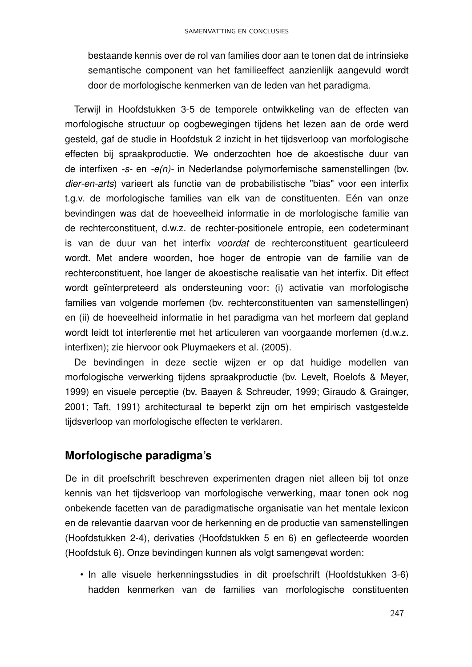bestaande kennis over de rol van families door aan te tonen dat de intrinsieke semantische component van het familieeffect aanzienlijk aangevuld wordt door de morfologische kenmerken van de leden van het paradigma.

Terwijl in Hoofdstukken 3-5 de temporele ontwikkeling van de effecten van morfologische structuur op oogbewegingen tijdens het lezen aan de orde werd gesteld, gaf de studie in Hoofdstuk 2 inzicht in het tijdsverloop van morfologische effecten bij spraakproductie. We onderzochten hoe de akoestische duur van de interfixen *-s-* en *-e(n)-* in Nederlandse polymorfemische samenstellingen (bv. *dier-en-arts*) varieert als functie van de probabilistische "bias" voor een interfix t.g.v. de morfologische families van elk van de constituenten. Eén van onze bevindingen was dat de hoeveelheid informatie in de morfologische familie van de rechterconstituent, d.w.z. de rechter-positionele entropie, een codeterminant is van de duur van het interfix *voordat* de rechterconstituent gearticuleerd wordt. Met andere woorden, hoe hoger de entropie van de familie van de rechterconstituent, hoe langer de akoestische realisatie van het interfix. Dit effect wordt geïnterpreteerd als ondersteuning voor: (i) activatie van morfologische families van volgende morfemen (bv. rechterconstituenten van samenstellingen) en (ii) de hoeveelheid informatie in het paradigma van het morfeem dat gepland wordt leidt tot interferentie met het articuleren van voorgaande morfemen (d.w.z. interfixen); zie hiervoor ook Pluymaekers et al. (2005).

De bevindingen in deze sectie wijzen er op dat huidige modellen van morfologische verwerking tijdens spraakproductie (bv. Levelt, Roelofs & Meyer, 1999) en visuele perceptie (bv. Baayen & Schreuder, 1999; Giraudo & Grainger, 2001; Taft, 1991) architecturaal te beperkt zijn om het empirisch vastgestelde tijdsverloop van morfologische effecten te verklaren.

#### **Morfologische paradigma's**

De in dit proefschrift beschreven experimenten dragen niet alleen bij tot onze kennis van het tijdsverloop van morfologische verwerking, maar tonen ook nog onbekende facetten van de paradigmatische organisatie van het mentale lexicon en de relevantie daarvan voor de herkenning en de productie van samenstellingen (Hoofdstukken 2-4), derivaties (Hoofdstukken 5 en 6) en geflecteerde woorden (Hoofdstuk 6). Onze bevindingen kunnen als volgt samengevat worden:

• In alle visuele herkenningsstudies in dit proefschrift (Hoofdstukken 3-6) hadden kenmerken van de families van morfologische constituenten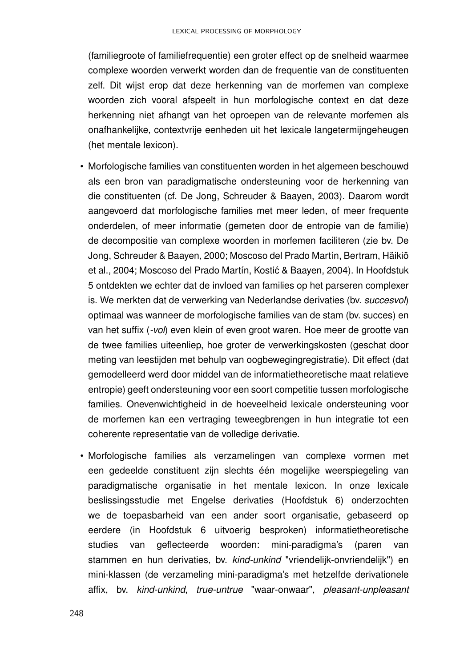(familiegroote of familiefrequentie) een groter effect op de snelheid waarmee complexe woorden verwerkt worden dan de frequentie van de constituenten zelf. Dit wijst erop dat deze herkenning van de morfemen van complexe woorden zich vooral afspeelt in hun morfologische context en dat deze herkenning niet afhangt van het oproepen van de relevante morfemen als onafhankelijke, contextvrije eenheden uit het lexicale langetermijngeheugen (het mentale lexicon).

- Morfologische families van constituenten worden in het algemeen beschouwd als een bron van paradigmatische ondersteuning voor de herkenning van die constituenten (cf. De Jong, Schreuder & Baayen, 2003). Daarom wordt aangevoerd dat morfologische families met meer leden, of meer frequente onderdelen, of meer informatie (gemeten door de entropie van de familie) de decompositie van complexe woorden in morfemen faciliteren (zie bv. De Jong, Schreuder & Baayen, 2000; Moscoso del Prado Martín, Bertram, Häikiö et al., 2004; Moscoso del Prado Martín, Kostic & Baayen, 2004). In Hoofdstuk ´ 5 ontdekten we echter dat de invloed van families op het parseren complexer is. We merkten dat de verwerking van Nederlandse derivaties (bv. *succesvol*) optimaal was wanneer de morfologische families van de stam (bv. succes) en van het suffix (*-vol*) even klein of even groot waren. Hoe meer de grootte van de twee families uiteenliep, hoe groter de verwerkingskosten (geschat door meting van leestijden met behulp van oogbewegingregistratie). Dit effect (dat gemodelleerd werd door middel van de informatietheoretische maat relatieve entropie) geeft ondersteuning voor een soort competitie tussen morfologische families. Onevenwichtigheid in de hoeveelheid lexicale ondersteuning voor de morfemen kan een vertraging teweegbrengen in hun integratie tot een coherente representatie van de volledige derivatie.
- Morfologische families als verzamelingen van complexe vormen met een gedeelde constituent zijn slechts één mogelijke weerspiegeling van paradigmatische organisatie in het mentale lexicon. In onze lexicale beslissingsstudie met Engelse derivaties (Hoofdstuk 6) onderzochten we de toepasbarheid van een ander soort organisatie, gebaseerd op eerdere (in Hoofdstuk 6 uitvoerig besproken) informatietheoretische studies van geflecteerde woorden: mini-paradigma's (paren van stammen en hun derivaties, bv. *kind-unkind* "vriendelijk-onvriendelijk") en mini-klassen (de verzameling mini-paradigma's met hetzelfde derivationele affix, bv. *kind-unkind*, *true-untrue* "waar-onwaar", *pleasant-unpleasant*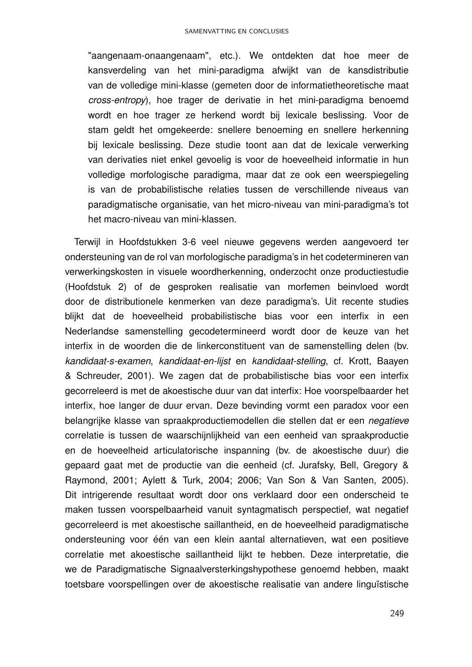"aangenaam-onaangenaam", etc.). We ontdekten dat hoe meer de kansverdeling van het mini-paradigma afwijkt van de kansdistributie van de volledige mini-klasse (gemeten door de informatietheoretische maat *cross-entropy*), hoe trager de derivatie in het mini-paradigma benoemd wordt en hoe trager ze herkend wordt bij lexicale beslissing. Voor de stam geldt het omgekeerde: snellere benoeming en snellere herkenning bij lexicale beslissing. Deze studie toont aan dat de lexicale verwerking van derivaties niet enkel gevoelig is voor de hoeveelheid informatie in hun volledige morfologische paradigma, maar dat ze ook een weerspiegeling is van de probabilistische relaties tussen de verschillende niveaus van paradigmatische organisatie, van het micro-niveau van mini-paradigma's tot het macro-niveau van mini-klassen.

Terwijl in Hoofdstukken 3-6 veel nieuwe gegevens werden aangevoerd ter ondersteuning van de rol van morfologische paradigma's in het codetermineren van verwerkingskosten in visuele woordherkenning, onderzocht onze productiestudie (Hoofdstuk 2) of de gesproken realisatie van morfemen beinvloed wordt door de distributionele kenmerken van deze paradigma's. Uit recente studies blijkt dat de hoeveelheid probabilistische bias voor een interfix in een Nederlandse samenstelling gecodetermineerd wordt door de keuze van het interfix in de woorden die de linkerconstituent van de samenstelling delen (bv. *kandidaat-s-examen*, *kandidaat-en-lijst* en *kandidaat-stelling*, cf. Krott, Baayen & Schreuder, 2001). We zagen dat de probabilistische bias voor een interfix gecorreleerd is met de akoestische duur van dat interfix: Hoe voorspelbaarder het interfix, hoe langer de duur ervan. Deze bevinding vormt een paradox voor een belangrijke klasse van spraakproductiemodellen die stellen dat er een *negatieve* correlatie is tussen de waarschijnlijkheid van een eenheid van spraakproductie en de hoeveelheid articulatorische inspanning (bv. de akoestische duur) die gepaard gaat met de productie van die eenheid (cf. Jurafsky, Bell, Gregory & Raymond, 2001; Aylett & Turk, 2004; 2006; Van Son & Van Santen, 2005). Dit intrigerende resultaat wordt door ons verklaard door een onderscheid te maken tussen voorspelbaarheid vanuit syntagmatisch perspectief, wat negatief gecorreleerd is met akoestische saillantheid, en de hoeveelheid paradigmatische ondersteuning voor één van een klein aantal alternatieven, wat een positieve correlatie met akoestische saillantheid lijkt te hebben. Deze interpretatie, die we de Paradigmatische Signaalversterkingshypothese genoemd hebben, maakt toetsbare voorspellingen over de akoestische realisatie van andere linguïstische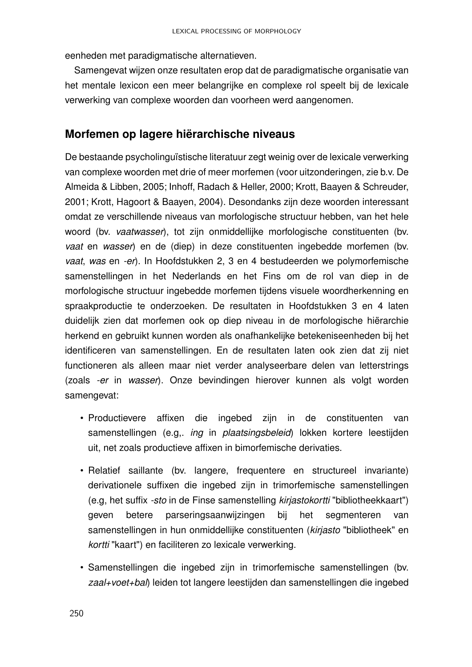eenheden met paradigmatische alternatieven.

Samengevat wijzen onze resultaten erop dat de paradigmatische organisatie van het mentale lexicon een meer belangrijke en complexe rol speelt bij de lexicale verwerking van complexe woorden dan voorheen werd aangenomen.

### **Morfemen op lagere hiërarchische niveaus**

De bestaande psycholinguïstische literatuur zegt weinig over de lexicale verwerking van complexe woorden met drie of meer morfemen (voor uitzonderingen, zie b.v. De Almeida & Libben, 2005; Inhoff, Radach & Heller, 2000; Krott, Baayen & Schreuder, 2001; Krott, Hagoort & Baayen, 2004). Desondanks zijn deze woorden interessant omdat ze verschillende niveaus van morfologische structuur hebben, van het hele woord (bv. *vaatwasser*), tot zijn onmiddellijke morfologische constituenten (bv. *vaat* en *wasser*) en de (diep) in deze constituenten ingebedde morfemen (bv. *vaat*, *was* en *-er*). In Hoofdstukken 2, 3 en 4 bestudeerden we polymorfemische samenstellingen in het Nederlands en het Fins om de rol van diep in de morfologische structuur ingebedde morfemen tijdens visuele woordherkenning en spraakproductie te onderzoeken. De resultaten in Hoofdstukken 3 en 4 laten duidelijk zien dat morfemen ook op diep niveau in de morfologische hiërarchie herkend en gebruikt kunnen worden als onafhankelijke betekeniseenheden bij het identificeren van samenstellingen. En de resultaten laten ook zien dat zij niet functioneren als alleen maar niet verder analyseerbare delen van letterstrings (zoals *-er* in *wasser*). Onze bevindingen hierover kunnen als volgt worden samengevat:

- Productievere affixen die ingebed zijn in de constituenten van samenstellingen (e.g,. *ing* in *plaatsingsbeleid*) lokken kortere leestijden uit, net zoals productieve affixen in bimorfemische derivaties.
- Relatief saillante (bv. langere, frequentere en structureel invariante) derivationele suffixen die ingebed zijn in trimorfemische samenstellingen (e.g, het suffix *-sto* in de Finse samenstelling *kirjastokortti* "bibliotheekkaart") geven betere parseringsaanwijzingen bij het segmenteren van samenstellingen in hun onmiddellijke constituenten (*kirjasto* "bibliotheek" en *kortti* "kaart") en faciliteren zo lexicale verwerking.
- Samenstellingen die ingebed zijn in trimorfemische samenstellingen (bv. *zaal+voet+bal*) leiden tot langere leestijden dan samenstellingen die ingebed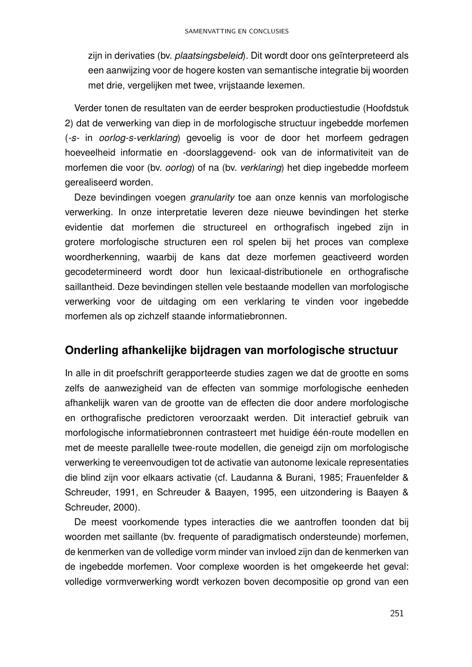zijn in derivaties (bv. *plaatsingsbeleid*). Dit wordt door ons geïnterpreteerd als een aanwijzing voor de hogere kosten van semantische integratie bij woorden met drie, vergelijken met twee, vrijstaande lexemen.

Verder tonen de resultaten van de eerder besproken productiestudie (Hoofdstuk 2) dat de verwerking van diep in de morfologische structuur ingebedde morfemen (*-s-* in *oorlog-s-verklaring*) gevoelig is voor de door het morfeem gedragen hoeveelheid informatie en -doorslaggevend- ook van de informativiteit van de morfemen die voor (bv. *oorlog*) of na (bv. *verklaring*) het diep ingebedde morfeem gerealiseerd worden.

Deze bevindingen voegen *granularity* toe aan onze kennis van morfologische verwerking. In onze interpretatie leveren deze nieuwe bevindingen het sterke evidentie dat morfemen die structureel en orthografisch ingebed zijn in grotere morfologische structuren een rol spelen bij het proces van complexe woordherkenning, waarbij de kans dat deze morfemen geactiveerd worden gecodetermineerd wordt door hun lexicaal-distributionele en orthografische saillantheid. Deze bevindingen stellen vele bestaande modellen van morfologische verwerking voor de uitdaging om een verklaring te vinden voor ingebedde morfemen als op zichzelf staande informatiebronnen.

#### **Onderling afhankelijke bijdragen van morfologische structuur**

In alle in dit proefschrift gerapporteerde studies zagen we dat de grootte en soms zelfs de aanwezigheid van de effecten van sommige morfologische eenheden afhankelijk waren van de grootte van de effecten die door andere morfologische en orthografische predictoren veroorzaakt werden. Dit interactief gebruik van morfologische informatiebronnen contrasteert met huidige één-route modellen en met de meeste parallelle twee-route modellen, die geneigd zijn om morfologische verwerking te vereenvoudigen tot de activatie van autonome lexicale representaties die blind zijn voor elkaars activatie (cf. Laudanna & Burani, 1985; Frauenfelder & Schreuder, 1991, en Schreuder & Baayen, 1995, een uitzondering is Baayen & Schreuder, 2000).

De meest voorkomende types interacties die we aantroffen toonden dat bij woorden met saillante (bv. frequente of paradigmatisch ondersteunde) morfemen, de kenmerken van de volledige vorm minder van invloed zijn dan de kenmerken van de ingebedde morfemen. Voor complexe woorden is het omgekeerde het geval: volledige vormverwerking wordt verkozen boven decompositie op grond van een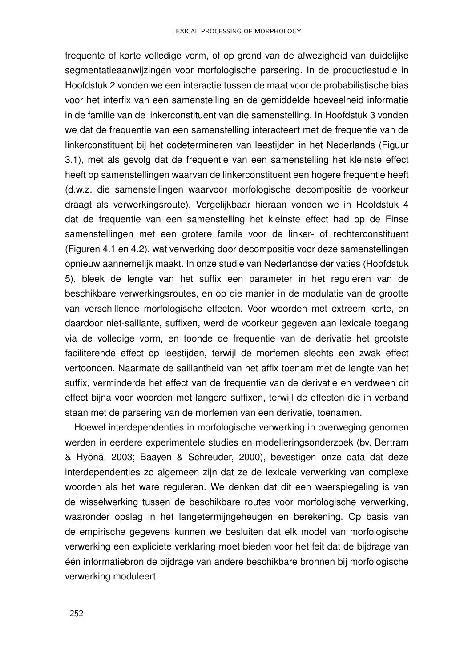frequente of korte volledige vorm, of op grond van de afwezigheid van duidelijke segmentatieaanwijzingen voor morfologische parsering. In de productiestudie in Hoofdstuk 2 vonden we een interactie tussen de maat voor de probabilistische bias voor het interfix van een samenstelling en de gemiddelde hoeveelheid informatie in de familie van de linkerconstituent van die samenstelling. In Hoofdstuk 3 vonden we dat de frequentie van een samenstelling interacteert met de frequentie van de linkerconstituent bij het codetermineren van leestijden in het Nederlands (Figuur 3.1), met als gevolg dat de frequentie van een samenstelling het kleinste effect heeft op samenstellingen waarvan de linkerconstituent een hogere frequentie heeft (d.w.z. die samenstellingen waarvoor morfologische decompositie de voorkeur draagt als verwerkingsroute). Vergelijkbaar hieraan vonden we in Hoofdstuk 4 dat de frequentie van een samenstelling het kleinste effect had op de Finse samenstellingen met een grotere famile voor de linker- of rechterconstituent (Figuren 4.1 en 4.2), wat verwerking door decompositie voor deze samenstellingen opnieuw aannemelijk maakt. In onze studie van Nederlandse derivaties (Hoofdstuk 5), bleek de lengte van het suffix een parameter in het reguleren van de beschikbare verwerkingsroutes, en op die manier in de modulatie van de grootte van verschillende morfologische effecten. Voor woorden met extreem korte, en daardoor niet-saillante, suffixen, werd de voorkeur gegeven aan lexicale toegang via de volledige vorm, en toonde de frequentie van de derivatie het grootste faciliterende effect op leestijden, terwijl de morfemen slechts een zwak effect vertoonden. Naarmate de saillantheid van het affix toenam met de lengte van het suffix, verminderde het effect van de frequentie van de derivatie en verdween dit effect bijna voor woorden met langere suffixen, terwijl de effecten die in verband staan met de parsering van de morfemen van een derivatie, toenamen.

Hoewel interdependenties in morfologische verwerking in overweging genomen werden in eerdere experimentele studies en modelleringsonderzoek (bv. Bertram & Hyönä, 2003; Baayen & Schreuder, 2000), bevestigen onze data dat deze interdependenties zo algemeen zijn dat ze de lexicale verwerking van complexe woorden als het ware reguleren. We denken dat dit een weerspiegeling is van de wisselwerking tussen de beschikbare routes voor morfologische verwerking, waaronder opslag in het langetermijngeheugen en berekening. Op basis van de empirische gegevens kunnen we besluiten dat elk model van morfologische verwerking een expliciete verklaring moet bieden voor het feit dat de bijdrage van één informatiebron de bijdrage van andere beschikbare bronnen bij morfologische verwerking moduleert.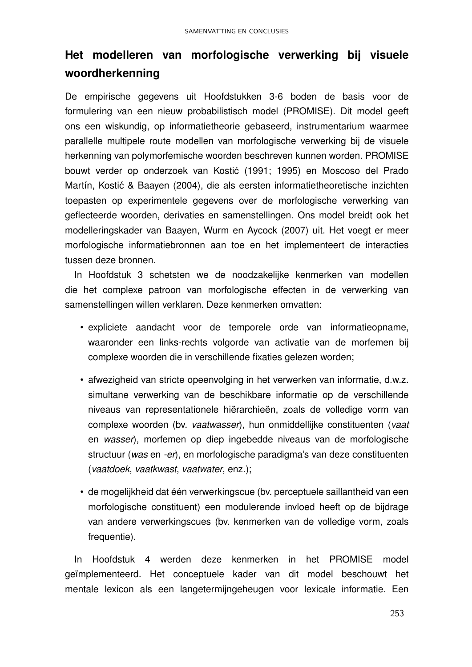### **Het modelleren van morfologische verwerking bij visuele woordherkenning**

De empirische gegevens uit Hoofdstukken 3-6 boden de basis voor de formulering van een nieuw probabilistisch model (PROMISE). Dit model geeft ons een wiskundig, op informatietheorie gebaseerd, instrumentarium waarmee parallelle multipele route modellen van morfologische verwerking bij de visuele herkenning van polymorfemische woorden beschreven kunnen worden. PROMISE bouwt verder op onderzoek van Kostic (1991; 1995) en Moscoso del Prado ´ Martín, Kostić & Baayen (2004), die als eersten informatietheoretische inzichten toepasten op experimentele gegevens over de morfologische verwerking van geflecteerde woorden, derivaties en samenstellingen. Ons model breidt ook het modelleringskader van Baayen, Wurm en Aycock (2007) uit. Het voegt er meer morfologische informatiebronnen aan toe en het implementeert de interacties tussen deze bronnen.

In Hoofdstuk 3 schetsten we de noodzakelijke kenmerken van modellen die het complexe patroon van morfologische effecten in de verwerking van samenstellingen willen verklaren. Deze kenmerken omvatten:

- expliciete aandacht voor de temporele orde van informatieopname, waaronder een links-rechts volgorde van activatie van de morfemen bij complexe woorden die in verschillende fixaties gelezen worden;
- afwezigheid van stricte opeenvolging in het verwerken van informatie, d.w.z. simultane verwerking van de beschikbare informatie op de verschillende niveaus van representationele hiërarchieën, zoals de volledige vorm van complexe woorden (bv. *vaatwasser*), hun onmiddellijke constituenten (*vaat* en *wasser*), morfemen op diep ingebedde niveaus van de morfologische structuur (*was* en *-er*), en morfologische paradigma's van deze constituenten (*vaatdoek*, *vaatkwast*, *vaatwater*, enz.);
- de mogelijkheid dat één verwerkingscue (bv. perceptuele saillantheid van een morfologische constituent) een modulerende invloed heeft op de bijdrage van andere verwerkingscues (bv. kenmerken van de volledige vorm, zoals frequentie).

In Hoofdstuk 4 werden deze kenmerken in het PROMISE model geïmplementeerd. Het conceptuele kader van dit model beschouwt het mentale lexicon als een langetermijngeheugen voor lexicale informatie. Een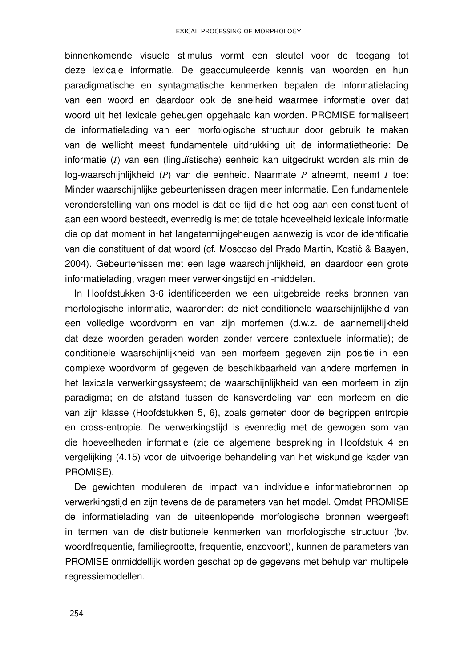binnenkomende visuele stimulus vormt een sleutel voor de toegang tot deze lexicale informatie. De geaccumuleerde kennis van woorden en hun paradigmatische en syntagmatische kenmerken bepalen de informatielading van een woord en daardoor ook de snelheid waarmee informatie over dat woord uit het lexicale geheugen opgehaald kan worden. PROMISE formaliseert de informatielading van een morfologische structuur door gebruik te maken van de wellicht meest fundamentele uitdrukking uit de informatietheorie: De informatie (*I*) van een (linguïstische) eenheid kan uitgedrukt worden als min de log-waarschijnlijkheid (*P*) van die eenheid. Naarmate *P* afneemt, neemt *I* toe: Minder waarschijnlijke gebeurtenissen dragen meer informatie. Een fundamentele veronderstelling van ons model is dat de tijd die het oog aan een constituent of aan een woord besteedt, evenredig is met de totale hoeveelheid lexicale informatie die op dat moment in het langetermijngeheugen aanwezig is voor de identificatie van die constituent of dat woord (cf. Moscoso del Prado Martín, Kostic & Baayen, ´ 2004). Gebeurtenissen met een lage waarschijnlijkheid, en daardoor een grote informatielading, vragen meer verwerkingstijd en -middelen.

In Hoofdstukken 3-6 identificeerden we een uitgebreide reeks bronnen van morfologische informatie, waaronder: de niet-conditionele waarschijnlijkheid van een volledige woordvorm en van zijn morfemen (d.w.z. de aannemelijkheid dat deze woorden geraden worden zonder verdere contextuele informatie); de conditionele waarschijnlijkheid van een morfeem gegeven zijn positie in een complexe woordvorm of gegeven de beschikbaarheid van andere morfemen in het lexicale verwerkingssysteem; de waarschijnlijkheid van een morfeem in zijn paradigma; en de afstand tussen de kansverdeling van een morfeem en die van zijn klasse (Hoofdstukken 5, 6), zoals gemeten door de begrippen entropie en cross-entropie. De verwerkingstijd is evenredig met de gewogen som van die hoeveelheden informatie (zie de algemene bespreking in Hoofdstuk 4 en vergelijking (4.15) voor de uitvoerige behandeling van het wiskundige kader van PROMISE).

De gewichten moduleren de impact van individuele informatiebronnen op verwerkingstijd en zijn tevens de de parameters van het model. Omdat PROMISE de informatielading van de uiteenlopende morfologische bronnen weergeeft in termen van de distributionele kenmerken van morfologische structuur (bv. woordfrequentie, familiegrootte, frequentie, enzovoort), kunnen de parameters van PROMISE onmiddellijk worden geschat op de gegevens met behulp van multipele regressiemodellen.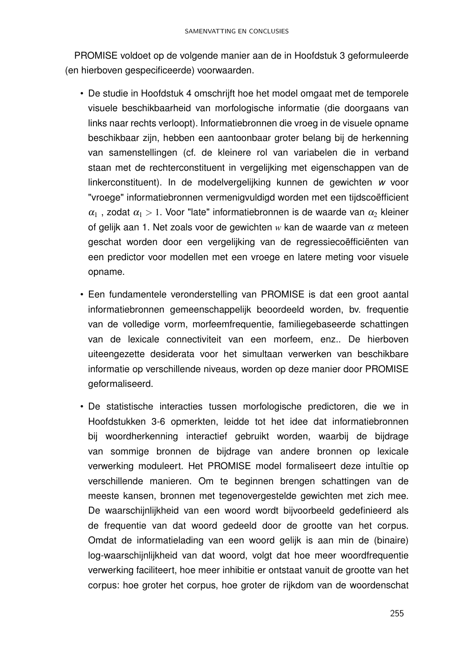PROMISE voldoet op de volgende manier aan de in Hoofdstuk 3 geformuleerde (en hierboven gespecificeerde) voorwaarden.

- De studie in Hoofdstuk 4 omschrijft hoe het model omgaat met de temporele visuele beschikbaarheid van morfologische informatie (die doorgaans van links naar rechts verloopt). Informatiebronnen die vroeg in de visuele opname beschikbaar zijn, hebben een aantoonbaar groter belang bij de herkenning van samenstellingen (cf. de kleinere rol van variabelen die in verband staan met de rechterconstituent in vergelijking met eigenschappen van de linkerconstituent). In de modelvergelijking kunnen de gewichten *w* voor "vroege" informatiebronnen vermenigvuldigd worden met een tijdscoëfficient  $\alpha_1$ , zodat  $\alpha_1 > 1$ . Voor "late" informatiebronnen is de waarde van  $\alpha_2$  kleiner of gelijk aan 1. Net zoals voor de gewichten  $w$  kan de waarde van  $\alpha$  meteen geschat worden door een vergelijking van de regressiecoëfficiënten van een predictor voor modellen met een vroege en latere meting voor visuele opname.
- Een fundamentele veronderstelling van PROMISE is dat een groot aantal informatiebronnen gemeenschappelijk beoordeeld worden, bv. frequentie van de volledige vorm, morfeemfrequentie, familiegebaseerde schattingen van de lexicale connectiviteit van een morfeem, enz.. De hierboven uiteengezette desiderata voor het simultaan verwerken van beschikbare informatie op verschillende niveaus, worden op deze manier door PROMISE geformaliseerd.
- De statistische interacties tussen morfologische predictoren, die we in Hoofdstukken 3-6 opmerkten, leidde tot het idee dat informatiebronnen bij woordherkenning interactief gebruikt worden, waarbij de bijdrage van sommige bronnen de bijdrage van andere bronnen op lexicale verwerking moduleert. Het PROMISE model formaliseert deze intuïtie op verschillende manieren. Om te beginnen brengen schattingen van de meeste kansen, bronnen met tegenovergestelde gewichten met zich mee. De waarschijnlijkheid van een woord wordt bijvoorbeeld gedefinieerd als de frequentie van dat woord gedeeld door de grootte van het corpus. Omdat de informatielading van een woord gelijk is aan min de (binaire) log-waarschijnlijkheid van dat woord, volgt dat hoe meer woordfrequentie verwerking faciliteert, hoe meer inhibitie er ontstaat vanuit de grootte van het corpus: hoe groter het corpus, hoe groter de rijkdom van de woordenschat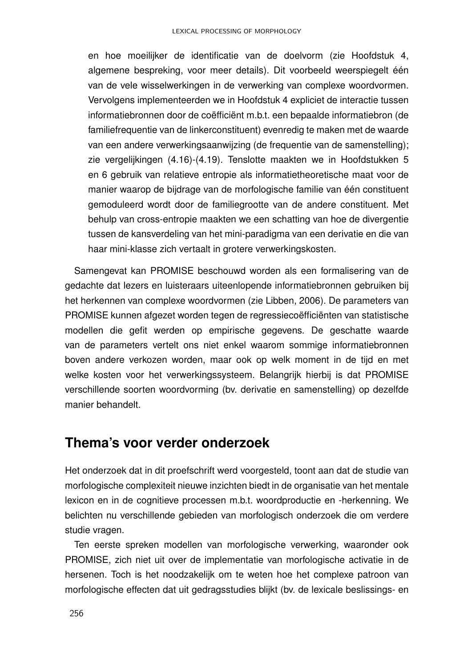en hoe moeilijker de identificatie van de doelvorm (zie Hoofdstuk 4, algemene bespreking, voor meer details). Dit voorbeeld weerspiegelt één van de vele wisselwerkingen in de verwerking van complexe woordvormen. Vervolgens implementeerden we in Hoofdstuk 4 expliciet de interactie tussen informatiebronnen door de coëfficiënt m.b.t. een bepaalde informatiebron (de familiefrequentie van de linkerconstituent) evenredig te maken met de waarde van een andere verwerkingsaanwijzing (de frequentie van de samenstelling); zie vergelijkingen (4.16)-(4.19). Tenslotte maakten we in Hoofdstukken 5 en 6 gebruik van relatieve entropie als informatietheoretische maat voor de manier waarop de bijdrage van de morfologische familie van één constituent gemoduleerd wordt door de familiegrootte van de andere constituent. Met behulp van cross-entropie maakten we een schatting van hoe de divergentie tussen de kansverdeling van het mini-paradigma van een derivatie en die van haar mini-klasse zich vertaalt in grotere verwerkingskosten.

Samengevat kan PROMISE beschouwd worden als een formalisering van de gedachte dat lezers en luisteraars uiteenlopende informatiebronnen gebruiken bij het herkennen van complexe woordvormen (zie Libben, 2006). De parameters van PROMISE kunnen afgezet worden tegen de regressiecoëfficiënten van statistische modellen die gefit werden op empirische gegevens. De geschatte waarde van de parameters vertelt ons niet enkel waarom sommige informatiebronnen boven andere verkozen worden, maar ook op welk moment in de tijd en met welke kosten voor het verwerkingssysteem. Belangrijk hierbij is dat PROMISE verschillende soorten woordvorming (bv. derivatie en samenstelling) op dezelfde manier behandelt.

### **Thema's voor verder onderzoek**

Het onderzoek dat in dit proefschrift werd voorgesteld, toont aan dat de studie van morfologische complexiteit nieuwe inzichten biedt in de organisatie van het mentale lexicon en in de cognitieve processen m.b.t. woordproductie en -herkenning. We belichten nu verschillende gebieden van morfologisch onderzoek die om verdere studie vragen.

Ten eerste spreken modellen van morfologische verwerking, waaronder ook PROMISE, zich niet uit over de implementatie van morfologische activatie in de hersenen. Toch is het noodzakelijk om te weten hoe het complexe patroon van morfologische effecten dat uit gedragsstudies blijkt (bv. de lexicale beslissings- en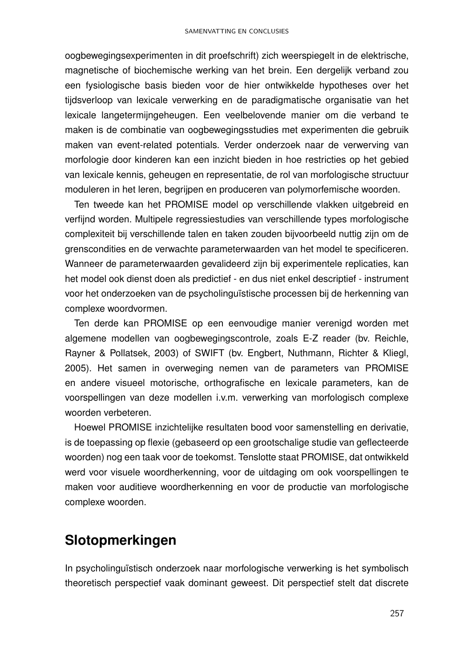oogbewegingsexperimenten in dit proefschrift) zich weerspiegelt in de elektrische, magnetische of biochemische werking van het brein. Een dergelijk verband zou een fysiologische basis bieden voor de hier ontwikkelde hypotheses over het tijdsverloop van lexicale verwerking en de paradigmatische organisatie van het lexicale langetermijngeheugen. Een veelbelovende manier om die verband te maken is de combinatie van oogbewegingsstudies met experimenten die gebruik maken van event-related potentials. Verder onderzoek naar de verwerving van morfologie door kinderen kan een inzicht bieden in hoe restricties op het gebied van lexicale kennis, geheugen en representatie, de rol van morfologische structuur moduleren in het leren, begrijpen en produceren van polymorfemische woorden.

Ten tweede kan het PROMISE model op verschillende vlakken uitgebreid en verfijnd worden. Multipele regressiestudies van verschillende types morfologische complexiteit bij verschillende talen en taken zouden bijvoorbeeld nuttig zijn om de grenscondities en de verwachte parameterwaarden van het model te specificeren. Wanneer de parameterwaarden gevalideerd zijn bij experimentele replicaties, kan het model ook dienst doen als predictief - en dus niet enkel descriptief - instrument voor het onderzoeken van de psycholinguïstische processen bij de herkenning van complexe woordvormen.

Ten derde kan PROMISE op een eenvoudige manier verenigd worden met algemene modellen van oogbewegingscontrole, zoals E-Z reader (bv. Reichle, Rayner & Pollatsek, 2003) of SWIFT (bv. Engbert, Nuthmann, Richter & Kliegl, 2005). Het samen in overweging nemen van de parameters van PROMISE en andere visueel motorische, orthografische en lexicale parameters, kan de voorspellingen van deze modellen i.v.m. verwerking van morfologisch complexe woorden verbeteren.

Hoewel PROMISE inzichtelijke resultaten bood voor samenstelling en derivatie, is de toepassing op flexie (gebaseerd op een grootschalige studie van geflecteerde woorden) nog een taak voor de toekomst. Tenslotte staat PROMISE, dat ontwikkeld werd voor visuele woordherkenning, voor de uitdaging om ook voorspellingen te maken voor auditieve woordherkenning en voor de productie van morfologische complexe woorden.

### **Slotopmerkingen**

In psycholinguïstisch onderzoek naar morfologische verwerking is het symbolisch theoretisch perspectief vaak dominant geweest. Dit perspectief stelt dat discrete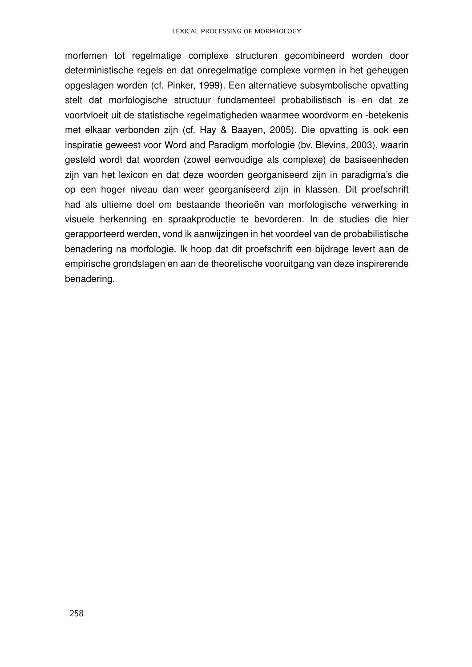morfemen tot regelmatige complexe structuren gecombineerd worden door deterministische regels en dat onregelmatige complexe vormen in het geheugen opgeslagen worden (cf. Pinker, 1999). Een alternatieve subsymbolische opvatting stelt dat morfologische structuur fundamenteel probabilistisch is en dat ze voortvloeit uit de statistische regelmatigheden waarmee woordvorm en -betekenis met elkaar verbonden zijn (cf. Hay & Baayen, 2005). Die opvatting is ook een inspiratie geweest voor Word and Paradigm morfologie (bv. Blevins, 2003), waarin gesteld wordt dat woorden (zowel eenvoudige als complexe) de basiseenheden zijn van het lexicon en dat deze woorden georganiseerd zijn in paradigma's die op een hoger niveau dan weer georganiseerd zijn in klassen. Dit proefschrift had als ultieme doel om bestaande theorieën van morfologische verwerking in visuele herkenning en spraakproductie te bevorderen. In de studies die hier gerapporteerd werden, vond ik aanwijzingen in het voordeel van de probabilistische benadering na morfologie. Ik hoop dat dit proefschrift een bijdrage levert aan de empirische grondslagen en aan de theoretische vooruitgang van deze inspirerende benadering.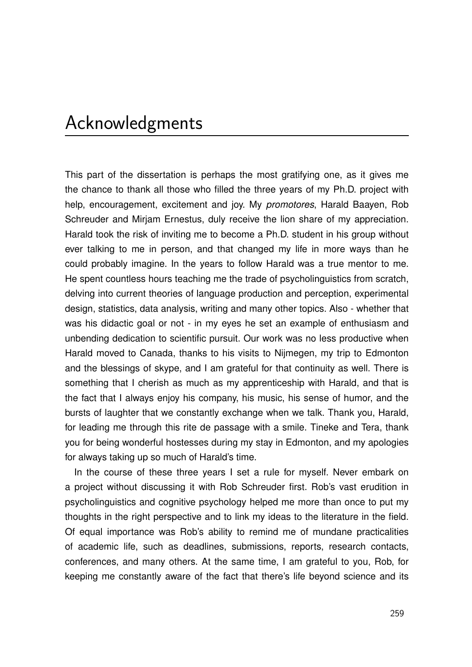### Acknowledgments

This part of the dissertation is perhaps the most gratifying one, as it gives me the chance to thank all those who filled the three years of my Ph.D. project with help, encouragement, excitement and joy. My *promotores*, Harald Baayen, Rob Schreuder and Mirjam Ernestus, duly receive the lion share of my appreciation. Harald took the risk of inviting me to become a Ph.D. student in his group without ever talking to me in person, and that changed my life in more ways than he could probably imagine. In the years to follow Harald was a true mentor to me. He spent countless hours teaching me the trade of psycholinguistics from scratch, delving into current theories of language production and perception, experimental design, statistics, data analysis, writing and many other topics. Also - whether that was his didactic goal or not - in my eyes he set an example of enthusiasm and unbending dedication to scientific pursuit. Our work was no less productive when Harald moved to Canada, thanks to his visits to Nijmegen, my trip to Edmonton and the blessings of skype, and I am grateful for that continuity as well. There is something that I cherish as much as my apprenticeship with Harald, and that is the fact that I always enjoy his company, his music, his sense of humor, and the bursts of laughter that we constantly exchange when we talk. Thank you, Harald, for leading me through this rite de passage with a smile. Tineke and Tera, thank you for being wonderful hostesses during my stay in Edmonton, and my apologies for always taking up so much of Harald's time.

In the course of these three years I set a rule for myself. Never embark on a project without discussing it with Rob Schreuder first. Rob's vast erudition in psycholinguistics and cognitive psychology helped me more than once to put my thoughts in the right perspective and to link my ideas to the literature in the field. Of equal importance was Rob's ability to remind me of mundane practicalities of academic life, such as deadlines, submissions, reports, research contacts, conferences, and many others. At the same time, I am grateful to you, Rob, for keeping me constantly aware of the fact that there's life beyond science and its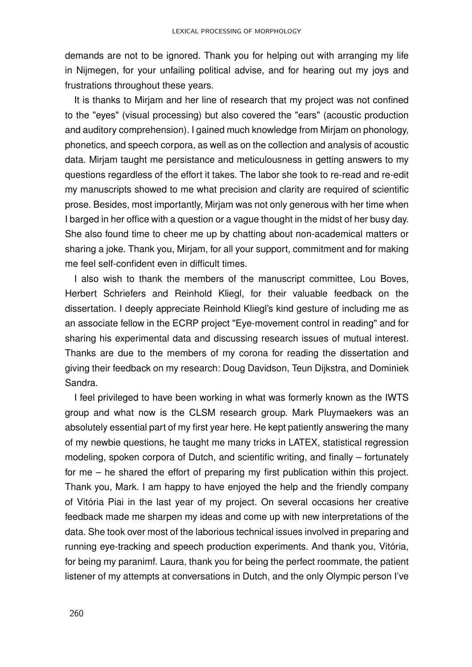demands are not to be ignored. Thank you for helping out with arranging my life in Nijmegen, for your unfailing political advise, and for hearing out my joys and frustrations throughout these years.

It is thanks to Mirjam and her line of research that my project was not confined to the "eyes" (visual processing) but also covered the "ears" (acoustic production and auditory comprehension). I gained much knowledge from Mirjam on phonology, phonetics, and speech corpora, as well as on the collection and analysis of acoustic data. Mirjam taught me persistance and meticulousness in getting answers to my questions regardless of the effort it takes. The labor she took to re-read and re-edit my manuscripts showed to me what precision and clarity are required of scientific prose. Besides, most importantly, Mirjam was not only generous with her time when I barged in her office with a question or a vague thought in the midst of her busy day. She also found time to cheer me up by chatting about non-academical matters or sharing a joke. Thank you, Mirjam, for all your support, commitment and for making me feel self-confident even in difficult times.

I also wish to thank the members of the manuscript committee, Lou Boves, Herbert Schriefers and Reinhold Kliegl, for their valuable feedback on the dissertation. I deeply appreciate Reinhold Kliegl's kind gesture of including me as an associate fellow in the ECRP project "Eye-movement control in reading" and for sharing his experimental data and discussing research issues of mutual interest. Thanks are due to the members of my corona for reading the dissertation and giving their feedback on my research: Doug Davidson, Teun Dijkstra, and Dominiek Sandra.

I feel privileged to have been working in what was formerly known as the IWTS group and what now is the CLSM research group. Mark Pluymaekers was an absolutely essential part of my first year here. He kept patiently answering the many of my newbie questions, he taught me many tricks in LATEX, statistical regression modeling, spoken corpora of Dutch, and scientific writing, and finally – fortunately for me – he shared the effort of preparing my first publication within this project. Thank you, Mark. I am happy to have enjoyed the help and the friendly company of Vitória Piai in the last year of my project. On several occasions her creative feedback made me sharpen my ideas and come up with new interpretations of the data. She took over most of the laborious technical issues involved in preparing and running eye-tracking and speech production experiments. And thank you, Vitória, for being my paranimf. Laura, thank you for being the perfect roommate, the patient listener of my attempts at conversations in Dutch, and the only Olympic person I've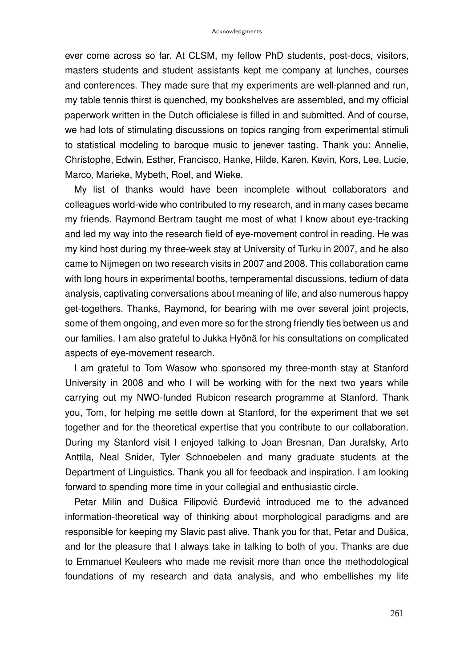ever come across so far. At CLSM, my fellow PhD students, post-docs, visitors, masters students and student assistants kept me company at lunches, courses and conferences. They made sure that my experiments are well-planned and run, my table tennis thirst is quenched, my bookshelves are assembled, and my official paperwork written in the Dutch officialese is filled in and submitted. And of course, we had lots of stimulating discussions on topics ranging from experimental stimuli to statistical modeling to baroque music to jenever tasting. Thank you: Annelie, Christophe, Edwin, Esther, Francisco, Hanke, Hilde, Karen, Kevin, Kors, Lee, Lucie, Marco, Marieke, Mybeth, Roel, and Wieke.

My list of thanks would have been incomplete without collaborators and colleagues world-wide who contributed to my research, and in many cases became my friends. Raymond Bertram taught me most of what I know about eye-tracking and led my way into the research field of eye-movement control in reading. He was my kind host during my three-week stay at University of Turku in 2007, and he also came to Nijmegen on two research visits in 2007 and 2008. This collaboration came with long hours in experimental booths, temperamental discussions, tedium of data analysis, captivating conversations about meaning of life, and also numerous happy get-togethers. Thanks, Raymond, for bearing with me over several joint projects, some of them ongoing, and even more so for the strong friendly ties between us and our families. I am also grateful to Jukka Hyönä for his consultations on complicated aspects of eye-movement research.

I am grateful to Tom Wasow who sponsored my three-month stay at Stanford University in 2008 and who I will be working with for the next two years while carrying out my NWO-funded Rubicon research programme at Stanford. Thank you, Tom, for helping me settle down at Stanford, for the experiment that we set together and for the theoretical expertise that you contribute to our collaboration. During my Stanford visit I enjoyed talking to Joan Bresnan, Dan Jurafsky, Arto Anttila, Neal Snider, Tyler Schnoebelen and many graduate students at the Department of Linguistics. Thank you all for feedback and inspiration. I am looking forward to spending more time in your collegial and enthusiastic circle.

Petar Milin and Dušica Filipović Đurđević introduced me to the advanced information-theoretical way of thinking about morphological paradigms and are responsible for keeping my Slavic past alive. Thank you for that, Petar and Dušica, and for the pleasure that I always take in talking to both of you. Thanks are due to Emmanuel Keuleers who made me revisit more than once the methodological foundations of my research and data analysis, and who embellishes my life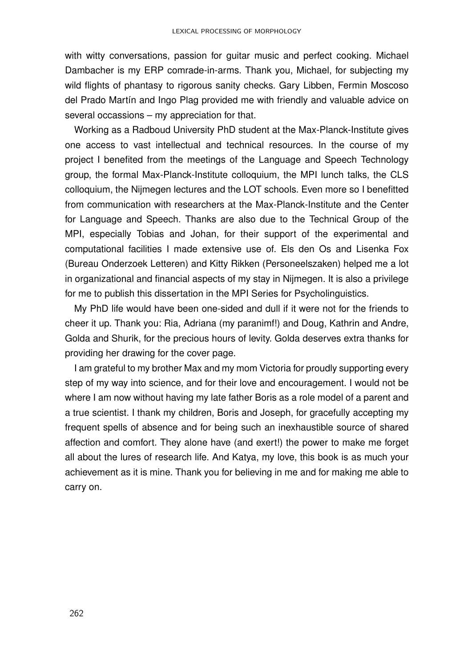with witty conversations, passion for guitar music and perfect cooking. Michael Dambacher is my ERP comrade-in-arms. Thank you, Michael, for subjecting my wild flights of phantasy to rigorous sanity checks. Gary Libben, Fermin Moscoso del Prado Martín and Ingo Plag provided me with friendly and valuable advice on several occassions – my appreciation for that.

Working as a Radboud University PhD student at the Max-Planck-Institute gives one access to vast intellectual and technical resources. In the course of my project I benefited from the meetings of the Language and Speech Technology group, the formal Max-Planck-Institute colloquium, the MPI lunch talks, the CLS colloquium, the Nijmegen lectures and the LOT schools. Even more so I benefitted from communication with researchers at the Max-Planck-Institute and the Center for Language and Speech. Thanks are also due to the Technical Group of the MPI, especially Tobias and Johan, for their support of the experimental and computational facilities I made extensive use of. Els den Os and Lisenka Fox (Bureau Onderzoek Letteren) and Kitty Rikken (Personeelszaken) helped me a lot in organizational and financial aspects of my stay in Nijmegen. It is also a privilege for me to publish this dissertation in the MPI Series for Psycholinguistics.

My PhD life would have been one-sided and dull if it were not for the friends to cheer it up. Thank you: Ria, Adriana (my paranimf!) and Doug, Kathrin and Andre, Golda and Shurik, for the precious hours of levity. Golda deserves extra thanks for providing her drawing for the cover page.

I am grateful to my brother Max and my mom Victoria for proudly supporting every step of my way into science, and for their love and encouragement. I would not be where I am now without having my late father Boris as a role model of a parent and a true scientist. I thank my children, Boris and Joseph, for gracefully accepting my frequent spells of absence and for being such an inexhaustible source of shared affection and comfort. They alone have (and exert!) the power to make me forget all about the lures of research life. And Katya, my love, this book is as much your achievement as it is mine. Thank you for believing in me and for making me able to carry on.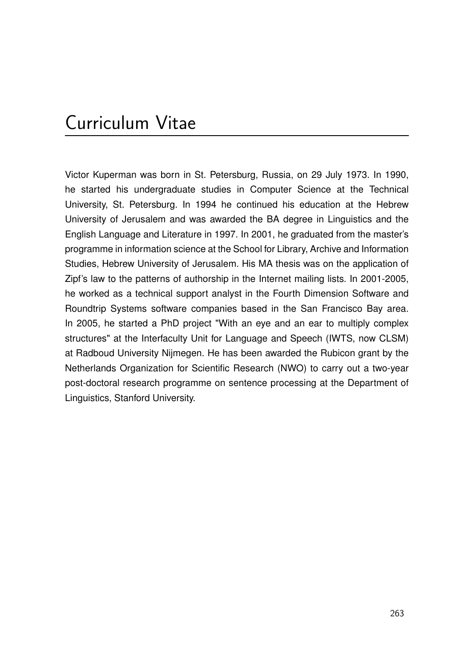# Curriculum Vitae

Victor Kuperman was born in St. Petersburg, Russia, on 29 July 1973. In 1990, he started his undergraduate studies in Computer Science at the Technical University, St. Petersburg. In 1994 he continued his education at the Hebrew University of Jerusalem and was awarded the BA degree in Linguistics and the English Language and Literature in 1997. In 2001, he graduated from the master's programme in information science at the School for Library, Archive and Information Studies, Hebrew University of Jerusalem. His MA thesis was on the application of Zipf's law to the patterns of authorship in the Internet mailing lists. In 2001-2005, he worked as a technical support analyst in the Fourth Dimension Software and Roundtrip Systems software companies based in the San Francisco Bay area. In 2005, he started a PhD project "With an eye and an ear to multiply complex structures" at the Interfaculty Unit for Language and Speech (IWTS, now CLSM) at Radboud University Nijmegen. He has been awarded the Rubicon grant by the Netherlands Organization for Scientific Research (NWO) to carry out a two-year post-doctoral research programme on sentence processing at the Department of Linguistics, Stanford University.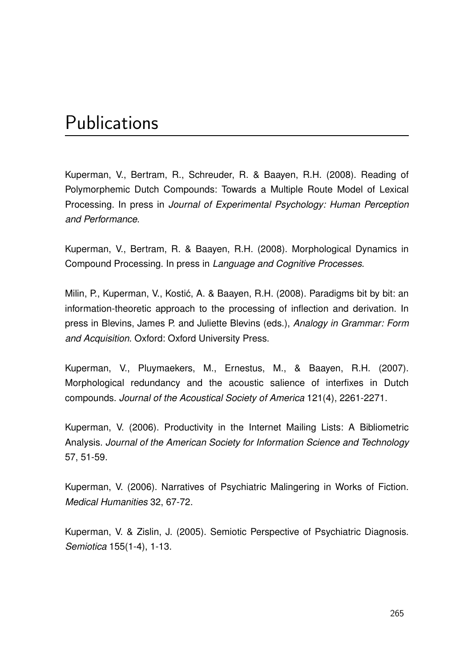## Publications

Kuperman, V., Bertram, R., Schreuder, R. & Baayen, R.H. (2008). Reading of Polymorphemic Dutch Compounds: Towards a Multiple Route Model of Lexical Processing. In press in *Journal of Experimental Psychology: Human Perception and Performance*.

Kuperman, V., Bertram, R. & Baayen, R.H. (2008). Morphological Dynamics in Compound Processing. In press in *Language and Cognitive Processes*.

Milin, P., Kuperman, V., Kostić, A. & Baayen, R.H. (2008). Paradigms bit by bit: an information-theoretic approach to the processing of inflection and derivation. In press in Blevins, James P. and Juliette Blevins (eds.), *Analogy in Grammar: Form and Acquisition*. Oxford: Oxford University Press.

Kuperman, V., Pluymaekers, M., Ernestus, M., & Baayen, R.H. (2007). Morphological redundancy and the acoustic salience of interfixes in Dutch compounds. *Journal of the Acoustical Society of America* 121(4), 2261-2271.

Kuperman, V. (2006). Productivity in the Internet Mailing Lists: A Bibliometric Analysis. *Journal of the American Society for Information Science and Technology* 57, 51-59.

Kuperman, V. (2006). Narratives of Psychiatric Malingering in Works of Fiction. *Medical Humanities* 32, 67-72.

Kuperman, V. & Zislin, J. (2005). Semiotic Perspective of Psychiatric Diagnosis. *Semiotica* 155(1-4), 1-13.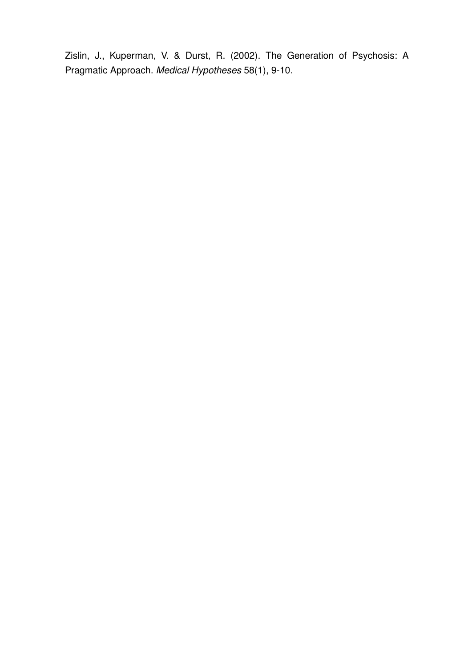Zislin, J., Kuperman, V. & Durst, R. (2002). The Generation of Psychosis: A Pragmatic Approach. *Medical Hypotheses* 58(1), 9-10.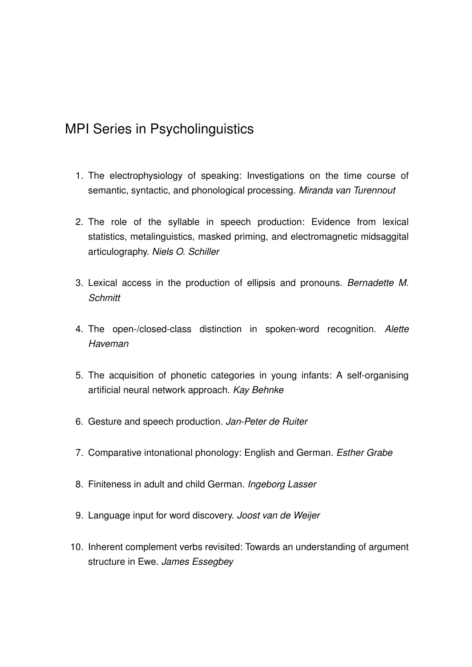### MPI Series in Psycholinguistics

- 1. The electrophysiology of speaking: Investigations on the time course of semantic, syntactic, and phonological processing. *Miranda van Turennout*
- 2. The role of the syllable in speech production: Evidence from lexical statistics, metalinguistics, masked priming, and electromagnetic midsaggital articulography. *Niels O. Schiller*
- 3. Lexical access in the production of ellipsis and pronouns. *Bernadette M. Schmitt*
- 4. The open-/closed-class distinction in spoken-word recognition. *Alette Haveman*
- 5. The acquisition of phonetic categories in young infants: A self-organising artificial neural network approach. *Kay Behnke*
- 6. Gesture and speech production. *Jan-Peter de Ruiter*
- 7. Comparative intonational phonology: English and German. *Esther Grabe*
- 8. Finiteness in adult and child German. *Ingeborg Lasser*
- 9. Language input for word discovery. *Joost van de Weijer*
- 10. Inherent complement verbs revisited: Towards an understanding of argument structure in Ewe. *James Essegbey*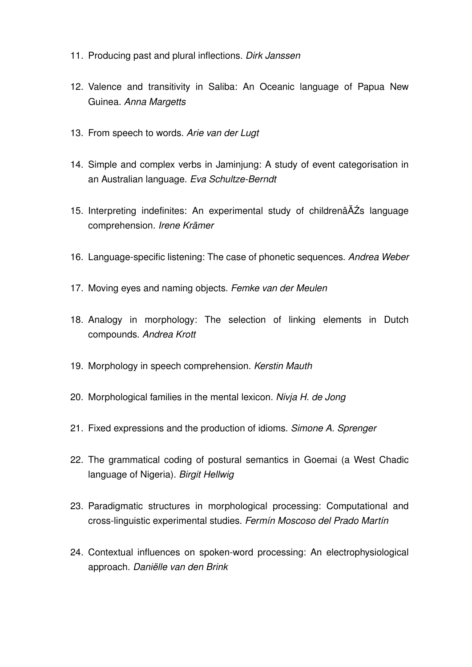- 11. Producing past and plural inflections. *Dirk Janssen*
- 12. Valence and transitivity in Saliba: An Oceanic language of Papua New Guinea. *Anna Margetts*
- 13. From speech to words. *Arie van der Lugt*
- 14. Simple and complex verbs in Jaminjung: A study of event categorisation in an Australian language. *Eva Schultze-Berndt*
- 15. Interpreting indefinites: An experimental study of childrenâA $\zeta$  anguage comprehension. *Irene Krämer*
- 16. Language-specific listening: The case of phonetic sequences. *Andrea Weber*
- 17. Moving eyes and naming objects. *Femke van der Meulen*
- 18. Analogy in morphology: The selection of linking elements in Dutch compounds. *Andrea Krott*
- 19. Morphology in speech comprehension. *Kerstin Mauth*
- 20. Morphological families in the mental lexicon. *Nivja H. de Jong*
- 21. Fixed expressions and the production of idioms. *Simone A. Sprenger*
- 22. The grammatical coding of postural semantics in Goemai (a West Chadic language of Nigeria). *Birgit Hellwig*
- 23. Paradigmatic structures in morphological processing: Computational and cross-linguistic experimental studies. *Fermín Moscoso del Prado Martín*
- 24. Contextual influences on spoken-word processing: An electrophysiological approach. *Daniëlle van den Brink*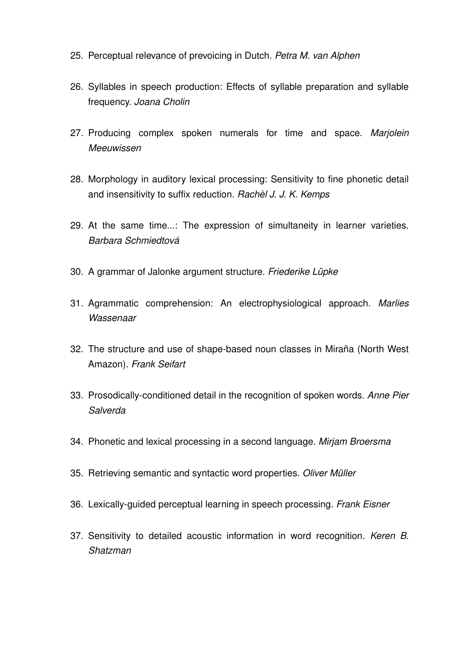- 25. Perceptual relevance of prevoicing in Dutch. *Petra M. van Alphen*
- 26. Syllables in speech production: Effects of syllable preparation and syllable frequency. *Joana Cholin*
- 27. Producing complex spoken numerals for time and space. *Marjolein Meeuwissen*
- 28. Morphology in auditory lexical processing: Sensitivity to fine phonetic detail and insensitivity to suffix reduction. *Rachèl J. J. K. Kemps*
- 29. At the same time...: The expression of simultaneity in learner varieties. *Barbara Schmiedtová*
- 30. A grammar of Jalonke argument structure. *Friederike Lüpke*
- 31. Agrammatic comprehension: An electrophysiological approach. *Marlies Wassenaar*
- 32. The structure and use of shape-based noun classes in Miraña (North West Amazon). *Frank Seifart*
- 33. Prosodically-conditioned detail in the recognition of spoken words. *Anne Pier Salverda*
- 34. Phonetic and lexical processing in a second language. *Mirjam Broersma*
- 35. Retrieving semantic and syntactic word properties. *Oliver Müller*
- 36. Lexically-guided perceptual learning in speech processing. *Frank Eisner*
- 37. Sensitivity to detailed acoustic information in word recognition. *Keren B. Shatzman*